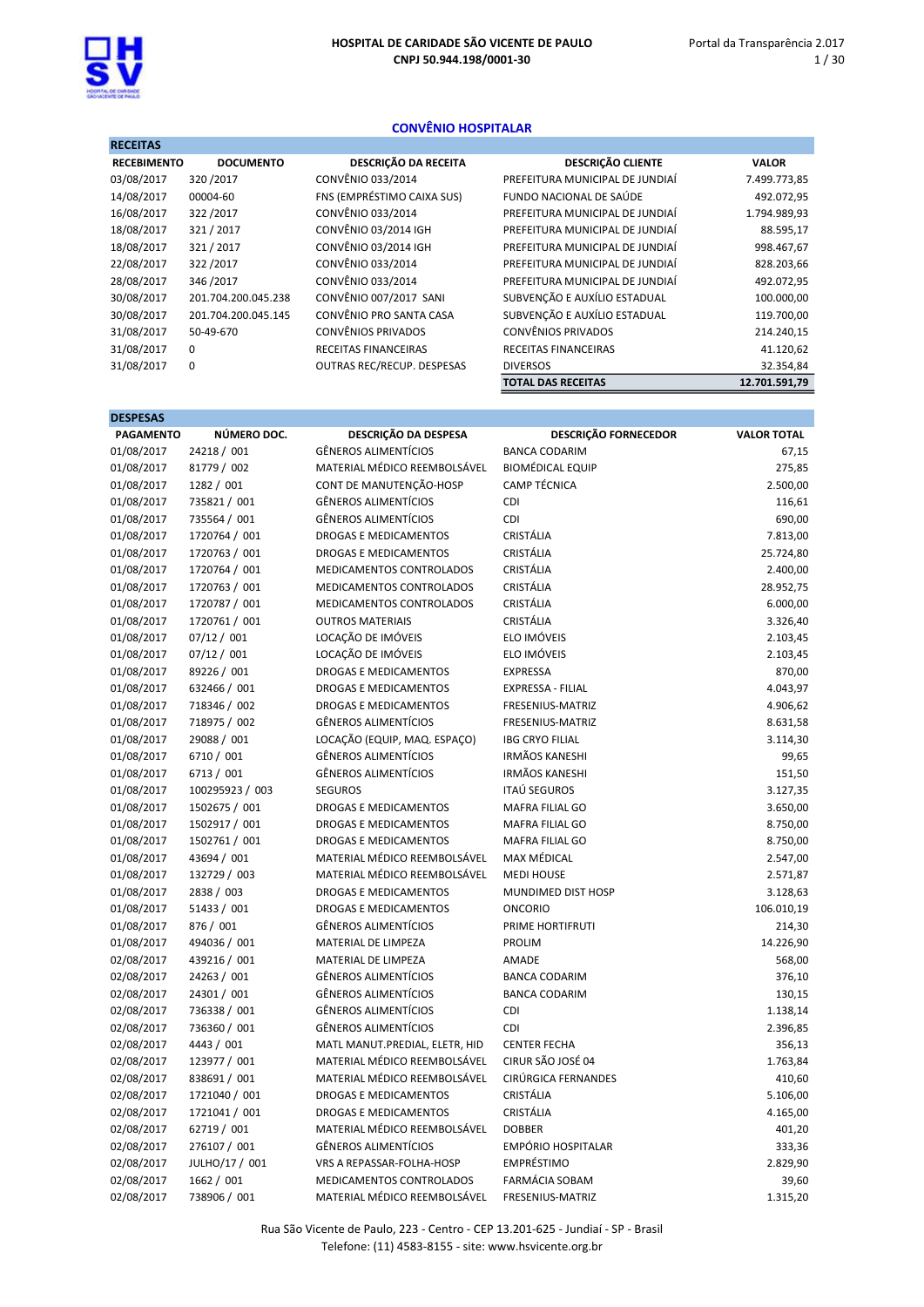1 / 30



**DECEITAS** 

# CONVÊNIO HOSPITALAR

| DESCRIÇÃO DA RECEITA        | <b>DESCRIÇÃO CLIENTE</b>        | <b>VALOR</b>  |
|-----------------------------|---------------------------------|---------------|
| CONVÊNIO 033/2014           | PREFEITURA MUNICIPAL DE JUNDIAÍ | 7.499.773,85  |
| FNS (EMPRÉSTIMO CAIXA SUS)  | FUNDO NACIONAL DE SAÚDE         | 492.072,95    |
| CONVÊNIO 033/2014           | PREFEITURA MUNICIPAL DE JUNDIAÍ | 1.794.989,93  |
| CONVÊNIO 03/2014 IGH        | PREFEITURA MUNICIPAL DE JUNDIAÍ | 88.595,17     |
| CONVÊNIO 03/2014 IGH        | PREFEITURA MUNICIPAL DE JUNDIAÍ | 998.467,67    |
| CONVÊNIO 033/2014           | PREFEITURA MUNICIPAL DE JUNDIAÍ | 828.203,66    |
| CONVÊNIO 033/2014           | PREFEITURA MUNICIPAL DE JUNDIAÍ | 492.072,95    |
| CONVÊNIO 007/2017 SANI      | SUBVENÇÃO E AUXÍLIO ESTADUAL    | 100.000,00    |
| CONVÊNIO PRO SANTA CASA     | SUBVENÇÃO E AUXÍLIO ESTADUAL    | 119.700,00    |
| <b>CONVÊNIOS PRIVADOS</b>   | <b>CONVÊNIOS PRIVADOS</b>       | 214.240,15    |
| <b>RECEITAS FINANCEIRAS</b> | <b>RECEITAS FINANCEIRAS</b>     | 41.120,62     |
| OUTRAS REC/RECUP. DESPESAS  | <b>DIVERSOS</b>                 | 32.354,84     |
|                             | <b>TOTAL DAS RECEITAS</b>       | 12.701.591,79 |
|                             |                                 |               |

| <b>DESPESAS</b>  |                 |                                  |                             |                    |
|------------------|-----------------|----------------------------------|-----------------------------|--------------------|
| <b>PAGAMENTO</b> | NÚMERO DOC.     | DESCRIÇÃO DA DESPESA             | <b>DESCRIÇÃO FORNECEDOR</b> | <b>VALOR TOTAL</b> |
| 01/08/2017       | 24218 / 001     | <b>GÊNEROS ALIMENTÍCIOS</b>      | <b>BANCA CODARIM</b>        | 67,15              |
| 01/08/2017       | 81779 / 002     | MATERIAL MÉDICO REEMBOLSÁVEL     | <b>BIOMÉDICAL EQUIP</b>     | 275,85             |
| 01/08/2017       | 1282 / 001      | CONT DE MANUTENÇÃO-HOSP          | <b>CAMP TÉCNICA</b>         | 2.500,00           |
| 01/08/2017       | 735821 / 001    | <b>GÊNEROS ALIMENTÍCIOS</b>      | CDI                         | 116,61             |
| 01/08/2017       | 735564 / 001    | <b>GÊNEROS ALIMENTÍCIOS</b>      | CDI                         | 690,00             |
| 01/08/2017       | 1720764 / 001   | DROGAS E MEDICAMENTOS            | <b>CRISTÁLIA</b>            | 7.813,00           |
| 01/08/2017       | 1720763 / 001   | <b>DROGAS E MEDICAMENTOS</b>     | <b>CRISTÁLIA</b>            | 25.724,80          |
| 01/08/2017       | 1720764 / 001   | MEDICAMENTOS CONTROLADOS         | CRISTÁLIA                   | 2.400,00           |
| 01/08/2017       | 1720763 / 001   | MEDICAMENTOS CONTROLADOS         | CRISTÁLIA                   | 28.952,75          |
| 01/08/2017       | 1720787 / 001   | MEDICAMENTOS CONTROLADOS         | <b>CRISTÁLIA</b>            | 6.000,00           |
| 01/08/2017       | 1720761 / 001   | <b>OUTROS MATERIAIS</b>          | <b>CRISTÁLIA</b>            | 3.326,40           |
| 01/08/2017       | 07/12 / 001     | LOCAÇÃO DE IMÓVEIS               | ELO IMÓVEIS                 | 2.103,45           |
| 01/08/2017       | 07/12 / 001     | LOCAÇÃO DE IMÓVEIS               | ELO IMÓVEIS                 | 2.103,45           |
| 01/08/2017       | 89226 / 001     | DROGAS E MEDICAMENTOS            | <b>EXPRESSA</b>             | 870,00             |
| 01/08/2017       | 632466 / 001    | DROGAS E MEDICAMENTOS            | EXPRESSA - FILIAL           | 4.043,97           |
| 01/08/2017       | 718346 / 002    | <b>DROGAS E MEDICAMENTOS</b>     | <b>FRESENIUS-MATRIZ</b>     | 4.906,62           |
| 01/08/2017       | 718975 / 002    | <b>GÊNEROS ALIMENTÍCIOS</b>      | FRESENIUS-MATRIZ            | 8.631,58           |
| 01/08/2017       | 29088 / 001     | LOCAÇÃO (EQUIP, MAQ. ESPAÇO)     | <b>IBG CRYO FILIAL</b>      | 3.114,30           |
| 01/08/2017       | 6710 / 001      | <b>GÊNEROS ALIMENTÍCIOS</b>      | <b>IRMÃOS KANESHI</b>       | 99,65              |
| 01/08/2017       | 6713 / 001      | <b>GÊNEROS ALIMENTÍCIOS</b>      | <b>IRMÃOS KANESHI</b>       | 151,50             |
| 01/08/2017       | 100295923 / 003 | <b>SEGUROS</b>                   | <b>ITAÚ SEGUROS</b>         | 3.127,35           |
| 01/08/2017       | 1502675 / 001   | <b>DROGAS E MEDICAMENTOS</b>     | <b>MAFRA FILIAL GO</b>      | 3.650,00           |
| 01/08/2017       | 1502917 / 001   | <b>DROGAS E MEDICAMENTOS</b>     | MAFRA FILIAL GO             | 8.750,00           |
| 01/08/2017       | 1502761 / 001   | <b>DROGAS E MEDICAMENTOS</b>     | MAFRA FILIAL GO             | 8.750,00           |
| 01/08/2017       | 43694 / 001     | MATERIAL MÉDICO REEMBOLSÁVEL     | <b>MAX MÉDICAL</b>          | 2.547,00           |
| 01/08/2017       | 132729 / 003    | MATERIAL MÉDICO REEMBOLSÁVEL     | <b>MEDI HOUSE</b>           | 2.571,87           |
| 01/08/2017       | 2838 / 003      | <b>DROGAS E MEDICAMENTOS</b>     | MUNDIMED DIST HOSP          | 3.128,63           |
| 01/08/2017       | 51433 / 001     | <b>DROGAS E MEDICAMENTOS</b>     | <b>ONCORIO</b>              | 106.010,19         |
| 01/08/2017       | 876 / 001       | <b>GÊNEROS ALIMENTÍCIOS</b>      | PRIME HORTIFRUTI            | 214,30             |
| 01/08/2017       | 494036 / 001    | MATERIAL DE LIMPEZA              | PROLIM                      | 14.226,90          |
| 02/08/2017       | 439216 / 001    | MATERIAL DE LIMPEZA              | <b>AMADE</b>                | 568,00             |
| 02/08/2017       | 24263 / 001     | <b>GÊNEROS ALIMENTÍCIOS</b>      | <b>BANCA CODARIM</b>        | 376,10             |
| 02/08/2017       | 24301 / 001     | <b>GÊNEROS ALIMENTÍCIOS</b>      | <b>BANCA CODARIM</b>        | 130,15             |
| 02/08/2017       | 736338 / 001    | <b>GÊNEROS ALIMENTÍCIOS</b>      | CDI                         | 1.138,14           |
| 02/08/2017       | 736360 / 001    | <b>GÊNEROS ALIMENTÍCIOS</b>      | CDI                         | 2.396,85           |
| 02/08/2017       | 4443 / 001      | MATL MANUT.PREDIAL, ELETR, HID   | <b>CENTER FECHA</b>         | 356,13             |
| 02/08/2017       | 123977 / 001    | MATERIAL MÉDICO REEMBOLSÁVEL     | CIRUR SÃO JOSÉ 04           | 1.763,84           |
| 02/08/2017       | 838691 / 001    | MATERIAL MÉDICO REEMBOLSÁVEL     | CIRÚRGICA FERNANDES         | 410,60             |
| 02/08/2017       | 1721040 / 001   | <b>DROGAS E MEDICAMENTOS</b>     | CRISTÁLIA                   | 5.106,00           |
| 02/08/2017       | 1721041 / 001   | <b>DROGAS E MEDICAMENTOS</b>     | <b>CRISTÁLIA</b>            | 4.165,00           |
| 02/08/2017       | 62719 / 001     | MATERIAL MÉDICO REEMBOLSÁVEL     | <b>DOBBER</b>               | 401,20             |
| 02/08/2017       | 276107 / 001    | <b>GÊNEROS ALIMENTÍCIOS</b>      | <b>EMPÓRIO HOSPITALAR</b>   | 333,36             |
| 02/08/2017       | JULHO/17 / 001  | <b>VRS A REPASSAR-FOLHA-HOSP</b> | <b>EMPRÉSTIMO</b>           | 2.829,90           |
| 02/08/2017       | 1662 / 001      | MEDICAMENTOS CONTROLADOS         | FARMÁCIA SOBAM              | 39,60              |
| 02/08/2017       | 738906 / 001    | MATERIAL MÉDICO REEMBOLSÁVEL     | FRESENIUS-MATRIZ            | 1.315,20           |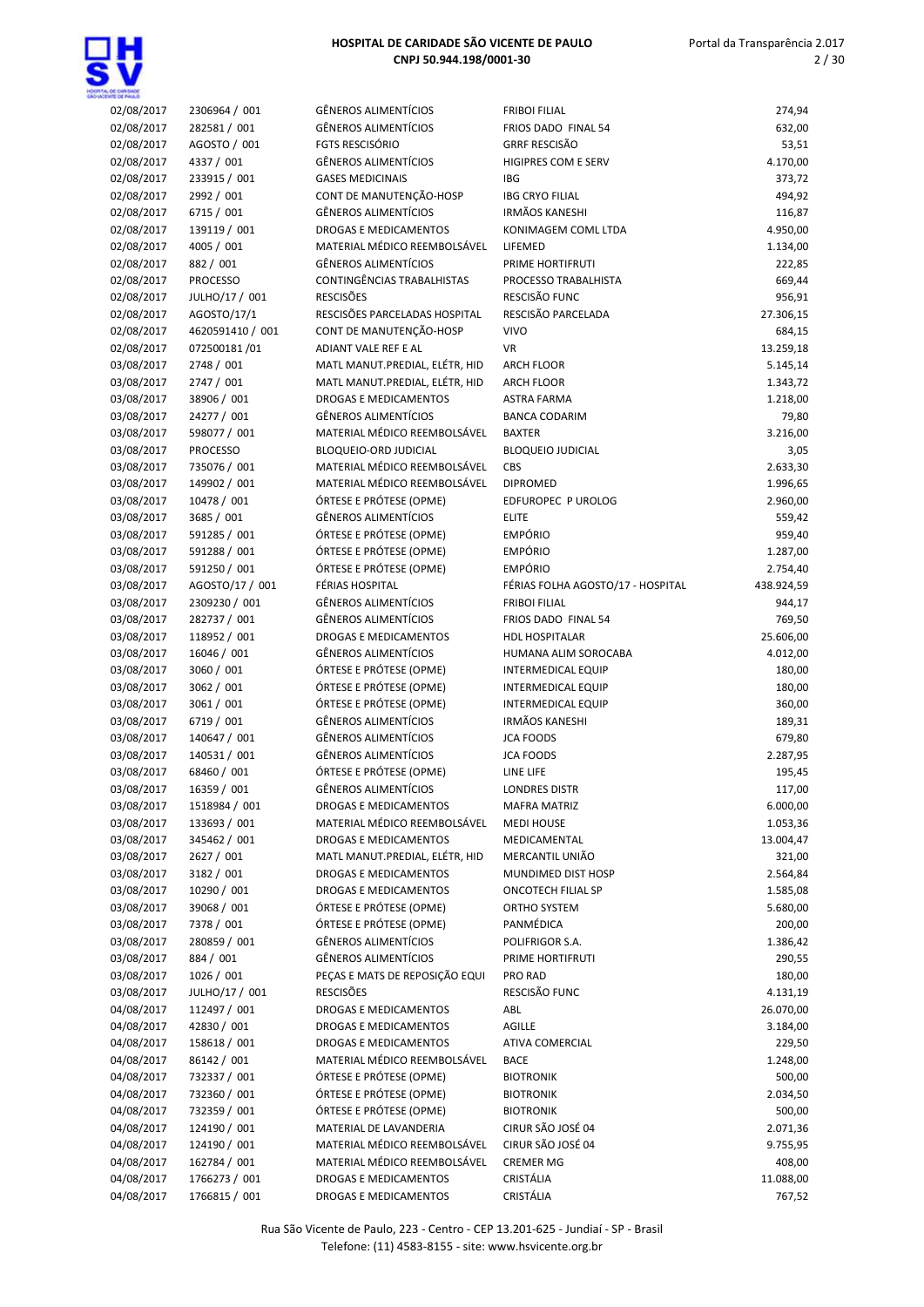| 02/08/2017 | 2306964 / 001    | GÊNEROS ALIMENTÍCIOS           | <b>FRIBOI FILIAL</b>              | 274,94     |
|------------|------------------|--------------------------------|-----------------------------------|------------|
|            |                  |                                |                                   |            |
| 02/08/2017 | 282581 / 001     | <b>GÊNEROS ALIMENTÍCIOS</b>    | FRIOS DADO FINAL 54               | 632,00     |
| 02/08/2017 | AGOSTO / 001     | <b>FGTS RESCISÓRIO</b>         | <b>GRRF RESCISÃO</b>              | 53,51      |
| 02/08/2017 | 4337 / 001       | <b>GÊNEROS ALIMENTÍCIOS</b>    | <b>HIGIPRES COM E SERV</b>        | 4.170,00   |
| 02/08/2017 | 233915 / 001     | <b>GASES MEDICINAIS</b>        | <b>IBG</b>                        | 373,72     |
| 02/08/2017 | 2992 / 001       | CONT DE MANUTENÇÃO-HOSP        | <b>IBG CRYO FILIAL</b>            | 494,92     |
| 02/08/2017 | 6715 / 001       | <b>GÊNEROS ALIMENTÍCIOS</b>    | <b>IRMÃOS KANESHI</b>             | 116,87     |
| 02/08/2017 | 139119 / 001     | DROGAS E MEDICAMENTOS          | KONIMAGEM COML LTDA               | 4.950,00   |
| 02/08/2017 | 4005 / 001       | MATERIAL MÉDICO REEMBOLSÁVEL   | LIFEMED                           | 1.134,00   |
| 02/08/2017 | 882 / 001        | <b>GÊNEROS ALIMENTÍCIOS</b>    | PRIME HORTIFRUTI                  | 222,85     |
|            |                  |                                | PROCESSO TRABALHISTA              |            |
| 02/08/2017 | <b>PROCESSO</b>  | CONTINGÊNCIAS TRABALHISTAS     |                                   | 669,44     |
| 02/08/2017 | JULHO/17 / 001   | <b>RESCISÕES</b>               | RESCISÃO FUNC                     | 956,91     |
| 02/08/2017 | AGOSTO/17/1      | RESCISÕES PARCELADAS HOSPITAL  | RESCISÃO PARCELADA                | 27.306,15  |
| 02/08/2017 | 4620591410 / 001 | CONT DE MANUTENÇÃO-HOSP        | <b>VIVO</b>                       | 684,15     |
| 02/08/2017 | 072500181/01     | ADIANT VALE REF E AL           | <b>VR</b>                         | 13.259,18  |
| 03/08/2017 | 2748 / 001       | MATL MANUT.PREDIAL, ELÉTR, HID | <b>ARCH FLOOR</b>                 | 5.145,14   |
| 03/08/2017 | 2747 / 001       | MATL MANUT.PREDIAL, ELÉTR, HID | <b>ARCH FLOOR</b>                 | 1.343,72   |
| 03/08/2017 | 38906 / 001      | <b>DROGAS E MEDICAMENTOS</b>   | <b>ASTRA FARMA</b>                | 1.218,00   |
| 03/08/2017 | 24277 / 001      | <b>GÊNEROS ALIMENTÍCIOS</b>    | <b>BANCA CODARIM</b>              | 79,80      |
| 03/08/2017 | 598077 / 001     |                                |                                   |            |
|            |                  | MATERIAL MÉDICO REEMBOLSÁVEL   | <b>BAXTER</b>                     | 3.216,00   |
| 03/08/2017 | <b>PROCESSO</b>  | BLOQUEIO-ORD JUDICIAL          | <b>BLOQUEIO JUDICIAL</b>          | 3,05       |
| 03/08/2017 | 735076 / 001     | MATERIAL MÉDICO REEMBOLSÁVEL   | CBS                               | 2.633,30   |
| 03/08/2017 | 149902 / 001     | MATERIAL MÉDICO REEMBOLSÁVEL   | <b>DIPROMED</b>                   | 1.996,65   |
| 03/08/2017 | 10478 / 001      | ÓRTESE E PRÓTESE (OPME)        | EDFUROPEC P UROLOG                | 2.960,00   |
| 03/08/2017 | 3685 / 001       | GÊNEROS ALIMENTÍCIOS           | <b>ELITE</b>                      | 559,42     |
| 03/08/2017 | 591285 / 001     | ÓRTESE E PRÓTESE (OPME)        | <b>EMPÓRIO</b>                    | 959,40     |
| 03/08/2017 | 591288 / 001     | ÓRTESE E PRÓTESE (OPME)        | <b>EMPÓRIO</b>                    | 1.287,00   |
| 03/08/2017 | 591250 / 001     | ÓRTESE E PRÓTESE (OPME)        | <b>EMPÓRIO</b>                    | 2.754,40   |
|            |                  | FÉRIAS HOSPITAL                |                                   |            |
| 03/08/2017 | AGOSTO/17 / 001  |                                | FÉRIAS FOLHA AGOSTO/17 - HOSPITAL | 438.924,59 |
| 03/08/2017 | 2309230 / 001    | <b>GÊNEROS ALIMENTÍCIOS</b>    | <b>FRIBOI FILIAL</b>              | 944,17     |
| 03/08/2017 | 282737 / 001     | <b>GÊNEROS ALIMENTÍCIOS</b>    | FRIOS DADO FINAL 54               | 769,50     |
| 03/08/2017 | 118952 / 001     | <b>DROGAS E MEDICAMENTOS</b>   | <b>HDL HOSPITALAR</b>             | 25.606,00  |
| 03/08/2017 | 16046 / 001      | GÊNEROS ALIMENTÍCIOS           | HUMANA ALIM SOROCABA              | 4.012,00   |
| 03/08/2017 | 3060 / 001       | ÓRTESE E PRÓTESE (OPME)        | <b>INTERMEDICAL EQUIP</b>         | 180,00     |
| 03/08/2017 | 3062 / 001       | ÓRTESE E PRÓTESE (OPME)        | <b>INTERMEDICAL EQUIP</b>         | 180,00     |
| 03/08/2017 | 3061 / 001       | ÓRTESE E PRÓTESE (OPME)        | <b>INTERMEDICAL EQUIP</b>         | 360,00     |
| 03/08/2017 | 6719 / 001       | GÊNEROS ALIMENTÍCIOS           | <b>IRMÃOS KANESHI</b>             | 189,31     |
| 03/08/2017 | 140647 / 001     | <b>GÊNEROS ALIMENTÍCIOS</b>    | <b>JCA FOODS</b>                  | 679,80     |
|            |                  | <b>GÊNEROS ALIMENTÍCIOS</b>    |                                   |            |
| 03/08/2017 | 140531 / 001     |                                | <b>JCA FOODS</b>                  | 2.287,95   |
| 03/08/2017 | 68460 / 001      | ÓRTESE E PRÓTESE (OPME)        | LINE LIFE                         | 195,45     |
| 03/08/2017 | 16359 / 001      | GÊNEROS ALIMENTÍCIOS           | <b>LONDRES DISTR</b>              | 117,00     |
| 03/08/2017 | 1518984 / 001    | DROGAS E MEDICAMENTOS          | <b>MAFRA MATRIZ</b>               | 6.000,00   |
| 03/08/2017 | 133693 / 001     | MATERIAL MÉDICO REEMBOLSÁVEL   | <b>MEDI HOUSE</b>                 | 1.053,36   |
| 03/08/2017 | 345462 / 001     | DROGAS E MEDICAMENTOS          | MEDICAMENTAL                      | 13.004,47  |
| 03/08/2017 | 2627 / 001       | MATL MANUT.PREDIAL, ELÉTR, HID | MERCANTIL UNIÃO                   | 321,00     |
| 03/08/2017 | 3182 / 001       | DROGAS E MEDICAMENTOS          | MUNDIMED DIST HOSP                | 2.564,84   |
| 03/08/2017 | 10290 / 001      | DROGAS E MEDICAMENTOS          | <b>ONCOTECH FILIAL SP</b>         | 1.585,08   |
|            |                  |                                |                                   |            |
| 03/08/2017 | 39068 / 001      | ÓRTESE E PRÓTESE (OPME)        | ORTHO SYSTEM                      | 5.680,00   |
| 03/08/2017 | 7378 / 001       | ÓRTESE E PRÓTESE (OPME)        | PANMÉDICA                         | 200,00     |
| 03/08/2017 | 280859 / 001     | GÊNEROS ALIMENTÍCIOS           | POLIFRIGOR S.A.                   | 1.386,42   |
| 03/08/2017 | 884 / 001        | GÊNEROS ALIMENTÍCIOS           | PRIME HORTIFRUTI                  | 290,55     |
| 03/08/2017 | 1026 / 001       | PEÇAS E MATS DE REPOSIÇÃO EQUI | PRO RAD                           | 180,00     |
| 03/08/2017 | JULHO/17 / 001   | <b>RESCISÕES</b>               | RESCISÃO FUNC                     | 4.131,19   |
| 04/08/2017 | 112497 / 001     | DROGAS E MEDICAMENTOS          | ABL                               | 26.070,00  |
| 04/08/2017 | 42830 / 001      | DROGAS E MEDICAMENTOS          | <b>AGILLE</b>                     | 3.184,00   |
| 04/08/2017 | 158618 / 001     | DROGAS E MEDICAMENTOS          | ATIVA COMERCIAL                   | 229,50     |
| 04/08/2017 | 86142 / 001      | MATERIAL MÉDICO REEMBOLSÁVEL   | <b>BACE</b>                       | 1.248,00   |
|            |                  |                                |                                   |            |
| 04/08/2017 | 732337 / 001     | ÓRTESE E PRÓTESE (OPME)        | <b>BIOTRONIK</b>                  | 500,00     |
| 04/08/2017 | 732360 / 001     | ÓRTESE E PRÓTESE (OPME)        | <b>BIOTRONIK</b>                  | 2.034,50   |
| 04/08/2017 | 732359 / 001     | ÓRTESE E PRÓTESE (OPME)        | <b>BIOTRONIK</b>                  | 500,00     |
| 04/08/2017 | 124190 / 001     | MATERIAL DE LAVANDERIA         | CIRUR SÃO JOSÉ 04                 | 2.071,36   |
| 04/08/2017 | 124190 / 001     | MATERIAL MÉDICO REEMBOLSÁVEL   | CIRUR SÃO JOSÉ 04                 | 9.755,95   |
| 04/08/2017 | 162784 / 001     | MATERIAL MÉDICO REEMBOLSÁVEL   | <b>CREMER MG</b>                  | 408,00     |
| 04/08/2017 | 1766273 / 001    | DROGAS E MEDICAMENTOS          | CRISTÁLIA                         | 11.088,00  |
| 04/08/2017 | 1766815 / 001    | DROGAS E MEDICAMENTOS          | CRISTÁLIA                         | 767,52     |
|            |                  |                                |                                   |            |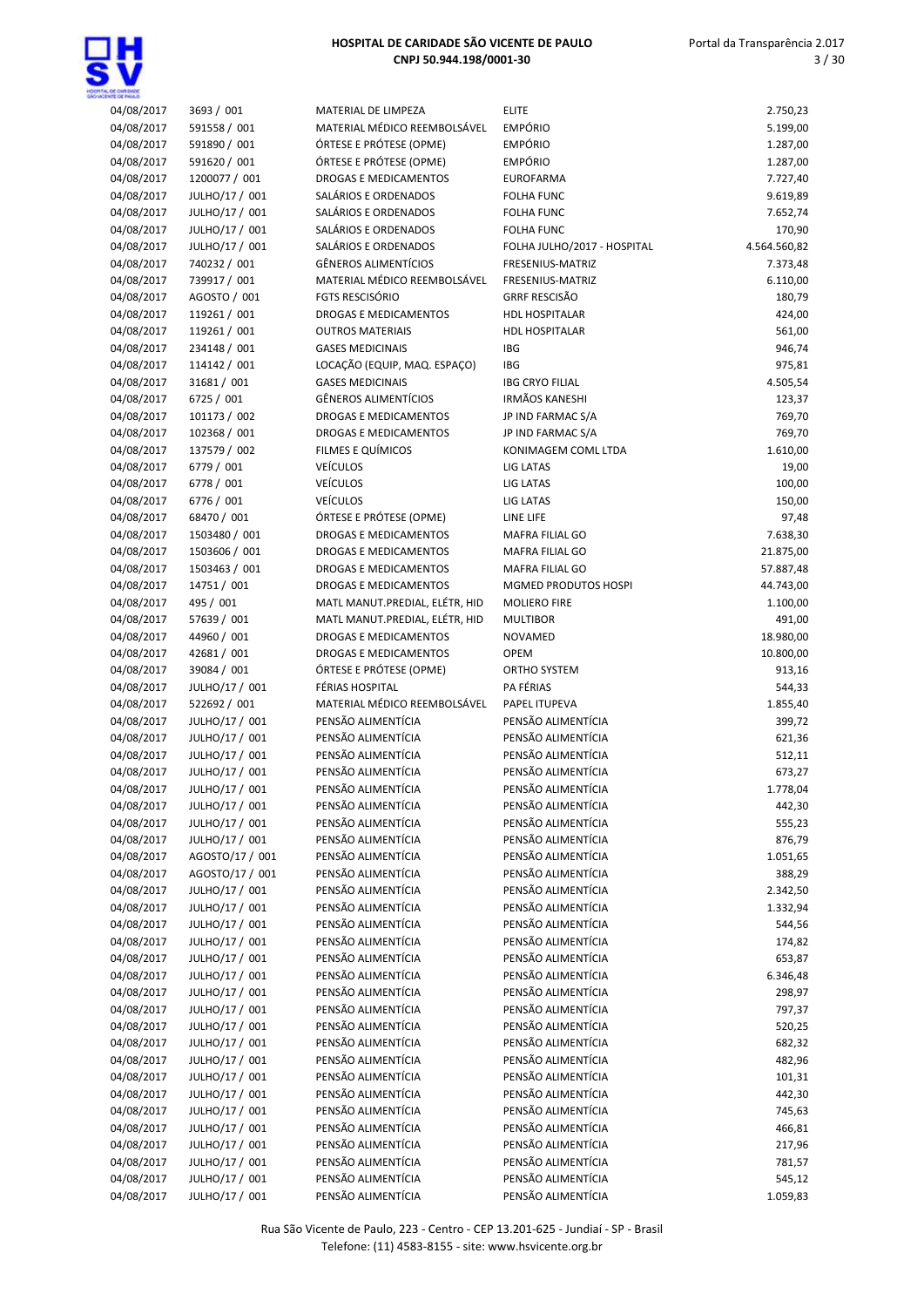

| 04/08/2017 | 3693 / 001      | MATERIAL DE LIMPEZA            | <b>ELITE</b>                | 2.750,23     |
|------------|-----------------|--------------------------------|-----------------------------|--------------|
| 04/08/2017 | 591558 / 001    | MATERIAL MÉDICO REEMBOLSÁVEL   | <b>EMPÓRIO</b>              | 5.199,00     |
| 04/08/2017 | 591890 / 001    | ÓRTESE E PRÓTESE (OPME)        | <b>EMPÓRIO</b>              | 1.287,00     |
| 04/08/2017 | 591620 / 001    | ÓRTESE E PRÓTESE (OPME)        | <b>EMPÓRIO</b>              | 1.287,00     |
| 04/08/2017 | 1200077 / 001   | DROGAS E MEDICAMENTOS          | <b>EUROFARMA</b>            | 7.727,40     |
|            |                 |                                |                             |              |
| 04/08/2017 | JULHO/17 / 001  | SALÁRIOS E ORDENADOS           | <b>FOLHA FUNC</b>           | 9.619,89     |
| 04/08/2017 | JULHO/17 / 001  | SALÁRIOS E ORDENADOS           | <b>FOLHA FUNC</b>           | 7.652,74     |
| 04/08/2017 | JULHO/17 / 001  | SALÁRIOS E ORDENADOS           | <b>FOLHA FUNC</b>           | 170,90       |
| 04/08/2017 | JULHO/17 / 001  | SALÁRIOS E ORDENADOS           | FOLHA JULHO/2017 - HOSPITAL | 4.564.560,82 |
|            | 740232 / 001    | <b>GÊNEROS ALIMENTÍCIOS</b>    |                             | 7.373,48     |
| 04/08/2017 |                 |                                | FRESENIUS-MATRIZ            |              |
| 04/08/2017 | 739917 / 001    | MATERIAL MÉDICO REEMBOLSÁVEL   | FRESENIUS-MATRIZ            | 6.110,00     |
| 04/08/2017 | AGOSTO / 001    | <b>FGTS RESCISÓRIO</b>         | <b>GRRF RESCISÃO</b>        | 180,79       |
| 04/08/2017 | 119261 / 001    | DROGAS E MEDICAMENTOS          | <b>HDL HOSPITALAR</b>       | 424,00       |
| 04/08/2017 | 119261 / 001    | <b>OUTROS MATERIAIS</b>        | <b>HDL HOSPITALAR</b>       | 561,00       |
|            |                 |                                |                             |              |
| 04/08/2017 | 234148 / 001    | <b>GASES MEDICINAIS</b>        | <b>IBG</b>                  | 946,74       |
| 04/08/2017 | 114142 / 001    | LOCAÇÃO (EQUIP, MAQ. ESPAÇO)   | IBG                         | 975,81       |
| 04/08/2017 | 31681 / 001     | <b>GASES MEDICINAIS</b>        | <b>IBG CRYO FILIAL</b>      | 4.505,54     |
| 04/08/2017 | 6725 / 001      | <b>GÊNEROS ALIMENTÍCIOS</b>    | <b>IRMÃOS KANESHI</b>       | 123,37       |
| 04/08/2017 | 101173 / 002    | <b>DROGAS E MEDICAMENTOS</b>   | JP IND FARMAC S/A           | 769,70       |
|            |                 |                                |                             |              |
| 04/08/2017 | 102368 / 001    | <b>DROGAS E MEDICAMENTOS</b>   | JP IND FARMAC S/A           | 769,70       |
| 04/08/2017 | 137579 / 002    | FILMES E QUÍMICOS              | KONIMAGEM COML LTDA         | 1.610,00     |
| 04/08/2017 | 6779 / 001      | <b>VEÍCULOS</b>                | LIG LATAS                   | 19,00        |
| 04/08/2017 | 6778 / 001      | <b>VEÍCULOS</b>                | LIG LATAS                   | 100,00       |
|            |                 |                                |                             |              |
| 04/08/2017 | 6776 / 001      | <b>VEÍCULOS</b>                | LIG LATAS                   | 150,00       |
| 04/08/2017 | 68470 / 001     | ÓRTESE E PRÓTESE (OPME)        | LINE LIFE                   | 97,48        |
| 04/08/2017 | 1503480 / 001   | DROGAS E MEDICAMENTOS          | <b>MAFRA FILIAL GO</b>      | 7.638,30     |
| 04/08/2017 | 1503606 / 001   | DROGAS E MEDICAMENTOS          | <b>MAFRA FILIAL GO</b>      | 21.875,00    |
|            |                 |                                | MAFRA FILIAL GO             |              |
| 04/08/2017 | 1503463 / 001   | DROGAS E MEDICAMENTOS          |                             | 57.887,48    |
| 04/08/2017 | 14751 / 001     | <b>DROGAS E MEDICAMENTOS</b>   | MGMED PRODUTOS HOSPI        | 44.743,00    |
| 04/08/2017 | 495 / 001       | MATL MANUT.PREDIAL, ELÉTR, HID | <b>MOLIERO FIRE</b>         | 1.100,00     |
| 04/08/2017 | 57639 / 001     | MATL MANUT.PREDIAL, ELÉTR, HID | <b>MULTIBOR</b>             | 491,00       |
| 04/08/2017 | 44960 / 001     | <b>DROGAS E MEDICAMENTOS</b>   | <b>NOVAMED</b>              | 18.980,00    |
|            |                 |                                |                             |              |
| 04/08/2017 | 42681 / 001     | <b>DROGAS E MEDICAMENTOS</b>   | OPEM                        | 10.800,00    |
| 04/08/2017 | 39084 / 001     | ÓRTESE E PRÓTESE (OPME)        | ORTHO SYSTEM                | 913,16       |
| 04/08/2017 | JULHO/17 / 001  | FÉRIAS HOSPITAL                | PA FÉRIAS                   | 544,33       |
| 04/08/2017 | 522692 / 001    | MATERIAL MÉDICO REEMBOLSÁVEL   | PAPEL ITUPEVA               | 1.855,40     |
| 04/08/2017 | JULHO/17 / 001  | PENSÃO ALIMENTÍCIA             | PENSÃO ALIMENTÍCIA          | 399,72       |
|            |                 |                                |                             |              |
| 04/08/2017 | JULHO/17 / 001  | PENSÃO ALIMENTÍCIA             | PENSÃO ALIMENTÍCIA          | 621,36       |
| 04/08/2017 | JULHO/17 / 001  | PENSÃO ALIMENTÍCIA             | PENSÃO ALIMENTÍCIA          | 512,11       |
| 04/08/2017 | JULHO/17 / 001  | PENSÃO ALIMENTÍCIA             | PENSÃO ALIMENTÍCIA          | 673,27       |
| 04/08/2017 | JULHO/17 / 001  | PENSÃO ALIMENTÍCIA             | PENSÃO ALIMENTÍCIA          | 1.778,04     |
| 04/08/2017 | JULHO/17 / 001  | PENSÃO ALIMENTÍCIA             | PENSÃO ALIMENTÍCIA          | 442,30       |
|            |                 |                                |                             |              |
| 04/08/2017 | JULHO/17 / 001  | PENSÃO ALIMENTÍCIA             | PENSÃO ALIMENTÍCIA          | 555,23       |
| 04/08/2017 | JULHO/17 / 001  | PENSÃO ALIMENTÍCIA             | PENSÃO ALIMENTÍCIA          | 876,79       |
| 04/08/2017 | AGOSTO/17 / 001 | PENSÃO ALIMENTÍCIA             | PENSÃO ALIMENTÍCIA          | 1.051,65     |
| 04/08/2017 | AGOSTO/17 / 001 | PENSÃO ALIMENTÍCIA             | PENSÃO ALIMENTÍCIA          | 388,29       |
|            | JULHO/17 / 001  | PENSÃO ALIMENTÍCIA             | PENSÃO ALIMENTÍCIA          |              |
| 04/08/2017 |                 |                                |                             | 2.342,50     |
| 04/08/2017 | JULHO/17 / 001  | PENSÃO ALIMENTÍCIA             | PENSÃO ALIMENTÍCIA          | 1.332,94     |
| 04/08/2017 | JULHO/17 / 001  | PENSÃO ALIMENTÍCIA             | PENSÃO ALIMENTÍCIA          | 544,56       |
| 04/08/2017 | JULHO/17 / 001  | PENSÃO ALIMENTÍCIA             | PENSÃO ALIMENTÍCIA          | 174,82       |
| 04/08/2017 | JULHO/17 / 001  | PENSÃO ALIMENTÍCIA             | PENSÃO ALIMENTÍCIA          | 653,87       |
|            |                 |                                |                             |              |
| 04/08/2017 | JULHO/17 / 001  | PENSÃO ALIMENTÍCIA             | PENSÃO ALIMENTÍCIA          | 6.346,48     |
| 04/08/2017 | JULHO/17 / 001  | PENSÃO ALIMENTÍCIA             | PENSÃO ALIMENTÍCIA          | 298,97       |
| 04/08/2017 | JULHO/17 / 001  | PENSÃO ALIMENTÍCIA             | PENSÃO ALIMENTÍCIA          | 797,37       |
| 04/08/2017 | JULHO/17 / 001  | PENSÃO ALIMENTÍCIA             | PENSÃO ALIMENTÍCIA          | 520,25       |
| 04/08/2017 | JULHO/17 / 001  | PENSÃO ALIMENTÍCIA             | PENSÃO ALIMENTÍCIA          | 682,32       |
|            |                 |                                |                             |              |
| 04/08/2017 | JULHO/17 / 001  | PENSÃO ALIMENTÍCIA             | PENSÃO ALIMENTÍCIA          | 482,96       |
| 04/08/2017 | JULHO/17 / 001  | PENSÃO ALIMENTÍCIA             | PENSÃO ALIMENTÍCIA          | 101,31       |
| 04/08/2017 | JULHO/17 / 001  | PENSÃO ALIMENTÍCIA             | PENSÃO ALIMENTÍCIA          | 442,30       |
| 04/08/2017 | JULHO/17 / 001  | PENSÃO ALIMENTÍCIA             | PENSÃO ALIMENTÍCIA          | 745,63       |
|            |                 | PENSÃO ALIMENTÍCIA             | PENSÃO ALIMENTÍCIA          |              |
| 04/08/2017 | JULHO/17 / 001  |                                |                             | 466,81       |
| 04/08/2017 | JULHO/17 / 001  | PENSÃO ALIMENTÍCIA             | PENSÃO ALIMENTÍCIA          | 217,96       |
| 04/08/2017 | JULHO/17 / 001  | PENSÃO ALIMENTÍCIA             | PENSÃO ALIMENTÍCIA          | 781,57       |
| 04/08/2017 | JULHO/17 / 001  | PENSÃO ALIMENTÍCIA             | PENSÃO ALIMENTÍCIA          | 545,12       |
| 04/08/2017 | JULHO/17 / 001  | PENSÃO ALIMENTÍCIA             | PENSÃO ALIMENTÍCIA          | 1.059,83     |
|            |                 |                                |                             |              |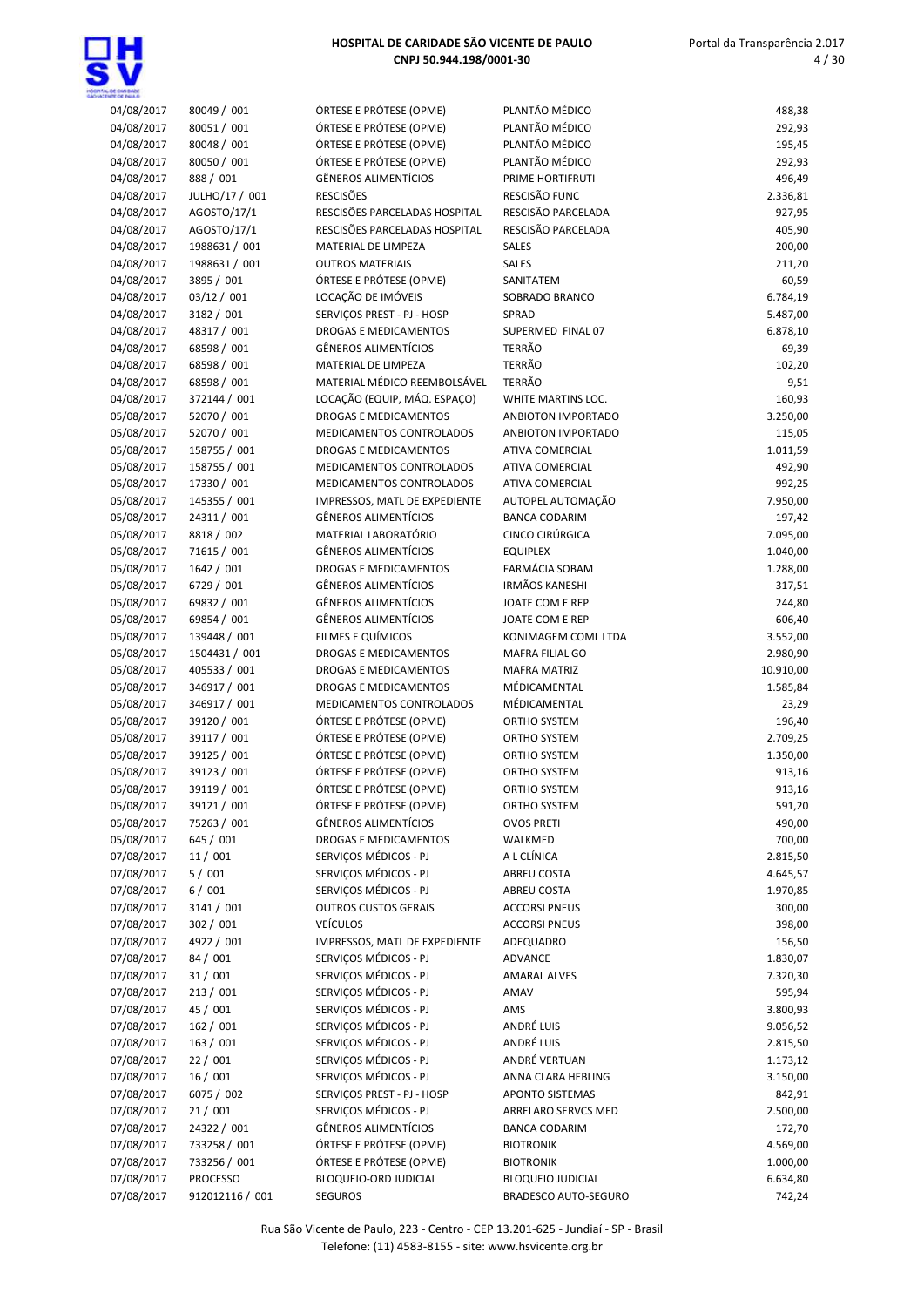

| ÓRTESE E PRÓTESE (OPME)<br>PLANTÃO MÉDICO<br>04/08/2017<br>80051 / 001<br>292,93<br>PLANTÃO MÉDICO<br>04/08/2017<br>80048 / 001<br>ÓRTESE E PRÓTESE (OPME)<br>195,45<br>PLANTÃO MÉDICO<br>04/08/2017<br>80050 / 001<br>ÓRTESE E PRÓTESE (OPME)<br>292,93<br>04/08/2017<br>888 / 001<br><b>GÊNEROS ALIMENTÍCIOS</b><br>496,49<br>PRIME HORTIFRUTI<br><b>RESCISÕES</b><br>RESCISÃO FUNC<br>04/08/2017<br>JULHO/17 / 001<br>2.336,81<br>RESCISÃO PARCELADA<br>RESCISÕES PARCELADAS HOSPITAL<br>927,95<br>04/08/2017<br>AGOSTO/17/1<br>RESCISÕES PARCELADAS HOSPITAL<br>RESCISÃO PARCELADA<br>04/08/2017<br>AGOSTO/17/1<br>405,90<br>04/08/2017<br>1988631 / 001<br>MATERIAL DE LIMPEZA<br>SALES<br>200,00<br>04/08/2017<br>1988631 / 001<br><b>OUTROS MATERIAIS</b><br>SALES<br>211,20<br>04/08/2017<br>3895 / 001<br>ÓRTESE E PRÓTESE (OPME)<br>60,59<br>SANITATEM<br>04/08/2017<br>03/12 / 001<br>LOCAÇÃO DE IMÓVEIS<br>SOBRADO BRANCO<br>6.784,19<br>04/08/2017<br>3182 / 001<br>SERVICOS PREST - PJ - HOSP<br>5.487,00<br>SPRAD<br>04/08/2017<br>48317 / 001<br>DROGAS E MEDICAMENTOS<br>SUPERMED FINAL 07<br>6.878,10<br><b>TERRÃO</b><br>68598 / 001<br><b>GÊNEROS ALIMENTÍCIOS</b><br>69,39<br>04/08/2017<br><b>TERRÃO</b><br>04/08/2017<br>68598 / 001<br>MATERIAL DE LIMPEZA<br>102,20<br>MATERIAL MÉDICO REEMBOLSÁVEL<br><b>TERRÃO</b><br>04/08/2017<br>68598 / 001<br>9,51<br>04/08/2017<br>LOCAÇÃO (EQUIP, MÁQ. ESPAÇO)<br>160,93<br>372144 / 001<br>WHITE MARTINS LOC.<br>05/08/2017<br>52070 / 001<br>DROGAS E MEDICAMENTOS<br>3.250,00<br>ANBIOTON IMPORTADO<br>05/08/2017<br>52070 / 001<br>MEDICAMENTOS CONTROLADOS<br>ANBIOTON IMPORTADO<br>115,05<br>05/08/2017<br>158755 / 001<br><b>DROGAS E MEDICAMENTOS</b><br><b>ATIVA COMERCIAL</b><br>1.011,59<br>492,90<br>05/08/2017<br>158755 / 001<br>MEDICAMENTOS CONTROLADOS<br><b>ATIVA COMERCIAL</b><br>17330 / 001<br>992,25<br>05/08/2017<br>MEDICAMENTOS CONTROLADOS<br><b>ATIVA COMERCIAL</b><br>05/08/2017<br>145355 / 001<br>IMPRESSOS, MATL DE EXPEDIENTE<br>AUTOPEL AUTOMAÇÃO<br>7.950,00<br>05/08/2017<br>24311 / 001<br><b>GÊNEROS ALIMENTÍCIOS</b><br><b>BANCA CODARIM</b><br>197,42<br>CINCO CIRÚRGICA<br>05/08/2017<br>8818 / 002<br>MATERIAL LABORATÓRIO<br>7.095,00<br>05/08/2017<br>71615 / 001<br><b>GÊNEROS ALIMENTÍCIOS</b><br><b>EQUIPLEX</b><br>1.040,00<br>FARMÁCIA SOBAM<br>05/08/2017<br>1642 / 001<br><b>DROGAS E MEDICAMENTOS</b><br>1.288,00<br><b>IRMÃOS KANESHI</b><br>6729 / 001<br><b>GÊNEROS ALIMENTÍCIOS</b><br>317,51<br>05/08/2017<br>69832 / 001<br>GÊNEROS ALIMENTÍCIOS<br>05/08/2017<br>JOATE COM E REP<br>244,80<br>69854 / 001<br><b>GÊNEROS ALIMENTÍCIOS</b><br>05/08/2017<br>JOATE COM E REP<br>606,40<br>05/08/2017<br>139448 / 001<br>FILMES E QUÍMICOS<br>KONIMAGEM COML LTDA<br>3.552,00<br>05/08/2017<br>1504431 / 001<br>DROGAS E MEDICAMENTOS<br><b>MAFRA FILIAL GO</b><br>2.980,90<br>05/08/2017<br>405533 / 001<br>10.910,00<br><b>DROGAS E MEDICAMENTOS</b><br><b>MAFRA MATRIZ</b><br>05/08/2017<br>346917 / 001<br><b>DROGAS E MEDICAMENTOS</b><br>MÉDICAMENTAL<br>1.585,84<br>346917 / 001<br>05/08/2017<br>MEDICAMENTOS CONTROLADOS<br>MÉDICAMENTAL<br>23,29<br>39120 / 001<br>ÓRTESE E PRÓTESE (OPME)<br>05/08/2017<br>ORTHO SYSTEM<br>196,40<br>ÓRTESE E PRÓTESE (OPME)<br>05/08/2017<br>39117 / 001<br>ORTHO SYSTEM<br>2.709,25<br>05/08/2017<br>ÓRTESE E PRÓTESE (OPME)<br>1.350,00<br>39125 / 001<br>ORTHO SYSTEM<br>ÓRTESE E PRÓTESE (OPME)<br>05/08/2017<br>39123 / 001<br><b>ORTHO SYSTEM</b><br>913,16<br>39119 / 001<br>ÓRTESE E PRÓTESE (OPME)<br>05/08/2017<br>ORTHO SYSTEM<br>913,16<br>05/08/2017<br>39121 / 001<br>ÓRTESE E PRÓTESE (OPME)<br>591,20<br>ORTHO SYSTEM<br><b>GÊNEROS ALIMENTÍCIOS</b><br>05/08/2017<br>75263 / 001<br>490,00<br><b>OVOS PRETI</b><br>700,00<br>05/08/2017<br>645 / 001<br>DROGAS E MEDICAMENTOS<br>WALKMED<br>07/08/2017<br>11/001<br>SERVIÇOS MÉDICOS - PJ<br>A L CLÍNICA<br>2.815,50<br>07/08/2017<br>5/001<br>SERVIÇOS MÉDICOS - PJ<br>4.645,57<br>ABREU COSTA<br>07/08/2017<br>6/001<br>SERVIÇOS MÉDICOS - PJ<br>1.970,85<br>ABREU COSTA<br>07/08/2017<br>3141 / 001<br><b>OUTROS CUSTOS GERAIS</b><br>300,00<br><b>ACCORSI PNEUS</b><br>07/08/2017<br>302 / 001<br><b>VEÍCULOS</b><br>398,00<br><b>ACCORSI PNEUS</b><br>07/08/2017<br>4922 / 001<br>IMPRESSOS, MATL DE EXPEDIENTE<br>156,50<br>ADEQUADRO<br>07/08/2017<br>84 / 001<br>SERVICOS MÉDICOS - PJ<br>1.830,07<br>ADVANCE<br>07/08/2017<br>31/001<br>SERVICOS MÉDICOS - PJ<br><b>AMARAL ALVES</b><br>7.320,30<br>07/08/2017<br>213 / 001<br>SERVIÇOS MÉDICOS - PJ<br>595,94<br>AMAV<br>45 / 001<br>SERVIÇOS MÉDICOS - PJ<br>07/08/2017<br>AMS<br>3.800,93<br>SERVIÇOS MÉDICOS - PJ<br>ANDRÉ LUIS<br>07/08/2017<br>162 / 001<br>9.056,52<br>SERVIÇOS MÉDICOS - PJ<br>ANDRÉ LUIS<br>07/08/2017<br>163 / 001<br>2.815,50<br>SERVIÇOS MÉDICOS - PJ<br>ANDRÉ VERTUAN<br>22 / 001<br>07/08/2017<br>1.173,12<br>07/08/2017<br>16/001<br>SERVIÇOS MÉDICOS - PJ<br>ANNA CLARA HEBLING<br>3.150,00<br>07/08/2017<br>6075 / 002<br>SERVIÇOS PREST - PJ - HOSP<br><b>APONTO SISTEMAS</b><br>842,91<br>SERVIÇOS MÉDICOS - PJ<br>07/08/2017<br>21/001<br>2.500,00<br>ARRELARO SERVCS MED<br><b>GÊNEROS ALIMENTÍCIOS</b><br>24322 / 001<br>07/08/2017<br><b>BANCA CODARIM</b><br>172,70<br>ÓRTESE E PRÓTESE (OPME)<br>07/08/2017<br>733258 / 001<br>4.569,00<br><b>BIOTRONIK</b><br>07/08/2017<br>733256 / 001<br>ÓRTESE E PRÓTESE (OPME)<br>1.000,00<br><b>BIOTRONIK</b><br>07/08/2017<br>PROCESSO<br>6.634,80<br>BLOQUEIO-ORD JUDICIAL<br><b>BLOQUEIO JUDICIAL</b><br>07/08/2017<br>912012116 / 001<br>742,24<br><b>SEGUROS</b><br>BRADESCO AUTO-SEGURO | 04/08/2017 | 80049 / 001 | ÓRTESE E PRÓTESE (OPME) | PLANTÃO MÉDICO | 488,38 |
|-----------------------------------------------------------------------------------------------------------------------------------------------------------------------------------------------------------------------------------------------------------------------------------------------------------------------------------------------------------------------------------------------------------------------------------------------------------------------------------------------------------------------------------------------------------------------------------------------------------------------------------------------------------------------------------------------------------------------------------------------------------------------------------------------------------------------------------------------------------------------------------------------------------------------------------------------------------------------------------------------------------------------------------------------------------------------------------------------------------------------------------------------------------------------------------------------------------------------------------------------------------------------------------------------------------------------------------------------------------------------------------------------------------------------------------------------------------------------------------------------------------------------------------------------------------------------------------------------------------------------------------------------------------------------------------------------------------------------------------------------------------------------------------------------------------------------------------------------------------------------------------------------------------------------------------------------------------------------------------------------------------------------------------------------------------------------------------------------------------------------------------------------------------------------------------------------------------------------------------------------------------------------------------------------------------------------------------------------------------------------------------------------------------------------------------------------------------------------------------------------------------------------------------------------------------------------------------------------------------------------------------------------------------------------------------------------------------------------------------------------------------------------------------------------------------------------------------------------------------------------------------------------------------------------------------------------------------------------------------------------------------------------------------------------------------------------------------------------------------------------------------------------------------------------------------------------------------------------------------------------------------------------------------------------------------------------------------------------------------------------------------------------------------------------------------------------------------------------------------------------------------------------------------------------------------------------------------------------------------------------------------------------------------------------------------------------------------------------------------------------------------------------------------------------------------------------------------------------------------------------------------------------------------------------------------------------------------------------------------------------------------------------------------------------------------------------------------------------------------------------------------------------------------------------------------------------------------------------------------------------------------------------------------------------------------------------------------------------------------------------------------------------------------------------------------------------------------------------------------------------------------------------------------------------------------------------------------------------------------------------------------------------------------------------------------------------------------------------------------------------------------------------------------------------------------------------------------------------------------------------------------------------------------------------------------------------------------------------------------------------------------------------------------------------------------------------------------------------------------------------------------------------------------------------------------------------------------------------------------------------------------------------------------------------------------------------------------------------------------------------------------------------------------------------------------------------------------------------------------------------------------------------------------------------------------------------------------------------------------------------------------------------------------------------------|------------|-------------|-------------------------|----------------|--------|
|                                                                                                                                                                                                                                                                                                                                                                                                                                                                                                                                                                                                                                                                                                                                                                                                                                                                                                                                                                                                                                                                                                                                                                                                                                                                                                                                                                                                                                                                                                                                                                                                                                                                                                                                                                                                                                                                                                                                                                                                                                                                                                                                                                                                                                                                                                                                                                                                                                                                                                                                                                                                                                                                                                                                                                                                                                                                                                                                                                                                                                                                                                                                                                                                                                                                                                                                                                                                                                                                                                                                                                                                                                                                                                                                                                                                                                                                                                                                                                                                                                                                                                                                                                                                                                                                                                                                                                                                                                                                                                                                                                                                                                                                                                                                                                                                                                                                                                                                                                                                                                                                                                                                                                                                                                                                                                                                                                                                                                                                                                                                                                                                                                                                             |            |             |                         |                |        |
|                                                                                                                                                                                                                                                                                                                                                                                                                                                                                                                                                                                                                                                                                                                                                                                                                                                                                                                                                                                                                                                                                                                                                                                                                                                                                                                                                                                                                                                                                                                                                                                                                                                                                                                                                                                                                                                                                                                                                                                                                                                                                                                                                                                                                                                                                                                                                                                                                                                                                                                                                                                                                                                                                                                                                                                                                                                                                                                                                                                                                                                                                                                                                                                                                                                                                                                                                                                                                                                                                                                                                                                                                                                                                                                                                                                                                                                                                                                                                                                                                                                                                                                                                                                                                                                                                                                                                                                                                                                                                                                                                                                                                                                                                                                                                                                                                                                                                                                                                                                                                                                                                                                                                                                                                                                                                                                                                                                                                                                                                                                                                                                                                                                                             |            |             |                         |                |        |
|                                                                                                                                                                                                                                                                                                                                                                                                                                                                                                                                                                                                                                                                                                                                                                                                                                                                                                                                                                                                                                                                                                                                                                                                                                                                                                                                                                                                                                                                                                                                                                                                                                                                                                                                                                                                                                                                                                                                                                                                                                                                                                                                                                                                                                                                                                                                                                                                                                                                                                                                                                                                                                                                                                                                                                                                                                                                                                                                                                                                                                                                                                                                                                                                                                                                                                                                                                                                                                                                                                                                                                                                                                                                                                                                                                                                                                                                                                                                                                                                                                                                                                                                                                                                                                                                                                                                                                                                                                                                                                                                                                                                                                                                                                                                                                                                                                                                                                                                                                                                                                                                                                                                                                                                                                                                                                                                                                                                                                                                                                                                                                                                                                                                             |            |             |                         |                |        |
|                                                                                                                                                                                                                                                                                                                                                                                                                                                                                                                                                                                                                                                                                                                                                                                                                                                                                                                                                                                                                                                                                                                                                                                                                                                                                                                                                                                                                                                                                                                                                                                                                                                                                                                                                                                                                                                                                                                                                                                                                                                                                                                                                                                                                                                                                                                                                                                                                                                                                                                                                                                                                                                                                                                                                                                                                                                                                                                                                                                                                                                                                                                                                                                                                                                                                                                                                                                                                                                                                                                                                                                                                                                                                                                                                                                                                                                                                                                                                                                                                                                                                                                                                                                                                                                                                                                                                                                                                                                                                                                                                                                                                                                                                                                                                                                                                                                                                                                                                                                                                                                                                                                                                                                                                                                                                                                                                                                                                                                                                                                                                                                                                                                                             |            |             |                         |                |        |
|                                                                                                                                                                                                                                                                                                                                                                                                                                                                                                                                                                                                                                                                                                                                                                                                                                                                                                                                                                                                                                                                                                                                                                                                                                                                                                                                                                                                                                                                                                                                                                                                                                                                                                                                                                                                                                                                                                                                                                                                                                                                                                                                                                                                                                                                                                                                                                                                                                                                                                                                                                                                                                                                                                                                                                                                                                                                                                                                                                                                                                                                                                                                                                                                                                                                                                                                                                                                                                                                                                                                                                                                                                                                                                                                                                                                                                                                                                                                                                                                                                                                                                                                                                                                                                                                                                                                                                                                                                                                                                                                                                                                                                                                                                                                                                                                                                                                                                                                                                                                                                                                                                                                                                                                                                                                                                                                                                                                                                                                                                                                                                                                                                                                             |            |             |                         |                |        |
|                                                                                                                                                                                                                                                                                                                                                                                                                                                                                                                                                                                                                                                                                                                                                                                                                                                                                                                                                                                                                                                                                                                                                                                                                                                                                                                                                                                                                                                                                                                                                                                                                                                                                                                                                                                                                                                                                                                                                                                                                                                                                                                                                                                                                                                                                                                                                                                                                                                                                                                                                                                                                                                                                                                                                                                                                                                                                                                                                                                                                                                                                                                                                                                                                                                                                                                                                                                                                                                                                                                                                                                                                                                                                                                                                                                                                                                                                                                                                                                                                                                                                                                                                                                                                                                                                                                                                                                                                                                                                                                                                                                                                                                                                                                                                                                                                                                                                                                                                                                                                                                                                                                                                                                                                                                                                                                                                                                                                                                                                                                                                                                                                                                                             |            |             |                         |                |        |
|                                                                                                                                                                                                                                                                                                                                                                                                                                                                                                                                                                                                                                                                                                                                                                                                                                                                                                                                                                                                                                                                                                                                                                                                                                                                                                                                                                                                                                                                                                                                                                                                                                                                                                                                                                                                                                                                                                                                                                                                                                                                                                                                                                                                                                                                                                                                                                                                                                                                                                                                                                                                                                                                                                                                                                                                                                                                                                                                                                                                                                                                                                                                                                                                                                                                                                                                                                                                                                                                                                                                                                                                                                                                                                                                                                                                                                                                                                                                                                                                                                                                                                                                                                                                                                                                                                                                                                                                                                                                                                                                                                                                                                                                                                                                                                                                                                                                                                                                                                                                                                                                                                                                                                                                                                                                                                                                                                                                                                                                                                                                                                                                                                                                             |            |             |                         |                |        |
|                                                                                                                                                                                                                                                                                                                                                                                                                                                                                                                                                                                                                                                                                                                                                                                                                                                                                                                                                                                                                                                                                                                                                                                                                                                                                                                                                                                                                                                                                                                                                                                                                                                                                                                                                                                                                                                                                                                                                                                                                                                                                                                                                                                                                                                                                                                                                                                                                                                                                                                                                                                                                                                                                                                                                                                                                                                                                                                                                                                                                                                                                                                                                                                                                                                                                                                                                                                                                                                                                                                                                                                                                                                                                                                                                                                                                                                                                                                                                                                                                                                                                                                                                                                                                                                                                                                                                                                                                                                                                                                                                                                                                                                                                                                                                                                                                                                                                                                                                                                                                                                                                                                                                                                                                                                                                                                                                                                                                                                                                                                                                                                                                                                                             |            |             |                         |                |        |
|                                                                                                                                                                                                                                                                                                                                                                                                                                                                                                                                                                                                                                                                                                                                                                                                                                                                                                                                                                                                                                                                                                                                                                                                                                                                                                                                                                                                                                                                                                                                                                                                                                                                                                                                                                                                                                                                                                                                                                                                                                                                                                                                                                                                                                                                                                                                                                                                                                                                                                                                                                                                                                                                                                                                                                                                                                                                                                                                                                                                                                                                                                                                                                                                                                                                                                                                                                                                                                                                                                                                                                                                                                                                                                                                                                                                                                                                                                                                                                                                                                                                                                                                                                                                                                                                                                                                                                                                                                                                                                                                                                                                                                                                                                                                                                                                                                                                                                                                                                                                                                                                                                                                                                                                                                                                                                                                                                                                                                                                                                                                                                                                                                                                             |            |             |                         |                |        |
|                                                                                                                                                                                                                                                                                                                                                                                                                                                                                                                                                                                                                                                                                                                                                                                                                                                                                                                                                                                                                                                                                                                                                                                                                                                                                                                                                                                                                                                                                                                                                                                                                                                                                                                                                                                                                                                                                                                                                                                                                                                                                                                                                                                                                                                                                                                                                                                                                                                                                                                                                                                                                                                                                                                                                                                                                                                                                                                                                                                                                                                                                                                                                                                                                                                                                                                                                                                                                                                                                                                                                                                                                                                                                                                                                                                                                                                                                                                                                                                                                                                                                                                                                                                                                                                                                                                                                                                                                                                                                                                                                                                                                                                                                                                                                                                                                                                                                                                                                                                                                                                                                                                                                                                                                                                                                                                                                                                                                                                                                                                                                                                                                                                                             |            |             |                         |                |        |
|                                                                                                                                                                                                                                                                                                                                                                                                                                                                                                                                                                                                                                                                                                                                                                                                                                                                                                                                                                                                                                                                                                                                                                                                                                                                                                                                                                                                                                                                                                                                                                                                                                                                                                                                                                                                                                                                                                                                                                                                                                                                                                                                                                                                                                                                                                                                                                                                                                                                                                                                                                                                                                                                                                                                                                                                                                                                                                                                                                                                                                                                                                                                                                                                                                                                                                                                                                                                                                                                                                                                                                                                                                                                                                                                                                                                                                                                                                                                                                                                                                                                                                                                                                                                                                                                                                                                                                                                                                                                                                                                                                                                                                                                                                                                                                                                                                                                                                                                                                                                                                                                                                                                                                                                                                                                                                                                                                                                                                                                                                                                                                                                                                                                             |            |             |                         |                |        |
|                                                                                                                                                                                                                                                                                                                                                                                                                                                                                                                                                                                                                                                                                                                                                                                                                                                                                                                                                                                                                                                                                                                                                                                                                                                                                                                                                                                                                                                                                                                                                                                                                                                                                                                                                                                                                                                                                                                                                                                                                                                                                                                                                                                                                                                                                                                                                                                                                                                                                                                                                                                                                                                                                                                                                                                                                                                                                                                                                                                                                                                                                                                                                                                                                                                                                                                                                                                                                                                                                                                                                                                                                                                                                                                                                                                                                                                                                                                                                                                                                                                                                                                                                                                                                                                                                                                                                                                                                                                                                                                                                                                                                                                                                                                                                                                                                                                                                                                                                                                                                                                                                                                                                                                                                                                                                                                                                                                                                                                                                                                                                                                                                                                                             |            |             |                         |                |        |
|                                                                                                                                                                                                                                                                                                                                                                                                                                                                                                                                                                                                                                                                                                                                                                                                                                                                                                                                                                                                                                                                                                                                                                                                                                                                                                                                                                                                                                                                                                                                                                                                                                                                                                                                                                                                                                                                                                                                                                                                                                                                                                                                                                                                                                                                                                                                                                                                                                                                                                                                                                                                                                                                                                                                                                                                                                                                                                                                                                                                                                                                                                                                                                                                                                                                                                                                                                                                                                                                                                                                                                                                                                                                                                                                                                                                                                                                                                                                                                                                                                                                                                                                                                                                                                                                                                                                                                                                                                                                                                                                                                                                                                                                                                                                                                                                                                                                                                                                                                                                                                                                                                                                                                                                                                                                                                                                                                                                                                                                                                                                                                                                                                                                             |            |             |                         |                |        |
|                                                                                                                                                                                                                                                                                                                                                                                                                                                                                                                                                                                                                                                                                                                                                                                                                                                                                                                                                                                                                                                                                                                                                                                                                                                                                                                                                                                                                                                                                                                                                                                                                                                                                                                                                                                                                                                                                                                                                                                                                                                                                                                                                                                                                                                                                                                                                                                                                                                                                                                                                                                                                                                                                                                                                                                                                                                                                                                                                                                                                                                                                                                                                                                                                                                                                                                                                                                                                                                                                                                                                                                                                                                                                                                                                                                                                                                                                                                                                                                                                                                                                                                                                                                                                                                                                                                                                                                                                                                                                                                                                                                                                                                                                                                                                                                                                                                                                                                                                                                                                                                                                                                                                                                                                                                                                                                                                                                                                                                                                                                                                                                                                                                                             |            |             |                         |                |        |
|                                                                                                                                                                                                                                                                                                                                                                                                                                                                                                                                                                                                                                                                                                                                                                                                                                                                                                                                                                                                                                                                                                                                                                                                                                                                                                                                                                                                                                                                                                                                                                                                                                                                                                                                                                                                                                                                                                                                                                                                                                                                                                                                                                                                                                                                                                                                                                                                                                                                                                                                                                                                                                                                                                                                                                                                                                                                                                                                                                                                                                                                                                                                                                                                                                                                                                                                                                                                                                                                                                                                                                                                                                                                                                                                                                                                                                                                                                                                                                                                                                                                                                                                                                                                                                                                                                                                                                                                                                                                                                                                                                                                                                                                                                                                                                                                                                                                                                                                                                                                                                                                                                                                                                                                                                                                                                                                                                                                                                                                                                                                                                                                                                                                             |            |             |                         |                |        |
|                                                                                                                                                                                                                                                                                                                                                                                                                                                                                                                                                                                                                                                                                                                                                                                                                                                                                                                                                                                                                                                                                                                                                                                                                                                                                                                                                                                                                                                                                                                                                                                                                                                                                                                                                                                                                                                                                                                                                                                                                                                                                                                                                                                                                                                                                                                                                                                                                                                                                                                                                                                                                                                                                                                                                                                                                                                                                                                                                                                                                                                                                                                                                                                                                                                                                                                                                                                                                                                                                                                                                                                                                                                                                                                                                                                                                                                                                                                                                                                                                                                                                                                                                                                                                                                                                                                                                                                                                                                                                                                                                                                                                                                                                                                                                                                                                                                                                                                                                                                                                                                                                                                                                                                                                                                                                                                                                                                                                                                                                                                                                                                                                                                                             |            |             |                         |                |        |
|                                                                                                                                                                                                                                                                                                                                                                                                                                                                                                                                                                                                                                                                                                                                                                                                                                                                                                                                                                                                                                                                                                                                                                                                                                                                                                                                                                                                                                                                                                                                                                                                                                                                                                                                                                                                                                                                                                                                                                                                                                                                                                                                                                                                                                                                                                                                                                                                                                                                                                                                                                                                                                                                                                                                                                                                                                                                                                                                                                                                                                                                                                                                                                                                                                                                                                                                                                                                                                                                                                                                                                                                                                                                                                                                                                                                                                                                                                                                                                                                                                                                                                                                                                                                                                                                                                                                                                                                                                                                                                                                                                                                                                                                                                                                                                                                                                                                                                                                                                                                                                                                                                                                                                                                                                                                                                                                                                                                                                                                                                                                                                                                                                                                             |            |             |                         |                |        |
|                                                                                                                                                                                                                                                                                                                                                                                                                                                                                                                                                                                                                                                                                                                                                                                                                                                                                                                                                                                                                                                                                                                                                                                                                                                                                                                                                                                                                                                                                                                                                                                                                                                                                                                                                                                                                                                                                                                                                                                                                                                                                                                                                                                                                                                                                                                                                                                                                                                                                                                                                                                                                                                                                                                                                                                                                                                                                                                                                                                                                                                                                                                                                                                                                                                                                                                                                                                                                                                                                                                                                                                                                                                                                                                                                                                                                                                                                                                                                                                                                                                                                                                                                                                                                                                                                                                                                                                                                                                                                                                                                                                                                                                                                                                                                                                                                                                                                                                                                                                                                                                                                                                                                                                                                                                                                                                                                                                                                                                                                                                                                                                                                                                                             |            |             |                         |                |        |
|                                                                                                                                                                                                                                                                                                                                                                                                                                                                                                                                                                                                                                                                                                                                                                                                                                                                                                                                                                                                                                                                                                                                                                                                                                                                                                                                                                                                                                                                                                                                                                                                                                                                                                                                                                                                                                                                                                                                                                                                                                                                                                                                                                                                                                                                                                                                                                                                                                                                                                                                                                                                                                                                                                                                                                                                                                                                                                                                                                                                                                                                                                                                                                                                                                                                                                                                                                                                                                                                                                                                                                                                                                                                                                                                                                                                                                                                                                                                                                                                                                                                                                                                                                                                                                                                                                                                                                                                                                                                                                                                                                                                                                                                                                                                                                                                                                                                                                                                                                                                                                                                                                                                                                                                                                                                                                                                                                                                                                                                                                                                                                                                                                                                             |            |             |                         |                |        |
|                                                                                                                                                                                                                                                                                                                                                                                                                                                                                                                                                                                                                                                                                                                                                                                                                                                                                                                                                                                                                                                                                                                                                                                                                                                                                                                                                                                                                                                                                                                                                                                                                                                                                                                                                                                                                                                                                                                                                                                                                                                                                                                                                                                                                                                                                                                                                                                                                                                                                                                                                                                                                                                                                                                                                                                                                                                                                                                                                                                                                                                                                                                                                                                                                                                                                                                                                                                                                                                                                                                                                                                                                                                                                                                                                                                                                                                                                                                                                                                                                                                                                                                                                                                                                                                                                                                                                                                                                                                                                                                                                                                                                                                                                                                                                                                                                                                                                                                                                                                                                                                                                                                                                                                                                                                                                                                                                                                                                                                                                                                                                                                                                                                                             |            |             |                         |                |        |
|                                                                                                                                                                                                                                                                                                                                                                                                                                                                                                                                                                                                                                                                                                                                                                                                                                                                                                                                                                                                                                                                                                                                                                                                                                                                                                                                                                                                                                                                                                                                                                                                                                                                                                                                                                                                                                                                                                                                                                                                                                                                                                                                                                                                                                                                                                                                                                                                                                                                                                                                                                                                                                                                                                                                                                                                                                                                                                                                                                                                                                                                                                                                                                                                                                                                                                                                                                                                                                                                                                                                                                                                                                                                                                                                                                                                                                                                                                                                                                                                                                                                                                                                                                                                                                                                                                                                                                                                                                                                                                                                                                                                                                                                                                                                                                                                                                                                                                                                                                                                                                                                                                                                                                                                                                                                                                                                                                                                                                                                                                                                                                                                                                                                             |            |             |                         |                |        |
|                                                                                                                                                                                                                                                                                                                                                                                                                                                                                                                                                                                                                                                                                                                                                                                                                                                                                                                                                                                                                                                                                                                                                                                                                                                                                                                                                                                                                                                                                                                                                                                                                                                                                                                                                                                                                                                                                                                                                                                                                                                                                                                                                                                                                                                                                                                                                                                                                                                                                                                                                                                                                                                                                                                                                                                                                                                                                                                                                                                                                                                                                                                                                                                                                                                                                                                                                                                                                                                                                                                                                                                                                                                                                                                                                                                                                                                                                                                                                                                                                                                                                                                                                                                                                                                                                                                                                                                                                                                                                                                                                                                                                                                                                                                                                                                                                                                                                                                                                                                                                                                                                                                                                                                                                                                                                                                                                                                                                                                                                                                                                                                                                                                                             |            |             |                         |                |        |
|                                                                                                                                                                                                                                                                                                                                                                                                                                                                                                                                                                                                                                                                                                                                                                                                                                                                                                                                                                                                                                                                                                                                                                                                                                                                                                                                                                                                                                                                                                                                                                                                                                                                                                                                                                                                                                                                                                                                                                                                                                                                                                                                                                                                                                                                                                                                                                                                                                                                                                                                                                                                                                                                                                                                                                                                                                                                                                                                                                                                                                                                                                                                                                                                                                                                                                                                                                                                                                                                                                                                                                                                                                                                                                                                                                                                                                                                                                                                                                                                                                                                                                                                                                                                                                                                                                                                                                                                                                                                                                                                                                                                                                                                                                                                                                                                                                                                                                                                                                                                                                                                                                                                                                                                                                                                                                                                                                                                                                                                                                                                                                                                                                                                             |            |             |                         |                |        |
|                                                                                                                                                                                                                                                                                                                                                                                                                                                                                                                                                                                                                                                                                                                                                                                                                                                                                                                                                                                                                                                                                                                                                                                                                                                                                                                                                                                                                                                                                                                                                                                                                                                                                                                                                                                                                                                                                                                                                                                                                                                                                                                                                                                                                                                                                                                                                                                                                                                                                                                                                                                                                                                                                                                                                                                                                                                                                                                                                                                                                                                                                                                                                                                                                                                                                                                                                                                                                                                                                                                                                                                                                                                                                                                                                                                                                                                                                                                                                                                                                                                                                                                                                                                                                                                                                                                                                                                                                                                                                                                                                                                                                                                                                                                                                                                                                                                                                                                                                                                                                                                                                                                                                                                                                                                                                                                                                                                                                                                                                                                                                                                                                                                                             |            |             |                         |                |        |
|                                                                                                                                                                                                                                                                                                                                                                                                                                                                                                                                                                                                                                                                                                                                                                                                                                                                                                                                                                                                                                                                                                                                                                                                                                                                                                                                                                                                                                                                                                                                                                                                                                                                                                                                                                                                                                                                                                                                                                                                                                                                                                                                                                                                                                                                                                                                                                                                                                                                                                                                                                                                                                                                                                                                                                                                                                                                                                                                                                                                                                                                                                                                                                                                                                                                                                                                                                                                                                                                                                                                                                                                                                                                                                                                                                                                                                                                                                                                                                                                                                                                                                                                                                                                                                                                                                                                                                                                                                                                                                                                                                                                                                                                                                                                                                                                                                                                                                                                                                                                                                                                                                                                                                                                                                                                                                                                                                                                                                                                                                                                                                                                                                                                             |            |             |                         |                |        |
|                                                                                                                                                                                                                                                                                                                                                                                                                                                                                                                                                                                                                                                                                                                                                                                                                                                                                                                                                                                                                                                                                                                                                                                                                                                                                                                                                                                                                                                                                                                                                                                                                                                                                                                                                                                                                                                                                                                                                                                                                                                                                                                                                                                                                                                                                                                                                                                                                                                                                                                                                                                                                                                                                                                                                                                                                                                                                                                                                                                                                                                                                                                                                                                                                                                                                                                                                                                                                                                                                                                                                                                                                                                                                                                                                                                                                                                                                                                                                                                                                                                                                                                                                                                                                                                                                                                                                                                                                                                                                                                                                                                                                                                                                                                                                                                                                                                                                                                                                                                                                                                                                                                                                                                                                                                                                                                                                                                                                                                                                                                                                                                                                                                                             |            |             |                         |                |        |
|                                                                                                                                                                                                                                                                                                                                                                                                                                                                                                                                                                                                                                                                                                                                                                                                                                                                                                                                                                                                                                                                                                                                                                                                                                                                                                                                                                                                                                                                                                                                                                                                                                                                                                                                                                                                                                                                                                                                                                                                                                                                                                                                                                                                                                                                                                                                                                                                                                                                                                                                                                                                                                                                                                                                                                                                                                                                                                                                                                                                                                                                                                                                                                                                                                                                                                                                                                                                                                                                                                                                                                                                                                                                                                                                                                                                                                                                                                                                                                                                                                                                                                                                                                                                                                                                                                                                                                                                                                                                                                                                                                                                                                                                                                                                                                                                                                                                                                                                                                                                                                                                                                                                                                                                                                                                                                                                                                                                                                                                                                                                                                                                                                                                             |            |             |                         |                |        |
|                                                                                                                                                                                                                                                                                                                                                                                                                                                                                                                                                                                                                                                                                                                                                                                                                                                                                                                                                                                                                                                                                                                                                                                                                                                                                                                                                                                                                                                                                                                                                                                                                                                                                                                                                                                                                                                                                                                                                                                                                                                                                                                                                                                                                                                                                                                                                                                                                                                                                                                                                                                                                                                                                                                                                                                                                                                                                                                                                                                                                                                                                                                                                                                                                                                                                                                                                                                                                                                                                                                                                                                                                                                                                                                                                                                                                                                                                                                                                                                                                                                                                                                                                                                                                                                                                                                                                                                                                                                                                                                                                                                                                                                                                                                                                                                                                                                                                                                                                                                                                                                                                                                                                                                                                                                                                                                                                                                                                                                                                                                                                                                                                                                                             |            |             |                         |                |        |
|                                                                                                                                                                                                                                                                                                                                                                                                                                                                                                                                                                                                                                                                                                                                                                                                                                                                                                                                                                                                                                                                                                                                                                                                                                                                                                                                                                                                                                                                                                                                                                                                                                                                                                                                                                                                                                                                                                                                                                                                                                                                                                                                                                                                                                                                                                                                                                                                                                                                                                                                                                                                                                                                                                                                                                                                                                                                                                                                                                                                                                                                                                                                                                                                                                                                                                                                                                                                                                                                                                                                                                                                                                                                                                                                                                                                                                                                                                                                                                                                                                                                                                                                                                                                                                                                                                                                                                                                                                                                                                                                                                                                                                                                                                                                                                                                                                                                                                                                                                                                                                                                                                                                                                                                                                                                                                                                                                                                                                                                                                                                                                                                                                                                             |            |             |                         |                |        |
|                                                                                                                                                                                                                                                                                                                                                                                                                                                                                                                                                                                                                                                                                                                                                                                                                                                                                                                                                                                                                                                                                                                                                                                                                                                                                                                                                                                                                                                                                                                                                                                                                                                                                                                                                                                                                                                                                                                                                                                                                                                                                                                                                                                                                                                                                                                                                                                                                                                                                                                                                                                                                                                                                                                                                                                                                                                                                                                                                                                                                                                                                                                                                                                                                                                                                                                                                                                                                                                                                                                                                                                                                                                                                                                                                                                                                                                                                                                                                                                                                                                                                                                                                                                                                                                                                                                                                                                                                                                                                                                                                                                                                                                                                                                                                                                                                                                                                                                                                                                                                                                                                                                                                                                                                                                                                                                                                                                                                                                                                                                                                                                                                                                                             |            |             |                         |                |        |
|                                                                                                                                                                                                                                                                                                                                                                                                                                                                                                                                                                                                                                                                                                                                                                                                                                                                                                                                                                                                                                                                                                                                                                                                                                                                                                                                                                                                                                                                                                                                                                                                                                                                                                                                                                                                                                                                                                                                                                                                                                                                                                                                                                                                                                                                                                                                                                                                                                                                                                                                                                                                                                                                                                                                                                                                                                                                                                                                                                                                                                                                                                                                                                                                                                                                                                                                                                                                                                                                                                                                                                                                                                                                                                                                                                                                                                                                                                                                                                                                                                                                                                                                                                                                                                                                                                                                                                                                                                                                                                                                                                                                                                                                                                                                                                                                                                                                                                                                                                                                                                                                                                                                                                                                                                                                                                                                                                                                                                                                                                                                                                                                                                                                             |            |             |                         |                |        |
|                                                                                                                                                                                                                                                                                                                                                                                                                                                                                                                                                                                                                                                                                                                                                                                                                                                                                                                                                                                                                                                                                                                                                                                                                                                                                                                                                                                                                                                                                                                                                                                                                                                                                                                                                                                                                                                                                                                                                                                                                                                                                                                                                                                                                                                                                                                                                                                                                                                                                                                                                                                                                                                                                                                                                                                                                                                                                                                                                                                                                                                                                                                                                                                                                                                                                                                                                                                                                                                                                                                                                                                                                                                                                                                                                                                                                                                                                                                                                                                                                                                                                                                                                                                                                                                                                                                                                                                                                                                                                                                                                                                                                                                                                                                                                                                                                                                                                                                                                                                                                                                                                                                                                                                                                                                                                                                                                                                                                                                                                                                                                                                                                                                                             |            |             |                         |                |        |
|                                                                                                                                                                                                                                                                                                                                                                                                                                                                                                                                                                                                                                                                                                                                                                                                                                                                                                                                                                                                                                                                                                                                                                                                                                                                                                                                                                                                                                                                                                                                                                                                                                                                                                                                                                                                                                                                                                                                                                                                                                                                                                                                                                                                                                                                                                                                                                                                                                                                                                                                                                                                                                                                                                                                                                                                                                                                                                                                                                                                                                                                                                                                                                                                                                                                                                                                                                                                                                                                                                                                                                                                                                                                                                                                                                                                                                                                                                                                                                                                                                                                                                                                                                                                                                                                                                                                                                                                                                                                                                                                                                                                                                                                                                                                                                                                                                                                                                                                                                                                                                                                                                                                                                                                                                                                                                                                                                                                                                                                                                                                                                                                                                                                             |            |             |                         |                |        |
|                                                                                                                                                                                                                                                                                                                                                                                                                                                                                                                                                                                                                                                                                                                                                                                                                                                                                                                                                                                                                                                                                                                                                                                                                                                                                                                                                                                                                                                                                                                                                                                                                                                                                                                                                                                                                                                                                                                                                                                                                                                                                                                                                                                                                                                                                                                                                                                                                                                                                                                                                                                                                                                                                                                                                                                                                                                                                                                                                                                                                                                                                                                                                                                                                                                                                                                                                                                                                                                                                                                                                                                                                                                                                                                                                                                                                                                                                                                                                                                                                                                                                                                                                                                                                                                                                                                                                                                                                                                                                                                                                                                                                                                                                                                                                                                                                                                                                                                                                                                                                                                                                                                                                                                                                                                                                                                                                                                                                                                                                                                                                                                                                                                                             |            |             |                         |                |        |
|                                                                                                                                                                                                                                                                                                                                                                                                                                                                                                                                                                                                                                                                                                                                                                                                                                                                                                                                                                                                                                                                                                                                                                                                                                                                                                                                                                                                                                                                                                                                                                                                                                                                                                                                                                                                                                                                                                                                                                                                                                                                                                                                                                                                                                                                                                                                                                                                                                                                                                                                                                                                                                                                                                                                                                                                                                                                                                                                                                                                                                                                                                                                                                                                                                                                                                                                                                                                                                                                                                                                                                                                                                                                                                                                                                                                                                                                                                                                                                                                                                                                                                                                                                                                                                                                                                                                                                                                                                                                                                                                                                                                                                                                                                                                                                                                                                                                                                                                                                                                                                                                                                                                                                                                                                                                                                                                                                                                                                                                                                                                                                                                                                                                             |            |             |                         |                |        |
|                                                                                                                                                                                                                                                                                                                                                                                                                                                                                                                                                                                                                                                                                                                                                                                                                                                                                                                                                                                                                                                                                                                                                                                                                                                                                                                                                                                                                                                                                                                                                                                                                                                                                                                                                                                                                                                                                                                                                                                                                                                                                                                                                                                                                                                                                                                                                                                                                                                                                                                                                                                                                                                                                                                                                                                                                                                                                                                                                                                                                                                                                                                                                                                                                                                                                                                                                                                                                                                                                                                                                                                                                                                                                                                                                                                                                                                                                                                                                                                                                                                                                                                                                                                                                                                                                                                                                                                                                                                                                                                                                                                                                                                                                                                                                                                                                                                                                                                                                                                                                                                                                                                                                                                                                                                                                                                                                                                                                                                                                                                                                                                                                                                                             |            |             |                         |                |        |
|                                                                                                                                                                                                                                                                                                                                                                                                                                                                                                                                                                                                                                                                                                                                                                                                                                                                                                                                                                                                                                                                                                                                                                                                                                                                                                                                                                                                                                                                                                                                                                                                                                                                                                                                                                                                                                                                                                                                                                                                                                                                                                                                                                                                                                                                                                                                                                                                                                                                                                                                                                                                                                                                                                                                                                                                                                                                                                                                                                                                                                                                                                                                                                                                                                                                                                                                                                                                                                                                                                                                                                                                                                                                                                                                                                                                                                                                                                                                                                                                                                                                                                                                                                                                                                                                                                                                                                                                                                                                                                                                                                                                                                                                                                                                                                                                                                                                                                                                                                                                                                                                                                                                                                                                                                                                                                                                                                                                                                                                                                                                                                                                                                                                             |            |             |                         |                |        |
|                                                                                                                                                                                                                                                                                                                                                                                                                                                                                                                                                                                                                                                                                                                                                                                                                                                                                                                                                                                                                                                                                                                                                                                                                                                                                                                                                                                                                                                                                                                                                                                                                                                                                                                                                                                                                                                                                                                                                                                                                                                                                                                                                                                                                                                                                                                                                                                                                                                                                                                                                                                                                                                                                                                                                                                                                                                                                                                                                                                                                                                                                                                                                                                                                                                                                                                                                                                                                                                                                                                                                                                                                                                                                                                                                                                                                                                                                                                                                                                                                                                                                                                                                                                                                                                                                                                                                                                                                                                                                                                                                                                                                                                                                                                                                                                                                                                                                                                                                                                                                                                                                                                                                                                                                                                                                                                                                                                                                                                                                                                                                                                                                                                                             |            |             |                         |                |        |
|                                                                                                                                                                                                                                                                                                                                                                                                                                                                                                                                                                                                                                                                                                                                                                                                                                                                                                                                                                                                                                                                                                                                                                                                                                                                                                                                                                                                                                                                                                                                                                                                                                                                                                                                                                                                                                                                                                                                                                                                                                                                                                                                                                                                                                                                                                                                                                                                                                                                                                                                                                                                                                                                                                                                                                                                                                                                                                                                                                                                                                                                                                                                                                                                                                                                                                                                                                                                                                                                                                                                                                                                                                                                                                                                                                                                                                                                                                                                                                                                                                                                                                                                                                                                                                                                                                                                                                                                                                                                                                                                                                                                                                                                                                                                                                                                                                                                                                                                                                                                                                                                                                                                                                                                                                                                                                                                                                                                                                                                                                                                                                                                                                                                             |            |             |                         |                |        |
|                                                                                                                                                                                                                                                                                                                                                                                                                                                                                                                                                                                                                                                                                                                                                                                                                                                                                                                                                                                                                                                                                                                                                                                                                                                                                                                                                                                                                                                                                                                                                                                                                                                                                                                                                                                                                                                                                                                                                                                                                                                                                                                                                                                                                                                                                                                                                                                                                                                                                                                                                                                                                                                                                                                                                                                                                                                                                                                                                                                                                                                                                                                                                                                                                                                                                                                                                                                                                                                                                                                                                                                                                                                                                                                                                                                                                                                                                                                                                                                                                                                                                                                                                                                                                                                                                                                                                                                                                                                                                                                                                                                                                                                                                                                                                                                                                                                                                                                                                                                                                                                                                                                                                                                                                                                                                                                                                                                                                                                                                                                                                                                                                                                                             |            |             |                         |                |        |
|                                                                                                                                                                                                                                                                                                                                                                                                                                                                                                                                                                                                                                                                                                                                                                                                                                                                                                                                                                                                                                                                                                                                                                                                                                                                                                                                                                                                                                                                                                                                                                                                                                                                                                                                                                                                                                                                                                                                                                                                                                                                                                                                                                                                                                                                                                                                                                                                                                                                                                                                                                                                                                                                                                                                                                                                                                                                                                                                                                                                                                                                                                                                                                                                                                                                                                                                                                                                                                                                                                                                                                                                                                                                                                                                                                                                                                                                                                                                                                                                                                                                                                                                                                                                                                                                                                                                                                                                                                                                                                                                                                                                                                                                                                                                                                                                                                                                                                                                                                                                                                                                                                                                                                                                                                                                                                                                                                                                                                                                                                                                                                                                                                                                             |            |             |                         |                |        |
|                                                                                                                                                                                                                                                                                                                                                                                                                                                                                                                                                                                                                                                                                                                                                                                                                                                                                                                                                                                                                                                                                                                                                                                                                                                                                                                                                                                                                                                                                                                                                                                                                                                                                                                                                                                                                                                                                                                                                                                                                                                                                                                                                                                                                                                                                                                                                                                                                                                                                                                                                                                                                                                                                                                                                                                                                                                                                                                                                                                                                                                                                                                                                                                                                                                                                                                                                                                                                                                                                                                                                                                                                                                                                                                                                                                                                                                                                                                                                                                                                                                                                                                                                                                                                                                                                                                                                                                                                                                                                                                                                                                                                                                                                                                                                                                                                                                                                                                                                                                                                                                                                                                                                                                                                                                                                                                                                                                                                                                                                                                                                                                                                                                                             |            |             |                         |                |        |
|                                                                                                                                                                                                                                                                                                                                                                                                                                                                                                                                                                                                                                                                                                                                                                                                                                                                                                                                                                                                                                                                                                                                                                                                                                                                                                                                                                                                                                                                                                                                                                                                                                                                                                                                                                                                                                                                                                                                                                                                                                                                                                                                                                                                                                                                                                                                                                                                                                                                                                                                                                                                                                                                                                                                                                                                                                                                                                                                                                                                                                                                                                                                                                                                                                                                                                                                                                                                                                                                                                                                                                                                                                                                                                                                                                                                                                                                                                                                                                                                                                                                                                                                                                                                                                                                                                                                                                                                                                                                                                                                                                                                                                                                                                                                                                                                                                                                                                                                                                                                                                                                                                                                                                                                                                                                                                                                                                                                                                                                                                                                                                                                                                                                             |            |             |                         |                |        |
|                                                                                                                                                                                                                                                                                                                                                                                                                                                                                                                                                                                                                                                                                                                                                                                                                                                                                                                                                                                                                                                                                                                                                                                                                                                                                                                                                                                                                                                                                                                                                                                                                                                                                                                                                                                                                                                                                                                                                                                                                                                                                                                                                                                                                                                                                                                                                                                                                                                                                                                                                                                                                                                                                                                                                                                                                                                                                                                                                                                                                                                                                                                                                                                                                                                                                                                                                                                                                                                                                                                                                                                                                                                                                                                                                                                                                                                                                                                                                                                                                                                                                                                                                                                                                                                                                                                                                                                                                                                                                                                                                                                                                                                                                                                                                                                                                                                                                                                                                                                                                                                                                                                                                                                                                                                                                                                                                                                                                                                                                                                                                                                                                                                                             |            |             |                         |                |        |
|                                                                                                                                                                                                                                                                                                                                                                                                                                                                                                                                                                                                                                                                                                                                                                                                                                                                                                                                                                                                                                                                                                                                                                                                                                                                                                                                                                                                                                                                                                                                                                                                                                                                                                                                                                                                                                                                                                                                                                                                                                                                                                                                                                                                                                                                                                                                                                                                                                                                                                                                                                                                                                                                                                                                                                                                                                                                                                                                                                                                                                                                                                                                                                                                                                                                                                                                                                                                                                                                                                                                                                                                                                                                                                                                                                                                                                                                                                                                                                                                                                                                                                                                                                                                                                                                                                                                                                                                                                                                                                                                                                                                                                                                                                                                                                                                                                                                                                                                                                                                                                                                                                                                                                                                                                                                                                                                                                                                                                                                                                                                                                                                                                                                             |            |             |                         |                |        |
|                                                                                                                                                                                                                                                                                                                                                                                                                                                                                                                                                                                                                                                                                                                                                                                                                                                                                                                                                                                                                                                                                                                                                                                                                                                                                                                                                                                                                                                                                                                                                                                                                                                                                                                                                                                                                                                                                                                                                                                                                                                                                                                                                                                                                                                                                                                                                                                                                                                                                                                                                                                                                                                                                                                                                                                                                                                                                                                                                                                                                                                                                                                                                                                                                                                                                                                                                                                                                                                                                                                                                                                                                                                                                                                                                                                                                                                                                                                                                                                                                                                                                                                                                                                                                                                                                                                                                                                                                                                                                                                                                                                                                                                                                                                                                                                                                                                                                                                                                                                                                                                                                                                                                                                                                                                                                                                                                                                                                                                                                                                                                                                                                                                                             |            |             |                         |                |        |
|                                                                                                                                                                                                                                                                                                                                                                                                                                                                                                                                                                                                                                                                                                                                                                                                                                                                                                                                                                                                                                                                                                                                                                                                                                                                                                                                                                                                                                                                                                                                                                                                                                                                                                                                                                                                                                                                                                                                                                                                                                                                                                                                                                                                                                                                                                                                                                                                                                                                                                                                                                                                                                                                                                                                                                                                                                                                                                                                                                                                                                                                                                                                                                                                                                                                                                                                                                                                                                                                                                                                                                                                                                                                                                                                                                                                                                                                                                                                                                                                                                                                                                                                                                                                                                                                                                                                                                                                                                                                                                                                                                                                                                                                                                                                                                                                                                                                                                                                                                                                                                                                                                                                                                                                                                                                                                                                                                                                                                                                                                                                                                                                                                                                             |            |             |                         |                |        |
|                                                                                                                                                                                                                                                                                                                                                                                                                                                                                                                                                                                                                                                                                                                                                                                                                                                                                                                                                                                                                                                                                                                                                                                                                                                                                                                                                                                                                                                                                                                                                                                                                                                                                                                                                                                                                                                                                                                                                                                                                                                                                                                                                                                                                                                                                                                                                                                                                                                                                                                                                                                                                                                                                                                                                                                                                                                                                                                                                                                                                                                                                                                                                                                                                                                                                                                                                                                                                                                                                                                                                                                                                                                                                                                                                                                                                                                                                                                                                                                                                                                                                                                                                                                                                                                                                                                                                                                                                                                                                                                                                                                                                                                                                                                                                                                                                                                                                                                                                                                                                                                                                                                                                                                                                                                                                                                                                                                                                                                                                                                                                                                                                                                                             |            |             |                         |                |        |
|                                                                                                                                                                                                                                                                                                                                                                                                                                                                                                                                                                                                                                                                                                                                                                                                                                                                                                                                                                                                                                                                                                                                                                                                                                                                                                                                                                                                                                                                                                                                                                                                                                                                                                                                                                                                                                                                                                                                                                                                                                                                                                                                                                                                                                                                                                                                                                                                                                                                                                                                                                                                                                                                                                                                                                                                                                                                                                                                                                                                                                                                                                                                                                                                                                                                                                                                                                                                                                                                                                                                                                                                                                                                                                                                                                                                                                                                                                                                                                                                                                                                                                                                                                                                                                                                                                                                                                                                                                                                                                                                                                                                                                                                                                                                                                                                                                                                                                                                                                                                                                                                                                                                                                                                                                                                                                                                                                                                                                                                                                                                                                                                                                                                             |            |             |                         |                |        |
|                                                                                                                                                                                                                                                                                                                                                                                                                                                                                                                                                                                                                                                                                                                                                                                                                                                                                                                                                                                                                                                                                                                                                                                                                                                                                                                                                                                                                                                                                                                                                                                                                                                                                                                                                                                                                                                                                                                                                                                                                                                                                                                                                                                                                                                                                                                                                                                                                                                                                                                                                                                                                                                                                                                                                                                                                                                                                                                                                                                                                                                                                                                                                                                                                                                                                                                                                                                                                                                                                                                                                                                                                                                                                                                                                                                                                                                                                                                                                                                                                                                                                                                                                                                                                                                                                                                                                                                                                                                                                                                                                                                                                                                                                                                                                                                                                                                                                                                                                                                                                                                                                                                                                                                                                                                                                                                                                                                                                                                                                                                                                                                                                                                                             |            |             |                         |                |        |
|                                                                                                                                                                                                                                                                                                                                                                                                                                                                                                                                                                                                                                                                                                                                                                                                                                                                                                                                                                                                                                                                                                                                                                                                                                                                                                                                                                                                                                                                                                                                                                                                                                                                                                                                                                                                                                                                                                                                                                                                                                                                                                                                                                                                                                                                                                                                                                                                                                                                                                                                                                                                                                                                                                                                                                                                                                                                                                                                                                                                                                                                                                                                                                                                                                                                                                                                                                                                                                                                                                                                                                                                                                                                                                                                                                                                                                                                                                                                                                                                                                                                                                                                                                                                                                                                                                                                                                                                                                                                                                                                                                                                                                                                                                                                                                                                                                                                                                                                                                                                                                                                                                                                                                                                                                                                                                                                                                                                                                                                                                                                                                                                                                                                             |            |             |                         |                |        |
|                                                                                                                                                                                                                                                                                                                                                                                                                                                                                                                                                                                                                                                                                                                                                                                                                                                                                                                                                                                                                                                                                                                                                                                                                                                                                                                                                                                                                                                                                                                                                                                                                                                                                                                                                                                                                                                                                                                                                                                                                                                                                                                                                                                                                                                                                                                                                                                                                                                                                                                                                                                                                                                                                                                                                                                                                                                                                                                                                                                                                                                                                                                                                                                                                                                                                                                                                                                                                                                                                                                                                                                                                                                                                                                                                                                                                                                                                                                                                                                                                                                                                                                                                                                                                                                                                                                                                                                                                                                                                                                                                                                                                                                                                                                                                                                                                                                                                                                                                                                                                                                                                                                                                                                                                                                                                                                                                                                                                                                                                                                                                                                                                                                                             |            |             |                         |                |        |
|                                                                                                                                                                                                                                                                                                                                                                                                                                                                                                                                                                                                                                                                                                                                                                                                                                                                                                                                                                                                                                                                                                                                                                                                                                                                                                                                                                                                                                                                                                                                                                                                                                                                                                                                                                                                                                                                                                                                                                                                                                                                                                                                                                                                                                                                                                                                                                                                                                                                                                                                                                                                                                                                                                                                                                                                                                                                                                                                                                                                                                                                                                                                                                                                                                                                                                                                                                                                                                                                                                                                                                                                                                                                                                                                                                                                                                                                                                                                                                                                                                                                                                                                                                                                                                                                                                                                                                                                                                                                                                                                                                                                                                                                                                                                                                                                                                                                                                                                                                                                                                                                                                                                                                                                                                                                                                                                                                                                                                                                                                                                                                                                                                                                             |            |             |                         |                |        |
|                                                                                                                                                                                                                                                                                                                                                                                                                                                                                                                                                                                                                                                                                                                                                                                                                                                                                                                                                                                                                                                                                                                                                                                                                                                                                                                                                                                                                                                                                                                                                                                                                                                                                                                                                                                                                                                                                                                                                                                                                                                                                                                                                                                                                                                                                                                                                                                                                                                                                                                                                                                                                                                                                                                                                                                                                                                                                                                                                                                                                                                                                                                                                                                                                                                                                                                                                                                                                                                                                                                                                                                                                                                                                                                                                                                                                                                                                                                                                                                                                                                                                                                                                                                                                                                                                                                                                                                                                                                                                                                                                                                                                                                                                                                                                                                                                                                                                                                                                                                                                                                                                                                                                                                                                                                                                                                                                                                                                                                                                                                                                                                                                                                                             |            |             |                         |                |        |
|                                                                                                                                                                                                                                                                                                                                                                                                                                                                                                                                                                                                                                                                                                                                                                                                                                                                                                                                                                                                                                                                                                                                                                                                                                                                                                                                                                                                                                                                                                                                                                                                                                                                                                                                                                                                                                                                                                                                                                                                                                                                                                                                                                                                                                                                                                                                                                                                                                                                                                                                                                                                                                                                                                                                                                                                                                                                                                                                                                                                                                                                                                                                                                                                                                                                                                                                                                                                                                                                                                                                                                                                                                                                                                                                                                                                                                                                                                                                                                                                                                                                                                                                                                                                                                                                                                                                                                                                                                                                                                                                                                                                                                                                                                                                                                                                                                                                                                                                                                                                                                                                                                                                                                                                                                                                                                                                                                                                                                                                                                                                                                                                                                                                             |            |             |                         |                |        |
|                                                                                                                                                                                                                                                                                                                                                                                                                                                                                                                                                                                                                                                                                                                                                                                                                                                                                                                                                                                                                                                                                                                                                                                                                                                                                                                                                                                                                                                                                                                                                                                                                                                                                                                                                                                                                                                                                                                                                                                                                                                                                                                                                                                                                                                                                                                                                                                                                                                                                                                                                                                                                                                                                                                                                                                                                                                                                                                                                                                                                                                                                                                                                                                                                                                                                                                                                                                                                                                                                                                                                                                                                                                                                                                                                                                                                                                                                                                                                                                                                                                                                                                                                                                                                                                                                                                                                                                                                                                                                                                                                                                                                                                                                                                                                                                                                                                                                                                                                                                                                                                                                                                                                                                                                                                                                                                                                                                                                                                                                                                                                                                                                                                                             |            |             |                         |                |        |
|                                                                                                                                                                                                                                                                                                                                                                                                                                                                                                                                                                                                                                                                                                                                                                                                                                                                                                                                                                                                                                                                                                                                                                                                                                                                                                                                                                                                                                                                                                                                                                                                                                                                                                                                                                                                                                                                                                                                                                                                                                                                                                                                                                                                                                                                                                                                                                                                                                                                                                                                                                                                                                                                                                                                                                                                                                                                                                                                                                                                                                                                                                                                                                                                                                                                                                                                                                                                                                                                                                                                                                                                                                                                                                                                                                                                                                                                                                                                                                                                                                                                                                                                                                                                                                                                                                                                                                                                                                                                                                                                                                                                                                                                                                                                                                                                                                                                                                                                                                                                                                                                                                                                                                                                                                                                                                                                                                                                                                                                                                                                                                                                                                                                             |            |             |                         |                |        |
|                                                                                                                                                                                                                                                                                                                                                                                                                                                                                                                                                                                                                                                                                                                                                                                                                                                                                                                                                                                                                                                                                                                                                                                                                                                                                                                                                                                                                                                                                                                                                                                                                                                                                                                                                                                                                                                                                                                                                                                                                                                                                                                                                                                                                                                                                                                                                                                                                                                                                                                                                                                                                                                                                                                                                                                                                                                                                                                                                                                                                                                                                                                                                                                                                                                                                                                                                                                                                                                                                                                                                                                                                                                                                                                                                                                                                                                                                                                                                                                                                                                                                                                                                                                                                                                                                                                                                                                                                                                                                                                                                                                                                                                                                                                                                                                                                                                                                                                                                                                                                                                                                                                                                                                                                                                                                                                                                                                                                                                                                                                                                                                                                                                                             |            |             |                         |                |        |
|                                                                                                                                                                                                                                                                                                                                                                                                                                                                                                                                                                                                                                                                                                                                                                                                                                                                                                                                                                                                                                                                                                                                                                                                                                                                                                                                                                                                                                                                                                                                                                                                                                                                                                                                                                                                                                                                                                                                                                                                                                                                                                                                                                                                                                                                                                                                                                                                                                                                                                                                                                                                                                                                                                                                                                                                                                                                                                                                                                                                                                                                                                                                                                                                                                                                                                                                                                                                                                                                                                                                                                                                                                                                                                                                                                                                                                                                                                                                                                                                                                                                                                                                                                                                                                                                                                                                                                                                                                                                                                                                                                                                                                                                                                                                                                                                                                                                                                                                                                                                                                                                                                                                                                                                                                                                                                                                                                                                                                                                                                                                                                                                                                                                             |            |             |                         |                |        |
|                                                                                                                                                                                                                                                                                                                                                                                                                                                                                                                                                                                                                                                                                                                                                                                                                                                                                                                                                                                                                                                                                                                                                                                                                                                                                                                                                                                                                                                                                                                                                                                                                                                                                                                                                                                                                                                                                                                                                                                                                                                                                                                                                                                                                                                                                                                                                                                                                                                                                                                                                                                                                                                                                                                                                                                                                                                                                                                                                                                                                                                                                                                                                                                                                                                                                                                                                                                                                                                                                                                                                                                                                                                                                                                                                                                                                                                                                                                                                                                                                                                                                                                                                                                                                                                                                                                                                                                                                                                                                                                                                                                                                                                                                                                                                                                                                                                                                                                                                                                                                                                                                                                                                                                                                                                                                                                                                                                                                                                                                                                                                                                                                                                                             |            |             |                         |                |        |
|                                                                                                                                                                                                                                                                                                                                                                                                                                                                                                                                                                                                                                                                                                                                                                                                                                                                                                                                                                                                                                                                                                                                                                                                                                                                                                                                                                                                                                                                                                                                                                                                                                                                                                                                                                                                                                                                                                                                                                                                                                                                                                                                                                                                                                                                                                                                                                                                                                                                                                                                                                                                                                                                                                                                                                                                                                                                                                                                                                                                                                                                                                                                                                                                                                                                                                                                                                                                                                                                                                                                                                                                                                                                                                                                                                                                                                                                                                                                                                                                                                                                                                                                                                                                                                                                                                                                                                                                                                                                                                                                                                                                                                                                                                                                                                                                                                                                                                                                                                                                                                                                                                                                                                                                                                                                                                                                                                                                                                                                                                                                                                                                                                                                             |            |             |                         |                |        |
|                                                                                                                                                                                                                                                                                                                                                                                                                                                                                                                                                                                                                                                                                                                                                                                                                                                                                                                                                                                                                                                                                                                                                                                                                                                                                                                                                                                                                                                                                                                                                                                                                                                                                                                                                                                                                                                                                                                                                                                                                                                                                                                                                                                                                                                                                                                                                                                                                                                                                                                                                                                                                                                                                                                                                                                                                                                                                                                                                                                                                                                                                                                                                                                                                                                                                                                                                                                                                                                                                                                                                                                                                                                                                                                                                                                                                                                                                                                                                                                                                                                                                                                                                                                                                                                                                                                                                                                                                                                                                                                                                                                                                                                                                                                                                                                                                                                                                                                                                                                                                                                                                                                                                                                                                                                                                                                                                                                                                                                                                                                                                                                                                                                                             |            |             |                         |                |        |
|                                                                                                                                                                                                                                                                                                                                                                                                                                                                                                                                                                                                                                                                                                                                                                                                                                                                                                                                                                                                                                                                                                                                                                                                                                                                                                                                                                                                                                                                                                                                                                                                                                                                                                                                                                                                                                                                                                                                                                                                                                                                                                                                                                                                                                                                                                                                                                                                                                                                                                                                                                                                                                                                                                                                                                                                                                                                                                                                                                                                                                                                                                                                                                                                                                                                                                                                                                                                                                                                                                                                                                                                                                                                                                                                                                                                                                                                                                                                                                                                                                                                                                                                                                                                                                                                                                                                                                                                                                                                                                                                                                                                                                                                                                                                                                                                                                                                                                                                                                                                                                                                                                                                                                                                                                                                                                                                                                                                                                                                                                                                                                                                                                                                             |            |             |                         |                |        |
|                                                                                                                                                                                                                                                                                                                                                                                                                                                                                                                                                                                                                                                                                                                                                                                                                                                                                                                                                                                                                                                                                                                                                                                                                                                                                                                                                                                                                                                                                                                                                                                                                                                                                                                                                                                                                                                                                                                                                                                                                                                                                                                                                                                                                                                                                                                                                                                                                                                                                                                                                                                                                                                                                                                                                                                                                                                                                                                                                                                                                                                                                                                                                                                                                                                                                                                                                                                                                                                                                                                                                                                                                                                                                                                                                                                                                                                                                                                                                                                                                                                                                                                                                                                                                                                                                                                                                                                                                                                                                                                                                                                                                                                                                                                                                                                                                                                                                                                                                                                                                                                                                                                                                                                                                                                                                                                                                                                                                                                                                                                                                                                                                                                                             |            |             |                         |                |        |
|                                                                                                                                                                                                                                                                                                                                                                                                                                                                                                                                                                                                                                                                                                                                                                                                                                                                                                                                                                                                                                                                                                                                                                                                                                                                                                                                                                                                                                                                                                                                                                                                                                                                                                                                                                                                                                                                                                                                                                                                                                                                                                                                                                                                                                                                                                                                                                                                                                                                                                                                                                                                                                                                                                                                                                                                                                                                                                                                                                                                                                                                                                                                                                                                                                                                                                                                                                                                                                                                                                                                                                                                                                                                                                                                                                                                                                                                                                                                                                                                                                                                                                                                                                                                                                                                                                                                                                                                                                                                                                                                                                                                                                                                                                                                                                                                                                                                                                                                                                                                                                                                                                                                                                                                                                                                                                                                                                                                                                                                                                                                                                                                                                                                             |            |             |                         |                |        |
|                                                                                                                                                                                                                                                                                                                                                                                                                                                                                                                                                                                                                                                                                                                                                                                                                                                                                                                                                                                                                                                                                                                                                                                                                                                                                                                                                                                                                                                                                                                                                                                                                                                                                                                                                                                                                                                                                                                                                                                                                                                                                                                                                                                                                                                                                                                                                                                                                                                                                                                                                                                                                                                                                                                                                                                                                                                                                                                                                                                                                                                                                                                                                                                                                                                                                                                                                                                                                                                                                                                                                                                                                                                                                                                                                                                                                                                                                                                                                                                                                                                                                                                                                                                                                                                                                                                                                                                                                                                                                                                                                                                                                                                                                                                                                                                                                                                                                                                                                                                                                                                                                                                                                                                                                                                                                                                                                                                                                                                                                                                                                                                                                                                                             |            |             |                         |                |        |
|                                                                                                                                                                                                                                                                                                                                                                                                                                                                                                                                                                                                                                                                                                                                                                                                                                                                                                                                                                                                                                                                                                                                                                                                                                                                                                                                                                                                                                                                                                                                                                                                                                                                                                                                                                                                                                                                                                                                                                                                                                                                                                                                                                                                                                                                                                                                                                                                                                                                                                                                                                                                                                                                                                                                                                                                                                                                                                                                                                                                                                                                                                                                                                                                                                                                                                                                                                                                                                                                                                                                                                                                                                                                                                                                                                                                                                                                                                                                                                                                                                                                                                                                                                                                                                                                                                                                                                                                                                                                                                                                                                                                                                                                                                                                                                                                                                                                                                                                                                                                                                                                                                                                                                                                                                                                                                                                                                                                                                                                                                                                                                                                                                                                             |            |             |                         |                |        |
|                                                                                                                                                                                                                                                                                                                                                                                                                                                                                                                                                                                                                                                                                                                                                                                                                                                                                                                                                                                                                                                                                                                                                                                                                                                                                                                                                                                                                                                                                                                                                                                                                                                                                                                                                                                                                                                                                                                                                                                                                                                                                                                                                                                                                                                                                                                                                                                                                                                                                                                                                                                                                                                                                                                                                                                                                                                                                                                                                                                                                                                                                                                                                                                                                                                                                                                                                                                                                                                                                                                                                                                                                                                                                                                                                                                                                                                                                                                                                                                                                                                                                                                                                                                                                                                                                                                                                                                                                                                                                                                                                                                                                                                                                                                                                                                                                                                                                                                                                                                                                                                                                                                                                                                                                                                                                                                                                                                                                                                                                                                                                                                                                                                                             |            |             |                         |                |        |
|                                                                                                                                                                                                                                                                                                                                                                                                                                                                                                                                                                                                                                                                                                                                                                                                                                                                                                                                                                                                                                                                                                                                                                                                                                                                                                                                                                                                                                                                                                                                                                                                                                                                                                                                                                                                                                                                                                                                                                                                                                                                                                                                                                                                                                                                                                                                                                                                                                                                                                                                                                                                                                                                                                                                                                                                                                                                                                                                                                                                                                                                                                                                                                                                                                                                                                                                                                                                                                                                                                                                                                                                                                                                                                                                                                                                                                                                                                                                                                                                                                                                                                                                                                                                                                                                                                                                                                                                                                                                                                                                                                                                                                                                                                                                                                                                                                                                                                                                                                                                                                                                                                                                                                                                                                                                                                                                                                                                                                                                                                                                                                                                                                                                             |            |             |                         |                |        |
|                                                                                                                                                                                                                                                                                                                                                                                                                                                                                                                                                                                                                                                                                                                                                                                                                                                                                                                                                                                                                                                                                                                                                                                                                                                                                                                                                                                                                                                                                                                                                                                                                                                                                                                                                                                                                                                                                                                                                                                                                                                                                                                                                                                                                                                                                                                                                                                                                                                                                                                                                                                                                                                                                                                                                                                                                                                                                                                                                                                                                                                                                                                                                                                                                                                                                                                                                                                                                                                                                                                                                                                                                                                                                                                                                                                                                                                                                                                                                                                                                                                                                                                                                                                                                                                                                                                                                                                                                                                                                                                                                                                                                                                                                                                                                                                                                                                                                                                                                                                                                                                                                                                                                                                                                                                                                                                                                                                                                                                                                                                                                                                                                                                                             |            |             |                         |                |        |
|                                                                                                                                                                                                                                                                                                                                                                                                                                                                                                                                                                                                                                                                                                                                                                                                                                                                                                                                                                                                                                                                                                                                                                                                                                                                                                                                                                                                                                                                                                                                                                                                                                                                                                                                                                                                                                                                                                                                                                                                                                                                                                                                                                                                                                                                                                                                                                                                                                                                                                                                                                                                                                                                                                                                                                                                                                                                                                                                                                                                                                                                                                                                                                                                                                                                                                                                                                                                                                                                                                                                                                                                                                                                                                                                                                                                                                                                                                                                                                                                                                                                                                                                                                                                                                                                                                                                                                                                                                                                                                                                                                                                                                                                                                                                                                                                                                                                                                                                                                                                                                                                                                                                                                                                                                                                                                                                                                                                                                                                                                                                                                                                                                                                             |            |             |                         |                |        |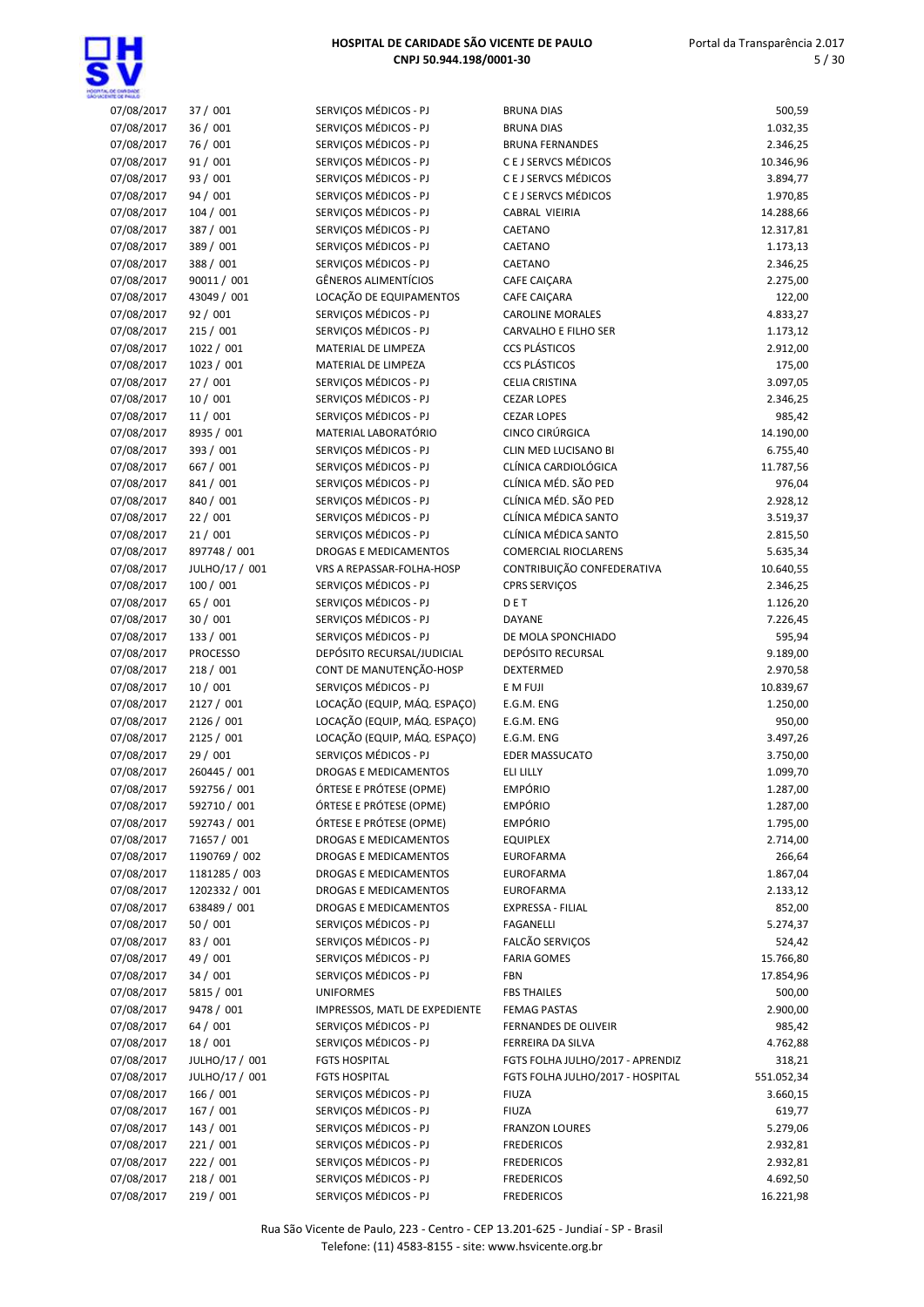

| <b>ENTE OF BELLO</b> |                 |                               |                                  |            |
|----------------------|-----------------|-------------------------------|----------------------------------|------------|
| 07/08/2017           | 37 / 001        | SERVIÇOS MÉDICOS - PJ         | <b>BRUNA DIAS</b>                | 500,59     |
| 07/08/2017           | 36 / 001        | SERVIÇOS MÉDICOS - PJ         | <b>BRUNA DIAS</b>                | 1.032,35   |
| 07/08/2017           | 76 / 001        | SERVIÇOS MÉDICOS - PJ         | <b>BRUNA FERNANDES</b>           | 2.346,25   |
| 07/08/2017           | 91/001          | SERVIÇOS MÉDICOS - PJ         | C E J SERVCS MÉDICOS             | 10.346,96  |
| 07/08/2017           | 93 / 001        | SERVIÇOS MÉDICOS - PJ         | C E J SERVCS MÉDICOS             | 3.894,77   |
| 07/08/2017           | 94 / 001        | SERVIÇOS MÉDICOS - PJ         | C E J SERVCS MÉDICOS             | 1.970,85   |
| 07/08/2017           | 104/001         | SERVIÇOS MÉDICOS - PJ         | CABRAL VIEIRIA                   | 14.288,66  |
| 07/08/2017           | 387 / 001       | SERVIÇOS MÉDICOS - PJ         | CAETANO                          | 12.317,81  |
| 07/08/2017           | 389 / 001       | SERVIÇOS MÉDICOS - PJ         | CAETANO                          | 1.173,13   |
| 07/08/2017           | 388 / 001       | SERVIÇOS MÉDICOS - PJ         | CAETANO                          | 2.346,25   |
| 07/08/2017           | 90011 / 001     | <b>GÊNEROS ALIMENTÍCIOS</b>   | CAFE CAIÇARA                     | 2.275,00   |
| 07/08/2017           | 43049 / 001     | LOCAÇÃO DE EQUIPAMENTOS       | CAFE CAIÇARA                     | 122,00     |
| 07/08/2017           | 92 / 001        | SERVIÇOS MÉDICOS - PJ         | <b>CAROLINE MORALES</b>          | 4.833,27   |
|                      |                 |                               |                                  |            |
| 07/08/2017           | 215 / 001       | SERVIÇOS MÉDICOS - PJ         | CARVALHO E FILHO SER             | 1.173,12   |
| 07/08/2017           | 1022 / 001      | MATERIAL DE LIMPEZA           | <b>CCS PLÁSTICOS</b>             | 2.912,00   |
| 07/08/2017           | 1023 / 001      | MATERIAL DE LIMPEZA           | <b>CCS PLÁSTICOS</b>             | 175,00     |
| 07/08/2017           | 27/001          | SERVIÇOS MÉDICOS - PJ         | CELIA CRISTINA                   | 3.097,05   |
| 07/08/2017           | 10 / 001        | SERVIÇOS MÉDICOS - PJ         | <b>CEZAR LOPES</b>               | 2.346,25   |
| 07/08/2017           | 11/001          | SERVIÇOS MÉDICOS - PJ         | <b>CEZAR LOPES</b>               | 985,42     |
| 07/08/2017           | 8935 / 001      | MATERIAL LABORATÓRIO          | CINCO CIRÚRGICA                  | 14.190,00  |
| 07/08/2017           | 393 / 001       | SERVIÇOS MÉDICOS - PJ         | CLIN MED LUCISANO BI             | 6.755,40   |
| 07/08/2017           | 667 / 001       | SERVIÇOS MÉDICOS - PJ         | CLÍNICA CARDIOLÓGICA             | 11.787,56  |
| 07/08/2017           | 841 / 001       | SERVIÇOS MÉDICOS - PJ         | CLÍNICA MÉD. SÃO PED             | 976,04     |
| 07/08/2017           | 840 / 001       | SERVIÇOS MÉDICOS - PJ         | CLÍNICA MÉD. SÃO PED             | 2.928,12   |
| 07/08/2017           | 22/001          | SERVIÇOS MÉDICOS - PJ         | CLÍNICA MÉDICA SANTO             | 3.519,37   |
| 07/08/2017           | 21/001          | SERVIÇOS MÉDICOS - PJ         | CLÍNICA MÉDICA SANTO             | 2.815,50   |
| 07/08/2017           | 897748 / 001    | DROGAS E MEDICAMENTOS         | <b>COMERCIAL RIOCLARENS</b>      | 5.635,34   |
| 07/08/2017           | JULHO/17 / 001  | VRS A REPASSAR-FOLHA-HOSP     | CONTRIBUIÇÃO CONFEDERATIVA       | 10.640,55  |
| 07/08/2017           | 100 / 001       | SERVIÇOS MÉDICOS - PJ         | CPRS SERVIÇOS                    | 2.346,25   |
| 07/08/2017           | 65 / 001        | SERVIÇOS MÉDICOS - PJ         | DET                              | 1.126,20   |
| 07/08/2017           | 30/001          | SERVIÇOS MÉDICOS - PJ         | DAYANE                           | 7.226,45   |
|                      |                 | SERVIÇOS MÉDICOS - PJ         |                                  |            |
| 07/08/2017           | 133 / 001       |                               | DE MOLA SPONCHIADO               | 595,94     |
| 07/08/2017           | <b>PROCESSO</b> | DEPÓSITO RECURSAL/JUDICIAL    | DEPÓSITO RECURSAL                | 9.189,00   |
| 07/08/2017           | 218 / 001       | CONT DE MANUTENÇÃO-HOSP       | DEXTERMED                        | 2.970,58   |
| 07/08/2017           | 10/001          | SERVIÇOS MÉDICOS - PJ         | E M FUJI                         | 10.839,67  |
| 07/08/2017           | 2127 / 001      | LOCAÇÃO (EQUIP, MÁQ. ESPAÇO)  | E.G.M. ENG                       | 1.250,00   |
| 07/08/2017           | 2126 / 001      | LOCAÇÃO (EQUIP, MÁQ. ESPAÇO)  | E.G.M. ENG                       | 950,00     |
| 07/08/2017           | 2125 / 001      | LOCAÇÃO (EQUIP, MÁQ. ESPAÇO)  | E.G.M. ENG                       | 3.497,26   |
| 07/08/2017           | 29 / 001        | SERVIÇOS MÉDICOS - PJ         | <b>EDER MASSUCATO</b>            | 3.750,00   |
| 07/08/2017           | 260445 / 001    | <b>DROGAS E MEDICAMENTOS</b>  | ELI LILLY                        | 1.099,70   |
| 07/08/2017           | 592756 / 001    | ÓRTESE E PRÓTESE (OPME)       | <b>EMPÓRIO</b>                   | 1.287,00   |
| 07/08/2017           | 592710 / 001    | ÓRTESE E PRÓTESE (OPME)       | <b>EMPÓRIO</b>                   | 1.287,00   |
| 07/08/2017           | 592743 / 001    | ÓRTESE E PRÓTESE (OPME)       | <b>EMPÓRIO</b>                   | 1.795,00   |
| 07/08/2017           | 71657 / 001     | DROGAS E MEDICAMENTOS         | <b>EQUIPLEX</b>                  | 2.714,00   |
| 07/08/2017           | 1190769 / 002   | DROGAS E MEDICAMENTOS         | <b>EUROFARMA</b>                 | 266,64     |
| 07/08/2017           | 1181285 / 003   | DROGAS E MEDICAMENTOS         | EUROFARMA                        | 1.867,04   |
| 07/08/2017           | 1202332 / 001   | DROGAS E MEDICAMENTOS         | <b>EUROFARMA</b>                 | 2.133,12   |
| 07/08/2017           | 638489 / 001    | <b>DROGAS E MEDICAMENTOS</b>  | EXPRESSA - FILIAL                | 852,00     |
| 07/08/2017           | 50/001          | SERVIÇOS MÉDICOS - PJ         | FAGANELLI                        | 5.274,37   |
| 07/08/2017           | 83 / 001        | SERVIÇOS MÉDICOS - PJ         | FALCÃO SERVIÇOS                  | 524,42     |
| 07/08/2017           | 49 / 001        | SERVIÇOS MÉDICOS - PJ         | <b>FARIA GOMES</b>               | 15.766,80  |
| 07/08/2017           | 34/001          | SERVIÇOS MÉDICOS - PJ         | FBN                              | 17.854,96  |
|                      |                 |                               |                                  |            |
| 07/08/2017           | 5815 / 001      | <b>UNIFORMES</b>              | <b>FBS THAILES</b>               | 500,00     |
| 07/08/2017           | 9478 / 001      | IMPRESSOS, MATL DE EXPEDIENTE | FEMAG PASTAS                     | 2.900,00   |
| 07/08/2017           | 64/001          | SERVIÇOS MÉDICOS - PJ         | FERNANDES DE OLIVEIR             | 985,42     |
| 07/08/2017           | 18 / 001        | SERVIÇOS MÉDICOS - PJ         | FERREIRA DA SILVA                | 4.762,88   |
| 07/08/2017           | JULHO/17 / 001  | <b>FGTS HOSPITAL</b>          | FGTS FOLHA JULHO/2017 - APRENDIZ | 318,21     |
| 07/08/2017           | JULHO/17 / 001  | <b>FGTS HOSPITAL</b>          | FGTS FOLHA JULHO/2017 - HOSPITAL | 551.052,34 |
| 07/08/2017           | 166 / 001       | SERVIÇOS MÉDICOS - PJ         | <b>FIUZA</b>                     | 3.660,15   |
| 07/08/2017           | 167 / 001       | SERVIÇOS MÉDICOS - PJ         | <b>FIUZA</b>                     | 619,77     |
| 07/08/2017           | 143 / 001       | SERVIÇOS MÉDICOS - PJ         | <b>FRANZON LOURES</b>            | 5.279,06   |
| 07/08/2017           | 221/001         | SERVIÇOS MÉDICOS - PJ         | <b>FREDERICOS</b>                | 2.932,81   |
| 07/08/2017           | 222 / 001       | SERVIÇOS MÉDICOS - PJ         | <b>FREDERICOS</b>                | 2.932,81   |
| 07/08/2017           | 218 / 001       | SERVIÇOS MÉDICOS - PJ         | <b>FREDERICOS</b>                | 4.692,50   |
| 07/08/2017           | 219 / 001       | SERVIÇOS MÉDICOS - PJ         | <b>FREDERICOS</b>                | 16.221,98  |
|                      |                 |                               |                                  |            |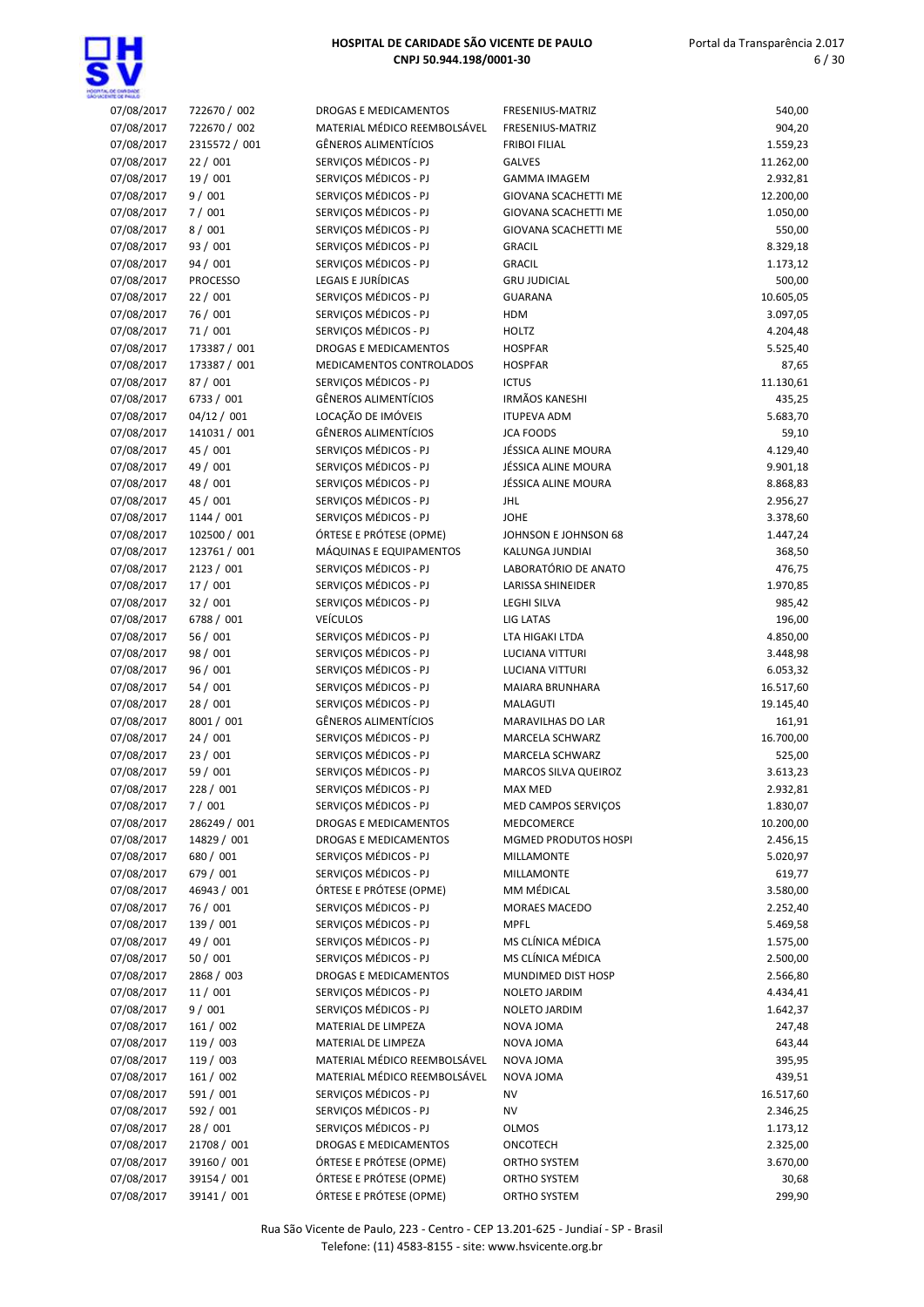

# Portal da Transparência 2.017 6 / 30

| 07/08/2017 | 722670 / 002    | <b>DROGAS E MEDICAMENTOS</b> | FRESENIUS-MATRIZ            | 540,00    |
|------------|-----------------|------------------------------|-----------------------------|-----------|
| 07/08/2017 | 722670 / 002    | MATERIAL MÉDICO REEMBOLSÁVEL | FRESENIUS-MATRIZ            | 904,20    |
| 07/08/2017 | 2315572 / 001   | GÊNEROS ALIMENTÍCIOS         | <b>FRIBOI FILIAL</b>        | 1.559,23  |
| 07/08/2017 | 22/001          | SERVICOS MÉDICOS - PJ        | GALVES                      | 11.262,00 |
| 07/08/2017 | 19 / 001        | SERVIÇOS MÉDICOS - PJ        | <b>GAMMA IMAGEM</b>         | 2.932,81  |
| 07/08/2017 | 9/001           | SERVICOS MÉDICOS - PJ        | <b>GIOVANA SCACHETTI ME</b> | 12.200,00 |
| 07/08/2017 | 7/001           | SERVIÇOS MÉDICOS - PJ        | GIOVANA SCACHETTI ME        | 1.050,00  |
| 07/08/2017 | 8/001           | SERVIÇOS MÉDICOS - PJ        | GIOVANA SCACHETTI ME        | 550,00    |
| 07/08/2017 | 93 / 001        | SERVIÇOS MÉDICOS - PJ        | <b>GRACIL</b>               | 8.329,18  |
| 07/08/2017 | 94 / 001        | SERVIÇOS MÉDICOS - PJ        | <b>GRACIL</b>               | 1.173,12  |
| 07/08/2017 | <b>PROCESSO</b> | LEGAIS E JURÍDICAS           | <b>GRU JUDICIAL</b>         | 500,00    |
| 07/08/2017 | 22/001          | SERVIÇOS MÉDICOS - PJ        | <b>GUARANA</b>              | 10.605,05 |
| 07/08/2017 | 76 / 001        | SERVIÇOS MÉDICOS - PJ        | HDM                         | 3.097,05  |
| 07/08/2017 | 71/001          | SERVIÇOS MÉDICOS - PJ        | <b>HOLTZ</b>                | 4.204,48  |
| 07/08/2017 | 173387 / 001    | <b>DROGAS E MEDICAMENTOS</b> | <b>HOSPFAR</b>              | 5.525,40  |
| 07/08/2017 | 173387 / 001    | MEDICAMENTOS CONTROLADOS     | <b>HOSPFAR</b>              | 87,65     |
| 07/08/2017 | 87 / 001        | SERVIÇOS MÉDICOS - PJ        | <b>ICTUS</b>                | 11.130,61 |
| 07/08/2017 | 6733 / 001      | <b>GÊNEROS ALIMENTÍCIOS</b>  | <b>IRMÃOS KANESHI</b>       | 435,25    |
| 07/08/2017 | 04/12 / 001     | LOCAÇÃO DE IMÓVEIS           | <b>ITUPEVA ADM</b>          | 5.683,70  |
| 07/08/2017 | 141031 / 001    | GÊNEROS ALIMENTÍCIOS         | <b>JCA FOODS</b>            | 59,10     |
| 07/08/2017 | 45 / 001        | SERVIÇOS MÉDICOS - PJ        | JÉSSICA ALINE MOURA         | 4.129,40  |
| 07/08/2017 | 49 / 001        | SERVIÇOS MÉDICOS - PJ        | JÉSSICA ALINE MOURA         | 9.901,18  |
| 07/08/2017 | 48 / 001        | SERVIÇOS MÉDICOS - PJ        | JÉSSICA ALINE MOURA         | 8.868,83  |
|            |                 |                              |                             |           |
| 07/08/2017 | 45 / 001        | SERVIÇOS MÉDICOS - PJ        | <b>JHL</b>                  | 2.956,27  |
| 07/08/2017 | 1144 / 001      | SERVIÇOS MÉDICOS - PJ        | <b>JOHE</b>                 | 3.378,60  |
| 07/08/2017 | 102500 / 001    | ÓRTESE E PRÓTESE (OPME)      | JOHNSON E JOHNSON 68        | 1.447,24  |
| 07/08/2017 | 123761 / 001    | MÁQUINAS E EQUIPAMENTOS      | KALUNGA JUNDIAI             | 368,50    |
| 07/08/2017 | 2123 / 001      | SERVIÇOS MÉDICOS - PJ        | LABORATÓRIO DE ANATO        | 476,75    |
| 07/08/2017 | 17/001          | SERVIÇOS MÉDICOS - PJ        | <b>LARISSA SHINEIDER</b>    | 1.970,85  |
| 07/08/2017 | 32/001          | SERVIÇOS MÉDICOS - PJ        | <b>LEGHI SILVA</b>          | 985,42    |
| 07/08/2017 | 6788 / 001      | <b>VEÍCULOS</b>              | LIG LATAS                   | 196,00    |
| 07/08/2017 | 56 / 001        | SERVIÇOS MÉDICOS - PJ        | LTA HIGAKI LTDA             | 4.850,00  |
| 07/08/2017 | 98 / 001        | SERVIÇOS MÉDICOS - PJ        | <b>LUCIANA VITTURI</b>      | 3.448,98  |
| 07/08/2017 | 96 / 001        | SERVIÇOS MÉDICOS - PJ        | <b>LUCIANA VITTURI</b>      | 6.053,32  |
| 07/08/2017 | 54/001          | SERVIÇOS MÉDICOS - PJ        | MAIARA BRUNHARA             | 16.517,60 |
| 07/08/2017 | 28/001          | SERVIÇOS MÉDICOS - PJ        | MALAGUTI                    | 19.145,40 |
| 07/08/2017 | 8001 / 001      | GÊNEROS ALIMENTÍCIOS         | MARAVILHAS DO LAR           | 161,91    |
| 07/08/2017 | 24/001          | SERVIÇOS MÉDICOS - PJ        | MARCELA SCHWARZ             | 16.700,00 |
| 07/08/2017 | 23 / 001        | SERVIÇOS MÉDICOS - PJ        | MARCELA SCHWARZ             | 525,00    |
| 07/08/2017 | 59 / 001        | SERVIÇOS MÉDICOS - PJ        | MARCOS SILVA QUEIROZ        | 3.613,23  |
| 07/08/2017 | 228 / 001       | SERVICOS MÉDICOS - PJ        | <b>MAX MED</b>              | 2.932,81  |
| 07/08/2017 | 7/001           | SERVIÇOS MÉDICOS - PJ        | MED CAMPOS SERVIÇOS         | 1.830,07  |
| 07/08/2017 | 286249 / 001    | DROGAS E MEDICAMENTOS        | MEDCOMERCE                  | 10.200,00 |
| 07/08/2017 | 14829 / 001     | DROGAS E MEDICAMENTOS        | MGMED PRODUTOS HOSPI        | 2.456,15  |
| 07/08/2017 | 680 / 001       | SERVIÇOS MÉDICOS - PJ        | MILLAMONTE                  | 5.020,97  |
| 07/08/2017 | 679 / 001       | SERVIÇOS MÉDICOS - PJ        | MILLAMONTE                  | 619,77    |
| 07/08/2017 | 46943 / 001     | ÓRTESE E PRÓTESE (OPME)      | MM MÉDICAL                  | 3.580,00  |
| 07/08/2017 | 76 / 001        | SERVIÇOS MÉDICOS - PJ        | MORAES MACEDO               | 2.252,40  |
| 07/08/2017 | 139 / 001       | SERVIÇOS MÉDICOS - PJ        | <b>MPFL</b>                 | 5.469,58  |
| 07/08/2017 | 49 / 001        | SERVIÇOS MÉDICOS - PJ        | MS CLÍNICA MÉDICA           | 1.575,00  |
| 07/08/2017 | 50/001          | SERVICOS MÉDICOS - PJ        | MS CLÍNICA MÉDICA           | 2.500,00  |
| 07/08/2017 | 2868 / 003      | DROGAS E MEDICAMENTOS        | MUNDIMED DIST HOSP          | 2.566,80  |
| 07/08/2017 | 11/001          | SERVIÇOS MÉDICOS - PJ        | NOLETO JARDIM               | 4.434,41  |
| 07/08/2017 | 9/001           | SERVIÇOS MÉDICOS - PJ        | NOLETO JARDIM               | 1.642,37  |
| 07/08/2017 | 161 / 002       | MATERIAL DE LIMPEZA          | NOVA JOMA                   | 247,48    |
| 07/08/2017 | 119 / 003       | MATERIAL DE LIMPEZA          | NOVA JOMA                   | 643,44    |
| 07/08/2017 | 119 / 003       | MATERIAL MÉDICO REEMBOLSÁVEL | NOVA JOMA                   | 395,95    |
| 07/08/2017 | 161 / 002       | MATERIAL MÉDICO REEMBOLSÁVEL | NOVA JOMA                   | 439,51    |
| 07/08/2017 | 591 / 001       | SERVIÇOS MÉDICOS - PJ        | <b>NV</b>                   | 16.517,60 |
| 07/08/2017 | 592 / 001       | SERVIÇOS MÉDICOS - PJ        | ΝV                          | 2.346,25  |
| 07/08/2017 | 28 / 001        | SERVIÇOS MÉDICOS - PJ        | <b>OLMOS</b>                | 1.173,12  |
| 07/08/2017 | 21708 / 001     | DROGAS E MEDICAMENTOS        | ONCOTECH                    | 2.325,00  |
| 07/08/2017 | 39160 / 001     | ÓRTESE E PRÓTESE (OPME)      | ORTHO SYSTEM                | 3.670,00  |
| 07/08/2017 | 39154 / 001     | ÓRTESE E PRÓTESE (OPME)      | ORTHO SYSTEM                | 30,68     |
| 07/08/2017 | 39141 / 001     | ÓRTESE E PRÓTESE (OPME)      | ORTHO SYSTEM                | 299,90    |
|            |                 |                              |                             |           |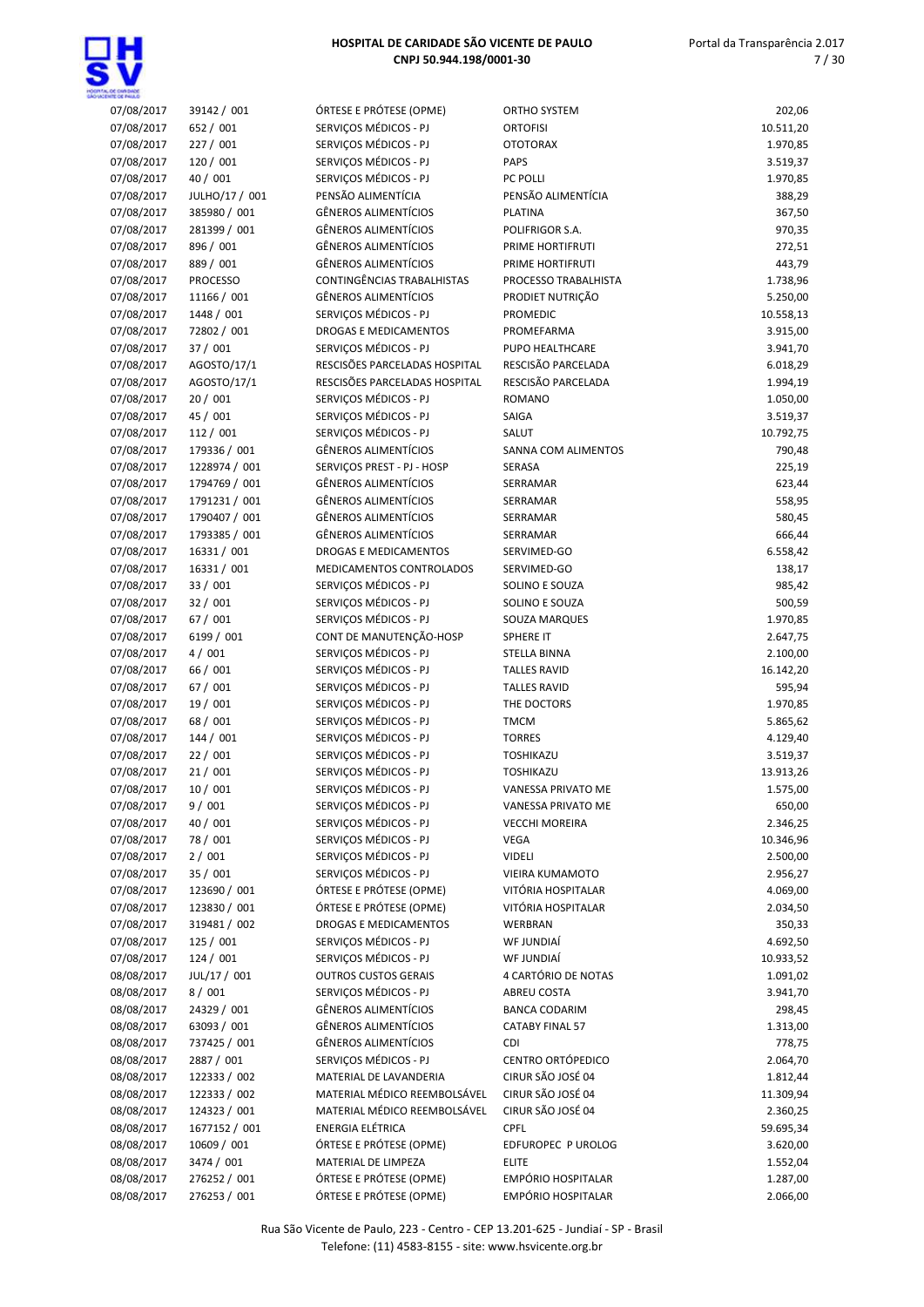

### Portal da Transparência 2.017 7 / 30

| 07/08/2017               | 39142 / 001          | ÓRTESE E PRÓTESE (OPME)                        | <b>ORTHO SYSTEM</b>               | 202,06                |
|--------------------------|----------------------|------------------------------------------------|-----------------------------------|-----------------------|
| 07/08/2017               | 652 / 001            | SERVIÇOS MÉDICOS - PJ                          | <b>ORTOFISI</b>                   | 10.511,20             |
| 07/08/2017               | 227 / 001            | SERVIÇOS MÉDICOS - PJ                          | <b>OTOTORAX</b>                   | 1.970,85              |
| 07/08/2017               | 120 / 001            | SERVIÇOS MÉDICOS - PJ                          | <b>PAPS</b>                       | 3.519,37              |
| 07/08/2017               | 40 / 001             | SERVIÇOS MÉDICOS - PJ                          | PC POLLI                          | 1.970,85              |
| 07/08/2017               | JULHO/17 / 001       | PENSÃO ALIMENTÍCIA                             | PENSÃO ALIMENTÍCIA                | 388,29                |
| 07/08/2017               | 385980 / 001         | <b>GÊNEROS ALIMENTÍCIOS</b>                    | <b>PLATINA</b>                    | 367,50                |
| 07/08/2017               | 281399 / 001         | GÊNEROS ALIMENTÍCIOS                           | POLIFRIGOR S.A.                   | 970,35                |
| 07/08/2017               | 896 / 001            | <b>GÊNEROS ALIMENTÍCIOS</b>                    | PRIME HORTIFRUTI                  | 272,51                |
| 07/08/2017               | 889 / 001            | <b>GÊNEROS ALIMENTÍCIOS</b>                    | PRIME HORTIFRUTI                  | 443,79                |
| 07/08/2017               | <b>PROCESSO</b>      | CONTINGÊNCIAS TRABALHISTAS                     | PROCESSO TRABALHISTA              | 1.738,96              |
| 07/08/2017               | 11166 / 001          | <b>GÊNEROS ALIMENTÍCIOS</b>                    | PRODIET NUTRIÇÃO                  | 5.250,00              |
| 07/08/2017               | 1448 / 001           | SERVIÇOS MÉDICOS - PJ                          | PROMEDIC                          | 10.558,13             |
| 07/08/2017               | 72802 / 001          | DROGAS E MEDICAMENTOS                          | PROMEFARMA                        | 3.915,00              |
| 07/08/2017               | 37 / 001             | SERVIÇOS MÉDICOS - PJ                          | PUPO HEALTHCARE                   | 3.941,70              |
| 07/08/2017               | AGOSTO/17/1          | RESCISÕES PARCELADAS HOSPITAL                  | RESCISÃO PARCELADA                | 6.018,29              |
| 07/08/2017               | AGOSTO/17/1          | RESCISÕES PARCELADAS HOSPITAL                  | RESCISÃO PARCELADA                | 1.994,19              |
| 07/08/2017               | 20/001               | SERVIÇOS MÉDICOS - PJ                          | <b>ROMANO</b>                     | 1.050,00              |
| 07/08/2017               | 45 / 001             | SERVIÇOS MÉDICOS - PJ                          | SAIGA                             | 3.519,37              |
| 07/08/2017               | 112 / 001            | SERVICOS MÉDICOS - PJ                          | SALUT                             | 10.792,75             |
| 07/08/2017               | 179336 / 001         | <b>GÊNEROS ALIMENTÍCIOS</b>                    | SANNA COM ALIMENTOS               | 790,48                |
| 07/08/2017               | 1228974 / 001        | SERVIÇOS PREST - PJ - HOSP                     | SERASA                            | 225,19                |
| 07/08/2017               | 1794769 / 001        | GÊNEROS ALIMENTÍCIOS                           | SERRAMAR                          | 623,44                |
| 07/08/2017               | 1791231 / 001        | <b>GÊNEROS ALIMENTÍCIOS</b>                    | SERRAMAR                          | 558,95                |
| 07/08/2017               | 1790407 / 001        | <b>GÊNEROS ALIMENTÍCIOS</b>                    | SERRAMAR                          | 580,45                |
| 07/08/2017               | 1793385 / 001        | <b>GÊNEROS ALIMENTÍCIOS</b>                    | SERRAMAR                          | 666,44                |
| 07/08/2017               | 16331 / 001          | DROGAS E MEDICAMENTOS                          | SERVIMED-GO                       | 6.558,42              |
| 07/08/2017               | 16331 / 001          | MEDICAMENTOS CONTROLADOS                       | SERVIMED-GO                       | 138,17                |
| 07/08/2017               | 33 / 001             | SERVIÇOS MÉDICOS - PJ<br>SERVIÇOS MÉDICOS - PJ | SOLINO E SOUZA                    | 985,42                |
| 07/08/2017<br>07/08/2017 | 32 / 001<br>67 / 001 | SERVIÇOS MÉDICOS - PJ                          | SOLINO E SOUZA                    | 500,59<br>1.970,85    |
| 07/08/2017               | 6199 / 001           | CONT DE MANUTENÇÃO-HOSP                        | SOUZA MARQUES<br><b>SPHERE IT</b> | 2.647,75              |
| 07/08/2017               | 4/001                | SERVIÇOS MÉDICOS - PJ                          | STELLA BINNA                      |                       |
| 07/08/2017               | 66 / 001             | SERVIÇOS MÉDICOS - PJ                          | <b>TALLES RAVID</b>               | 2.100,00<br>16.142,20 |
| 07/08/2017               | 67 / 001             | SERVIÇOS MÉDICOS - PJ                          | <b>TALLES RAVID</b>               | 595,94                |
| 07/08/2017               | 19 / 001             | SERVIÇOS MÉDICOS - PJ                          | THE DOCTORS                       | 1.970,85              |
| 07/08/2017               | 68 / 001             | SERVIÇOS MÉDICOS - PJ                          | <b>TMCM</b>                       | 5.865,62              |
| 07/08/2017               | 144 / 001            | SERVIÇOS MÉDICOS - PJ                          | <b>TORRES</b>                     | 4.129,40              |
| 07/08/2017               | 22/001               | SERVIÇOS MÉDICOS - PJ                          | TOSHIKAZU                         | 3.519,37              |
| 07/08/2017               | 21/001               | SERVICOS MÉDICOS - PJ                          | TOSHIKAZU                         | 13.913,26             |
| 07/08/2017               | 10 / 001             | SERVICOS MÉDICOS - PJ                          | <b>VANESSA PRIVATO ME</b>         | 1.575,00              |
| 07/08/2017               | 9/001                | SERVIÇOS MÉDICOS - PJ                          | VANESSA PRIVATO ME                | 650,00                |
| 07/08/2017               | 40 / 001             | SERVIÇOS MÉDICOS - PJ                          | <b>VECCHI MOREIRA</b>             | 2.346,25              |
| 07/08/2017               | 78 / 001             | SERVIÇOS MÉDICOS - PJ                          | VEGA                              | 10.346,96             |
| 07/08/2017               | 2/001                | SERVIÇOS MÉDICOS - PJ                          | <b>VIDELI</b>                     | 2.500,00              |
| 07/08/2017               | 35 / 001             | SERVIÇOS MÉDICOS - PJ                          | VIEIRA KUMAMOTO                   | 2.956,27              |
| 07/08/2017               | 123690 / 001         | ÓRTESE E PRÓTESE (OPME)                        | VITÓRIA HOSPITALAR                | 4.069,00              |
| 07/08/2017               | 123830 / 001         | ÓRTESE E PRÓTESE (OPME)                        | VITÓRIA HOSPITALAR                | 2.034,50              |
| 07/08/2017               | 319481 / 002         | DROGAS E MEDICAMENTOS                          | WERBRAN                           | 350,33                |
| 07/08/2017               | 125 / 001            | SERVIÇOS MÉDICOS - PJ                          | WF JUNDIAÍ                        | 4.692,50              |
| 07/08/2017               | 124/001              | SERVIÇOS MÉDICOS - PJ                          | WF JUNDIAÍ                        | 10.933,52             |
| 08/08/2017               | JUL/17 / 001         | <b>OUTROS CUSTOS GERAIS</b>                    | 4 CARTÓRIO DE NOTAS               | 1.091,02              |
| 08/08/2017               | 8/001                | SERVIÇOS MÉDICOS - PJ                          | ABREU COSTA                       | 3.941,70              |
| 08/08/2017               | 24329 / 001          | GÊNEROS ALIMENTÍCIOS                           | <b>BANCA CODARIM</b>              | 298,45                |
| 08/08/2017               | 63093 / 001          | <b>GÊNEROS ALIMENTÍCIOS</b>                    | <b>CATABY FINAL 57</b>            | 1.313,00              |
| 08/08/2017               | 737425 / 001         | <b>GÊNEROS ALIMENTÍCIOS</b>                    | <b>CDI</b>                        | 778,75                |
| 08/08/2017               | 2887 / 001           | SERVIÇOS MÉDICOS - PJ                          | <b>CENTRO ORTÓPEDICO</b>          | 2.064,70              |
| 08/08/2017               | 122333 / 002         | MATERIAL DE LAVANDERIA                         | CIRUR SÃO JOSÉ 04                 | 1.812,44              |
| 08/08/2017               | 122333 / 002         | MATERIAL MÉDICO REEMBOLSÁVEL                   | CIRUR SÃO JOSÉ 04                 | 11.309,94             |
| 08/08/2017               | 124323 / 001         | MATERIAL MÉDICO REEMBOLSÁVEL                   | CIRUR SÃO JOSÉ 04                 | 2.360,25              |
| 08/08/2017               | 1677152 / 001        | ENERGIA ELÉTRICA                               | CPFL                              | 59.695,34             |
| 08/08/2017               | 10609 / 001          | ÓRTESE E PRÓTESE (OPME)                        | EDFUROPEC P UROLOG                | 3.620,00              |
| 08/08/2017               | 3474 / 001           | MATERIAL DE LIMPEZA                            | <b>ELITE</b>                      | 1.552,04              |
| 08/08/2017               | 276252 / 001         | ÓRTESE E PRÓTESE (OPME)                        | EMPÓRIO HOSPITALAR                | 1.287,00              |
| 08/08/2017               | 276253 / 001         | ÓRTESE E PRÓTESE (OPME)                        | EMPÓRIO HOSPITALAR                | 2.066,00              |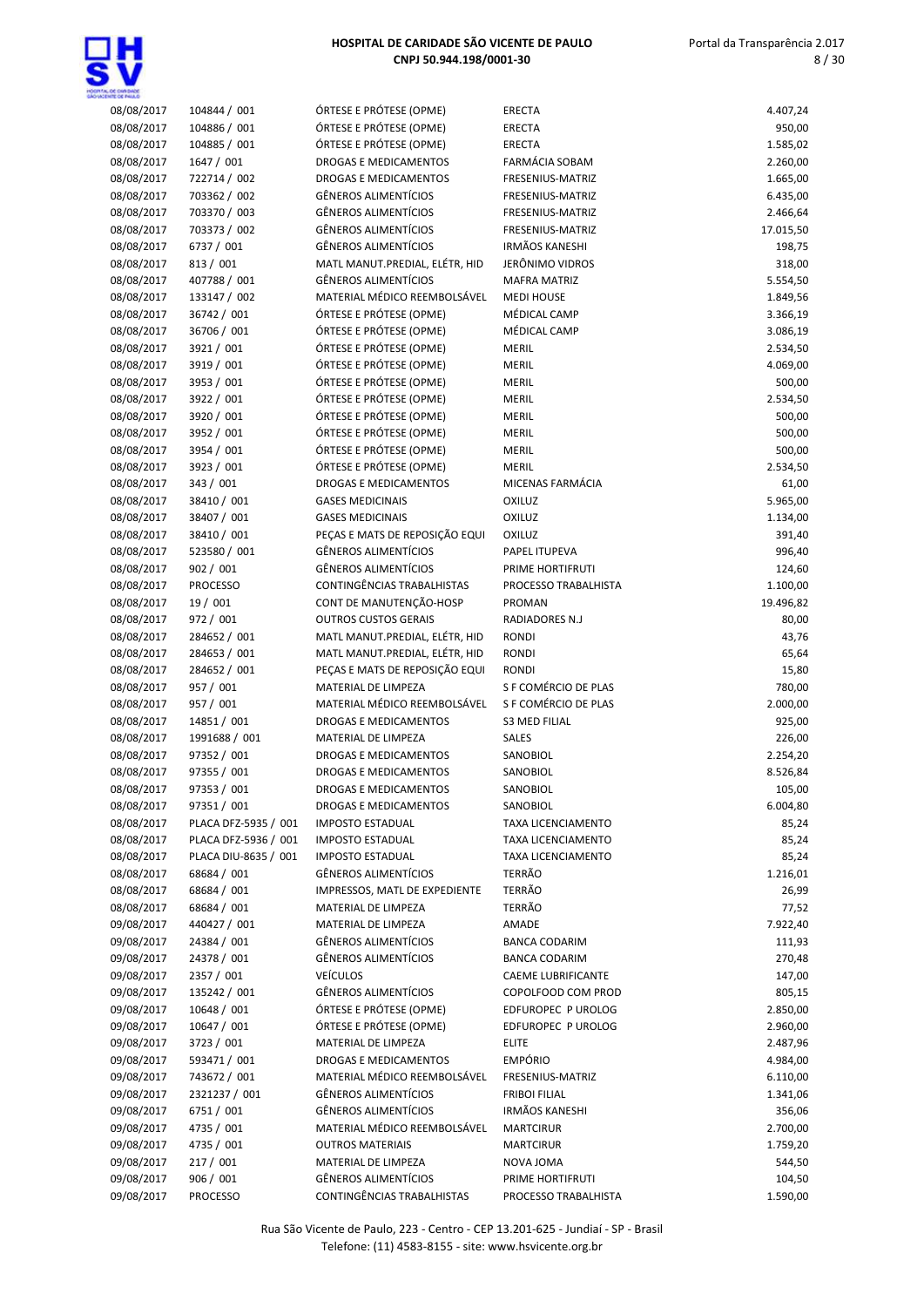

| 08/08/2017 | 104844 / 001         | ÓRTESE E PRÓTESE (OPME)        | <b>ERECTA</b>         | 4.407,24  |
|------------|----------------------|--------------------------------|-----------------------|-----------|
| 08/08/2017 | 104886 / 001         | ÓRTESE E PRÓTESE (OPME)        | <b>ERECTA</b>         | 950,00    |
| 08/08/2017 | 104885 / 001         | ÓRTESE E PRÓTESE (OPME)        | <b>ERECTA</b>         | 1.585,02  |
| 08/08/2017 | 1647 / 001           | DROGAS E MEDICAMENTOS          | FARMÁCIA SOBAM        | 2.260,00  |
| 08/08/2017 | 722714 / 002         | <b>DROGAS E MEDICAMENTOS</b>   | FRESENIUS-MATRIZ      | 1.665,00  |
|            |                      |                                |                       |           |
| 08/08/2017 | 703362 / 002         | <b>GÊNEROS ALIMENTÍCIOS</b>    | FRESENIUS-MATRIZ      | 6.435,00  |
| 08/08/2017 | 703370 / 003         | <b>GÊNEROS ALIMENTÍCIOS</b>    | FRESENIUS-MATRIZ      | 2.466,64  |
| 08/08/2017 | 703373 / 002         | <b>GÊNEROS ALIMENTÍCIOS</b>    | FRESENIUS-MATRIZ      | 17.015,50 |
| 08/08/2017 | 6737 / 001           | <b>GÊNEROS ALIMENTÍCIOS</b>    | <b>IRMÃOS KANESHI</b> | 198,75    |
| 08/08/2017 | 813 / 001            | MATL MANUT.PREDIAL, ELÉTR, HID | JERÔNIMO VIDROS       | 318,00    |
| 08/08/2017 | 407788 / 001         | <b>GÊNEROS ALIMENTÍCIOS</b>    | <b>MAFRA MATRIZ</b>   | 5.554,50  |
| 08/08/2017 | 133147 / 002         | MATERIAL MÉDICO REEMBOLSÁVEL   | <b>MEDI HOUSE</b>     | 1.849,56  |
| 08/08/2017 | 36742 / 001          | ÓRTESE E PRÓTESE (OPME)        | MÉDICAL CAMP          | 3.366,19  |
| 08/08/2017 | 36706 / 001          | ÓRTESE E PRÓTESE (OPME)        | MÉDICAL CAMP          | 3.086,19  |
| 08/08/2017 | 3921 / 001           | ÓRTESE E PRÓTESE (OPME)        | MERIL                 | 2.534,50  |
| 08/08/2017 | 3919 / 001           | ÓRTESE E PRÓTESE (OPME)        | MERIL                 | 4.069,00  |
| 08/08/2017 | 3953 / 001           | ÓRTESE E PRÓTESE (OPME)        | MERIL                 | 500,00    |
| 08/08/2017 | 3922 / 001           | ÓRTESE E PRÓTESE (OPME)        | MERIL                 | 2.534,50  |
| 08/08/2017 | 3920 / 001           | ÓRTESE E PRÓTESE (OPME)        | MERIL                 | 500,00    |
| 08/08/2017 | 3952 / 001           | ÓRTESE E PRÓTESE (OPME)        | MERIL                 | 500,00    |
| 08/08/2017 | 3954 / 001           | ÓRTESE E PRÓTESE (OPME)        | MERIL                 | 500,00    |
| 08/08/2017 | 3923 / 001           | ÓRTESE E PRÓTESE (OPME)        | <b>MERIL</b>          | 2.534,50  |
| 08/08/2017 | 343 / 001            | DROGAS E MEDICAMENTOS          | MICENAS FARMÁCIA      | 61,00     |
| 08/08/2017 | 38410 / 001          | <b>GASES MEDICINAIS</b>        | <b>OXILUZ</b>         | 5.965,00  |
| 08/08/2017 | 38407 / 001          | <b>GASES MEDICINAIS</b>        | <b>OXILUZ</b>         | 1.134,00  |
| 08/08/2017 | 38410 / 001          | PEÇAS E MATS DE REPOSIÇÃO EQUI | <b>OXILUZ</b>         | 391,40    |
| 08/08/2017 | 523580 / 001         | <b>GÊNEROS ALIMENTÍCIOS</b>    | PAPEL ITUPEVA         | 996,40    |
| 08/08/2017 | 902 / 001            | <b>GÊNEROS ALIMENTÍCIOS</b>    | PRIME HORTIFRUTI      |           |
|            |                      | CONTINGÊNCIAS TRABALHISTAS     |                       | 124,60    |
| 08/08/2017 | <b>PROCESSO</b>      |                                | PROCESSO TRABALHISTA  | 1.100,00  |
| 08/08/2017 | 19 / 001             | CONT DE MANUTENÇÃO-HOSP        | PROMAN                | 19.496,82 |
| 08/08/2017 | 972 / 001            | <b>OUTROS CUSTOS GERAIS</b>    | RADIADORES N.J        | 80,00     |
| 08/08/2017 | 284652 / 001         | MATL MANUT.PREDIAL, ELÉTR, HID | <b>RONDI</b>          | 43,76     |
| 08/08/2017 | 284653 / 001         | MATL MANUT.PREDIAL, ELÉTR, HID | <b>RONDI</b>          | 65,64     |
| 08/08/2017 | 284652 / 001         | PEÇAS E MATS DE REPOSIÇÃO EQUI | <b>RONDI</b>          | 15,80     |
| 08/08/2017 | 957 / 001            | MATERIAL DE LIMPEZA            | S F COMÉRCIO DE PLAS  | 780,00    |
| 08/08/2017 | 957 / 001            | MATERIAL MÉDICO REEMBOLSÁVEL   | S F COMÉRCIO DE PLAS  | 2.000,00  |
| 08/08/2017 | 14851 / 001          | DROGAS E MEDICAMENTOS          | <b>S3 MED FILIAL</b>  | 925,00    |
| 08/08/2017 | 1991688 / 001        | MATERIAL DE LIMPEZA            | <b>SALES</b>          | 226,00    |
| 08/08/2017 | 97352 / 001          | <b>DROGAS E MEDICAMENTOS</b>   | SANOBIOL              | 2.254,20  |
| 08/08/2017 | 97355 / 001          | <b>DROGAS E MEDICAMENTOS</b>   | SANOBIOL              | 8.526,84  |
| 08/08/2017 | 97353 / 001          | DROGAS E MEDICAMENTOS          | SANOBIOL              | 105,00    |
| 08/08/2017 | 97351 / 001          | DROGAS E MEDICAMENTOS          | SANOBIOL              | 6.004,80  |
| 08/08/2017 | PLACA DFZ-5935 / 001 | <b>IMPOSTO ESTADUAL</b>        | TAXA LICENCIAMENTO    | 85,24     |
| 08/08/2017 | PLACA DFZ-5936 / 001 | <b>IMPOSTO ESTADUAL</b>        | TAXA LICENCIAMENTO    | 85,24     |
| 08/08/2017 | PLACA DIU-8635 / 001 | <b>IMPOSTO ESTADUAL</b>        | TAXA LICENCIAMENTO    | 85,24     |
| 08/08/2017 | 68684 / 001          | GÊNEROS ALIMENTÍCIOS           | TERRÃO                | 1.216,01  |
| 08/08/2017 | 68684 / 001          | IMPRESSOS, MATL DE EXPEDIENTE  | TERRÃO                | 26,99     |
| 08/08/2017 | 68684 / 001          | MATERIAL DE LIMPEZA            | <b>TERRÃO</b>         | 77,52     |
| 09/08/2017 | 440427 / 001         | MATERIAL DE LIMPEZA            | AMADE                 | 7.922,40  |
| 09/08/2017 | 24384 / 001          | GÊNEROS ALIMENTÍCIOS           | <b>BANCA CODARIM</b>  | 111,93    |
| 09/08/2017 | 24378 / 001          | GÊNEROS ALIMENTÍCIOS           | <b>BANCA CODARIM</b>  | 270,48    |
| 09/08/2017 | 2357 / 001           | <b>VEÍCULOS</b>                | CAEME LUBRIFICANTE    | 147,00    |
| 09/08/2017 | 135242 / 001         | GÊNEROS ALIMENTÍCIOS           | COPOLFOOD COM PROD    | 805,15    |
| 09/08/2017 | 10648 / 001          | ÓRTESE E PRÓTESE (OPME)        | EDFUROPEC P UROLOG    | 2.850,00  |
|            |                      |                                |                       |           |
| 09/08/2017 | 10647 / 001          | ÓRTESE E PRÓTESE (OPME)        | EDFUROPEC P UROLOG    | 2.960,00  |
| 09/08/2017 | 3723 / 001           | MATERIAL DE LIMPEZA            | <b>ELITE</b>          | 2.487,96  |
| 09/08/2017 | 593471 / 001         | <b>DROGAS E MEDICAMENTOS</b>   | <b>EMPÓRIO</b>        | 4.984,00  |
| 09/08/2017 | 743672 / 001         | MATERIAL MÉDICO REEMBOLSÁVEL   | FRESENIUS-MATRIZ      | 6.110,00  |
| 09/08/2017 | 2321237 / 001        | GÊNEROS ALIMENTÍCIOS           | <b>FRIBOI FILIAL</b>  | 1.341,06  |
| 09/08/2017 | 6751 / 001           | GÊNEROS ALIMENTÍCIOS           | <b>IRMÃOS KANESHI</b> | 356,06    |
| 09/08/2017 | 4735 / 001           | MATERIAL MÉDICO REEMBOLSÁVEL   | <b>MARTCIRUR</b>      | 2.700,00  |
| 09/08/2017 | 4735 / 001           | <b>OUTROS MATERIAIS</b>        | <b>MARTCIRUR</b>      | 1.759,20  |
| 09/08/2017 | 217 / 001            | MATERIAL DE LIMPEZA            | NOVA JOMA             | 544,50    |
| 09/08/2017 | 906 / 001            | GÊNEROS ALIMENTÍCIOS           | PRIME HORTIFRUTI      | 104,50    |
| 09/08/2017 | <b>PROCESSO</b>      | CONTINGÊNCIAS TRABALHISTAS     | PROCESSO TRABALHISTA  | 1.590,00  |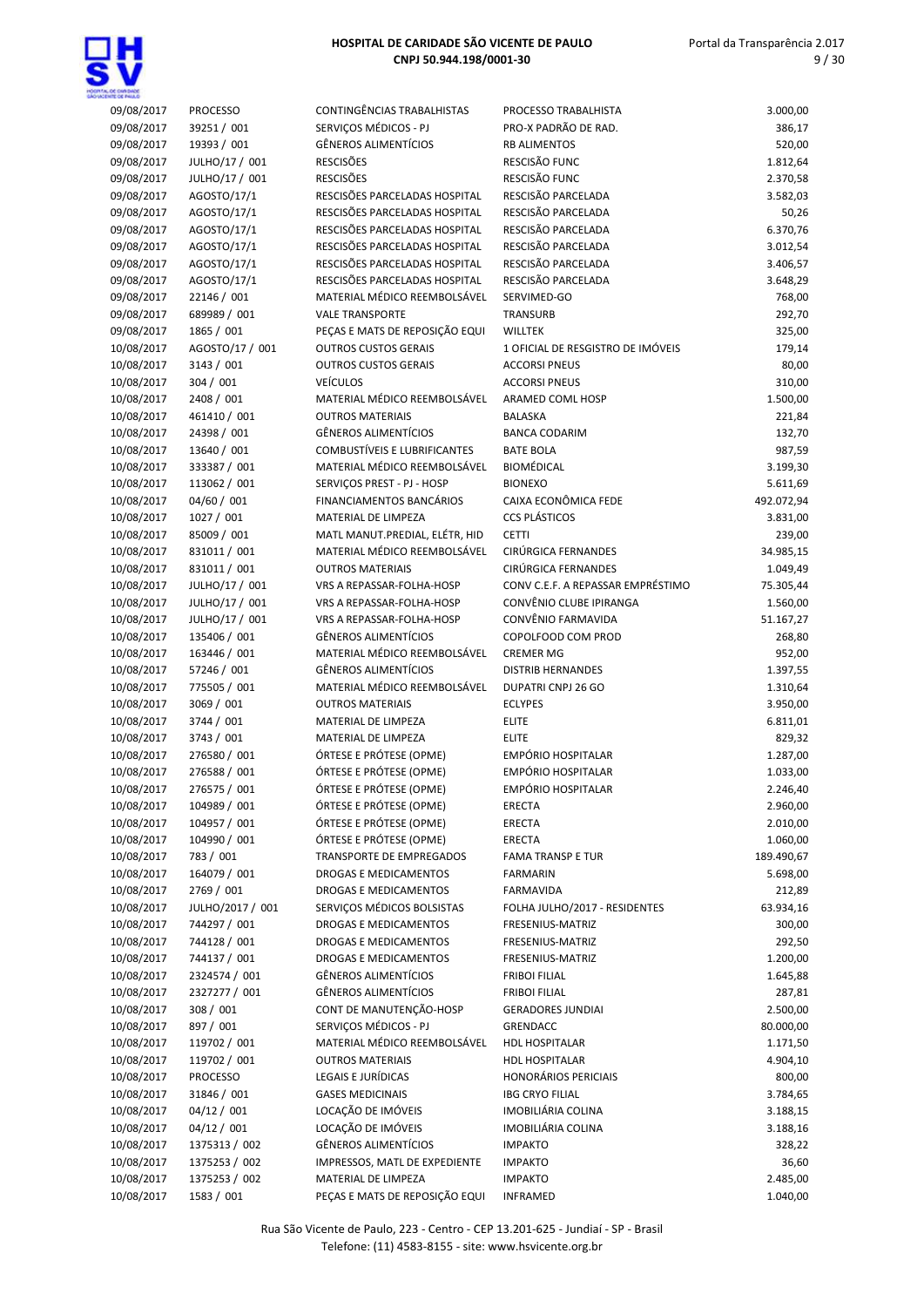

| 09/08/2017 | <b>PROCESSO</b>  | CONTINGÊNCIAS TRABALHISTAS     | PROCESSO TRABALHISTA              | 3.000,00   |
|------------|------------------|--------------------------------|-----------------------------------|------------|
| 09/08/2017 | 39251 / 001      | SERVIÇOS MÉDICOS - PJ          | PRO-X PADRÃO DE RAD.              | 386,17     |
| 09/08/2017 | 19393 / 001      | <b>GÊNEROS ALIMENTÍCIOS</b>    | <b>RB ALIMENTOS</b>               | 520,00     |
| 09/08/2017 | JULHO/17 / 001   | <b>RESCISÕES</b>               | RESCISÃO FUNC                     | 1.812,64   |
| 09/08/2017 | JULHO/17 / 001   | <b>RESCISÕES</b>               | RESCISÃO FUNC                     | 2.370,58   |
| 09/08/2017 | AGOSTO/17/1      | RESCISÕES PARCELADAS HOSPITAL  | RESCISÃO PARCELADA                | 3.582,03   |
| 09/08/2017 | AGOSTO/17/1      | RESCISÕES PARCELADAS HOSPITAL  | RESCISÃO PARCELADA                | 50,26      |
| 09/08/2017 | AGOSTO/17/1      | RESCISÕES PARCELADAS HOSPITAL  | RESCISÃO PARCELADA                | 6.370,76   |
| 09/08/2017 | AGOSTO/17/1      | RESCISÕES PARCELADAS HOSPITAL  | RESCISÃO PARCELADA                | 3.012,54   |
| 09/08/2017 | AGOSTO/17/1      | RESCISÕES PARCELADAS HOSPITAL  | RESCISÃO PARCELADA                | 3.406,57   |
| 09/08/2017 | AGOSTO/17/1      | RESCISÕES PARCELADAS HOSPITAL  | RESCISÃO PARCELADA                | 3.648,29   |
|            |                  |                                | SERVIMED-GO                       |            |
| 09/08/2017 | 22146 / 001      | MATERIAL MÉDICO REEMBOLSÁVEL   |                                   | 768,00     |
| 09/08/2017 | 689989 / 001     | <b>VALE TRANSPORTE</b>         | <b>TRANSURB</b>                   | 292,70     |
| 09/08/2017 | 1865 / 001       | PEÇAS E MATS DE REPOSIÇÃO EQUI | <b>WILLTEK</b>                    | 325,00     |
| 10/08/2017 | AGOSTO/17 / 001  | <b>OUTROS CUSTOS GERAIS</b>    | 1 OFICIAL DE RESGISTRO DE IMÓVEIS | 179,14     |
| 10/08/2017 | 3143 / 001       | <b>OUTROS CUSTOS GERAIS</b>    | <b>ACCORSI PNEUS</b>              | 80,00      |
| 10/08/2017 | 304 / 001        | <b>VEÍCULOS</b>                | <b>ACCORSI PNEUS</b>              | 310,00     |
| 10/08/2017 | 2408 / 001       | MATERIAL MÉDICO REEMBOLSÁVEL   | ARAMED COML HOSP                  | 1.500,00   |
| 10/08/2017 | 461410 / 001     | <b>OUTROS MATERIAIS</b>        | <b>BALASKA</b>                    | 221,84     |
| 10/08/2017 | 24398 / 001      | <b>GÊNEROS ALIMENTÍCIOS</b>    | <b>BANCA CODARIM</b>              | 132,70     |
| 10/08/2017 | 13640 / 001      | COMBUSTÍVEIS E LUBRIFICANTES   | <b>BATE BOLA</b>                  | 987,59     |
| 10/08/2017 | 333387 / 001     | MATERIAL MÉDICO REEMBOLSÁVEL   | <b>BIOMÉDICAL</b>                 | 3.199,30   |
| 10/08/2017 | 113062 / 001     | SERVIÇOS PREST - PJ - HOSP     | <b>BIONEXO</b>                    | 5.611,69   |
|            |                  |                                |                                   |            |
| 10/08/2017 | 04/60 / 001      | FINANCIAMENTOS BANCÁRIOS       | CAIXA ECONÔMICA FEDE              | 492.072,94 |
| 10/08/2017 | 1027 / 001       | MATERIAL DE LIMPEZA            | <b>CCS PLÁSTICOS</b>              | 3.831,00   |
| 10/08/2017 | 85009 / 001      | MATL MANUT.PREDIAL, ELÉTR, HID | <b>CETTI</b>                      | 239,00     |
| 10/08/2017 | 831011 / 001     | MATERIAL MÉDICO REEMBOLSÁVEL   | CIRÚRGICA FERNANDES               | 34.985,15  |
| 10/08/2017 | 831011 / 001     | <b>OUTROS MATERIAIS</b>        | CIRÚRGICA FERNANDES               | 1.049,49   |
| 10/08/2017 | JULHO/17 / 001   | VRS A REPASSAR-FOLHA-HOSP      | CONV C.E.F. A REPASSAR EMPRÉSTIMO | 75.305,44  |
| 10/08/2017 | JULHO/17 / 001   | VRS A REPASSAR-FOLHA-HOSP      | CONVÊNIO CLUBE IPIRANGA           | 1.560,00   |
| 10/08/2017 | JULHO/17 / 001   | VRS A REPASSAR-FOLHA-HOSP      | CONVÊNIO FARMAVIDA                | 51.167,27  |
| 10/08/2017 | 135406 / 001     | <b>GÊNEROS ALIMENTÍCIOS</b>    | COPOLFOOD COM PROD                | 268,80     |
| 10/08/2017 | 163446 / 001     | MATERIAL MÉDICO REEMBOLSÁVEL   | <b>CREMER MG</b>                  | 952,00     |
| 10/08/2017 | 57246 / 001      | <b>GÊNEROS ALIMENTÍCIOS</b>    | <b>DISTRIB HERNANDES</b>          | 1.397,55   |
|            |                  | MATERIAL MÉDICO REEMBOLSÁVEL   | DUPATRI CNPJ 26 GO                |            |
| 10/08/2017 | 775505 / 001     |                                |                                   | 1.310,64   |
| 10/08/2017 | 3069 / 001       | <b>OUTROS MATERIAIS</b>        | <b>ECLYPES</b>                    | 3.950,00   |
| 10/08/2017 | 3744 / 001       | MATERIAL DE LIMPEZA            | <b>ELITE</b>                      | 6.811,01   |
| 10/08/2017 | 3743 / 001       | MATERIAL DE LIMPEZA            | <b>ELITE</b>                      | 829,32     |
| 10/08/2017 | 276580 / 001     | ÓRTESE E PRÓTESE (OPME)        | <b>EMPÓRIO HOSPITALAR</b>         | 1.287,00   |
| 10/08/2017 | 276588 / 001     | ÓRTESE E PRÓTESE (OPME)        | <b>EMPÓRIO HOSPITALAR</b>         | 1.033,00   |
| 10/08/2017 | 276575 / 001     | ÓRTESE E PRÓTESE (OPME)        | <b>EMPÓRIO HOSPITALAR</b>         | 2.246,40   |
| 10/08/2017 | 104989 / 001     | ÓRTESE E PRÓTESE (OPME)        | <b>ERECTA</b>                     | 2.960,00   |
| 10/08/2017 | 104957 / 001     | ÓRTESE E PRÓTESE (OPME)        | <b>ERECTA</b>                     | 2.010,00   |
| 10/08/2017 | 104990 / 001     | ÓRTESE E PRÓTESE (OPME)        | <b>ERECTA</b>                     | 1.060,00   |
| 10/08/2017 | 783 / 001        | TRANSPORTE DE EMPREGADOS       | <b>FAMA TRANSP E TUR</b>          | 189.490,67 |
| 10/08/2017 | 164079 / 001     | DROGAS E MEDICAMENTOS          | <b>FARMARIN</b>                   | 5.698,00   |
| 10/08/2017 | 2769 / 001       | DROGAS E MEDICAMENTOS          | <b>FARMAVIDA</b>                  | 212,89     |
|            |                  |                                |                                   |            |
| 10/08/2017 | JULHO/2017 / 001 | SERVIÇOS MÉDICOS BOLSISTAS     | FOLHA JULHO/2017 - RESIDENTES     | 63.934,16  |
| 10/08/2017 | 744297 / 001     | DROGAS E MEDICAMENTOS          | FRESENIUS-MATRIZ                  | 300,00     |
| 10/08/2017 | 744128 / 001     | DROGAS E MEDICAMENTOS          | FRESENIUS-MATRIZ                  | 292,50     |
| 10/08/2017 | 744137 / 001     | DROGAS E MEDICAMENTOS          | FRESENIUS-MATRIZ                  | 1.200,00   |
| 10/08/2017 | 2324574 / 001    | <b>GÊNEROS ALIMENTÍCIOS</b>    | <b>FRIBOI FILIAL</b>              | 1.645,88   |
| 10/08/2017 | 2327277 / 001    | <b>GÊNEROS ALIMENTÍCIOS</b>    | <b>FRIBOI FILIAL</b>              | 287,81     |
| 10/08/2017 | 308 / 001        | CONT DE MANUTENÇÃO-HOSP        | <b>GERADORES JUNDIAI</b>          | 2.500,00   |
| 10/08/2017 | 897 / 001        | SERVIÇOS MÉDICOS - PJ          | GRENDACC                          | 80.000,00  |
| 10/08/2017 | 119702 / 001     | MATERIAL MÉDICO REEMBOLSÁVEL   | <b>HDL HOSPITALAR</b>             | 1.171,50   |
| 10/08/2017 | 119702 / 001     | <b>OUTROS MATERIAIS</b>        | <b>HDL HOSPITALAR</b>             | 4.904,10   |
| 10/08/2017 | <b>PROCESSO</b>  | LEGAIS E JURÍDICAS             | <b>HONORÁRIOS PERICIAIS</b>       | 800,00     |
| 10/08/2017 | 31846 / 001      | <b>GASES MEDICINAIS</b>        | <b>IBG CRYO FILIAL</b>            | 3.784,65   |
| 10/08/2017 | 04/12 / 001      | LOCAÇÃO DE IMÓVEIS             | IMOBILIÁRIA COLINA                | 3.188,15   |
|            |                  |                                |                                   |            |
| 10/08/2017 | 04/12 / 001      | LOCAÇÃO DE IMÓVEIS             | IMOBILIÁRIA COLINA                | 3.188,16   |
| 10/08/2017 | 1375313 / 002    | <b>GÊNEROS ALIMENTÍCIOS</b>    | <b>IMPAKTO</b>                    | 328,22     |
| 10/08/2017 | 1375253 / 002    | IMPRESSOS, MATL DE EXPEDIENTE  | <b>IMPAKTO</b>                    | 36,60      |
| 10/08/2017 | 1375253 / 002    | MATERIAL DE LIMPEZA            | <b>IMPAKTO</b>                    | 2.485,00   |
| 10/08/2017 | 1583 / 001       | PEÇAS E MATS DE REPOSIÇÃO EQUI | <b>INFRAMED</b>                   | 1.040,00   |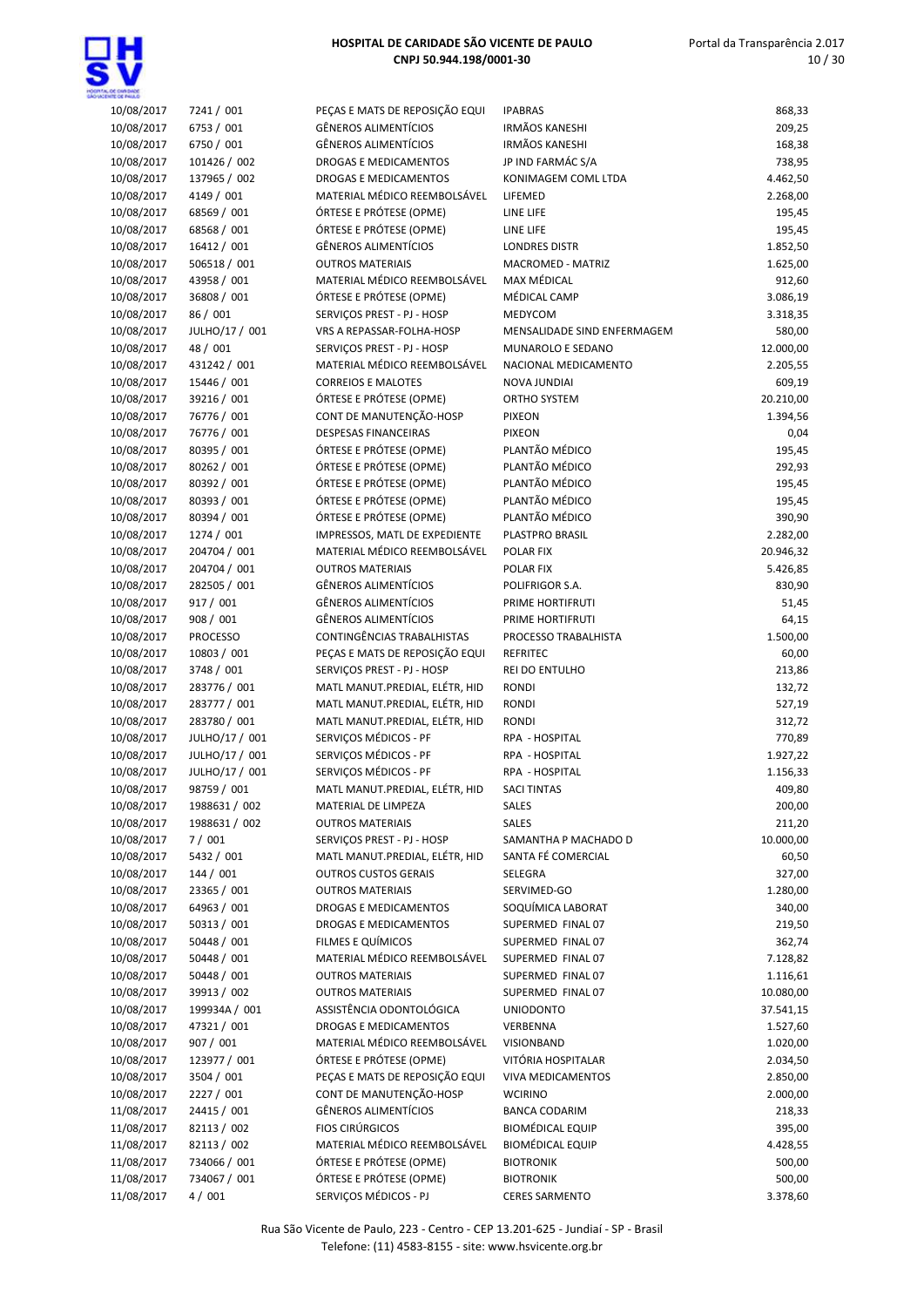

| 10/08/2017 | 7241 / 001      | PEÇAS E MATS DE REPOSIÇÃO EQUI | <b>IPABRAS</b>              | 868,33    |
|------------|-----------------|--------------------------------|-----------------------------|-----------|
| 10/08/2017 | 6753 / 001      | <b>GÊNEROS ALIMENTÍCIOS</b>    | <b>IRMÃOS KANESHI</b>       | 209,25    |
| 10/08/2017 | 6750 / 001      | <b>GÊNEROS ALIMENTÍCIOS</b>    | <b>IRMÃOS KANESHI</b>       | 168,38    |
| 10/08/2017 | 101426 / 002    | DROGAS E MEDICAMENTOS          | JP IND FARMÁC S/A           | 738,95    |
| 10/08/2017 | 137965 / 002    | <b>DROGAS E MEDICAMENTOS</b>   | KONIMAGEM COML LTDA         | 4.462,50  |
| 10/08/2017 | 4149 / 001      | MATERIAL MÉDICO REEMBOLSÁVEL   | LIFEMED                     | 2.268,00  |
| 10/08/2017 | 68569 / 001     | ÓRTESE E PRÓTESE (OPME)        | LINE LIFE                   | 195,45    |
| 10/08/2017 | 68568 / 001     | ÓRTESE E PRÓTESE (OPME)        | LINE LIFE                   | 195,45    |
| 10/08/2017 | 16412 / 001     | <b>GÊNEROS ALIMENTÍCIOS</b>    | <b>LONDRES DISTR</b>        | 1.852,50  |
| 10/08/2017 | 506518 / 001    | <b>OUTROS MATERIAIS</b>        | MACROMED - MATRIZ           | 1.625,00  |
| 10/08/2017 | 43958 / 001     | MATERIAL MÉDICO REEMBOLSÁVEL   | <b>MAX MÉDICAL</b>          | 912,60    |
| 10/08/2017 | 36808 / 001     | ÓRTESE E PRÓTESE (OPME)        | MÉDICAL CAMP                | 3.086,19  |
| 10/08/2017 | 86 / 001        | SERVICOS PREST - PJ - HOSP     | MEDYCOM                     | 3.318,35  |
| 10/08/2017 | JULHO/17 / 001  | VRS A REPASSAR-FOLHA-HOSP      | MENSALIDADE SIND ENFERMAGEM | 580,00    |
| 10/08/2017 | 48 / 001        | SERVIÇOS PREST - PJ - HOSP     | MUNAROLO E SEDANO           | 12.000,00 |
| 10/08/2017 | 431242 / 001    | MATERIAL MÉDICO REEMBOLSÁVEL   | NACIONAL MEDICAMENTO        | 2.205,55  |
| 10/08/2017 | 15446 / 001     | <b>CORREIOS E MALOTES</b>      | <b>NOVA JUNDIAI</b>         | 609,19    |
| 10/08/2017 | 39216 / 001     | ÓRTESE E PRÓTESE (OPME)        | ORTHO SYSTEM                | 20.210,00 |
| 10/08/2017 | 76776 / 001     | CONT DE MANUTENÇÃO-HOSP        | <b>PIXEON</b>               | 1.394,56  |
| 10/08/2017 | 76776 / 001     | <b>DESPESAS FINANCEIRAS</b>    | <b>PIXEON</b>               | 0,04      |
| 10/08/2017 | 80395 / 001     | ÓRTESE E PRÓTESE (OPME)        | PLANTÃO MÉDICO              | 195,45    |
| 10/08/2017 | 80262 / 001     | ÓRTESE E PRÓTESE (OPME)        | PLANTÃO MÉDICO              | 292,93    |
| 10/08/2017 | 80392 / 001     | ÓRTESE E PRÓTESE (OPME)        | PLANTÃO MÉDICO              | 195,45    |
| 10/08/2017 | 80393 / 001     | ÓRTESE E PRÓTESE (OPME)        | PLANTÃO MÉDICO              | 195,45    |
| 10/08/2017 | 80394 / 001     | ÓRTESE E PRÓTESE (OPME)        | PLANTÃO MÉDICO              | 390,90    |
| 10/08/2017 | 1274 / 001      | IMPRESSOS, MATL DE EXPEDIENTE  | PLASTPRO BRASIL             | 2.282,00  |
| 10/08/2017 | 204704 / 001    | MATERIAL MÉDICO REEMBOLSÁVEL   | POLAR FIX                   | 20.946,32 |
| 10/08/2017 | 204704 / 001    | <b>OUTROS MATERIAIS</b>        | POLAR FIX                   | 5.426,85  |
| 10/08/2017 | 282505 / 001    | <b>GÊNEROS ALIMENTÍCIOS</b>    | POLIFRIGOR S.A.             | 830,90    |
| 10/08/2017 | 917 / 001       | GÊNEROS ALIMENTÍCIOS           | PRIME HORTIFRUTI            | 51,45     |
| 10/08/2017 | 908 / 001       | <b>GÊNEROS ALIMENTÍCIOS</b>    | PRIME HORTIFRUTI            | 64,15     |
| 10/08/2017 | <b>PROCESSO</b> | CONTINGÊNCIAS TRABALHISTAS     | PROCESSO TRABALHISTA        | 1.500,00  |
| 10/08/2017 | 10803 / 001     | PEÇAS E MATS DE REPOSIÇÃO EQUI | <b>REFRITEC</b>             | 60,00     |
| 10/08/2017 | 3748 / 001      | SERVIÇOS PREST - PJ - HOSP     | <b>REI DO ENTULHO</b>       | 213,86    |
| 10/08/2017 | 283776 / 001    | MATL MANUT.PREDIAL, ELÉTR, HID | <b>RONDI</b>                | 132,72    |
| 10/08/2017 | 283777 / 001    | MATL MANUT.PREDIAL, ELÉTR, HID | RONDI                       | 527,19    |
| 10/08/2017 | 283780 / 001    | MATL MANUT.PREDIAL, ELÉTR, HID | <b>RONDI</b>                | 312,72    |
| 10/08/2017 | JULHO/17 / 001  | SERVIÇOS MÉDICOS - PF          | RPA - HOSPITAL              | 770,89    |
| 10/08/2017 | JULHO/17 / 001  | SERVIÇOS MÉDICOS - PF          | RPA - HOSPITAL              | 1.927,22  |
| 10/08/2017 | JULHO/17 / 001  | SERVICOS MÉDICOS - PF          | RPA - HOSPITAL              | 1.156,33  |
| 10/08/2017 | 98759 / 001     | MATL MANUT.PREDIAL, ELÉTR, HID | <b>SACI TINTAS</b>          | 409,80    |
| 10/08/2017 | 1988631 / 002   | MATERIAL DE LIMPEZA            | SALES                       | 200,00    |
| 10/08/2017 | 1988631 / 002   | <b>OUTROS MATERIAIS</b>        | SALES                       | 211,20    |
| 10/08/2017 | 7/001           | SERVIÇOS PREST - PJ - HOSP     | SAMANTHA P MACHADO D        | 10.000,00 |
| 10/08/2017 | 5432 / 001      | MATL MANUT.PREDIAL, ELÉTR, HID | SANTA FÉ COMERCIAL          | 60,50     |
| 10/08/2017 | 144 / 001       | <b>OUTROS CUSTOS GERAIS</b>    | SELEGRA                     | 327,00    |
| 10/08/2017 | 23365 / 001     | <b>OUTROS MATERIAIS</b>        | SERVIMED-GO                 | 1.280,00  |
| 10/08/2017 | 64963 / 001     | DROGAS E MEDICAMENTOS          | SOQUÍMICA LABORAT           | 340,00    |
| 10/08/2017 | 50313 / 001     | DROGAS E MEDICAMENTOS          | SUPERMED FINAL 07           | 219,50    |
| 10/08/2017 | 50448 / 001     | FILMES E QUÍMICOS              | SUPERMED FINAL 07           | 362,74    |
| 10/08/2017 | 50448 / 001     | MATERIAL MÉDICO REEMBOLSÁVEL   | SUPERMED FINAL 07           | 7.128,82  |
| 10/08/2017 | 50448 / 001     | <b>OUTROS MATERIAIS</b>        | SUPERMED FINAL 07           | 1.116,61  |
| 10/08/2017 | 39913 / 002     | <b>OUTROS MATERIAIS</b>        | SUPERMED FINAL 07           | 10.080,00 |
| 10/08/2017 | 199934A / 001   | ASSISTÊNCIA ODONTOLÓGICA       | <b>UNIODONTO</b>            | 37.541,15 |
| 10/08/2017 | 47321 / 001     | <b>DROGAS E MEDICAMENTOS</b>   | VERBENNA                    | 1.527,60  |
| 10/08/2017 | 907 / 001       | MATERIAL MÉDICO REEMBOLSÁVEL   | VISIONBAND                  | 1.020,00  |
| 10/08/2017 | 123977 / 001    | ÓRTESE E PRÓTESE (OPME)        | VITÓRIA HOSPITALAR          | 2.034,50  |
| 10/08/2017 | 3504 / 001      | PEÇAS E MATS DE REPOSIÇÃO EQUI | VIVA MEDICAMENTOS           | 2.850,00  |
| 10/08/2017 | 2227 / 001      | CONT DE MANUTENÇÃO-HOSP        | <b>WCIRINO</b>              | 2.000,00  |
| 11/08/2017 | 24415 / 001     | <b>GÊNEROS ALIMENTÍCIOS</b>    | <b>BANCA CODARIM</b>        | 218,33    |
| 11/08/2017 | 82113 / 002     | <b>FIOS CIRÚRGICOS</b>         | <b>BIOMÉDICAL EQUIP</b>     | 395,00    |
| 11/08/2017 | 82113 / 002     | MATERIAL MÉDICO REEMBOLSÁVEL   | <b>BIOMÉDICAL EQUIP</b>     | 4.428,55  |
| 11/08/2017 | 734066 / 001    | ÓRTESE E PRÓTESE (OPME)        | <b>BIOTRONIK</b>            | 500,00    |
| 11/08/2017 | 734067 / 001    | ÓRTESE E PRÓTESE (OPME)        | <b>BIOTRONIK</b>            | 500,00    |
| 11/08/2017 | 4/001           | SERVIÇOS MÉDICOS - PJ          | <b>CERES SARMENTO</b>       | 3.378,60  |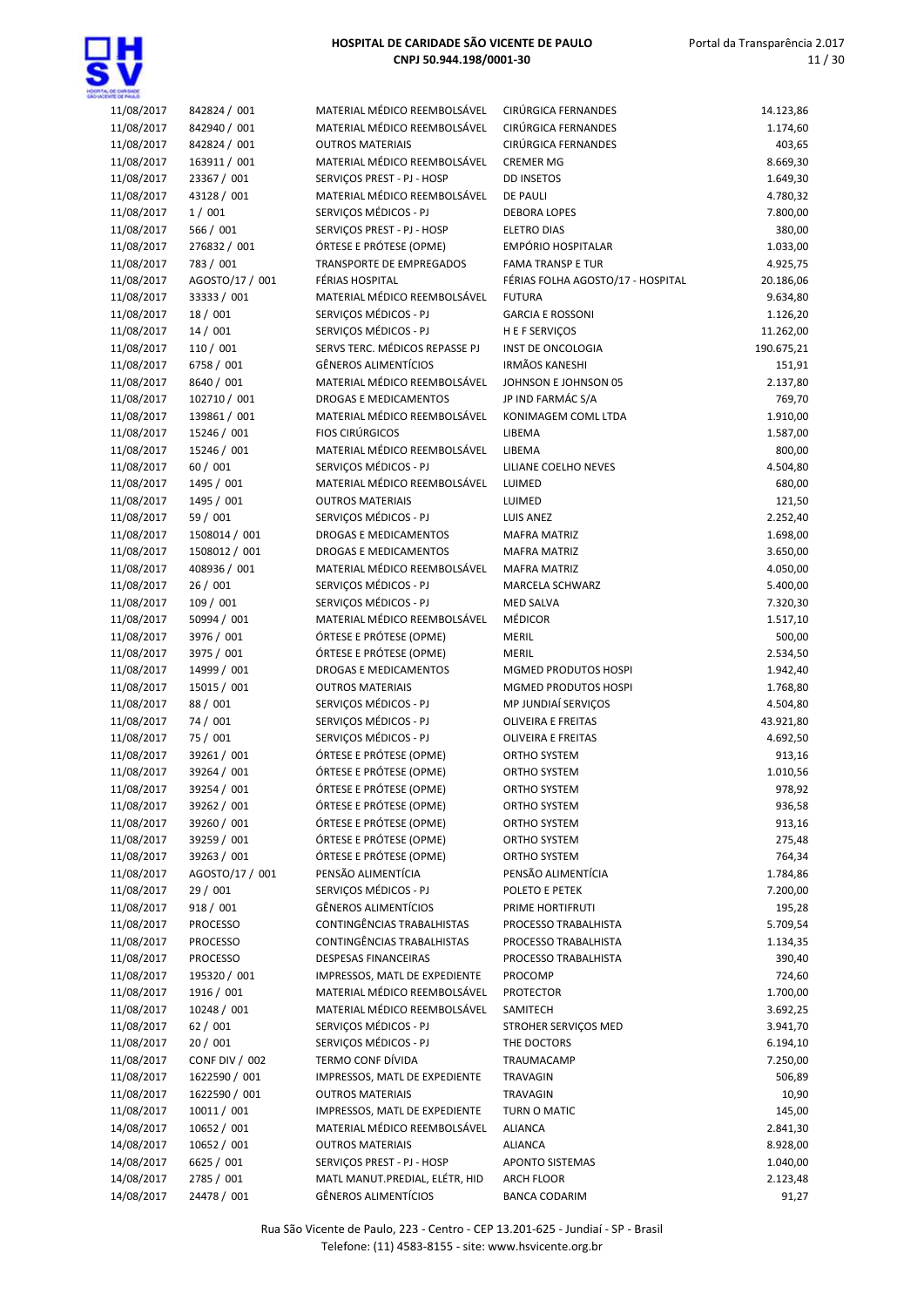

| 11/08/2017 | 842824 / 001    | MATERIAL MÉDICO REEMBOLSÁVEL   | <b>CIRÚRGICA FERNANDES</b>        | 14.123,86  |
|------------|-----------------|--------------------------------|-----------------------------------|------------|
| 11/08/2017 | 842940 / 001    | MATERIAL MÉDICO REEMBOLSÁVEL   | <b>CIRÚRGICA FERNANDES</b>        | 1.174,60   |
| 11/08/2017 | 842824 / 001    | <b>OUTROS MATERIAIS</b>        | CIRÚRGICA FERNANDES               | 403,65     |
|            |                 |                                | <b>CREMER MG</b>                  |            |
| 11/08/2017 | 163911 / 001    | MATERIAL MÉDICO REEMBOLSÁVEL   |                                   | 8.669,30   |
| 11/08/2017 | 23367 / 001     | SERVIÇOS PREST - PJ - HOSP     | <b>DD INSETOS</b>                 | 1.649,30   |
| 11/08/2017 | 43128 / 001     | MATERIAL MÉDICO REEMBOLSÁVEL   | <b>DE PAULI</b>                   | 4.780,32   |
| 11/08/2017 | 1/001           | SERVIÇOS MÉDICOS - PJ          | <b>DEBORA LOPES</b>               | 7.800,00   |
| 11/08/2017 | 566 / 001       | SERVIÇOS PREST - PJ - HOSP     | <b>ELETRO DIAS</b>                | 380,00     |
|            |                 |                                |                                   |            |
| 11/08/2017 | 276832 / 001    | ÓRTESE E PRÓTESE (OPME)        | EMPÓRIO HOSPITALAR                | 1.033,00   |
| 11/08/2017 | 783 / 001       | TRANSPORTE DE EMPREGADOS       | <b>FAMA TRANSP E TUR</b>          | 4.925,75   |
| 11/08/2017 | AGOSTO/17 / 001 | <b>FÉRIAS HOSPITAL</b>         | FÉRIAS FOLHA AGOSTO/17 - HOSPITAL | 20.186,06  |
|            |                 | MATERIAL MÉDICO REEMBOLSÁVEL   |                                   |            |
| 11/08/2017 | 33333 / 001     |                                | <b>FUTURA</b>                     | 9.634,80   |
| 11/08/2017 | 18 / 001        | SERVIÇOS MÉDICOS - PJ          | <b>GARCIA E ROSSONI</b>           | 1.126,20   |
| 11/08/2017 | 14/001          | SERVIÇOS MÉDICOS - PJ          | H E F SERVIÇOS                    | 11.262,00  |
| 11/08/2017 | 110 / 001       | SERVS TERC. MÉDICOS REPASSE PJ | INST DE ONCOLOGIA                 | 190.675,21 |
|            |                 |                                |                                   |            |
| 11/08/2017 | 6758 / 001      | <b>GÊNEROS ALIMENTÍCIOS</b>    | <b>IRMÃOS KANESHI</b>             | 151,91     |
| 11/08/2017 | 8640 / 001      | MATERIAL MÉDICO REEMBOLSÁVEL   | JOHNSON E JOHNSON 05              | 2.137,80   |
| 11/08/2017 | 102710 / 001    | <b>DROGAS E MEDICAMENTOS</b>   | JP IND FARMÁC S/A                 | 769,70     |
| 11/08/2017 | 139861 / 001    | MATERIAL MÉDICO REEMBOLSÁVEL   | KONIMAGEM COML LTDA               | 1.910,00   |
|            |                 |                                |                                   |            |
| 11/08/2017 | 15246 / 001     | <b>FIOS CIRÚRGICOS</b>         | LIBEMA                            | 1.587,00   |
| 11/08/2017 | 15246 / 001     | MATERIAL MÉDICO REEMBOLSÁVEL   | LIBEMA                            | 800,00     |
| 11/08/2017 | 60 / 001        | SERVIÇOS MÉDICOS - PJ          | LILIANE COELHO NEVES              | 4.504,80   |
| 11/08/2017 | 1495 / 001      | MATERIAL MÉDICO REEMBOLSÁVEL   | LUIMED                            | 680,00     |
|            |                 |                                |                                   |            |
| 11/08/2017 | 1495 / 001      | <b>OUTROS MATERIAIS</b>        | LUIMED                            | 121,50     |
| 11/08/2017 | 59 / 001        | SERVIÇOS MÉDICOS - PJ          | <b>LUIS ANEZ</b>                  | 2.252,40   |
| 11/08/2017 | 1508014 / 001   | DROGAS E MEDICAMENTOS          | <b>MAFRA MATRIZ</b>               | 1.698,00   |
|            |                 |                                |                                   |            |
| 11/08/2017 | 1508012 / 001   | DROGAS E MEDICAMENTOS          | <b>MAFRA MATRIZ</b>               | 3.650,00   |
| 11/08/2017 | 408936 / 001    | MATERIAL MÉDICO REEMBOLSÁVEL   | <b>MAFRA MATRIZ</b>               | 4.050,00   |
| 11/08/2017 | 26 / 001        | SERVIÇOS MÉDICOS - PJ          | MARCELA SCHWARZ                   | 5.400,00   |
| 11/08/2017 | 109 / 001       | SERVIÇOS MÉDICOS - PJ          | <b>MED SALVA</b>                  | 7.320,30   |
|            | 50994 / 001     | MATERIAL MÉDICO REEMBOLSÁVEL   | MÉDICOR                           | 1.517,10   |
| 11/08/2017 |                 |                                |                                   |            |
| 11/08/2017 | 3976 / 001      | ÓRTESE E PRÓTESE (OPME)        | MERIL                             | 500,00     |
| 11/08/2017 | 3975 / 001      | ÓRTESE E PRÓTESE (OPME)        | <b>MERIL</b>                      | 2.534,50   |
| 11/08/2017 | 14999 / 001     | <b>DROGAS E MEDICAMENTOS</b>   | MGMED PRODUTOS HOSPI              | 1.942,40   |
|            |                 |                                |                                   |            |
| 11/08/2017 | 15015 / 001     | <b>OUTROS MATERIAIS</b>        | MGMED PRODUTOS HOSPI              | 1.768,80   |
| 11/08/2017 | 88 / 001        | SERVIÇOS MÉDICOS - PJ          | MP JUNDIAÍ SERVIÇOS               | 4.504,80   |
| 11/08/2017 | 74 / 001        | SERVIÇOS MÉDICOS - PJ          | OLIVEIRA E FREITAS                | 43.921,80  |
| 11/08/2017 | 75 / 001        | SERVIÇOS MÉDICOS - PJ          | OLIVEIRA E FREITAS                | 4.692,50   |
|            |                 |                                |                                   |            |
| 11/08/2017 | 39261 / 001     | ÓRTESE E PRÓTESE (OPME)        | ORTHO SYSTEM                      | 913,16     |
| 11/08/2017 | 39264 / 001     | ÓRTESE E PRÓTESE (OPME)        | <b>ORTHO SYSTEM</b>               | 1.010,56   |
| 11/08/2017 | 39254 / 001     | ÓRTESE E PRÓTESE (OPME)        | <b>ORTHO SYSTEM</b>               | 978,92     |
| 11/08/2017 | 39262 / 001     | ÓRTESE E PRÓTESE (OPME)        | ORTHO SYSTEM                      | 936,58     |
|            |                 |                                |                                   |            |
| 11/08/2017 | 39260 / 001     | ÓRTESE E PRÓTESE (OPME)        | ORTHO SYSTEM                      | 913,16     |
| 11/08/2017 | 39259 / 001     | ÓRTESE E PRÓTESE (OPME)        | ORTHO SYSTEM                      | 275,48     |
| 11/08/2017 | 39263 / 001     | ÓRTESE E PRÓTESE (OPME)        | ORTHO SYSTEM                      | 764,34     |
| 11/08/2017 | AGOSTO/17 / 001 | PENSÃO ALIMENTÍCIA             | PENSÃO ALIMENTÍCIA                | 1.784,86   |
|            |                 |                                |                                   |            |
| 11/08/2017 | 29 / 001        | SERVICOS MÉDICOS - PJ          | POLETO E PETEK                    | 7.200,00   |
| 11/08/2017 | 918 / 001       | <b>GÊNEROS ALIMENTÍCIOS</b>    | PRIME HORTIFRUTI                  | 195,28     |
| 11/08/2017 | <b>PROCESSO</b> | CONTINGÊNCIAS TRABALHISTAS     | PROCESSO TRABALHISTA              | 5.709,54   |
| 11/08/2017 | PROCESSO        | CONTINGÊNCIAS TRABALHISTAS     | PROCESSO TRABALHISTA              | 1.134,35   |
|            |                 |                                |                                   |            |
| 11/08/2017 | <b>PROCESSO</b> | DESPESAS FINANCEIRAS           | PROCESSO TRABALHISTA              | 390,40     |
| 11/08/2017 | 195320 / 001    | IMPRESSOS, MATL DE EXPEDIENTE  | PROCOMP                           | 724,60     |
| 11/08/2017 | 1916 / 001      | MATERIAL MÉDICO REEMBOLSÁVEL   | <b>PROTECTOR</b>                  | 1.700,00   |
| 11/08/2017 | 10248 / 001     | MATERIAL MÉDICO REEMBOLSÁVEL   | SAMITECH                          | 3.692,25   |
|            |                 |                                |                                   |            |
| 11/08/2017 | 62 / 001        | SERVIÇOS MÉDICOS - PJ          | STROHER SERVIÇOS MED              | 3.941,70   |
| 11/08/2017 | 20/001          | SERVIÇOS MÉDICOS - PJ          | THE DOCTORS                       | 6.194,10   |
| 11/08/2017 | CONF DIV / 002  | TERMO CONF DÍVIDA              | TRAUMACAMP                        | 7.250,00   |
|            | 1622590 / 001   | IMPRESSOS, MATL DE EXPEDIENTE  |                                   |            |
| 11/08/2017 |                 |                                | TRAVAGIN                          | 506,89     |
| 11/08/2017 | 1622590 / 001   | <b>OUTROS MATERIAIS</b>        | TRAVAGIN                          | 10,90      |
| 11/08/2017 | 10011 / 001     | IMPRESSOS, MATL DE EXPEDIENTE  | TURN O MATIC                      | 145,00     |
| 14/08/2017 | 10652 / 001     | MATERIAL MÉDICO REEMBOLSÁVEL   | <b>ALIANCA</b>                    | 2.841,30   |
|            |                 |                                |                                   |            |
| 14/08/2017 | 10652 / 001     | <b>OUTROS MATERIAIS</b>        | <b>ALIANCA</b>                    | 8.928,00   |
| 14/08/2017 | 6625 / 001      | SERVIÇOS PREST - PJ - HOSP     | <b>APONTO SISTEMAS</b>            | 1.040,00   |
| 14/08/2017 | 2785 / 001      | MATL MANUT.PREDIAL, ELÉTR, HID | ARCH FLOOR                        | 2.123,48   |
| 14/08/2017 | 24478 / 001     | <b>GÊNEROS ALIMENTÍCIOS</b>    | <b>BANCA CODARIM</b>              | 91,27      |
|            |                 |                                |                                   |            |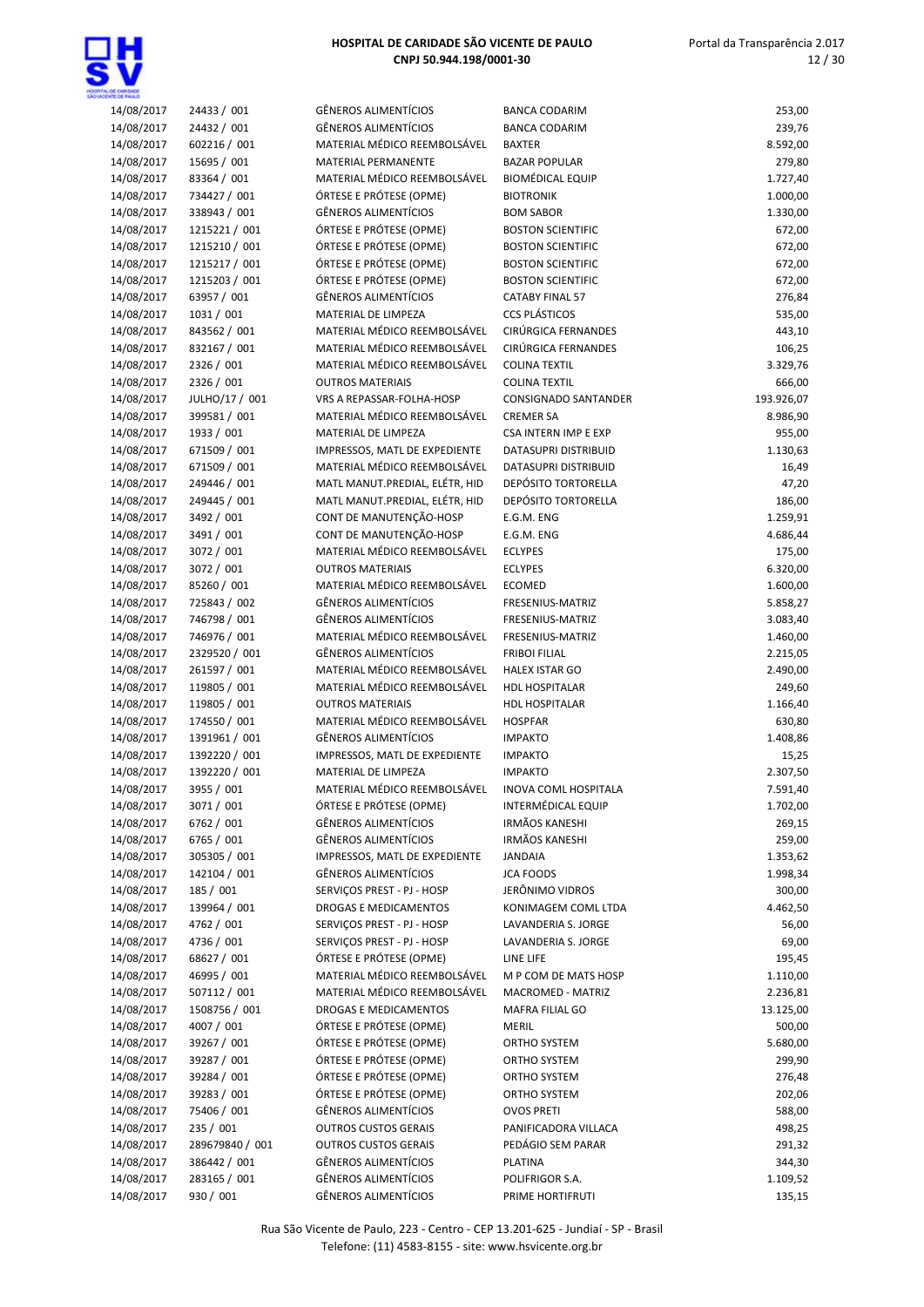

| 14/08/2017 | 24433 / 001     | GÊNEROS ALIMENTÍCIOS           | <b>BANCA CODARIM</b>        | 253,00     |
|------------|-----------------|--------------------------------|-----------------------------|------------|
| 14/08/2017 | 24432 / 001     | <b>GÊNEROS ALIMENTÍCIOS</b>    |                             |            |
|            |                 |                                | <b>BANCA CODARIM</b>        | 239,76     |
| 14/08/2017 | 602216 / 001    | MATERIAL MÉDICO REEMBOLSÁVEL   | <b>BAXTER</b>               | 8.592,00   |
| 14/08/2017 | 15695 / 001     | MATERIAL PERMANENTE            | <b>BAZAR POPULAR</b>        | 279,80     |
| 14/08/2017 | 83364 / 001     | MATERIAL MÉDICO REEMBOLSÁVEL   | <b>BIOMÉDICAL EQUIP</b>     | 1.727,40   |
| 14/08/2017 | 734427 / 001    | ÓRTESE E PRÓTESE (OPME)        | <b>BIOTRONIK</b>            | 1.000,00   |
| 14/08/2017 | 338943 / 001    | <b>GÊNEROS ALIMENTÍCIOS</b>    | <b>BOM SABOR</b>            | 1.330,00   |
| 14/08/2017 | 1215221 / 001   | ÓRTESE E PRÓTESE (OPME)        | <b>BOSTON SCIENTIFIC</b>    | 672,00     |
|            |                 |                                |                             |            |
| 14/08/2017 | 1215210 / 001   | ÓRTESE E PRÓTESE (OPME)        | <b>BOSTON SCIENTIFIC</b>    | 672,00     |
| 14/08/2017 | 1215217 / 001   | ÓRTESE E PRÓTESE (OPME)        | <b>BOSTON SCIENTIFIC</b>    | 672,00     |
| 14/08/2017 | 1215203 / 001   | ÓRTESE E PRÓTESE (OPME)        | <b>BOSTON SCIENTIFIC</b>    | 672,00     |
| 14/08/2017 | 63957 / 001     | GÊNEROS ALIMENTÍCIOS           | <b>CATABY FINAL 57</b>      | 276,84     |
| 14/08/2017 | 1031 / 001      | MATERIAL DE LIMPEZA            | <b>CCS PLÁSTICOS</b>        | 535,00     |
| 14/08/2017 | 843562 / 001    | MATERIAL MÉDICO REEMBOLSÁVEL   | CIRÚRGICA FERNANDES         | 443,10     |
| 14/08/2017 | 832167 / 001    | MATERIAL MÉDICO REEMBOLSÁVEL   | CIRÚRGICA FERNANDES         | 106,25     |
| 14/08/2017 | 2326 / 001      | MATERIAL MÉDICO REEMBOLSÁVEL   | <b>COLINA TEXTIL</b>        | 3.329,76   |
|            |                 |                                |                             |            |
| 14/08/2017 | 2326 / 001      | <b>OUTROS MATERIAIS</b>        | <b>COLINA TEXTIL</b>        | 666,00     |
| 14/08/2017 | JULHO/17 / 001  | VRS A REPASSAR-FOLHA-HOSP      | CONSIGNADO SANTANDER        | 193.926,07 |
| 14/08/2017 | 399581 / 001    | MATERIAL MÉDICO REEMBOLSÁVEL   | <b>CREMER SA</b>            | 8.986,90   |
| 14/08/2017 | 1933 / 001      | MATERIAL DE LIMPEZA            | <b>CSA INTERN IMP E EXP</b> | 955,00     |
| 14/08/2017 | 671509 / 001    | IMPRESSOS, MATL DE EXPEDIENTE  | DATASUPRI DISTRIBUID        | 1.130,63   |
| 14/08/2017 | 671509 / 001    | MATERIAL MÉDICO REEMBOLSÁVEL   | <b>DATASUPRI DISTRIBUID</b> | 16,49      |
| 14/08/2017 | 249446 / 001    | MATL MANUT.PREDIAL, ELÉTR, HID | DEPÓSITO TORTORELLA         | 47,20      |
| 14/08/2017 |                 |                                | <b>DEPÓSITO TORTORELLA</b>  |            |
|            | 249445 / 001    | MATL MANUT.PREDIAL, ELÉTR, HID |                             | 186,00     |
| 14/08/2017 | 3492 / 001      | CONT DE MANUTENÇÃO-HOSP        | E.G.M. ENG                  | 1.259,91   |
| 14/08/2017 | 3491 / 001      | CONT DE MANUTENÇÃO-HOSP        | E.G.M. ENG                  | 4.686,44   |
| 14/08/2017 | 3072 / 001      | MATERIAL MÉDICO REEMBOLSÁVEL   | <b>ECLYPES</b>              | 175,00     |
| 14/08/2017 | 3072 / 001      | <b>OUTROS MATERIAIS</b>        | <b>ECLYPES</b>              | 6.320,00   |
| 14/08/2017 | 85260 / 001     | MATERIAL MÉDICO REEMBOLSÁVEL   | <b>ECOMED</b>               | 1.600,00   |
| 14/08/2017 | 725843 / 002    | GÊNEROS ALIMENTÍCIOS           | FRESENIUS-MATRIZ            | 5.858,27   |
| 14/08/2017 | 746798 / 001    | GÊNEROS ALIMENTÍCIOS           | FRESENIUS-MATRIZ            | 3.083,40   |
| 14/08/2017 |                 | MATERIAL MÉDICO REEMBOLSÁVEL   | FRESENIUS-MATRIZ            |            |
|            | 746976 / 001    |                                |                             | 1.460,00   |
| 14/08/2017 | 2329520 / 001   | <b>GÊNEROS ALIMENTÍCIOS</b>    | <b>FRIBOI FILIAL</b>        | 2.215,05   |
| 14/08/2017 | 261597 / 001    | MATERIAL MÉDICO REEMBOLSÁVEL   | HALEX ISTAR GO              | 2.490,00   |
| 14/08/2017 | 119805 / 001    | MATERIAL MÉDICO REEMBOLSÁVEL   | HDL HOSPITALAR              | 249,60     |
| 14/08/2017 | 119805 / 001    | <b>OUTROS MATERIAIS</b>        | HDL HOSPITALAR              | 1.166,40   |
| 14/08/2017 | 174550 / 001    | MATERIAL MÉDICO REEMBOLSÁVEL   | <b>HOSPFAR</b>              | 630,80     |
| 14/08/2017 | 1391961 / 001   | <b>GÊNEROS ALIMENTÍCIOS</b>    | <b>IMPAKTO</b>              | 1.408,86   |
| 14/08/2017 | 1392220 / 001   | IMPRESSOS, MATL DE EXPEDIENTE  | <b>IMPAKTO</b>              | 15,25      |
| 14/08/2017 | 1392220 / 001   | MATERIAL DE LIMPEZA            | <b>IMPAKTO</b>              | 2.307,50   |
|            |                 | MATERIAL MÉDICO REEMBOLSÁVEL   |                             |            |
| 14/08/2017 | 3955 / 001      |                                | INOVA COML HOSPITALA        | 7.591,40   |
| 14/08/2017 | 3071 / 001      | ÓRTESE E PRÓTESE (OPME)        | INTERMÉDICAL EQUIP          | 1.702,00   |
| 14/08/2017 | 6762 / 001      | GÊNEROS ALIMENTÍCIOS           | IRMÃOS KANESHI              | 269,15     |
| 14/08/2017 | 6765 / 001      | GÊNEROS ALIMENTÍCIOS           | <b>IRMÃOS KANESHI</b>       | 259,00     |
| 14/08/2017 | 305305 / 001    | IMPRESSOS, MATL DE EXPEDIENTE  | <b>JANDAIA</b>              | 1.353,62   |
| 14/08/2017 | 142104 / 001    | <b>GÊNEROS ALIMENTÍCIOS</b>    | <b>JCA FOODS</b>            | 1.998,34   |
| 14/08/2017 | 185 / 001       | SERVIÇOS PREST - PJ - HOSP     | JERÔNIMO VIDROS             | 300,00     |
| 14/08/2017 | 139964 / 001    | DROGAS E MEDICAMENTOS          | KONIMAGEM COML LTDA         | 4.462,50   |
| 14/08/2017 |                 |                                |                             |            |
|            | 4762 / 001      | SERVIÇOS PREST - PJ - HOSP     | LAVANDERIA S. JORGE         | 56,00      |
| 14/08/2017 | 4736 / 001      | SERVIÇOS PREST - PJ - HOSP     | LAVANDERIA S. JORGE         | 69,00      |
| 14/08/2017 | 68627 / 001     | ÓRTESE E PRÓTESE (OPME)        | LINE LIFE                   | 195,45     |
| 14/08/2017 | 46995 / 001     | MATERIAL MÉDICO REEMBOLSÁVEL   | M P COM DE MATS HOSP        | 1.110,00   |
| 14/08/2017 | 507112 / 001    | MATERIAL MÉDICO REEMBOLSÁVEL   | MACROMED - MATRIZ           | 2.236,81   |
| 14/08/2017 | 1508756 / 001   | DROGAS E MEDICAMENTOS          | MAFRA FILIAL GO             | 13.125,00  |
| 14/08/2017 | 4007 / 001      | ÓRTESE E PRÓTESE (OPME)        | <b>MERIL</b>                | 500,00     |
| 14/08/2017 | 39267 / 001     | ÓRTESE E PRÓTESE (OPME)        | ORTHO SYSTEM                | 5.680,00   |
|            |                 |                                |                             |            |
| 14/08/2017 | 39287 / 001     | ÓRTESE E PRÓTESE (OPME)        | ORTHO SYSTEM                | 299,90     |
| 14/08/2017 | 39284 / 001     | ÓRTESE E PRÓTESE (OPME)        | ORTHO SYSTEM                | 276,48     |
| 14/08/2017 | 39283 / 001     | ÓRTESE E PRÓTESE (OPME)        | ORTHO SYSTEM                | 202,06     |
| 14/08/2017 | 75406 / 001     | GÊNEROS ALIMENTÍCIOS           | <b>OVOS PRETI</b>           | 588,00     |
| 14/08/2017 | 235 / 001       | <b>OUTROS CUSTOS GERAIS</b>    | PANIFICADORA VILLACA        | 498,25     |
| 14/08/2017 | 289679840 / 001 | <b>OUTROS CUSTOS GERAIS</b>    | PEDÁGIO SEM PARAR           | 291,32     |
| 14/08/2017 | 386442 / 001    | GÊNEROS ALIMENTÍCIOS           | <b>PLATINA</b>              | 344,30     |
| 14/08/2017 | 283165 / 001    | <b>GÊNEROS ALIMENTÍCIOS</b>    | POLIFRIGOR S.A.             | 1.109,52   |
| 14/08/2017 |                 | <b>GÊNEROS ALIMENTÍCIOS</b>    |                             | 135,15     |
|            | 930 / 001       |                                | PRIME HORTIFRUTI            |            |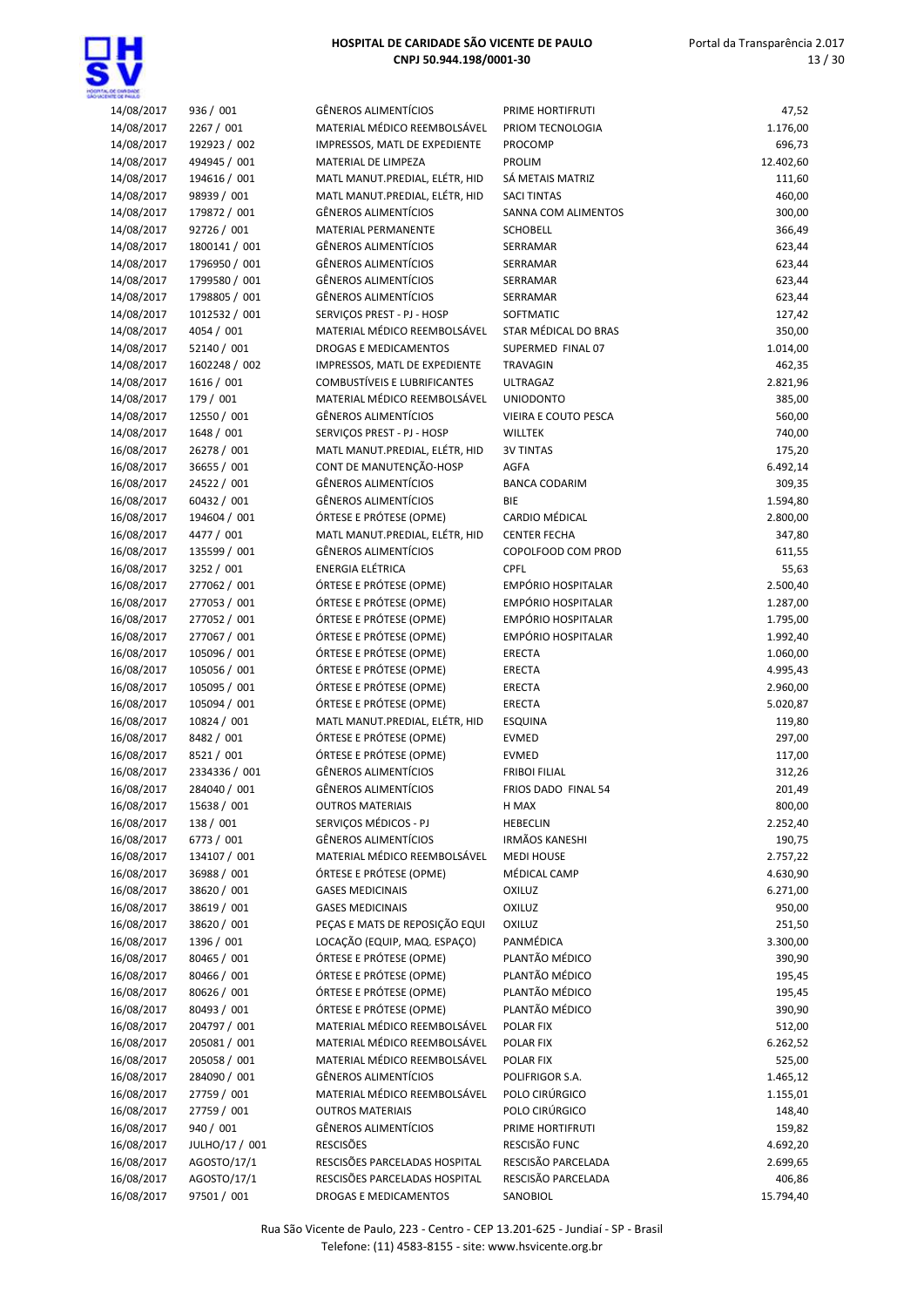

| 14/08/2017 | 936 / 001      | <b>GÊNEROS ALIMENTÍCIOS</b>         | PRIME HORTIFRUTI     | 47,52     |
|------------|----------------|-------------------------------------|----------------------|-----------|
| 14/08/2017 | 2267 / 001     | MATERIAL MÉDICO REEMBOLSÁVEL        | PRIOM TECNOLOGIA     | 1.176,00  |
| 14/08/2017 | 192923 / 002   | IMPRESSOS, MATL DE EXPEDIENTE       | PROCOMP              | 696,73    |
| 14/08/2017 | 494945 / 001   | MATERIAL DE LIMPEZA                 | PROLIM               | 12.402,60 |
|            |                |                                     |                      |           |
| 14/08/2017 | 194616 / 001   | MATL MANUT.PREDIAL, ELÉTR, HID      | SÁ METAIS MATRIZ     | 111,60    |
| 14/08/2017 | 98939 / 001    | MATL MANUT.PREDIAL, ELÉTR, HID      | <b>SACI TINTAS</b>   | 460,00    |
| 14/08/2017 | 179872 / 001   | <b>GÊNEROS ALIMENTÍCIOS</b>         | SANNA COM ALIMENTOS  | 300,00    |
| 14/08/2017 | 92726 / 001    | MATERIAL PERMANENTE                 | <b>SCHOBELL</b>      | 366,49    |
|            |                |                                     |                      |           |
| 14/08/2017 | 1800141 / 001  | <b>GÊNEROS ALIMENTÍCIOS</b>         | SERRAMAR             | 623,44    |
| 14/08/2017 | 1796950 / 001  | <b>GÊNEROS ALIMENTÍCIOS</b>         | SERRAMAR             | 623,44    |
| 14/08/2017 | 1799580 / 001  | <b>GÊNEROS ALIMENTÍCIOS</b>         | SERRAMAR             | 623,44    |
| 14/08/2017 | 1798805 / 001  | <b>GÊNEROS ALIMENTÍCIOS</b>         | SERRAMAR             | 623,44    |
|            |                |                                     |                      |           |
| 14/08/2017 | 1012532 / 001  | SERVIÇOS PREST - PJ - HOSP          | SOFTMATIC            | 127,42    |
| 14/08/2017 | 4054 / 001     | MATERIAL MÉDICO REEMBOLSÁVEL        | STAR MÉDICAL DO BRAS | 350,00    |
| 14/08/2017 | 52140 / 001    | <b>DROGAS E MEDICAMENTOS</b>        | SUPERMED FINAL 07    | 1.014,00  |
| 14/08/2017 | 1602248 / 002  | IMPRESSOS, MATL DE EXPEDIENTE       | <b>TRAVAGIN</b>      | 462,35    |
|            |                | <b>COMBUSTÍVEIS E LUBRIFICANTES</b> |                      |           |
| 14/08/2017 | 1616 / 001     |                                     | <b>ULTRAGAZ</b>      | 2.821,96  |
| 14/08/2017 | 179 / 001      | MATERIAL MÉDICO REEMBOLSÁVEL        | <b>UNIODONTO</b>     | 385,00    |
| 14/08/2017 | 12550 / 001    | <b>GÊNEROS ALIMENTÍCIOS</b>         | VIEIRA E COUTO PESCA | 560,00    |
| 14/08/2017 | 1648 / 001     | SERVIÇOS PREST - PJ - HOSP          | <b>WILLTEK</b>       | 740,00    |
| 16/08/2017 | 26278 / 001    | MATL MANUT.PREDIAL, ELÉTR, HID      | <b>3V TINTAS</b>     |           |
|            |                |                                     |                      | 175,20    |
| 16/08/2017 | 36655 / 001    | CONT DE MANUTENÇÃO-HOSP             | AGFA                 | 6.492,14  |
| 16/08/2017 | 24522 / 001    | <b>GÊNEROS ALIMENTÍCIOS</b>         | <b>BANCA CODARIM</b> | 309,35    |
| 16/08/2017 | 60432 / 001    | <b>GÊNEROS ALIMENTÍCIOS</b>         | BIE                  | 1.594,80  |
|            |                |                                     | CARDIO MÉDICAL       |           |
| 16/08/2017 | 194604 / 001   | ÓRTESE E PRÓTESE (OPME)             |                      | 2.800,00  |
| 16/08/2017 | 4477 / 001     | MATL MANUT.PREDIAL, ELÉTR, HID      | <b>CENTER FECHA</b>  | 347,80    |
| 16/08/2017 | 135599 / 001   | <b>GÊNEROS ALIMENTÍCIOS</b>         | COPOLFOOD COM PROD   | 611,55    |
| 16/08/2017 | 3252 / 001     | <b>ENERGIA ELÉTRICA</b>             | <b>CPFL</b>          | 55,63     |
|            |                | ÓRTESE E PRÓTESE (OPME)             | EMPÓRIO HOSPITALAR   | 2.500,40  |
| 16/08/2017 | 277062 / 001   |                                     |                      |           |
| 16/08/2017 | 277053 / 001   | ÓRTESE E PRÓTESE (OPME)             | EMPÓRIO HOSPITALAR   | 1.287,00  |
| 16/08/2017 | 277052 / 001   | ÓRTESE E PRÓTESE (OPME)             | EMPÓRIO HOSPITALAR   | 1.795,00  |
| 16/08/2017 | 277067 / 001   | ÓRTESE E PRÓTESE (OPME)             | EMPÓRIO HOSPITALAR   | 1.992,40  |
| 16/08/2017 | 105096 / 001   | ÓRTESE E PRÓTESE (OPME)             | <b>ERECTA</b>        |           |
|            |                |                                     |                      | 1.060,00  |
| 16/08/2017 | 105056 / 001   | ÓRTESE E PRÓTESE (OPME)             | ERECTA               | 4.995,43  |
| 16/08/2017 | 105095 / 001   | ÓRTESE E PRÓTESE (OPME)             | <b>ERECTA</b>        | 2.960,00  |
| 16/08/2017 | 105094 / 001   | ÓRTESE E PRÓTESE (OPME)             | ERECTA               | 5.020,87  |
| 16/08/2017 | 10824 / 001    | MATL MANUT.PREDIAL, ELÉTR, HID      | <b>ESQUINA</b>       | 119,80    |
|            |                |                                     |                      |           |
| 16/08/2017 | 8482 / 001     | ÓRTESE E PRÓTESE (OPME)             | <b>EVMED</b>         | 297,00    |
| 16/08/2017 | 8521 / 001     | ÓRTESE E PRÓTESE (OPME)             | <b>EVMED</b>         | 117,00    |
| 16/08/2017 | 2334336 / 001  | <b>GÊNEROS ALIMENTÍCIOS</b>         | <b>FRIBOI FILIAL</b> | 312,26    |
| 16/08/2017 | 284040 / 001   | <b>GÊNEROS ALIMENTÍCIOS</b>         | FRIOS DADO FINAL 54  | 201,49    |
|            |                |                                     |                      |           |
| 16/08/2017 | 15638 / 001    | <b>OUTROS MATERIAIS</b>             | H MAX                | 800,00    |
| 16/08/2017 | 138 / 001      | SERVIÇOS MÉDICOS - PJ               | <b>HEBECLIN</b>      | 2.252,40  |
| 16/08/2017 | 6773 / 001     | <b>GÊNEROS ALIMENTÍCIOS</b>         | IRMÃOS KANESHI       | 190,75    |
| 16/08/2017 | 134107 / 001   | MATERIAL MÉDICO REEMBOLSÁVEL        | <b>MEDI HOUSE</b>    | 2.757,22  |
|            |                | ÓRTESE E PRÓTESE (OPME)             |                      |           |
| 16/08/2017 | 36988 / 001    |                                     | MÉDICAL CAMP         | 4.630,90  |
| 16/08/2017 | 38620 / 001    | <b>GASES MEDICINAIS</b>             | OXILUZ               | 6.271,00  |
| 16/08/2017 | 38619 / 001    | <b>GASES MEDICINAIS</b>             | OXILUZ               | 950,00    |
| 16/08/2017 | 38620 / 001    | PEÇAS E MATS DE REPOSIÇÃO EQUI      | <b>OXILUZ</b>        | 251,50    |
| 16/08/2017 | 1396 / 001     | LOCAÇÃO (EQUIP, MAQ. ESPAÇO)        | PANMÉDICA            | 3.300,00  |
|            |                |                                     |                      |           |
| 16/08/2017 | 80465 / 001    | ÓRTESE E PRÓTESE (OPME)             | PLANTÃO MÉDICO       | 390,90    |
| 16/08/2017 | 80466 / 001    | ÓRTESE E PRÓTESE (OPME)             | PLANTÃO MÉDICO       | 195,45    |
| 16/08/2017 | 80626 / 001    | ÓRTESE E PRÓTESE (OPME)             | PLANTÃO MÉDICO       | 195,45    |
| 16/08/2017 | 80493 / 001    | ÓRTESE E PRÓTESE (OPME)             | PLANTÃO MÉDICO       | 390,90    |
|            |                |                                     |                      |           |
| 16/08/2017 | 204797 / 001   | MATERIAL MÉDICO REEMBOLSÁVEL        | POLAR FIX            | 512,00    |
| 16/08/2017 | 205081 / 001   | MATERIAL MÉDICO REEMBOLSÁVEL        | POLAR FIX            | 6.262,52  |
| 16/08/2017 | 205058 / 001   | MATERIAL MÉDICO REEMBOLSÁVEL        | POLAR FIX            | 525,00    |
| 16/08/2017 | 284090 / 001   | GÊNEROS ALIMENTÍCIOS                | POLIFRIGOR S.A.      | 1.465,12  |
|            |                |                                     |                      |           |
| 16/08/2017 | 27759 / 001    | MATERIAL MÉDICO REEMBOLSÁVEL        | POLO CIRÚRGICO       | 1.155,01  |
| 16/08/2017 | 27759 / 001    | <b>OUTROS MATERIAIS</b>             | POLO CIRÚRGICO       | 148,40    |
| 16/08/2017 | 940 / 001      | <b>GÊNEROS ALIMENTÍCIOS</b>         | PRIME HORTIFRUTI     | 159,82    |
| 16/08/2017 | JULHO/17 / 001 | <b>RESCISÕES</b>                    | RESCISÃO FUNC        | 4.692,20  |
|            |                |                                     |                      |           |
| 16/08/2017 | AGOSTO/17/1    | RESCISÕES PARCELADAS HOSPITAL       | RESCISÃO PARCELADA   | 2.699,65  |
| 16/08/2017 | AGOSTO/17/1    | RESCISÕES PARCELADAS HOSPITAL       | RESCISÃO PARCELADA   | 406,86    |
| 16/08/2017 | 97501 / 001    | DROGAS E MEDICAMENTOS               | SANOBIOL             | 15.794,40 |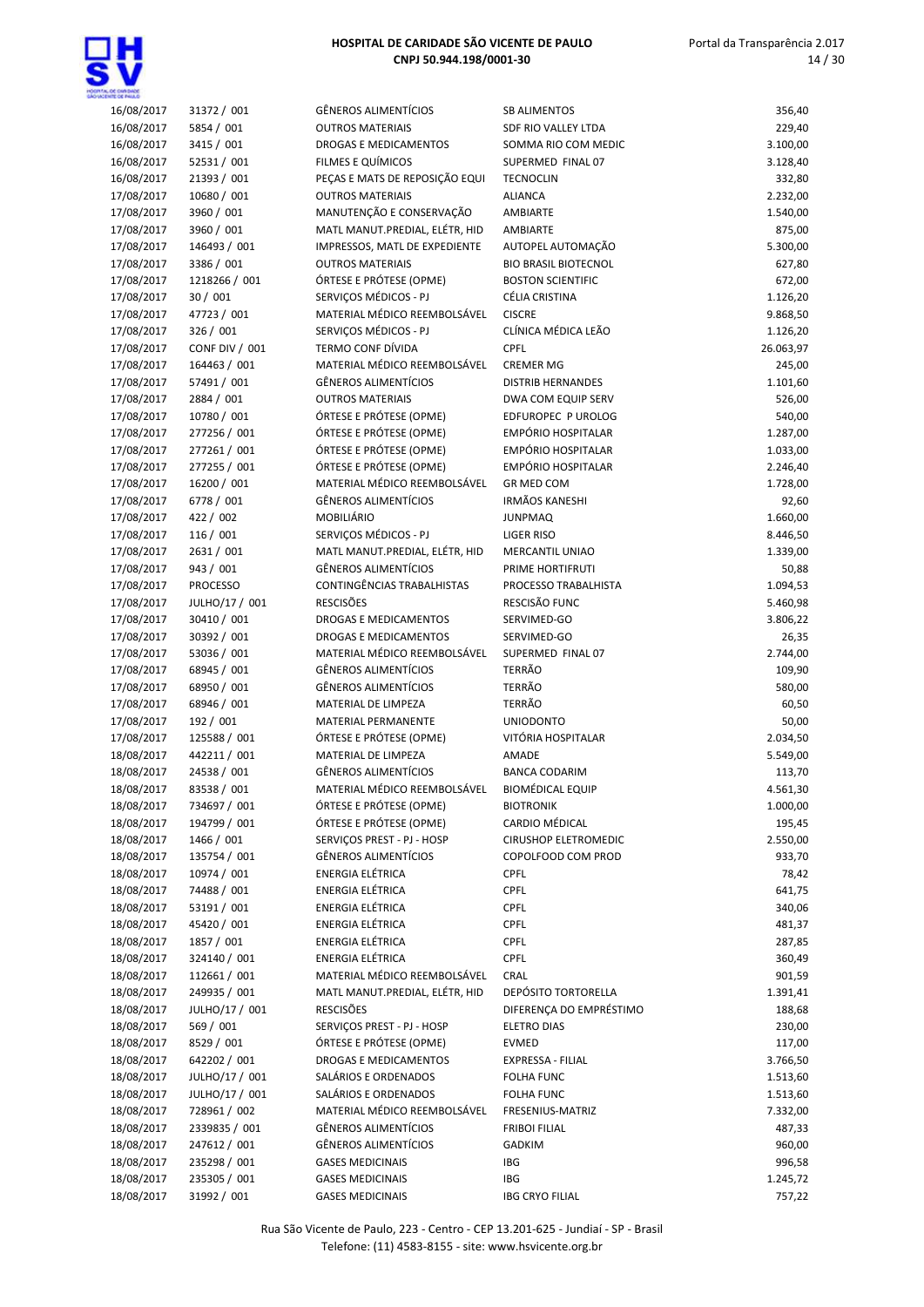

| 16/08/2017 | 31372 / 001           | <b>GÊNEROS ALIMENTÍCIOS</b>    | <b>SB ALIMENTOS</b>         | 356,40    |
|------------|-----------------------|--------------------------------|-----------------------------|-----------|
| 16/08/2017 | 5854 / 001            | <b>OUTROS MATERIAIS</b>        | SDF RIO VALLEY LTDA         | 229,40    |
| 16/08/2017 | 3415 / 001            | DROGAS E MEDICAMENTOS          | SOMMA RIO COM MEDIC         | 3.100,00  |
| 16/08/2017 | 52531 / 001           | FILMES E QUÍMICOS              | SUPERMED FINAL 07           | 3.128,40  |
| 16/08/2017 | 21393 / 001           | PEÇAS E MATS DE REPOSIÇÃO EQUI | <b>TECNOCLIN</b>            | 332,80    |
| 17/08/2017 | 10680 / 001           | <b>OUTROS MATERIAIS</b>        | <b>ALIANCA</b>              | 2.232,00  |
| 17/08/2017 | 3960 / 001            | MANUTENÇÃO E CONSERVAÇÃO       | AMBIARTE                    | 1.540,00  |
| 17/08/2017 | 3960 / 001            | MATL MANUT.PREDIAL, ELÉTR, HID | AMBIARTE                    | 875,00    |
| 17/08/2017 | 146493 / 001          | IMPRESSOS, MATL DE EXPEDIENTE  | AUTOPEL AUTOMAÇÃO           | 5.300,00  |
| 17/08/2017 | 3386 / 001            | <b>OUTROS MATERIAIS</b>        | <b>BIO BRASIL BIOTECNOL</b> | 627,80    |
| 17/08/2017 | 1218266 / 001         | ÓRTESE E PRÓTESE (OPME)        | <b>BOSTON SCIENTIFIC</b>    | 672,00    |
| 17/08/2017 | 30 / 001              | SERVIÇOS MÉDICOS - PJ          | CÉLIA CRISTINA              | 1.126,20  |
| 17/08/2017 | 47723 / 001           | MATERIAL MÉDICO REEMBOLSÁVEL   | <b>CISCRE</b>               | 9.868,50  |
| 17/08/2017 | 326 / 001             | SERVIÇOS MÉDICOS - PJ          | CLÍNICA MÉDICA LEÃO         | 1.126,20  |
| 17/08/2017 | <b>CONF DIV / 001</b> | TERMO CONF DÍVIDA              | <b>CPFL</b>                 | 26.063,97 |
| 17/08/2017 | 164463 / 001          | MATERIAL MÉDICO REEMBOLSÁVEL   | <b>CREMER MG</b>            | 245,00    |
| 17/08/2017 | 57491 / 001           | <b>GÊNEROS ALIMENTÍCIOS</b>    | <b>DISTRIB HERNANDES</b>    | 1.101,60  |
| 17/08/2017 | 2884 / 001            | <b>OUTROS MATERIAIS</b>        | DWA COM EQUIP SERV          | 526,00    |
| 17/08/2017 | 10780 / 001           | ÓRTESE E PRÓTESE (OPME)        | EDFUROPEC P UROLOG          | 540,00    |
| 17/08/2017 | 277256 / 001          | ÓRTESE E PRÓTESE (OPME)        | EMPÓRIO HOSPITALAR          | 1.287,00  |
| 17/08/2017 | 277261 / 001          | ÓRTESE E PRÓTESE (OPME)        | EMPÓRIO HOSPITALAR          | 1.033,00  |
| 17/08/2017 | 277255 / 001          | ÓRTESE E PRÓTESE (OPME)        | EMPÓRIO HOSPITALAR          | 2.246,40  |
| 17/08/2017 | 16200 / 001           | MATERIAL MÉDICO REEMBOLSÁVEL   | <b>GR MED COM</b>           | 1.728,00  |
| 17/08/2017 | 6778 / 001            | <b>GÊNEROS ALIMENTÍCIOS</b>    | <b>IRMÃOS KANESHI</b>       | 92,60     |
| 17/08/2017 | 422 / 002             | <b>MOBILIÁRIO</b>              | <b>JUNPMAQ</b>              | 1.660,00  |
| 17/08/2017 | 116 / 001             | SERVIÇOS MÉDICOS - PJ          | <b>LIGER RISO</b>           | 8.446,50  |
| 17/08/2017 | 2631 / 001            | MATL MANUT.PREDIAL, ELÉTR, HID | MERCANTIL UNIAO             | 1.339,00  |
| 17/08/2017 | 943 / 001             | <b>GÊNEROS ALIMENTÍCIOS</b>    | PRIME HORTIFRUTI            | 50,88     |
| 17/08/2017 | <b>PROCESSO</b>       | CONTINGÊNCIAS TRABALHISTAS     | PROCESSO TRABALHISTA        | 1.094,53  |
| 17/08/2017 | JULHO/17 / 001        | <b>RESCISÕES</b>               | RESCISÃO FUNC               | 5.460,98  |
| 17/08/2017 | 30410 / 001           | DROGAS E MEDICAMENTOS          | SERVIMED-GO                 | 3.806,22  |
| 17/08/2017 | 30392 / 001           | DROGAS E MEDICAMENTOS          | SERVIMED-GO                 | 26,35     |
| 17/08/2017 | 53036 / 001           | MATERIAL MÉDICO REEMBOLSÁVEL   | SUPERMED FINAL 07           | 2.744,00  |
| 17/08/2017 | 68945 / 001           | <b>GÊNEROS ALIMENTÍCIOS</b>    | <b>TERRÃO</b>               | 109,90    |
| 17/08/2017 | 68950 / 001           | <b>GÊNEROS ALIMENTÍCIOS</b>    | <b>TERRÃO</b>               | 580,00    |
| 17/08/2017 | 68946 / 001           | MATERIAL DE LIMPEZA            | <b>TERRÃO</b>               | 60,50     |
| 17/08/2017 | 192 / 001             | MATERIAL PERMANENTE            | <b>UNIODONTO</b>            | 50,00     |
| 17/08/2017 | 125588 / 001          | ÓRTESE E PRÓTESE (OPME)        | VITÓRIA HOSPITALAR          | 2.034,50  |
| 18/08/2017 | 442211 / 001          | MATERIAL DE LIMPEZA            | AMADE                       | 5.549,00  |
| 18/08/2017 | 24538 / 001           | <b>GÊNEROS ALIMENTÍCIOS</b>    | <b>BANCA CODARIM</b>        | 113,70    |
| 18/08/2017 | 83538 / 001           | MATERIAL MÉDICO REEMBOLSÁVEL   | <b>BIOMÉDICAL EQUIP</b>     | 4.561,30  |
| 18/08/2017 | 734697 / 001          | ÓRTESE E PRÓTESE (OPME)        | <b>BIOTRONIK</b>            | 1.000,00  |
| 18/08/2017 | 194799 / 001          | ÓRTESE E PRÓTESE (OPME)        | CARDIO MÉDICAL              | 195,45    |
| 18/08/2017 | 1466 / 001            | SERVICOS PREST - PJ - HOSP     | <b>CIRUSHOP ELETROMEDIC</b> | 2.550,00  |
| 18/08/2017 | 135754 / 001          | <b>GÊNEROS ALIMENTÍCIOS</b>    | COPOLFOOD COM PROD          | 933,70    |
| 18/08/2017 | 10974 / 001           | <b>ENERGIA ELÉTRICA</b>        | <b>CPFL</b>                 | 78,42     |
| 18/08/2017 | 74488 / 001           | <b>ENERGIA ELÉTRICA</b>        | <b>CPFL</b>                 | 641,75    |
| 18/08/2017 | 53191 / 001           | <b>ENERGIA ELÉTRICA</b>        | <b>CPFL</b>                 | 340,06    |
| 18/08/2017 | 45420 / 001           | <b>ENERGIA ELÉTRICA</b>        | <b>CPFL</b>                 | 481,37    |
| 18/08/2017 | 1857 / 001            | <b>ENERGIA ELÉTRICA</b>        | <b>CPFL</b>                 | 287,85    |
| 18/08/2017 | 324140 / 001          | <b>ENERGIA ELÉTRICA</b>        | <b>CPFL</b>                 | 360,49    |
| 18/08/2017 | 112661 / 001          | MATERIAL MÉDICO REEMBOLSÁVEL   | CRAL                        | 901,59    |
| 18/08/2017 | 249935 / 001          | MATL MANUT.PREDIAL, ELÉTR, HID | DEPÓSITO TORTORELLA         | 1.391,41  |
| 18/08/2017 | JULHO/17 / 001        | <b>RESCISÕES</b>               | DIFERENÇA DO EMPRÉSTIMO     | 188,68    |
| 18/08/2017 | 569 / 001             | SERVIÇOS PREST - PJ - HOSP     | <b>ELETRO DIAS</b>          | 230,00    |
| 18/08/2017 | 8529 / 001            | ÓRTESE E PRÓTESE (OPME)        | <b>EVMED</b>                | 117,00    |
| 18/08/2017 | 642202 / 001          | DROGAS E MEDICAMENTOS          | EXPRESSA - FILIAL           | 3.766,50  |
| 18/08/2017 | JULHO/17 / 001        | SALÁRIOS E ORDENADOS           | <b>FOLHA FUNC</b>           | 1.513,60  |
| 18/08/2017 | JULHO/17 / 001        | SALÁRIOS E ORDENADOS           | FOLHA FUNC                  | 1.513,60  |
| 18/08/2017 | 728961 / 002          | MATERIAL MÉDICO REEMBOLSÁVEL   | FRESENIUS-MATRIZ            | 7.332,00  |
| 18/08/2017 | 2339835 / 001         | <b>GÊNEROS ALIMENTÍCIOS</b>    | <b>FRIBOI FILIAL</b>        | 487,33    |
| 18/08/2017 | 247612 / 001          | <b>GÊNEROS ALIMENTÍCIOS</b>    | GADKIM                      | 960,00    |
| 18/08/2017 | 235298 / 001          | <b>GASES MEDICINAIS</b>        | IBG                         | 996,58    |
| 18/08/2017 | 235305 / 001          | <b>GASES MEDICINAIS</b>        | IBG                         | 1.245,72  |
| 18/08/2017 | 31992 / 001           | <b>GASES MEDICINAIS</b>        | <b>IBG CRYO FILIAL</b>      | 757,22    |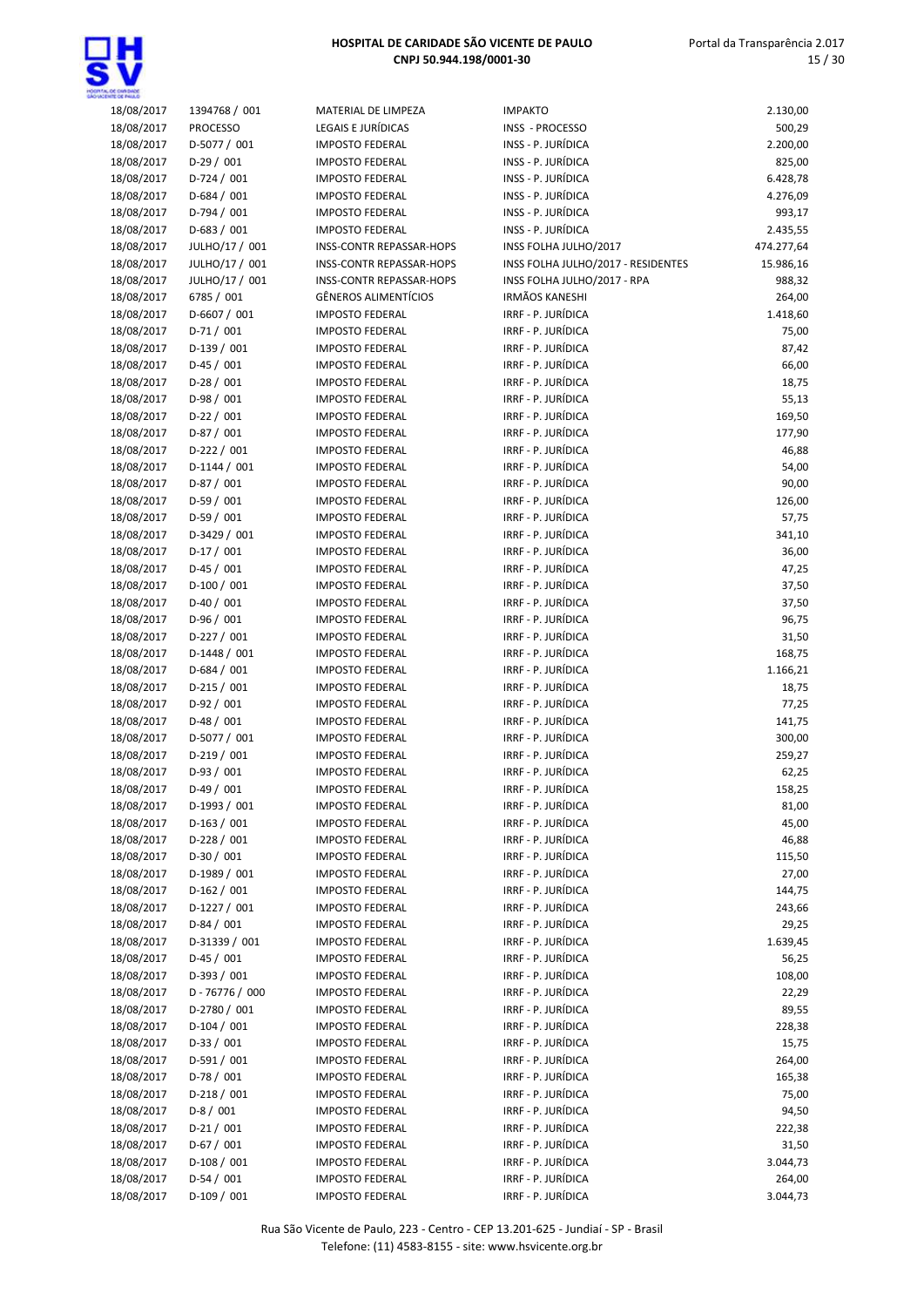

### Portal da Transparência 2.017 15 / 30

| 18/08/2017               | 1394768 / 001              | MATERIAL DE LIMPEZA                              | <b>IMPAKTO</b>                           | 2.130,00           |
|--------------------------|----------------------------|--------------------------------------------------|------------------------------------------|--------------------|
| 18/08/2017               | <b>PROCESSO</b>            | LEGAIS E JURÍDICAS                               | INSS - PROCESSO                          | 500,29             |
| 18/08/2017               | D-5077 / 001               | <b>IMPOSTO FEDERAL</b>                           | INSS - P. JURÍDICA                       | 2.200,00           |
| 18/08/2017               | $D-29/001$                 | <b>IMPOSTO FEDERAL</b>                           | INSS - P. JURÍDICA                       | 825,00             |
| 18/08/2017               | $D-724/001$                | <b>IMPOSTO FEDERAL</b>                           | INSS - P. JURÍDICA                       | 6.428,78           |
| 18/08/2017               | D-684 / 001                | <b>IMPOSTO FEDERAL</b>                           | INSS - P. JURÍDICA                       | 4.276,09           |
| 18/08/2017               | D-794 / 001                | <b>IMPOSTO FEDERAL</b>                           | INSS - P. JURÍDICA                       | 993,17             |
| 18/08/2017               | $D-683 / 001$              | <b>IMPOSTO FEDERAL</b>                           | INSS - P. JURÍDICA                       | 2.435,55           |
| 18/08/2017               | JULHO/17 / 001             | <b>INSS-CONTR REPASSAR-HOPS</b>                  | INSS FOLHA JULHO/2017                    | 474.277,64         |
| 18/08/2017               | JULHO/17 / 001             | <b>INSS-CONTR REPASSAR-HOPS</b>                  | INSS FOLHA JULHO/2017 - RESIDENTES       | 15.986,16          |
| 18/08/2017               | JULHO/17 / 001             | <b>INSS-CONTR REPASSAR-HOPS</b>                  | INSS FOLHA JULHO/2017 - RPA              | 988,32             |
| 18/08/2017               | 6785 / 001                 | <b>GÊNEROS ALIMENTÍCIOS</b>                      | <b>IRMÃOS KANESHI</b>                    | 264,00             |
| 18/08/2017               | D-6607 / 001               | <b>IMPOSTO FEDERAL</b>                           | IRRF - P. JURÍDICA                       | 1.418,60           |
| 18/08/2017               | $D-71/001$                 | <b>IMPOSTO FEDERAL</b>                           | IRRF - P. JURÍDICA                       | 75,00              |
| 18/08/2017               | $D-139/001$                | <b>IMPOSTO FEDERAL</b>                           | IRRF - P. JURÍDICA                       | 87,42              |
| 18/08/2017               | $D-45/001$                 | <b>IMPOSTO FEDERAL</b>                           | IRRF - P. JURÍDICA                       | 66,00              |
| 18/08/2017               | $D-28/001$                 | <b>IMPOSTO FEDERAL</b>                           | IRRF - P. JURÍDICA                       | 18,75              |
| 18/08/2017               | $D-98/001$                 | <b>IMPOSTO FEDERAL</b>                           | IRRF - P. JURÍDICA                       | 55,13              |
| 18/08/2017               | $D-22/001$                 | <b>IMPOSTO FEDERAL</b>                           | IRRF - P. JURÍDICA                       | 169,50             |
| 18/08/2017               | $D-87/001$                 | <b>IMPOSTO FEDERAL</b>                           | IRRF - P. JURÍDICA                       | 177,90             |
| 18/08/2017               | $D-222 / 001$              | <b>IMPOSTO FEDERAL</b>                           | IRRF - P. JURÍDICA                       | 46,88              |
| 18/08/2017               | $D-1144 / 001$             | <b>IMPOSTO FEDERAL</b>                           | IRRF - P. JURÍDICA                       | 54,00              |
| 18/08/2017               | $D-87/001$                 | <b>IMPOSTO FEDERAL</b>                           | IRRF - P. JURÍDICA                       | 90,00              |
| 18/08/2017               | $D-59/001$                 | <b>IMPOSTO FEDERAL</b>                           | IRRF - P. JURÍDICA                       | 126,00             |
| 18/08/2017               | $D-59/001$                 | <b>IMPOSTO FEDERAL</b>                           | IRRF - P. JURÍDICA                       | 57,75              |
| 18/08/2017               | D-3429 / 001<br>$D-17/001$ | <b>IMPOSTO FEDERAL</b><br><b>IMPOSTO FEDERAL</b> | IRRF - P. JURÍDICA<br>IRRF - P. JURÍDICA | 341,10<br>36,00    |
| 18/08/2017<br>18/08/2017 | $D-45/001$                 | <b>IMPOSTO FEDERAL</b>                           | IRRF - P. JURÍDICA                       | 47,25              |
| 18/08/2017               | $D-100/001$                | <b>IMPOSTO FEDERAL</b>                           | IRRF - P. JURÍDICA                       | 37,50              |
| 18/08/2017               | $D-40/001$                 | <b>IMPOSTO FEDERAL</b>                           | IRRF - P. JURÍDICA                       | 37,50              |
| 18/08/2017               | $D-96/001$                 | <b>IMPOSTO FEDERAL</b>                           | IRRF - P. JURÍDICA                       | 96,75              |
| 18/08/2017               | $D-227/001$                | <b>IMPOSTO FEDERAL</b>                           | IRRF - P. JURÍDICA                       | 31,50              |
| 18/08/2017               | $D-1448/001$               | <b>IMPOSTO FEDERAL</b>                           | IRRF - P. JURÍDICA                       | 168,75             |
| 18/08/2017               | $D-684 / 001$              | <b>IMPOSTO FEDERAL</b>                           | IRRF - P. JURÍDICA                       | 1.166,21           |
| 18/08/2017               | $D-215/001$                | <b>IMPOSTO FEDERAL</b>                           | IRRF - P. JURÍDICA                       | 18,75              |
| 18/08/2017               | $D-92/001$                 | <b>IMPOSTO FEDERAL</b>                           | IRRF - P. JURÍDICA                       | 77,25              |
| 18/08/2017               | $D-48/001$                 | <b>IMPOSTO FEDERAL</b>                           | IRRF - P. JURÍDICA                       | 141,75             |
| 18/08/2017               | D-5077 / 001               | <b>IMPOSTO FEDERAL</b>                           | IRRF - P. JURÍDICA                       | 300,00             |
| 18/08/2017               | $D-219/001$                | <b>IMPOSTO FEDERAL</b>                           | IRRF - P. JURÍDICA                       | 259,27             |
| 18/08/2017               | $D-93/001$                 | <b>IMPOSTO FEDERAL</b>                           | IRRF - P. JURÍDICA                       | 62,25              |
| 18/08/2017               | $D-49/001$                 | <b>IMPOSTO FEDERAL</b>                           | IRRF - P. JURÍDICA                       | 158,25             |
| 18/08/2017               | D-1993 / 001               | <b>IMPOSTO FEDERAL</b>                           | IRRF - P. JURÍDICA                       | 81,00              |
| 18/08/2017               | $D-163 / 001$              | <b>IMPOSTO FEDERAL</b>                           | IRRF - P. JURÍDICA                       | 45,00              |
| 18/08/2017               | $D-228/001$                | <b>IMPOSTO FEDERAL</b>                           | IRRF - P. JURÍDICA                       | 46,88              |
| 18/08/2017               | $D-30/001$                 | <b>IMPOSTO FEDERAL</b>                           | IRRF - P. JURÍDICA                       | 115,50             |
| 18/08/2017               | D-1989 / 001               | <b>IMPOSTO FEDERAL</b>                           | IRRF - P. JURÍDICA                       | 27,00              |
| 18/08/2017               | $D-162 / 001$              | <b>IMPOSTO FEDERAL</b>                           | IRRF - P. JURÍDICA                       | 144,75             |
| 18/08/2017               | $D-1227/001$               | <b>IMPOSTO FEDERAL</b>                           | IRRF - P. JURÍDICA                       | 243,66             |
| 18/08/2017               | $D-84/001$                 | <b>IMPOSTO FEDERAL</b>                           | IRRF - P. JURÍDICA                       | 29,25              |
| 18/08/2017               | D-31339 / 001              | <b>IMPOSTO FEDERAL</b>                           | IRRF - P. JURÍDICA                       | 1.639,45           |
| 18/08/2017               | $D-45/001$                 | <b>IMPOSTO FEDERAL</b>                           | IRRF - P. JURÍDICA                       | 56,25              |
| 18/08/2017               | D-393 / 001                | <b>IMPOSTO FEDERAL</b>                           | IRRF - P. JURÍDICA                       | 108,00             |
| 18/08/2017               | D-76776 / 000              | <b>IMPOSTO FEDERAL</b>                           | IRRF - P. JURÍDICA                       | 22,29              |
| 18/08/2017               | D-2780 / 001               | <b>IMPOSTO FEDERAL</b>                           | IRRF - P. JURÍDICA                       | 89,55              |
| 18/08/2017               | $D-104/001$                | <b>IMPOSTO FEDERAL</b>                           | IRRF - P. JURÍDICA                       | 228,38             |
| 18/08/2017               | $D-33 / 001$               | <b>IMPOSTO FEDERAL</b>                           | IRRF - P. JURÍDICA                       | 15,75              |
| 18/08/2017               | $D-591/001$                | <b>IMPOSTO FEDERAL</b>                           | IRRF - P. JURÍDICA                       | 264,00             |
| 18/08/2017               | $D-78/001$                 | <b>IMPOSTO FEDERAL</b>                           | IRRF - P. JURÍDICA                       | 165,38             |
| 18/08/2017               | $D-218/001$                | <b>IMPOSTO FEDERAL</b>                           | IRRF - P. JURÍDICA                       | 75,00              |
| 18/08/2017               | $D-8/001$                  | <b>IMPOSTO FEDERAL</b>                           | IRRF - P. JURÍDICA                       | 94,50              |
| 18/08/2017               | $D-21/001$                 | <b>IMPOSTO FEDERAL</b>                           | IRRF - P. JURÍDICA                       | 222,38             |
| 18/08/2017               | $D-67/001$<br>$D-108/001$  | <b>IMPOSTO FEDERAL</b>                           | IRRF - P. JURÍDICA<br>IRRF - P. JURÍDICA | 31,50              |
| 18/08/2017<br>18/08/2017 | $D-54/001$                 | <b>IMPOSTO FEDERAL</b><br><b>IMPOSTO FEDERAL</b> | IRRF - P. JURÍDICA                       | 3.044,73<br>264,00 |
| 18/08/2017               | $D-109/001$                | <b>IMPOSTO FEDERAL</b>                           | IRRF - P. JURÍDICA                       | 3.044,73           |
|                          |                            |                                                  |                                          |                    |

Rua São Vicente de Paulo, 223 - Centro - CEP 13.201-625 - Jundiaí - SP - Brasil Telefone: (11) 4583-8155 - site: www.hsvicente.org.br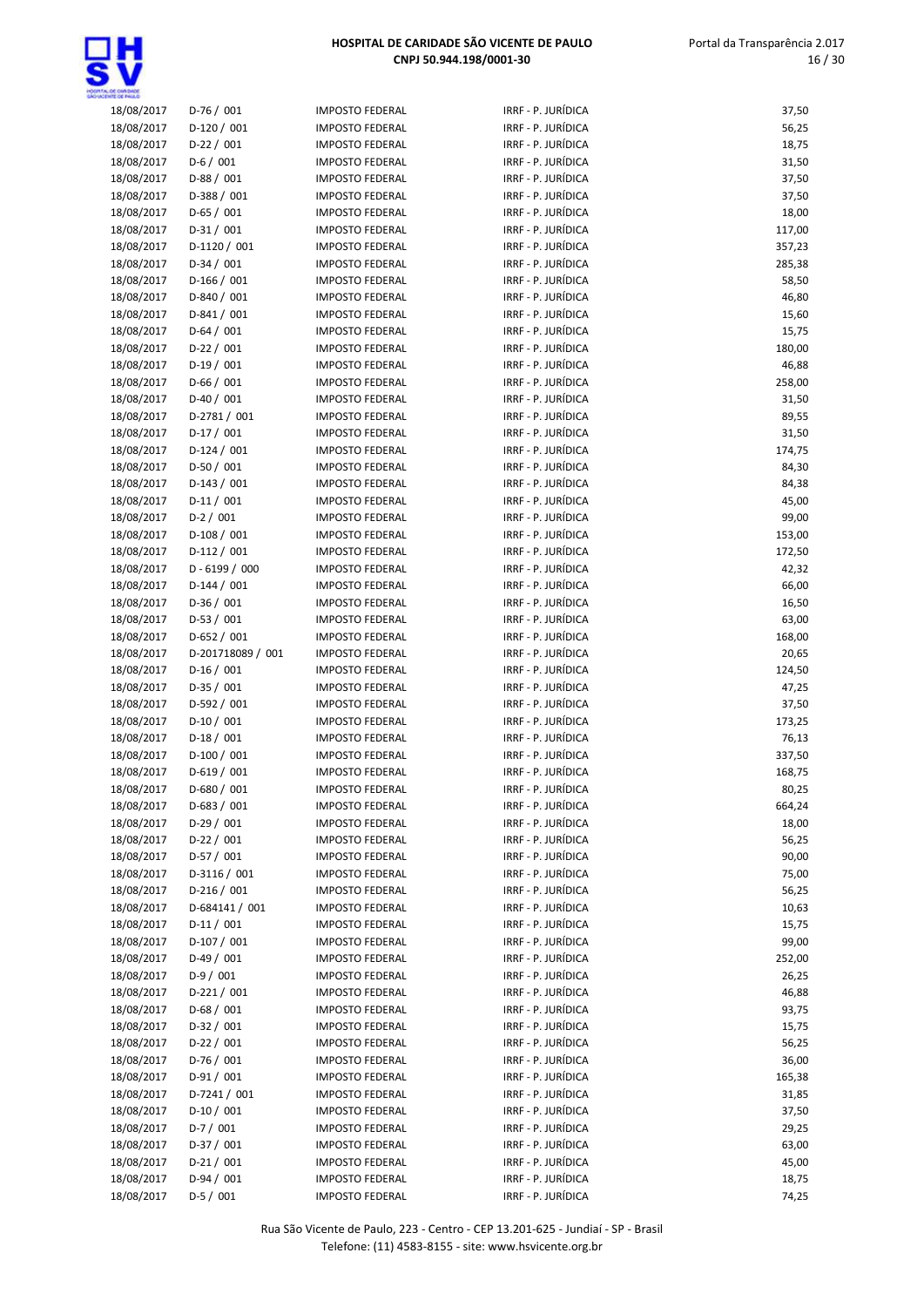

| 18/08/2017               | $D-76/001$                 | <b>IMPOSTO FEDERAL</b>                           | IRRF - P. JURÍDICA                       | 37,50           |
|--------------------------|----------------------------|--------------------------------------------------|------------------------------------------|-----------------|
| 18/08/2017               | $D-120/001$                | <b>IMPOSTO FEDERAL</b>                           | IRRF - P. JURÍDICA                       | 56,25           |
| 18/08/2017               | $D-22 / 001$               | <b>IMPOSTO FEDERAL</b>                           | IRRF - P. JURÍDICA                       | 18,75           |
| 18/08/2017               | $D-6/001$                  | <b>IMPOSTO FEDERAL</b>                           | IRRF - P. JURÍDICA                       | 31,50           |
| 18/08/2017               | $D-88/001$                 | <b>IMPOSTO FEDERAL</b>                           | IRRF - P. JURÍDICA                       | 37,50           |
| 18/08/2017               | $D-388 / 001$              | <b>IMPOSTO FEDERAL</b>                           | IRRF - P. JURÍDICA                       | 37,50           |
| 18/08/2017               | $D-65/001$                 | <b>IMPOSTO FEDERAL</b>                           | IRRF - P. JURÍDICA                       | 18,00           |
| 18/08/2017               | $D-31/001$                 | <b>IMPOSTO FEDERAL</b>                           | IRRF - P. JURÍDICA                       | 117,00          |
| 18/08/2017               | $D-1120/001$               | <b>IMPOSTO FEDERAL</b>                           | IRRF - P. JURÍDICA                       | 357,23          |
| 18/08/2017               | $D-34/001$                 | <b>IMPOSTO FEDERAL</b>                           | IRRF - P. JURÍDICA                       | 285,38          |
| 18/08/2017               | $D-166/001$                | <b>IMPOSTO FEDERAL</b>                           | IRRF - P. JURÍDICA                       | 58,50           |
| 18/08/2017               | D-840 / 001                | <b>IMPOSTO FEDERAL</b>                           | IRRF - P. JURÍDICA                       | 46,80           |
| 18/08/2017               | $D-841/001$                | <b>IMPOSTO FEDERAL</b>                           | IRRF - P. JURÍDICA                       | 15,60           |
| 18/08/2017               | $D-64/001$                 | <b>IMPOSTO FEDERAL</b>                           | IRRF - P. JURÍDICA                       | 15,75           |
| 18/08/2017               | $D-22/001$                 | <b>IMPOSTO FEDERAL</b>                           | IRRF - P. JURÍDICA                       | 180,00          |
| 18/08/2017               | $D-19/001$                 | <b>IMPOSTO FEDERAL</b>                           | IRRF - P. JURÍDICA                       | 46,88           |
| 18/08/2017               | $D-66/001$                 | <b>IMPOSTO FEDERAL</b>                           | IRRF - P. JURÍDICA                       | 258,00          |
| 18/08/2017               | $D-40/001$                 | <b>IMPOSTO FEDERAL</b>                           | IRRF - P. JURÍDICA                       | 31,50           |
| 18/08/2017               | D-2781 / 001               | <b>IMPOSTO FEDERAL</b>                           | IRRF - P. JURÍDICA                       | 89,55           |
| 18/08/2017               | $D-17/001$                 | <b>IMPOSTO FEDERAL</b>                           | IRRF - P. JURÍDICA                       | 31,50           |
| 18/08/2017               | $D-124/001$                | <b>IMPOSTO FEDERAL</b>                           | IRRF - P. JURÍDICA                       | 174,75          |
| 18/08/2017               | $D-50/001$                 | <b>IMPOSTO FEDERAL</b>                           | IRRF - P. JURÍDICA                       | 84,30           |
| 18/08/2017               | $D-143 / 001$              | <b>IMPOSTO FEDERAL</b>                           | IRRF - P. JURÍDICA                       | 84,38           |
| 18/08/2017               | $D-11/001$                 | <b>IMPOSTO FEDERAL</b>                           | IRRF - P. JURÍDICA                       | 45,00           |
| 18/08/2017               | $D-2/001$                  | <b>IMPOSTO FEDERAL</b>                           | IRRF - P. JURÍDICA                       | 99,00           |
| 18/08/2017               | $D-108/001$                | <b>IMPOSTO FEDERAL</b>                           | IRRF - P. JURÍDICA                       | 153,00          |
| 18/08/2017               | $D-112/001$                | <b>IMPOSTO FEDERAL</b>                           | IRRF - P. JURÍDICA                       | 172,50          |
| 18/08/2017               | D-6199 / 000               | <b>IMPOSTO FEDERAL</b>                           | IRRF - P. JURÍDICA                       | 42,32           |
| 18/08/2017               | $D-144 / 001$              | <b>IMPOSTO FEDERAL</b>                           | IRRF - P. JURÍDICA                       | 66,00           |
| 18/08/2017               | $D-36/001$                 | <b>IMPOSTO FEDERAL</b>                           | IRRF - P. JURÍDICA                       | 16,50           |
| 18/08/2017               | $D-53/001$                 | <b>IMPOSTO FEDERAL</b>                           | IRRF - P. JURÍDICA                       | 63,00           |
| 18/08/2017               | $D-652 / 001$              | <b>IMPOSTO FEDERAL</b>                           | IRRF - P. JURÍDICA                       | 168,00          |
| 18/08/2017               | D-201718089 / 001          | <b>IMPOSTO FEDERAL</b>                           | IRRF - P. JURÍDICA                       | 20,65           |
| 18/08/2017               | $D-16/001$                 | <b>IMPOSTO FEDERAL</b>                           | IRRF - P. JURÍDICA                       | 124,50          |
| 18/08/2017               | $D-35/001$                 | <b>IMPOSTO FEDERAL</b>                           | IRRF - P. JURÍDICA                       | 47,25           |
| 18/08/2017               | $D-592 / 001$              | <b>IMPOSTO FEDERAL</b>                           | IRRF - P. JURÍDICA                       | 37,50           |
| 18/08/2017               | $D-10/001$                 | <b>IMPOSTO FEDERAL</b>                           | IRRF - P. JURÍDICA                       | 173,25          |
| 18/08/2017               | $D-18/001$                 | <b>IMPOSTO FEDERAL</b>                           | IRRF - P. JURÍDICA                       | 76,13           |
| 18/08/2017               | $D-100/001$                | <b>IMPOSTO FEDERAL</b>                           | IRRF - P. JURÍDICA                       | 337,50          |
| 18/08/2017               | $D-619/001$                | <b>IMPOSTO FEDERAL</b>                           | IRRF - P. JURÍDICA                       | 168,75          |
| 18/08/2017               | $D-680 / 001$              | <b>IMPOSTO FEDERAL</b>                           | IRRF - P. JURÍDICA                       | 80,25           |
| 18/08/2017               | $D-683 / 001$              | <b>IMPOSTO FEDERAL</b>                           | IRRF - P. JURÍDICA                       | 664,24          |
| 18/08/2017               | $D-29/001$                 | <b>IMPOSTO FEDERAL</b>                           | IRRF - P. JURÍDICA                       | 18,00           |
| 18/08/2017               | $D-22/001$                 | <b>IMPOSTO FEDERAL</b>                           | IRRF - P. JURÍDICA                       | 56,25           |
| 18/08/2017               | $D-57/001$                 | <b>IMPOSTO FEDERAL</b>                           | IRRF - P. JURÍDICA                       | 90,00           |
| 18/08/2017               | $D-3116 / 001$             | <b>IMPOSTO FEDERAL</b>                           | IRRF - P. JURÍDICA                       | 75,00           |
| 18/08/2017               | $D-216/001$                | <b>IMPOSTO FEDERAL</b>                           | IRRF - P. JURÍDICA                       | 56,25           |
| 18/08/2017               | D-684141 / 001             | <b>IMPOSTO FEDERAL</b>                           | IRRF - P. JURÍDICA                       | 10,63           |
| 18/08/2017               | $D-11/001$                 | <b>IMPOSTO FEDERAL</b>                           | IRRF - P. JURÍDICA                       | 15,75           |
| 18/08/2017               | $D-107/001$                | <b>IMPOSTO FEDERAL</b>                           | IRRF - P. JURÍDICA                       | 99,00           |
| 18/08/2017               | $D-49/001$                 | <b>IMPOSTO FEDERAL</b>                           | IRRF - P. JURÍDICA                       | 252,00          |
| 18/08/2017               | $D-9/001$                  | <b>IMPOSTO FEDERAL</b>                           | IRRF - P. JURÍDICA                       | 26,25           |
| 18/08/2017               | $D-221/001$                | <b>IMPOSTO FEDERAL</b>                           | IRRF - P. JURÍDICA<br>IRRF - P. JURÍDICA | 46,88           |
| 18/08/2017               | $D-68/001$                 | <b>IMPOSTO FEDERAL</b>                           | IRRF - P. JURÍDICA                       | 93,75           |
| 18/08/2017               | $D-32 / 001$               | <b>IMPOSTO FEDERAL</b>                           |                                          | 15,75           |
| 18/08/2017<br>18/08/2017 | $D-22 / 001$<br>$D-76/001$ | <b>IMPOSTO FEDERAL</b><br><b>IMPOSTO FEDERAL</b> | IRRF - P. JURÍDICA<br>IRRF - P. JURÍDICA | 56,25           |
| 18/08/2017               | $D-91/001$                 | <b>IMPOSTO FEDERAL</b>                           | IRRF - P. JURÍDICA                       | 36,00<br>165,38 |
| 18/08/2017               | $D-7241/001$               | <b>IMPOSTO FEDERAL</b>                           | IRRF - P. JURÍDICA                       | 31,85           |
| 18/08/2017               | $D-10/001$                 | <b>IMPOSTO FEDERAL</b>                           | IRRF - P. JURÍDICA                       | 37,50           |
| 18/08/2017               | $D-7/001$                  | <b>IMPOSTO FEDERAL</b>                           | IRRF - P. JURÍDICA                       | 29,25           |
| 18/08/2017               | $D-37/001$                 | <b>IMPOSTO FEDERAL</b>                           | IRRF - P. JURÍDICA                       | 63,00           |
| 18/08/2017               | $D-21/001$                 | <b>IMPOSTO FEDERAL</b>                           | IRRF - P. JURÍDICA                       | 45,00           |
| 18/08/2017               | $D-94/001$                 | <b>IMPOSTO FEDERAL</b>                           | IRRF - P. JURÍDICA                       | 18,75           |
| 18/08/2017               | $D-5/001$                  | <b>IMPOSTO FEDERAL</b>                           | IRRF - P. JURÍDICA                       | 74,25           |
|                          |                            |                                                  |                                          |                 |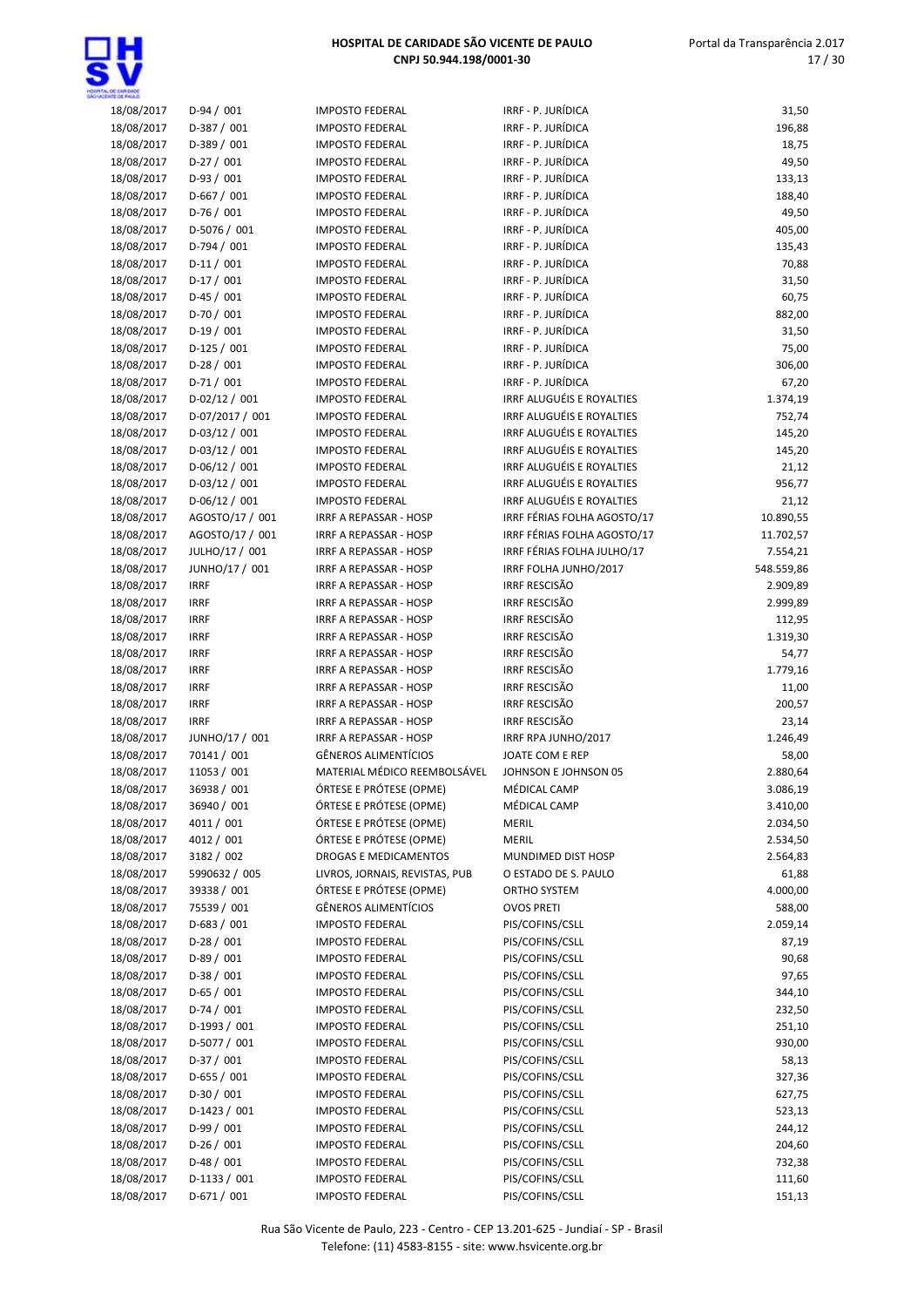

| JL OC ENRONCE<br>HNTE OE PAIA O |                              |                                                        |                                          |                    |
|---------------------------------|------------------------------|--------------------------------------------------------|------------------------------------------|--------------------|
| 18/08/2017                      | $D-94/001$                   | <b>IMPOSTO FEDERAL</b>                                 | IRRF - P. JURÍDICA                       | 31,50              |
| 18/08/2017                      | $D-387/001$                  | <b>IMPOSTO FEDERAL</b>                                 | IRRF - P. JURÍDICA                       | 196,88             |
| 18/08/2017                      | D-389 / 001                  | <b>IMPOSTO FEDERAL</b>                                 | IRRF - P. JURÍDICA                       | 18,75              |
| 18/08/2017                      | $D-27/001$                   | <b>IMPOSTO FEDERAL</b>                                 | IRRF - P. JURÍDICA                       | 49,50              |
| 18/08/2017                      | $D-93/001$                   | <b>IMPOSTO FEDERAL</b>                                 | IRRF - P. JURÍDICA                       | 133,13             |
| 18/08/2017                      | $D-667/001$                  | <b>IMPOSTO FEDERAL</b>                                 | IRRF - P. JURÍDICA                       | 188,40             |
| 18/08/2017                      | $D-76/001$                   | <b>IMPOSTO FEDERAL</b>                                 | IRRF - P. JURÍDICA                       | 49,50              |
| 18/08/2017                      | D-5076 / 001                 | <b>IMPOSTO FEDERAL</b>                                 | IRRF - P. JURÍDICA                       | 405,00             |
| 18/08/2017<br>18/08/2017        | D-794 / 001                  | <b>IMPOSTO FEDERAL</b>                                 | IRRF - P. JURÍDICA<br>IRRF - P. JURÍDICA | 135,43             |
| 18/08/2017                      | $D-11/001$<br>$D-17/001$     | <b>IMPOSTO FEDERAL</b><br><b>IMPOSTO FEDERAL</b>       | IRRF - P. JURÍDICA                       | 70,88<br>31,50     |
| 18/08/2017                      | $D-45/001$                   | <b>IMPOSTO FEDERAL</b>                                 | IRRF - P. JURÍDICA                       | 60,75              |
| 18/08/2017                      | $D-70/001$                   | <b>IMPOSTO FEDERAL</b>                                 | IRRF - P. JURÍDICA                       | 882,00             |
| 18/08/2017                      | $D-19/001$                   | <b>IMPOSTO FEDERAL</b>                                 | IRRF - P. JURÍDICA                       | 31,50              |
| 18/08/2017                      | $D-125/001$                  | <b>IMPOSTO FEDERAL</b>                                 | IRRF - P. JURÍDICA                       | 75,00              |
| 18/08/2017                      | $D-28/001$                   | <b>IMPOSTO FEDERAL</b>                                 | IRRF - P. JURÍDICA                       | 306,00             |
| 18/08/2017                      | $D-71/001$                   | <b>IMPOSTO FEDERAL</b>                                 | IRRF - P. JURÍDICA                       | 67,20              |
| 18/08/2017                      | $D-02/12/001$                | <b>IMPOSTO FEDERAL</b>                                 | IRRF ALUGUÉIS E ROYALTIES                | 1.374,19           |
| 18/08/2017                      | D-07/2017 / 001              | <b>IMPOSTO FEDERAL</b>                                 | IRRF ALUGUÉIS E ROYALTIES                | 752,74             |
| 18/08/2017                      | $D-03/12/001$                | <b>IMPOSTO FEDERAL</b>                                 | IRRF ALUGUÉIS E ROYALTIES                | 145,20             |
| 18/08/2017                      | $D-03/12/001$                | <b>IMPOSTO FEDERAL</b>                                 | IRRF ALUGUÉIS E ROYALTIES                | 145,20             |
| 18/08/2017                      | $D-06/12 / 001$              | <b>IMPOSTO FEDERAL</b>                                 | IRRF ALUGUÉIS E ROYALTIES                | 21,12              |
| 18/08/2017                      | $D-03/12/001$                | <b>IMPOSTO FEDERAL</b>                                 | IRRF ALUGUÉIS E ROYALTIES                | 956,77             |
| 18/08/2017                      | $D-06/12/001$                | <b>IMPOSTO FEDERAL</b>                                 | IRRF ALUGUÉIS E ROYALTIES                | 21,12              |
| 18/08/2017                      | AGOSTO/17 / 001              | IRRF A REPASSAR - HOSP                                 | IRRF FÉRIAS FOLHA AGOSTO/17              | 10.890,55          |
| 18/08/2017                      | AGOSTO/17 / 001              | <b>IRRF A REPASSAR - HOSP</b>                          | IRRF FÉRIAS FOLHA AGOSTO/17              | 11.702,57          |
| 18/08/2017                      | JULHO/17 / 001               | IRRF A REPASSAR - HOSP                                 | IRRF FÉRIAS FOLHA JULHO/17               | 7.554,21           |
| 18/08/2017                      | JUNHO/17 / 001               | IRRF A REPASSAR - HOSP                                 | IRRF FOLHA JUNHO/2017                    | 548.559,86         |
| 18/08/2017                      | <b>IRRF</b>                  | IRRF A REPASSAR - HOSP                                 | <b>IRRF RESCISÃO</b>                     | 2.909,89           |
| 18/08/2017                      | <b>IRRF</b>                  | IRRF A REPASSAR - HOSP                                 | <b>IRRF RESCISÃO</b>                     | 2.999,89           |
| 18/08/2017                      | <b>IRRF</b>                  | IRRF A REPASSAR - HOSP                                 | <b>IRRF RESCISÃO</b>                     | 112,95             |
| 18/08/2017                      | <b>IRRF</b>                  | IRRF A REPASSAR - HOSP                                 | <b>IRRF RESCISÃO</b>                     | 1.319,30           |
| 18/08/2017                      | <b>IRRF</b>                  | IRRF A REPASSAR - HOSP                                 | <b>IRRF RESCISÃO</b>                     | 54,77              |
| 18/08/2017                      | <b>IRRF</b>                  | IRRF A REPASSAR - HOSP                                 | <b>IRRF RESCISÃO</b>                     | 1.779,16           |
| 18/08/2017                      | <b>IRRF</b>                  | IRRF A REPASSAR - HOSP                                 | <b>IRRF RESCISÃO</b>                     | 11,00              |
| 18/08/2017                      | <b>IRRF</b>                  | IRRF A REPASSAR - HOSP                                 | <b>IRRF RESCISÃO</b>                     | 200,57             |
| 18/08/2017                      | <b>IRRF</b>                  | IRRF A REPASSAR - HOSP                                 | <b>IRRF RESCISÃO</b>                     | 23,14              |
| 18/08/2017                      | JUNHO/17 / 001               | IRRF A REPASSAR - HOSP                                 | IRRF RPA JUNHO/2017                      | 1.246,49           |
| 18/08/2017                      | 70141 / 001                  | <b>GÊNEROS ALIMENTÍCIOS</b>                            | JOATE COM E REP                          | 58,00              |
| 18/08/2017                      | 11053 / 001                  | MATERIAL MÉDICO REEMBOLSÁVEL                           | JOHNSON E JOHNSON 05                     | 2.880,64           |
| 18/08/2017                      | 36938 / 001                  | ÓRTESE E PRÓTESE (OPME)                                | MÉDICAL CAMP                             | 3.086,19           |
| 18/08/2017                      | 36940 / 001                  | ÓRTESE E PRÓTESE (OPME)                                | MÉDICAL CAMP                             | 3.410,00           |
| 18/08/2017                      | 4011 / 001                   | ÓRTESE E PRÓTESE (OPME)                                | MERIL                                    | 2.034,50           |
| 18/08/2017                      | 4012 / 001                   | ÓRTESE E PRÓTESE (OPME)                                | <b>MERIL</b>                             | 2.534,50           |
| 18/08/2017                      | 3182 / 002                   | DROGAS E MEDICAMENTOS                                  | MUNDIMED DIST HOSP                       | 2.564,83           |
| 18/08/2017                      | 5990632 / 005<br>39338 / 001 | LIVROS, JORNAIS, REVISTAS, PUB                         | O ESTADO DE S. PAULO                     | 61,88              |
| 18/08/2017<br>18/08/2017        | 75539 / 001                  | ÓRTESE E PRÓTESE (OPME)<br><b>GÊNEROS ALIMENTÍCIOS</b> | ORTHO SYSTEM<br><b>OVOS PRETI</b>        | 4.000,00           |
| 18/08/2017                      | $D-683 / 001$                | <b>IMPOSTO FEDERAL</b>                                 | PIS/COFINS/CSLL                          | 588,00<br>2.059,14 |
| 18/08/2017                      | $D-28/001$                   | <b>IMPOSTO FEDERAL</b>                                 | PIS/COFINS/CSLL                          | 87,19              |
| 18/08/2017                      | $D-89/001$                   | <b>IMPOSTO FEDERAL</b>                                 | PIS/COFINS/CSLL                          | 90,68              |
| 18/08/2017                      | D-38 / 001                   | <b>IMPOSTO FEDERAL</b>                                 | PIS/COFINS/CSLL                          | 97,65              |
| 18/08/2017                      | $D-65/001$                   | <b>IMPOSTO FEDERAL</b>                                 | PIS/COFINS/CSLL                          | 344,10             |
| 18/08/2017                      | $D-74/001$                   | <b>IMPOSTO FEDERAL</b>                                 | PIS/COFINS/CSLL                          | 232,50             |
| 18/08/2017                      | D-1993 / 001                 | <b>IMPOSTO FEDERAL</b>                                 | PIS/COFINS/CSLL                          | 251,10             |
| 18/08/2017                      | D-5077 / 001                 | <b>IMPOSTO FEDERAL</b>                                 | PIS/COFINS/CSLL                          | 930,00             |
| 18/08/2017                      | D-37 / 001                   | <b>IMPOSTO FEDERAL</b>                                 | PIS/COFINS/CSLL                          | 58,13              |
| 18/08/2017                      | D-655 / 001                  | <b>IMPOSTO FEDERAL</b>                                 | PIS/COFINS/CSLL                          | 327,36             |
| 18/08/2017                      | $D-30/001$                   | <b>IMPOSTO FEDERAL</b>                                 | PIS/COFINS/CSLL                          | 627,75             |
| 18/08/2017                      | $D-1423/001$                 | <b>IMPOSTO FEDERAL</b>                                 | PIS/COFINS/CSLL                          | 523,13             |
| 18/08/2017                      | $D-99/001$                   | <b>IMPOSTO FEDERAL</b>                                 | PIS/COFINS/CSLL                          | 244,12             |
| 18/08/2017                      | $D-26/001$                   | <b>IMPOSTO FEDERAL</b>                                 | PIS/COFINS/CSLL                          | 204,60             |
| 18/08/2017                      | $D-48/001$                   | <b>IMPOSTO FEDERAL</b>                                 | PIS/COFINS/CSLL                          | 732,38             |
| 18/08/2017                      | $D-1133 / 001$               | <b>IMPOSTO FEDERAL</b>                                 | PIS/COFINS/CSLL                          | 111,60             |
| 18/08/2017                      | $D-671/001$                  | <b>IMPOSTO FEDERAL</b>                                 | PIS/COFINS/CSLL                          | 151,13             |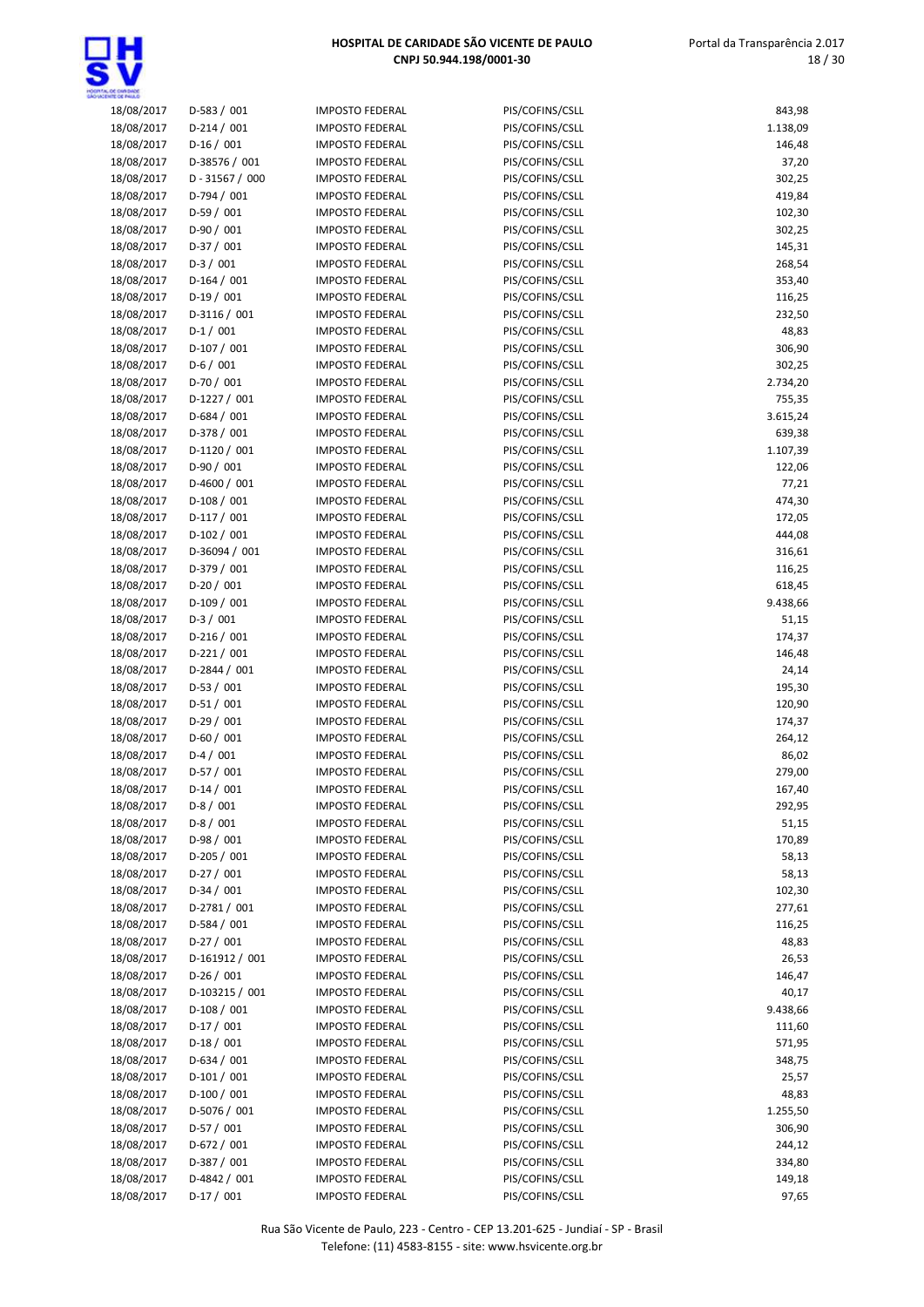

| 18/08/2017 | $D-583 / 001$     | <b>IMPOSTO FEDERAL</b> | PIS/COFINS/CSLL | 843,98   |
|------------|-------------------|------------------------|-----------------|----------|
| 18/08/2017 | $D-214/001$       | <b>IMPOSTO FEDERAL</b> | PIS/COFINS/CSLL | 1.138,09 |
| 18/08/2017 | $D-16/001$        | <b>IMPOSTO FEDERAL</b> | PIS/COFINS/CSLL | 146,48   |
| 18/08/2017 | D-38576 / 001     | <b>IMPOSTO FEDERAL</b> | PIS/COFINS/CSLL | 37,20    |
| 18/08/2017 | $D - 31567 / 000$ | <b>IMPOSTO FEDERAL</b> | PIS/COFINS/CSLL | 302,25   |
| 18/08/2017 | $D-794/001$       | <b>IMPOSTO FEDERAL</b> | PIS/COFINS/CSLL | 419,84   |
| 18/08/2017 | $D-59/001$        | <b>IMPOSTO FEDERAL</b> | PIS/COFINS/CSLL | 102,30   |
| 18/08/2017 | $D-90/001$        | <b>IMPOSTO FEDERAL</b> | PIS/COFINS/CSLL | 302,25   |
| 18/08/2017 | $D-37/001$        | <b>IMPOSTO FEDERAL</b> | PIS/COFINS/CSLL | 145,31   |
| 18/08/2017 | $D-3/001$         | <b>IMPOSTO FEDERAL</b> | PIS/COFINS/CSLL | 268,54   |
| 18/08/2017 | $D-164/001$       | <b>IMPOSTO FEDERAL</b> | PIS/COFINS/CSLL | 353,40   |
| 18/08/2017 | $D-19/001$        | <b>IMPOSTO FEDERAL</b> | PIS/COFINS/CSLL | 116,25   |
| 18/08/2017 | D-3116 / 001      | <b>IMPOSTO FEDERAL</b> | PIS/COFINS/CSLL | 232,50   |
| 18/08/2017 | $D-1/001$         | <b>IMPOSTO FEDERAL</b> | PIS/COFINS/CSLL | 48,83    |
| 18/08/2017 | $D-107/001$       | <b>IMPOSTO FEDERAL</b> | PIS/COFINS/CSLL | 306,90   |
| 18/08/2017 | $D-6/001$         | <b>IMPOSTO FEDERAL</b> | PIS/COFINS/CSLL | 302,25   |
| 18/08/2017 | $D-70/001$        | <b>IMPOSTO FEDERAL</b> | PIS/COFINS/CSLL | 2.734,20 |
| 18/08/2017 | $D-1227/001$      | <b>IMPOSTO FEDERAL</b> | PIS/COFINS/CSLL | 755,35   |
| 18/08/2017 | $D-684 / 001$     | <b>IMPOSTO FEDERAL</b> | PIS/COFINS/CSLL | 3.615,24 |
| 18/08/2017 | D-378 / 001       | <b>IMPOSTO FEDERAL</b> | PIS/COFINS/CSLL | 639,38   |
| 18/08/2017 | D-1120 / 001      | <b>IMPOSTO FEDERAL</b> | PIS/COFINS/CSLL | 1.107,39 |
| 18/08/2017 | D-90 / 001        | <b>IMPOSTO FEDERAL</b> | PIS/COFINS/CSLL | 122,06   |
| 18/08/2017 | $D-4600 / 001$    | <b>IMPOSTO FEDERAL</b> | PIS/COFINS/CSLL | 77,21    |
| 18/08/2017 | $D-108/001$       | <b>IMPOSTO FEDERAL</b> | PIS/COFINS/CSLL | 474,30   |
| 18/08/2017 | $D-117/001$       | <b>IMPOSTO FEDERAL</b> | PIS/COFINS/CSLL | 172,05   |
| 18/08/2017 | $D-102 / 001$     | <b>IMPOSTO FEDERAL</b> | PIS/COFINS/CSLL | 444,08   |
| 18/08/2017 | D-36094 / 001     | <b>IMPOSTO FEDERAL</b> | PIS/COFINS/CSLL | 316,61   |
| 18/08/2017 | D-379 / 001       | <b>IMPOSTO FEDERAL</b> | PIS/COFINS/CSLL | 116,25   |
| 18/08/2017 | $D-20/001$        | <b>IMPOSTO FEDERAL</b> | PIS/COFINS/CSLL | 618,45   |
| 18/08/2017 | $D-109/001$       | <b>IMPOSTO FEDERAL</b> | PIS/COFINS/CSLL | 9.438,66 |
| 18/08/2017 | $D-3/001$         | <b>IMPOSTO FEDERAL</b> | PIS/COFINS/CSLL | 51,15    |
| 18/08/2017 | $D-216/001$       | <b>IMPOSTO FEDERAL</b> | PIS/COFINS/CSLL | 174,37   |
| 18/08/2017 | $D-221/001$       | <b>IMPOSTO FEDERAL</b> | PIS/COFINS/CSLL | 146,48   |
| 18/08/2017 | D-2844 / 001      | <b>IMPOSTO FEDERAL</b> | PIS/COFINS/CSLL | 24,14    |
| 18/08/2017 | $D-53/001$        | <b>IMPOSTO FEDERAL</b> | PIS/COFINS/CSLL | 195,30   |
| 18/08/2017 | $D-51/001$        | <b>IMPOSTO FEDERAL</b> | PIS/COFINS/CSLL | 120,90   |
| 18/08/2017 | $D-29/001$        | <b>IMPOSTO FEDERAL</b> | PIS/COFINS/CSLL | 174,37   |
| 18/08/2017 | $D-60/001$        | <b>IMPOSTO FEDERAL</b> | PIS/COFINS/CSLL | 264,12   |
| 18/08/2017 | $D-4/001$         | <b>IMPOSTO FEDERAL</b> | PIS/COFINS/CSLL | 86,02    |
| 18/08/2017 | $D-57/001$        | <b>IMPOSTO FEDERAL</b> | PIS/COFINS/CSLL | 279,00   |
| 18/08/2017 | $D-14/001$        | <b>IMPOSTO FEDERAL</b> | PIS/COFINS/CSLL | 167,40   |
| 18/08/2017 | $D-8/001$         | <b>IMPOSTO FEDERAL</b> | PIS/COFINS/CSLL | 292,95   |
| 18/08/2017 | $D-8/001$         | <b>IMPOSTO FEDERAL</b> | PIS/COFINS/CSLL | 51,15    |
| 18/08/2017 | $D-98/001$        | <b>IMPOSTO FEDERAL</b> | PIS/COFINS/CSLL | 170,89   |
| 18/08/2017 | $D-205/001$       | <b>IMPOSTO FEDERAL</b> | PIS/COFINS/CSLL | 58,13    |
| 18/08/2017 | $D-27/001$        | <b>IMPOSTO FEDERAL</b> | PIS/COFINS/CSLL | 58,13    |
| 18/08/2017 | $D-34/001$        | <b>IMPOSTO FEDERAL</b> | PIS/COFINS/CSLL | 102,30   |
| 18/08/2017 | $D-2781/001$      | <b>IMPOSTO FEDERAL</b> | PIS/COFINS/CSLL | 277,61   |
| 18/08/2017 | $D-584/001$       | <b>IMPOSTO FEDERAL</b> | PIS/COFINS/CSLL | 116,25   |
| 18/08/2017 | $D-27/001$        | <b>IMPOSTO FEDERAL</b> | PIS/COFINS/CSLL | 48,83    |
| 18/08/2017 | D-161912 / 001    | <b>IMPOSTO FEDERAL</b> | PIS/COFINS/CSLL | 26,53    |
| 18/08/2017 | $D-26/001$        | <b>IMPOSTO FEDERAL</b> | PIS/COFINS/CSLL | 146,47   |
| 18/08/2017 | D-103215 / 001    | <b>IMPOSTO FEDERAL</b> | PIS/COFINS/CSLL | 40,17    |
| 18/08/2017 | $D-108/001$       | <b>IMPOSTO FEDERAL</b> | PIS/COFINS/CSLL | 9.438,66 |
| 18/08/2017 | $D-17/001$        | <b>IMPOSTO FEDERAL</b> | PIS/COFINS/CSLL | 111,60   |
| 18/08/2017 | $D-18/001$        | <b>IMPOSTO FEDERAL</b> | PIS/COFINS/CSLL | 571,95   |
| 18/08/2017 | $D-634 / 001$     | <b>IMPOSTO FEDERAL</b> | PIS/COFINS/CSLL | 348,75   |
| 18/08/2017 | $D-101/001$       | <b>IMPOSTO FEDERAL</b> | PIS/COFINS/CSLL | 25,57    |
| 18/08/2017 | $D-100/001$       | <b>IMPOSTO FEDERAL</b> | PIS/COFINS/CSLL | 48,83    |
| 18/08/2017 | D-5076 / 001      | <b>IMPOSTO FEDERAL</b> | PIS/COFINS/CSLL | 1.255,50 |
| 18/08/2017 | $D-57/001$        | <b>IMPOSTO FEDERAL</b> | PIS/COFINS/CSLL | 306,90   |
| 18/08/2017 | $D-672 / 001$     | <b>IMPOSTO FEDERAL</b> | PIS/COFINS/CSLL | 244,12   |
| 18/08/2017 | $D-387/001$       | <b>IMPOSTO FEDERAL</b> | PIS/COFINS/CSLL | 334,80   |
| 18/08/2017 | D-4842 / 001      | <b>IMPOSTO FEDERAL</b> | PIS/COFINS/CSLL | 149,18   |
| 18/08/2017 | $D-17/001$        | <b>IMPOSTO FEDERAL</b> | PIS/COFINS/CSLL | 97,65    |
|            |                   |                        |                 |          |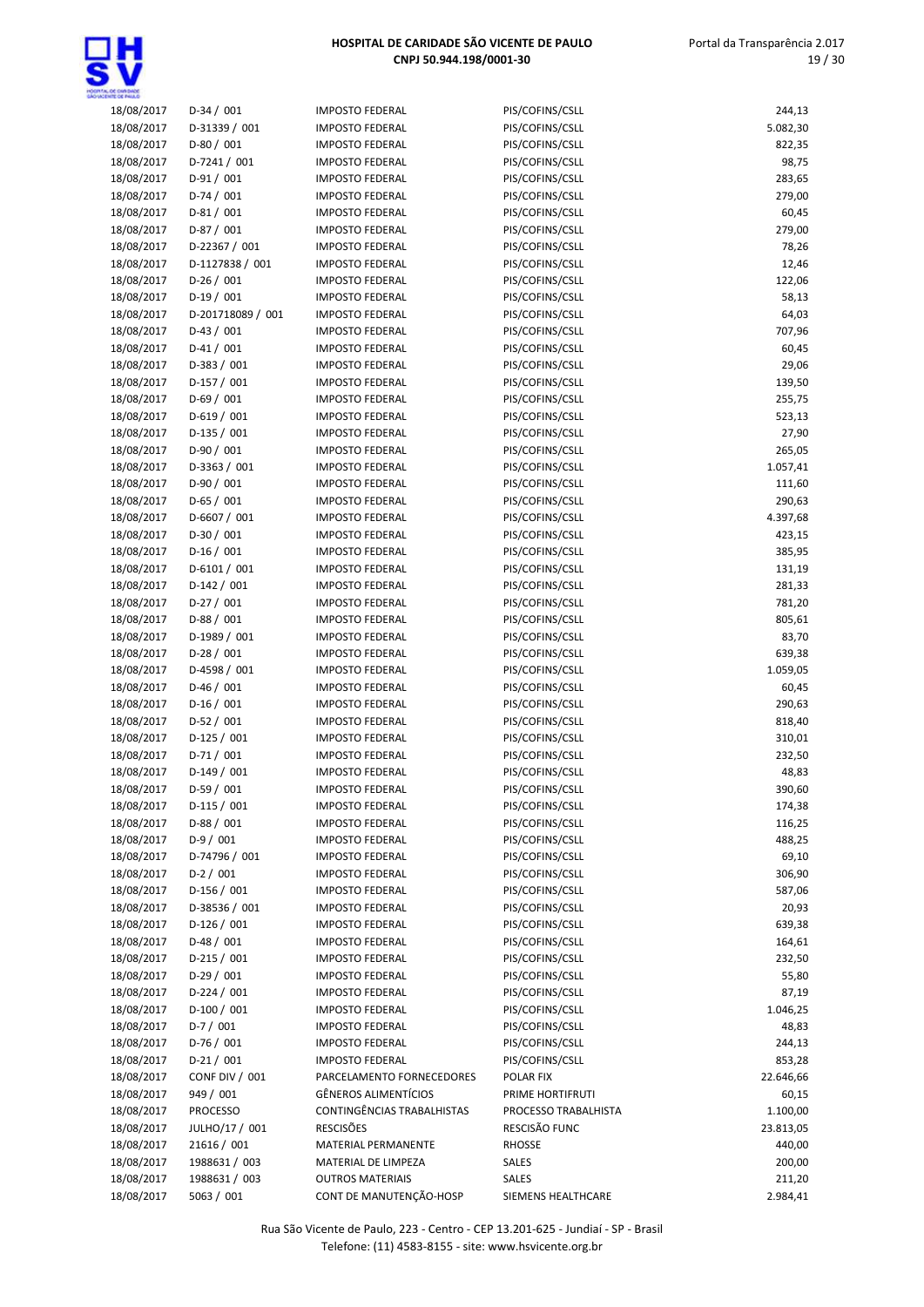

| 18/08/2017 | $D-34/001$            | <b>IMPOSTO FEDERAL</b>      | PIS/COFINS/CSLL      | 244,13    |
|------------|-----------------------|-----------------------------|----------------------|-----------|
| 18/08/2017 | D-31339 / 001         | <b>IMPOSTO FEDERAL</b>      | PIS/COFINS/CSLL      | 5.082,30  |
| 18/08/2017 | $D-80/001$            | <b>IMPOSTO FEDERAL</b>      | PIS/COFINS/CSLL      | 822,35    |
| 18/08/2017 | $D-7241/001$          | <b>IMPOSTO FEDERAL</b>      | PIS/COFINS/CSLL      | 98,75     |
| 18/08/2017 | $D-91/001$            | <b>IMPOSTO FEDERAL</b>      | PIS/COFINS/CSLL      | 283,65    |
| 18/08/2017 | $D-74/001$            | <b>IMPOSTO FEDERAL</b>      | PIS/COFINS/CSLL      | 279,00    |
| 18/08/2017 | $D-81/001$            | <b>IMPOSTO FEDERAL</b>      | PIS/COFINS/CSLL      | 60,45     |
| 18/08/2017 | $D-87/001$            | <b>IMPOSTO FEDERAL</b>      | PIS/COFINS/CSLL      | 279,00    |
| 18/08/2017 | D-22367 / 001         | <b>IMPOSTO FEDERAL</b>      | PIS/COFINS/CSLL      | 78,26     |
| 18/08/2017 | D-1127838 / 001       | <b>IMPOSTO FEDERAL</b>      | PIS/COFINS/CSLL      | 12,46     |
| 18/08/2017 | $D-26/001$            | <b>IMPOSTO FEDERAL</b>      | PIS/COFINS/CSLL      | 122,06    |
| 18/08/2017 | $D-19/001$            | <b>IMPOSTO FEDERAL</b>      | PIS/COFINS/CSLL      | 58,13     |
| 18/08/2017 | D-201718089 / 001     | <b>IMPOSTO FEDERAL</b>      | PIS/COFINS/CSLL      | 64,03     |
| 18/08/2017 | $D-43/001$            | <b>IMPOSTO FEDERAL</b>      | PIS/COFINS/CSLL      | 707,96    |
| 18/08/2017 | $D-41/001$            | <b>IMPOSTO FEDERAL</b>      | PIS/COFINS/CSLL      | 60,45     |
| 18/08/2017 | $D-383 / 001$         | <b>IMPOSTO FEDERAL</b>      | PIS/COFINS/CSLL      | 29,06     |
| 18/08/2017 | $D-157/001$           | <b>IMPOSTO FEDERAL</b>      | PIS/COFINS/CSLL      | 139,50    |
| 18/08/2017 | $D-69/001$            | <b>IMPOSTO FEDERAL</b>      | PIS/COFINS/CSLL      | 255,75    |
| 18/08/2017 | $D-619/001$           | <b>IMPOSTO FEDERAL</b>      | PIS/COFINS/CSLL      | 523,13    |
| 18/08/2017 | $D-135 / 001$         | <b>IMPOSTO FEDERAL</b>      | PIS/COFINS/CSLL      | 27,90     |
| 18/08/2017 | $D-90/001$            | <b>IMPOSTO FEDERAL</b>      | PIS/COFINS/CSLL      | 265,05    |
| 18/08/2017 | D-3363 / 001          | <b>IMPOSTO FEDERAL</b>      | PIS/COFINS/CSLL      | 1.057,41  |
| 18/08/2017 | $D-90/001$            | <b>IMPOSTO FEDERAL</b>      | PIS/COFINS/CSLL      | 111,60    |
| 18/08/2017 | $D-65/001$            | <b>IMPOSTO FEDERAL</b>      | PIS/COFINS/CSLL      | 290,63    |
| 18/08/2017 | D-6607 / 001          | <b>IMPOSTO FEDERAL</b>      | PIS/COFINS/CSLL      | 4.397,68  |
| 18/08/2017 | $D-30/001$            | <b>IMPOSTO FEDERAL</b>      | PIS/COFINS/CSLL      | 423,15    |
| 18/08/2017 | $D-16/001$            | <b>IMPOSTO FEDERAL</b>      | PIS/COFINS/CSLL      | 385,95    |
| 18/08/2017 | $D-6101/001$          | <b>IMPOSTO FEDERAL</b>      | PIS/COFINS/CSLL      | 131,19    |
| 18/08/2017 | $D-142/001$           | <b>IMPOSTO FEDERAL</b>      | PIS/COFINS/CSLL      | 281,33    |
| 18/08/2017 | $D-27/001$            | <b>IMPOSTO FEDERAL</b>      | PIS/COFINS/CSLL      | 781,20    |
| 18/08/2017 | $D-88/001$            | <b>IMPOSTO FEDERAL</b>      | PIS/COFINS/CSLL      | 805,61    |
| 18/08/2017 | D-1989 / 001          | <b>IMPOSTO FEDERAL</b>      | PIS/COFINS/CSLL      | 83,70     |
| 18/08/2017 | $D-28/001$            | <b>IMPOSTO FEDERAL</b>      | PIS/COFINS/CSLL      | 639,38    |
| 18/08/2017 | D-4598 / 001          | <b>IMPOSTO FEDERAL</b>      | PIS/COFINS/CSLL      | 1.059,05  |
| 18/08/2017 | $D-46/001$            | <b>IMPOSTO FEDERAL</b>      | PIS/COFINS/CSLL      | 60,45     |
| 18/08/2017 | $D-16/001$            | <b>IMPOSTO FEDERAL</b>      | PIS/COFINS/CSLL      | 290,63    |
| 18/08/2017 | $D-52/001$            | <b>IMPOSTO FEDERAL</b>      | PIS/COFINS/CSLL      | 818,40    |
| 18/08/2017 | $D-125/001$           | <b>IMPOSTO FEDERAL</b>      | PIS/COFINS/CSLL      | 310,01    |
| 18/08/2017 | $D-71/001$            | <b>IMPOSTO FEDERAL</b>      | PIS/COFINS/CSLL      | 232,50    |
| 18/08/2017 | $D-149/001$           | <b>IMPOSTO FEDERAL</b>      | PIS/COFINS/CSLL      | 48,83     |
| 18/08/2017 | $D-59/001$            | <b>IMPOSTO FEDERAL</b>      | PIS/COFINS/CSLL      | 390,60    |
| 18/08/2017 | $D-115/001$           | <b>IMPOSTO FEDERAL</b>      | PIS/COFINS/CSLL      | 174,38    |
| 18/08/2017 | $D-88/001$            | <b>IMPOSTO FEDERAL</b>      | PIS/COFINS/CSLL      | 116,25    |
| 18/08/2017 | $D-9/001$             | <b>IMPOSTO FEDERAL</b>      | PIS/COFINS/CSLL      | 488,25    |
| 18/08/2017 | D-74796 / 001         | <b>IMPOSTO FEDERAL</b>      | PIS/COFINS/CSLL      | 69,10     |
| 18/08/2017 | $D-2/001$             | <b>IMPOSTO FEDERAL</b>      | PIS/COFINS/CSLL      | 306,90    |
| 18/08/2017 | $D-156/001$           | <b>IMPOSTO FEDERAL</b>      | PIS/COFINS/CSLL      | 587,06    |
| 18/08/2017 | D-38536 / 001         | <b>IMPOSTO FEDERAL</b>      | PIS/COFINS/CSLL      | 20,93     |
| 18/08/2017 | $D-126/001$           | <b>IMPOSTO FEDERAL</b>      | PIS/COFINS/CSLL      | 639,38    |
| 18/08/2017 | $D-48/001$            | <b>IMPOSTO FEDERAL</b>      | PIS/COFINS/CSLL      | 164,61    |
| 18/08/2017 | D-215 / 001           | <b>IMPOSTO FEDERAL</b>      | PIS/COFINS/CSLL      | 232,50    |
| 18/08/2017 | $D-29/001$            | <b>IMPOSTO FEDERAL</b>      | PIS/COFINS/CSLL      | 55,80     |
| 18/08/2017 | $D-224 / 001$         | <b>IMPOSTO FEDERAL</b>      | PIS/COFINS/CSLL      | 87,19     |
| 18/08/2017 | $D-100/001$           | <b>IMPOSTO FEDERAL</b>      | PIS/COFINS/CSLL      | 1.046,25  |
| 18/08/2017 | $D-7/001$             | <b>IMPOSTO FEDERAL</b>      | PIS/COFINS/CSLL      | 48,83     |
| 18/08/2017 | D-76 / 001            | <b>IMPOSTO FEDERAL</b>      | PIS/COFINS/CSLL      | 244,13    |
| 18/08/2017 | $D-21/001$            | <b>IMPOSTO FEDERAL</b>      | PIS/COFINS/CSLL      | 853,28    |
| 18/08/2017 | <b>CONF DIV / 001</b> | PARCELAMENTO FORNECEDORES   | POLAR FIX            | 22.646,66 |
| 18/08/2017 | 949 / 001             | <b>GÊNEROS ALIMENTÍCIOS</b> | PRIME HORTIFRUTI     | 60,15     |
| 18/08/2017 | <b>PROCESSO</b>       | CONTINGÊNCIAS TRABALHISTAS  | PROCESSO TRABALHISTA | 1.100,00  |
| 18/08/2017 | JULHO/17 / 001        | <b>RESCISÕES</b>            | RESCISÃO FUNC        | 23.813,05 |
| 18/08/2017 | 21616 / 001           | MATERIAL PERMANENTE         | RHOSSE               | 440,00    |
| 18/08/2017 | 1988631 / 003         | MATERIAL DE LIMPEZA         | SALES                | 200,00    |
| 18/08/2017 | 1988631 / 003         | <b>OUTROS MATERIAIS</b>     | SALES                | 211,20    |
| 18/08/2017 | 5063 / 001            | CONT DE MANUTENÇÃO-HOSP     | SIEMENS HEALTHCARE   | 2.984,41  |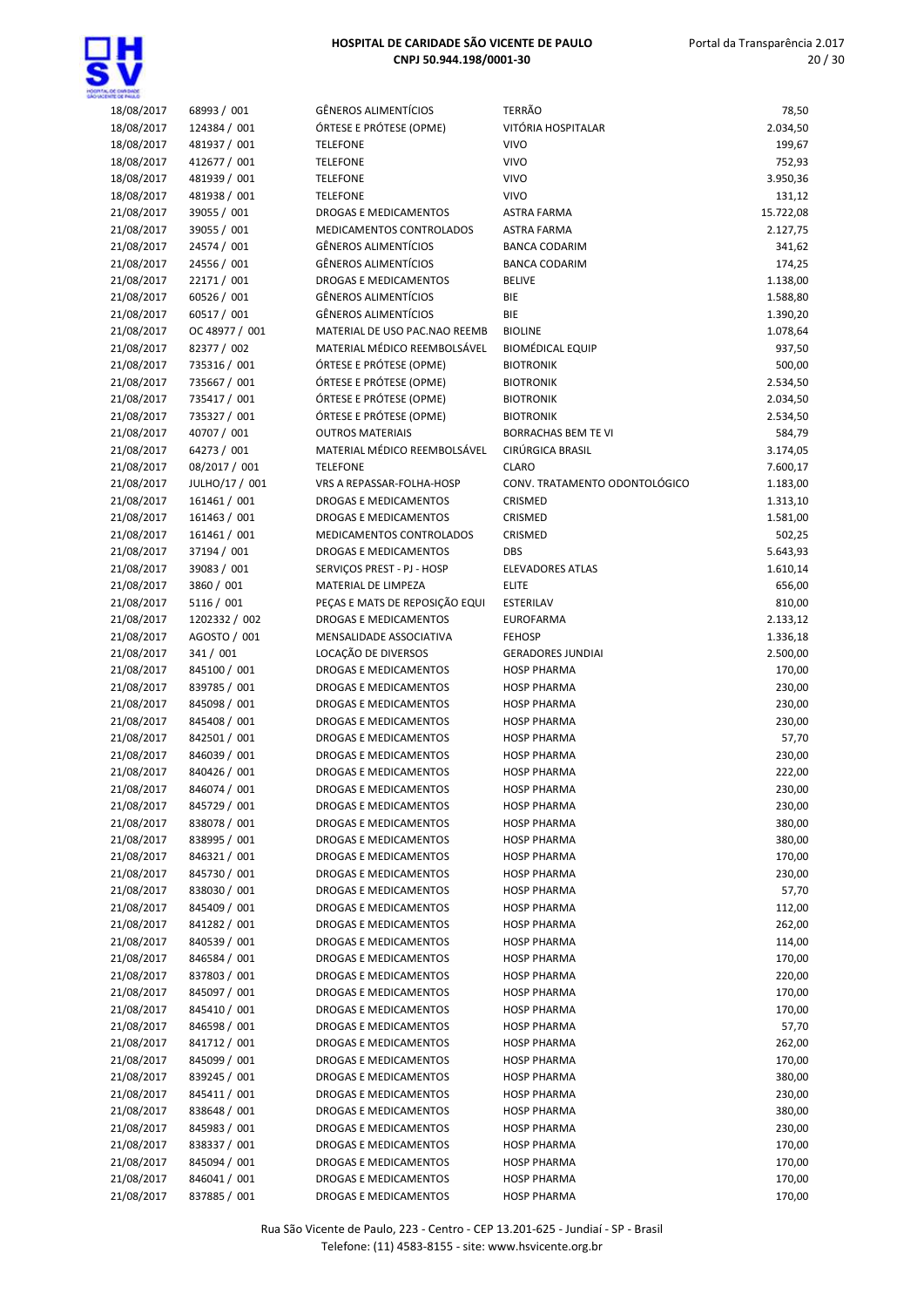

| 18/08/2017 | 68993 / 001    | <b>GÊNEROS ALIMENTÍCIOS</b>    | <b>TERRÃO</b>                 | 78,50     |
|------------|----------------|--------------------------------|-------------------------------|-----------|
| 18/08/2017 | 124384 / 001   | ÓRTESE E PRÓTESE (OPME)        | VITÓRIA HOSPITALAR            | 2.034,50  |
|            |                |                                |                               |           |
| 18/08/2017 | 481937 / 001   | <b>TELEFONE</b>                | <b>VIVO</b>                   | 199,67    |
| 18/08/2017 | 412677 / 001   | <b>TELEFONE</b>                | <b>VIVO</b>                   | 752,93    |
| 18/08/2017 | 481939 / 001   | <b>TELEFONE</b>                | <b>VIVO</b>                   | 3.950,36  |
| 18/08/2017 | 481938 / 001   | <b>TELEFONE</b>                | <b>VIVO</b>                   | 131,12    |
| 21/08/2017 | 39055 / 001    | DROGAS E MEDICAMENTOS          | <b>ASTRA FARMA</b>            | 15.722,08 |
| 21/08/2017 | 39055 / 001    | MEDICAMENTOS CONTROLADOS       | <b>ASTRA FARMA</b>            | 2.127,75  |
| 21/08/2017 | 24574 / 001    | <b>GÊNEROS ALIMENTÍCIOS</b>    | <b>BANCA CODARIM</b>          | 341,62    |
| 21/08/2017 | 24556 / 001    | <b>GÊNEROS ALIMENTÍCIOS</b>    | <b>BANCA CODARIM</b>          | 174,25    |
| 21/08/2017 | 22171 / 001    | DROGAS E MEDICAMENTOS          | <b>BELIVE</b>                 | 1.138,00  |
| 21/08/2017 | 60526 / 001    | <b>GÊNEROS ALIMENTÍCIOS</b>    | BIE                           | 1.588,80  |
| 21/08/2017 | 60517 / 001    | <b>GÊNEROS ALIMENTÍCIOS</b>    | BIE                           | 1.390,20  |
| 21/08/2017 | OC 48977 / 001 | MATERIAL DE USO PAC.NAO REEMB  | <b>BIOLINE</b>                | 1.078,64  |
| 21/08/2017 | 82377 / 002    | MATERIAL MÉDICO REEMBOLSÁVEL   | <b>BIOMÉDICAL EQUIP</b>       | 937,50    |
| 21/08/2017 | 735316 / 001   | ÓRTESE E PRÓTESE (OPME)        | <b>BIOTRONIK</b>              | 500,00    |
| 21/08/2017 | 735667 / 001   | ÓRTESE E PRÓTESE (OPME)        | <b>BIOTRONIK</b>              | 2.534,50  |
| 21/08/2017 | 735417 / 001   | ÓRTESE E PRÓTESE (OPME)        | <b>BIOTRONIK</b>              | 2.034,50  |
| 21/08/2017 | 735327 / 001   | ÓRTESE E PRÓTESE (OPME)        | <b>BIOTRONIK</b>              | 2.534,50  |
| 21/08/2017 | 40707 / 001    | <b>OUTROS MATERIAIS</b>        | <b>BORRACHAS BEM TE VI</b>    | 584,79    |
| 21/08/2017 | 64273 / 001    | MATERIAL MÉDICO REEMBOLSÁVEL   | CIRÚRGICA BRASIL              | 3.174,05  |
| 21/08/2017 | 08/2017 / 001  | <b>TELEFONE</b>                | <b>CLARO</b>                  | 7.600,17  |
|            |                | VRS A REPASSAR-FOLHA-HOSP      | CONV. TRATAMENTO ODONTOLÓGICO |           |
| 21/08/2017 | JULHO/17 / 001 |                                |                               | 1.183,00  |
| 21/08/2017 | 161461 / 001   | DROGAS E MEDICAMENTOS          | CRISMED                       | 1.313,10  |
| 21/08/2017 | 161463 / 001   | DROGAS E MEDICAMENTOS          | CRISMED                       | 1.581,00  |
| 21/08/2017 | 161461 / 001   | MEDICAMENTOS CONTROLADOS       | CRISMED                       | 502,25    |
| 21/08/2017 | 37194 / 001    | DROGAS E MEDICAMENTOS          | <b>DBS</b>                    | 5.643,93  |
| 21/08/2017 | 39083 / 001    | SERVIÇOS PREST - PJ - HOSP     | <b>ELEVADORES ATLAS</b>       | 1.610,14  |
| 21/08/2017 | 3860 / 001     | MATERIAL DE LIMPEZA            | <b>ELITE</b>                  | 656,00    |
| 21/08/2017 | 5116 / 001     | PEÇAS E MATS DE REPOSIÇÃO EQUI | ESTERILAV                     | 810,00    |
| 21/08/2017 | 1202332 / 002  | DROGAS E MEDICAMENTOS          | <b>EUROFARMA</b>              | 2.133,12  |
| 21/08/2017 | AGOSTO / 001   | MENSALIDADE ASSOCIATIVA        | <b>FEHOSP</b>                 | 1.336,18  |
| 21/08/2017 | 341 / 001      | LOCAÇÃO DE DIVERSOS            | <b>GERADORES JUNDIAI</b>      | 2.500,00  |
| 21/08/2017 | 845100 / 001   | DROGAS E MEDICAMENTOS          | <b>HOSP PHARMA</b>            | 170,00    |
| 21/08/2017 | 839785 / 001   | DROGAS E MEDICAMENTOS          | <b>HOSP PHARMA</b>            | 230,00    |
| 21/08/2017 | 845098 / 001   | DROGAS E MEDICAMENTOS          | <b>HOSP PHARMA</b>            | 230,00    |
| 21/08/2017 | 845408 / 001   | DROGAS E MEDICAMENTOS          | <b>HOSP PHARMA</b>            | 230,00    |
| 21/08/2017 | 842501 / 001   | DROGAS E MEDICAMENTOS          | <b>HOSP PHARMA</b>            | 57,70     |
| 21/08/2017 | 846039 / 001   | DROGAS E MEDICAMENTOS          | <b>HOSP PHARMA</b>            | 230,00    |
| 21/08/2017 | 840426 / 001   | DROGAS E MEDICAMENTOS          | <b>HOSP PHARMA</b>            | 222,00    |
| 21/08/2017 | 846074 / 001   | DROGAS E MEDICAMENTOS          | <b>HOSP PHARMA</b>            | 230,00    |
| 21/08/2017 | 845729 / 001   | DROGAS E MEDICAMENTOS          | <b>HOSP PHARMA</b>            | 230,00    |
| 21/08/2017 | 838078 / 001   | DROGAS E MEDICAMENTOS          | <b>HOSP PHARMA</b>            | 380,00    |
| 21/08/2017 | 838995 / 001   | DROGAS E MEDICAMENTOS          | <b>HOSP PHARMA</b>            | 380,00    |
| 21/08/2017 | 846321 / 001   | DROGAS E MEDICAMENTOS          | <b>HOSP PHARMA</b>            | 170,00    |
| 21/08/2017 | 845730 / 001   | DROGAS E MEDICAMENTOS          | <b>HOSP PHARMA</b>            | 230,00    |
| 21/08/2017 | 838030 / 001   | DROGAS E MEDICAMENTOS          | <b>HOSP PHARMA</b>            | 57,70     |
| 21/08/2017 | 845409 / 001   | DROGAS E MEDICAMENTOS          | <b>HOSP PHARMA</b>            | 112,00    |
| 21/08/2017 | 841282 / 001   | DROGAS E MEDICAMENTOS          | <b>HOSP PHARMA</b>            | 262,00    |
| 21/08/2017 | 840539 / 001   | DROGAS E MEDICAMENTOS          | <b>HOSP PHARMA</b>            | 114,00    |
| 21/08/2017 | 846584 / 001   | DROGAS E MEDICAMENTOS          | <b>HOSP PHARMA</b>            | 170,00    |
| 21/08/2017 | 837803 / 001   | DROGAS E MEDICAMENTOS          | <b>HOSP PHARMA</b>            | 220,00    |
| 21/08/2017 | 845097 / 001   | DROGAS E MEDICAMENTOS          | <b>HOSP PHARMA</b>            | 170,00    |
| 21/08/2017 | 845410 / 001   | DROGAS E MEDICAMENTOS          | <b>HOSP PHARMA</b>            | 170,00    |
| 21/08/2017 | 846598 / 001   | DROGAS E MEDICAMENTOS          | <b>HOSP PHARMA</b>            | 57,70     |
| 21/08/2017 | 841712 / 001   | DROGAS E MEDICAMENTOS          | <b>HOSP PHARMA</b>            | 262,00    |
| 21/08/2017 | 845099 / 001   | DROGAS E MEDICAMENTOS          | <b>HOSP PHARMA</b>            | 170,00    |
| 21/08/2017 | 839245 / 001   | DROGAS E MEDICAMENTOS          | <b>HOSP PHARMA</b>            | 380,00    |
| 21/08/2017 | 845411 / 001   | DROGAS E MEDICAMENTOS          | <b>HOSP PHARMA</b>            | 230,00    |
| 21/08/2017 | 838648 / 001   | DROGAS E MEDICAMENTOS          | <b>HOSP PHARMA</b>            | 380,00    |
| 21/08/2017 | 845983 / 001   | DROGAS E MEDICAMENTOS          | <b>HOSP PHARMA</b>            | 230,00    |
| 21/08/2017 | 838337 / 001   | DROGAS E MEDICAMENTOS          | <b>HOSP PHARMA</b>            | 170,00    |
| 21/08/2017 | 845094 / 001   | DROGAS E MEDICAMENTOS          | <b>HOSP PHARMA</b>            | 170,00    |
| 21/08/2017 | 846041 / 001   | DROGAS E MEDICAMENTOS          | <b>HOSP PHARMA</b>            | 170,00    |
| 21/08/2017 | 837885 / 001   | DROGAS E MEDICAMENTOS          | <b>HOSP PHARMA</b>            | 170,00    |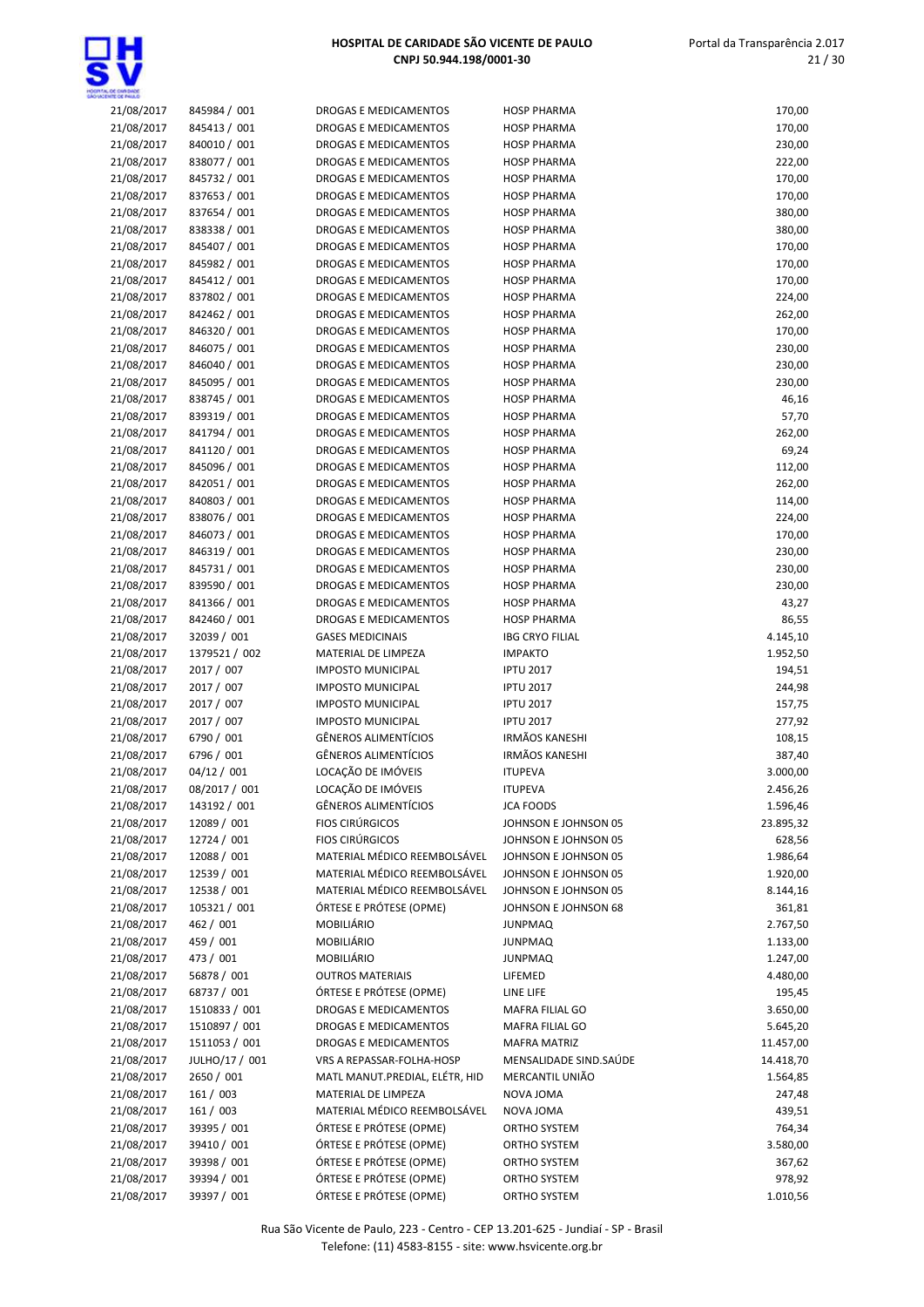| 21/08/2017 | 845984 / 001   | DROGAS E MEDICAMENTOS          | <b>HOSP PHARMA</b>     | 170,00    |
|------------|----------------|--------------------------------|------------------------|-----------|
| 21/08/2017 | 845413 / 001   | DROGAS E MEDICAMENTOS          | <b>HOSP PHARMA</b>     | 170,00    |
| 21/08/2017 | 840010 / 001   | <b>DROGAS E MEDICAMENTOS</b>   | <b>HOSP PHARMA</b>     | 230,00    |
| 21/08/2017 | 838077 / 001   | <b>DROGAS E MEDICAMENTOS</b>   | <b>HOSP PHARMA</b>     | 222,00    |
|            |                |                                |                        |           |
| 21/08/2017 | 845732 / 001   | DROGAS E MEDICAMENTOS          | <b>HOSP PHARMA</b>     | 170,00    |
| 21/08/2017 | 837653 / 001   | <b>DROGAS E MEDICAMENTOS</b>   | <b>HOSP PHARMA</b>     | 170,00    |
| 21/08/2017 | 837654 / 001   | DROGAS E MEDICAMENTOS          | <b>HOSP PHARMA</b>     | 380,00    |
| 21/08/2017 | 838338 / 001   | DROGAS E MEDICAMENTOS          | <b>HOSP PHARMA</b>     | 380,00    |
|            |                |                                |                        |           |
| 21/08/2017 | 845407 / 001   | DROGAS E MEDICAMENTOS          | <b>HOSP PHARMA</b>     | 170,00    |
| 21/08/2017 | 845982 / 001   | DROGAS E MEDICAMENTOS          | <b>HOSP PHARMA</b>     | 170,00    |
| 21/08/2017 | 845412 / 001   | <b>DROGAS E MEDICAMENTOS</b>   | <b>HOSP PHARMA</b>     | 170,00    |
|            | 837802 / 001   | <b>DROGAS E MEDICAMENTOS</b>   | <b>HOSP PHARMA</b>     |           |
| 21/08/2017 |                |                                |                        | 224,00    |
| 21/08/2017 | 842462 / 001   | <b>DROGAS E MEDICAMENTOS</b>   | <b>HOSP PHARMA</b>     | 262,00    |
| 21/08/2017 | 846320 / 001   | DROGAS E MEDICAMENTOS          | <b>HOSP PHARMA</b>     | 170,00    |
| 21/08/2017 | 846075 / 001   | <b>DROGAS E MEDICAMENTOS</b>   | <b>HOSP PHARMA</b>     | 230,00    |
|            |                |                                |                        |           |
| 21/08/2017 | 846040 / 001   | DROGAS E MEDICAMENTOS          | <b>HOSP PHARMA</b>     | 230,00    |
| 21/08/2017 | 845095 / 001   | DROGAS E MEDICAMENTOS          | <b>HOSP PHARMA</b>     | 230,00    |
| 21/08/2017 | 838745 / 001   | DROGAS E MEDICAMENTOS          | <b>HOSP PHARMA</b>     | 46,16     |
| 21/08/2017 | 839319 / 001   | DROGAS E MEDICAMENTOS          | <b>HOSP PHARMA</b>     | 57,70     |
|            |                |                                |                        |           |
| 21/08/2017 | 841794 / 001   | DROGAS E MEDICAMENTOS          | <b>HOSP PHARMA</b>     | 262,00    |
| 21/08/2017 | 841120 / 001   | <b>DROGAS E MEDICAMENTOS</b>   | <b>HOSP PHARMA</b>     | 69,24     |
| 21/08/2017 | 845096 / 001   | <b>DROGAS E MEDICAMENTOS</b>   | <b>HOSP PHARMA</b>     | 112,00    |
| 21/08/2017 | 842051 / 001   | DROGAS E MEDICAMENTOS          | <b>HOSP PHARMA</b>     | 262,00    |
|            |                |                                |                        |           |
| 21/08/2017 | 840803 / 001   | <b>DROGAS E MEDICAMENTOS</b>   | <b>HOSP PHARMA</b>     | 114,00    |
| 21/08/2017 | 838076 / 001   | <b>DROGAS E MEDICAMENTOS</b>   | <b>HOSP PHARMA</b>     | 224,00    |
| 21/08/2017 | 846073 / 001   | DROGAS E MEDICAMENTOS          | <b>HOSP PHARMA</b>     | 170,00    |
| 21/08/2017 | 846319 / 001   | DROGAS E MEDICAMENTOS          | <b>HOSP PHARMA</b>     | 230,00    |
|            |                |                                |                        |           |
| 21/08/2017 | 845731 / 001   | DROGAS E MEDICAMENTOS          | <b>HOSP PHARMA</b>     | 230,00    |
| 21/08/2017 | 839590 / 001   | DROGAS E MEDICAMENTOS          | <b>HOSP PHARMA</b>     | 230,00    |
| 21/08/2017 | 841366 / 001   | DROGAS E MEDICAMENTOS          | <b>HOSP PHARMA</b>     | 43,27     |
| 21/08/2017 | 842460 / 001   | DROGAS E MEDICAMENTOS          | <b>HOSP PHARMA</b>     | 86,55     |
|            |                |                                |                        |           |
| 21/08/2017 | 32039 / 001    | <b>GASES MEDICINAIS</b>        | <b>IBG CRYO FILIAL</b> | 4.145,10  |
| 21/08/2017 | 1379521 / 002  | MATERIAL DE LIMPEZA            | <b>IMPAKTO</b>         | 1.952,50  |
| 21/08/2017 | 2017 / 007     | <b>IMPOSTO MUNICIPAL</b>       | <b>IPTU 2017</b>       | 194,51    |
| 21/08/2017 | 2017 / 007     | <b>IMPOSTO MUNICIPAL</b>       | <b>IPTU 2017</b>       | 244,98    |
|            |                |                                |                        |           |
| 21/08/2017 | 2017 / 007     | <b>IMPOSTO MUNICIPAL</b>       | <b>IPTU 2017</b>       | 157,75    |
| 21/08/2017 | 2017 / 007     | <b>IMPOSTO MUNICIPAL</b>       | <b>IPTU 2017</b>       | 277,92    |
| 21/08/2017 | 6790 / 001     | <b>GÊNEROS ALIMENTÍCIOS</b>    | <b>IRMÃOS KANESHI</b>  | 108,15    |
| 21/08/2017 | 6796 / 001     | <b>GÊNEROS ALIMENTÍCIOS</b>    | <b>IRMÃOS KANESHI</b>  | 387,40    |
|            |                |                                |                        |           |
| 21/08/2017 | 04/12 / 001    | LOCAÇÃO DE IMÓVEIS             | <b>ITUPEVA</b>         | 3.000,00  |
| 21/08/2017 | 08/2017 / 001  | LOCAÇÃO DE IMÓVEIS             | <b>ITUPEVA</b>         | 2.456,26  |
| 21/08/2017 | 143192 / 001   | <b>GÊNEROS ALIMENTÍCIOS</b>    | <b>JCA FOODS</b>       | 1.596,46  |
| 21/08/2017 | 12089 / 001    | <b>FIOS CIRÚRGICOS</b>         | JOHNSON E JOHNSON 05   | 23.895,32 |
|            |                |                                |                        |           |
| 21/08/2017 | 12724 / 001    | <b>FIOS CIRÚRGICOS</b>         | JOHNSON E JOHNSON 05   | 628,56    |
| 21/08/2017 | 12088 / 001    | MATERIAL MÉDICO REEMBOLSÁVEL   | JOHNSON E JOHNSON 05   | 1.986,64  |
| 21/08/2017 | 12539 / 001    | MATERIAL MÉDICO REEMBOLSÁVEL   | JOHNSON E JOHNSON 05   | 1.920,00  |
| 21/08/2017 | 12538 / 001    | MATERIAL MÉDICO REEMBOLSÁVEL   | JOHNSON E JOHNSON 05   | 8.144,16  |
|            |                |                                |                        |           |
| 21/08/2017 | 105321 / 001   | ÓRTESE E PRÓTESE (OPME)        | JOHNSON E JOHNSON 68   | 361,81    |
| 21/08/2017 | 462 / 001      | MOBILIÁRIO                     | <b>JUNPMAQ</b>         | 2.767,50  |
| 21/08/2017 | 459 / 001      | <b>MOBILIÁRIO</b>              | <b>JUNPMAQ</b>         | 1.133,00  |
| 21/08/2017 | 473 / 001      | MOBILIÁRIO                     | <b>JUNPMAQ</b>         | 1.247,00  |
|            |                |                                |                        |           |
| 21/08/2017 | 56878 / 001    | <b>OUTROS MATERIAIS</b>        | LIFEMED                | 4.480,00  |
| 21/08/2017 | 68737 / 001    | ÓRTESE E PRÓTESE (OPME)        | LINE LIFE              | 195,45    |
| 21/08/2017 | 1510833 / 001  | DROGAS E MEDICAMENTOS          | MAFRA FILIAL GO        | 3.650,00  |
| 21/08/2017 | 1510897 / 001  | DROGAS E MEDICAMENTOS          | MAFRA FILIAL GO        | 5.645,20  |
|            |                |                                |                        |           |
| 21/08/2017 | 1511053 / 001  | DROGAS E MEDICAMENTOS          | <b>MAFRA MATRIZ</b>    | 11.457,00 |
| 21/08/2017 | JULHO/17 / 001 | VRS A REPASSAR-FOLHA-HOSP      | MENSALIDADE SIND.SAÚDE | 14.418,70 |
| 21/08/2017 | 2650 / 001     | MATL MANUT.PREDIAL, ELÉTR, HID | MERCANTIL UNIÃO        | 1.564,85  |
| 21/08/2017 | 161 / 003      | MATERIAL DE LIMPEZA            | NOVA JOMA              | 247,48    |
|            |                |                                |                        |           |
| 21/08/2017 | 161 / 003      | MATERIAL MÉDICO REEMBOLSÁVEL   | NOVA JOMA              | 439,51    |
| 21/08/2017 | 39395 / 001    | ÓRTESE E PRÓTESE (OPME)        | ORTHO SYSTEM           | 764,34    |
| 21/08/2017 | 39410 / 001    | ÓRTESE E PRÓTESE (OPME)        | ORTHO SYSTEM           | 3.580,00  |
| 21/08/2017 | 39398 / 001    | ÓRTESE E PRÓTESE (OPME)        | ORTHO SYSTEM           | 367,62    |
|            |                |                                |                        |           |
| 21/08/2017 | 39394 / 001    | ÓRTESE E PRÓTESE (OPME)        | ORTHO SYSTEM           | 978,92    |
| 21/08/2017 | 39397 / 001    | ÓRTESE E PRÓTESE (OPME)        | ORTHO SYSTEM           | 1.010,56  |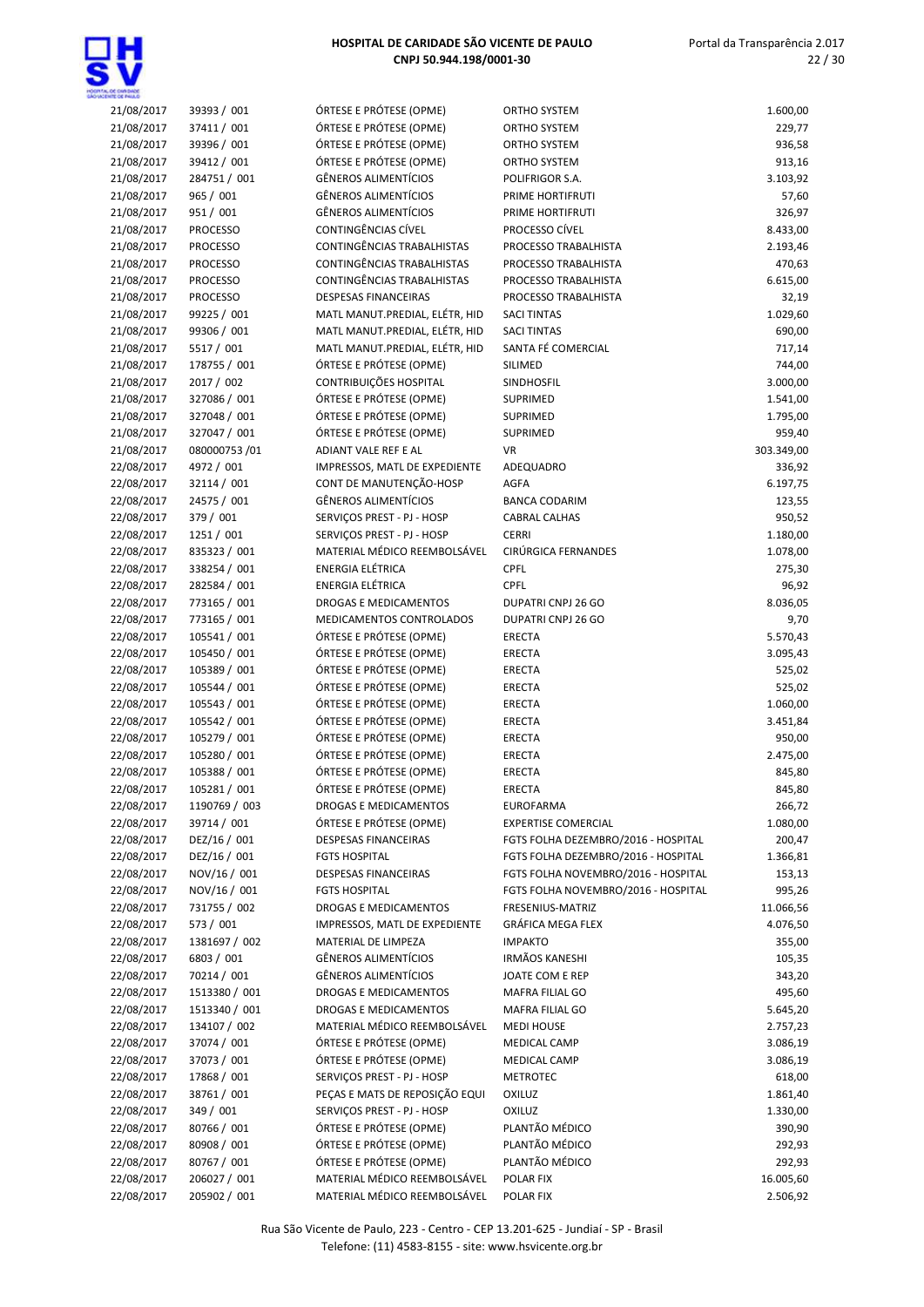

| 21/08/2017 | 39393 / 001     | ÓRTESE E PRÓTESE (OPME)        | <b>ORTHO SYSTEM</b>                 | 1.600,00   |
|------------|-----------------|--------------------------------|-------------------------------------|------------|
| 21/08/2017 | 37411 / 001     | ÓRTESE E PRÓTESE (OPME)        | ORTHO SYSTEM                        | 229,77     |
| 21/08/2017 | 39396 / 001     | ÓRTESE E PRÓTESE (OPME)        | <b>ORTHO SYSTEM</b>                 | 936,58     |
| 21/08/2017 | 39412 / 001     | ÓRTESE E PRÓTESE (OPME)        | ORTHO SYSTEM                        | 913,16     |
| 21/08/2017 | 284751 / 001    | <b>GÊNEROS ALIMENTÍCIOS</b>    | POLIFRIGOR S.A.                     | 3.103,92   |
| 21/08/2017 | 965 / 001       | <b>GÊNEROS ALIMENTÍCIOS</b>    | PRIME HORTIFRUTI                    | 57,60      |
| 21/08/2017 | 951 / 001       | <b>GÊNEROS ALIMENTÍCIOS</b>    | PRIME HORTIFRUTI                    | 326,97     |
|            |                 | CONTINGÊNCIAS CÍVEL            | PROCESSO CÍVEL                      |            |
| 21/08/2017 | <b>PROCESSO</b> |                                |                                     | 8.433,00   |
| 21/08/2017 | <b>PROCESSO</b> | CONTINGÊNCIAS TRABALHISTAS     | PROCESSO TRABALHISTA                | 2.193,46   |
| 21/08/2017 | <b>PROCESSO</b> | CONTINGÊNCIAS TRABALHISTAS     | PROCESSO TRABALHISTA                | 470,63     |
| 21/08/2017 | <b>PROCESSO</b> | CONTINGÊNCIAS TRABALHISTAS     | PROCESSO TRABALHISTA                | 6.615,00   |
| 21/08/2017 | <b>PROCESSO</b> | <b>DESPESAS FINANCEIRAS</b>    | PROCESSO TRABALHISTA                | 32,19      |
| 21/08/2017 | 99225 / 001     | MATL MANUT.PREDIAL, ELÉTR, HID | <b>SACI TINTAS</b>                  | 1.029,60   |
| 21/08/2017 | 99306 / 001     | MATL MANUT.PREDIAL, ELÉTR, HID | <b>SACI TINTAS</b>                  | 690,00     |
| 21/08/2017 | 5517 / 001      | MATL MANUT.PREDIAL, ELÉTR, HID | SANTA FÉ COMERCIAL                  | 717,14     |
| 21/08/2017 | 178755 / 001    | ÓRTESE E PRÓTESE (OPME)        | SILIMED                             | 744,00     |
| 21/08/2017 | 2017 / 002      | CONTRIBUIÇÕES HOSPITAL         | SINDHOSFIL                          | 3.000,00   |
| 21/08/2017 | 327086 / 001    | ÓRTESE E PRÓTESE (OPME)        | SUPRIMED                            | 1.541,00   |
| 21/08/2017 | 327048 / 001    | ÓRTESE E PRÓTESE (OPME)        | SUPRIMED                            | 1.795,00   |
| 21/08/2017 | 327047 / 001    | ÓRTESE E PRÓTESE (OPME)        | SUPRIMED                            | 959,40     |
| 21/08/2017 | 080000753 /01   | ADIANT VALE REF E AL           | VR                                  | 303.349,00 |
| 22/08/2017 | 4972 / 001      | IMPRESSOS, MATL DE EXPEDIENTE  | ADEQUADRO                           | 336,92     |
| 22/08/2017 | 32114 / 001     | CONT DE MANUTENÇÃO-HOSP        | <b>AGFA</b>                         | 6.197,75   |
| 22/08/2017 | 24575 / 001     | <b>GÊNEROS ALIMENTÍCIOS</b>    | <b>BANCA CODARIM</b>                | 123,55     |
| 22/08/2017 | 379 / 001       | SERVIÇOS PREST - PJ - HOSP     | <b>CABRAL CALHAS</b>                | 950,52     |
| 22/08/2017 | 1251 / 001      | SERVIÇOS PREST - PJ - HOSP     | <b>CERRI</b>                        | 1.180,00   |
| 22/08/2017 | 835323 / 001    | MATERIAL MÉDICO REEMBOLSÁVEL   | CIRÚRGICA FERNANDES                 | 1.078,00   |
| 22/08/2017 | 338254 / 001    | <b>ENERGIA ELÉTRICA</b>        | CPFL                                | 275,30     |
| 22/08/2017 | 282584 / 001    | <b>ENERGIA ELÉTRICA</b>        | CPFL                                | 96,92      |
| 22/08/2017 | 773165 / 001    | <b>DROGAS E MEDICAMENTOS</b>   | DUPATRI CNPJ 26 GO                  | 8.036,05   |
|            |                 |                                |                                     |            |
| 22/08/2017 | 773165 / 001    | MEDICAMENTOS CONTROLADOS       | DUPATRI CNPJ 26 GO                  | 9,70       |
| 22/08/2017 | 105541 / 001    | ÓRTESE E PRÓTESE (OPME)        | <b>ERECTA</b>                       | 5.570,43   |
| 22/08/2017 | 105450 / 001    | ÓRTESE E PRÓTESE (OPME)        | <b>ERECTA</b>                       | 3.095,43   |
| 22/08/2017 | 105389 / 001    | ÓRTESE E PRÓTESE (OPME)        | <b>ERECTA</b>                       | 525,02     |
| 22/08/2017 | 105544 / 001    | ÓRTESE E PRÓTESE (OPME)        | <b>ERECTA</b>                       | 525,02     |
| 22/08/2017 | 105543 / 001    | ÓRTESE E PRÓTESE (OPME)        | <b>ERECTA</b>                       | 1.060,00   |
| 22/08/2017 | 105542 / 001    | ÓRTESE E PRÓTESE (OPME)        | <b>ERECTA</b>                       | 3.451,84   |
| 22/08/2017 | 105279 / 001    | ÓRTESE E PRÓTESE (OPME)        | <b>ERECTA</b>                       | 950,00     |
| 22/08/2017 | 105280 / 001    | ÓRTESE E PRÓTESE (OPME)        | <b>ERECTA</b>                       | 2.475,00   |
| 22/08/2017 | 105388 / 001    | ÓRTESE E PRÓTESE (OPME)        | <b>ERECTA</b>                       | 845,80     |
| 22/08/2017 | 105281 / 001    | ÓRTESE E PRÓTESE (OPME)        | <b>ERECTA</b>                       | 845,80     |
| 22/08/2017 | 1190769 / 003   | DROGAS E MEDICAMENTOS          | EUROFARMA                           | 266,72     |
| 22/08/2017 | 39714 / 001     | ÓRTESE E PRÓTESE (OPME)        | <b>EXPERTISE COMERCIAL</b>          | 1.080,00   |
| 22/08/2017 | DEZ/16 / 001    | <b>DESPESAS FINANCEIRAS</b>    | FGTS FOLHA DEZEMBRO/2016 - HOSPITAL | 200,47     |
| 22/08/2017 | DEZ/16 / 001    | <b>FGTS HOSPITAL</b>           | FGTS FOLHA DEZEMBRO/2016 - HOSPITAL | 1.366,81   |
| 22/08/2017 | NOV/16 / 001    | DESPESAS FINANCEIRAS           | FGTS FOLHA NOVEMBRO/2016 - HOSPITAL | 153,13     |
| 22/08/2017 | NOV/16 / 001    | <b>FGTS HOSPITAL</b>           | FGTS FOLHA NOVEMBRO/2016 - HOSPITAL | 995,26     |
| 22/08/2017 | 731755 / 002    | DROGAS E MEDICAMENTOS          | FRESENIUS-MATRIZ                    | 11.066,56  |
| 22/08/2017 | 573 / 001       | IMPRESSOS, MATL DE EXPEDIENTE  | <b>GRÁFICA MEGA FLEX</b>            | 4.076,50   |
| 22/08/2017 | 1381697 / 002   | MATERIAL DE LIMPEZA            | <b>IMPAKTO</b>                      | 355,00     |
| 22/08/2017 | 6803 / 001      | GÊNEROS ALIMENTÍCIOS           | <b>IRMÃOS KANESHI</b>               | 105,35     |
|            | 70214 / 001     | <b>GÊNEROS ALIMENTÍCIOS</b>    | JOATE COM E REP                     |            |
| 22/08/2017 |                 |                                |                                     | 343,20     |
| 22/08/2017 | 1513380 / 001   | DROGAS E MEDICAMENTOS          | MAFRA FILIAL GO                     | 495,60     |
| 22/08/2017 | 1513340 / 001   | DROGAS E MEDICAMENTOS          | MAFRA FILIAL GO                     | 5.645,20   |
| 22/08/2017 | 134107 / 002    | MATERIAL MÉDICO REEMBOLSÁVEL   | <b>MEDI HOUSE</b>                   | 2.757,23   |
| 22/08/2017 | 37074 / 001     | ÓRTESE E PRÓTESE (OPME)        | MEDICAL CAMP                        | 3.086,19   |
| 22/08/2017 | 37073 / 001     | ÓRTESE E PRÓTESE (OPME)        | MEDICAL CAMP                        | 3.086,19   |
| 22/08/2017 | 17868 / 001     | SERVIÇOS PREST - PJ - HOSP     | <b>METROTEC</b>                     | 618,00     |
| 22/08/2017 | 38761 / 001     | PEÇAS E MATS DE REPOSIÇÃO EQUI | <b>OXILUZ</b>                       | 1.861,40   |
| 22/08/2017 | 349 / 001       | SERVIÇOS PREST - PJ - HOSP     | <b>OXILUZ</b>                       | 1.330,00   |
| 22/08/2017 | 80766 / 001     | ÓRTESE E PRÓTESE (OPME)        | PLANTÃO MÉDICO                      | 390,90     |
| 22/08/2017 | 80908 / 001     | ÓRTESE E PRÓTESE (OPME)        | PLANTÃO MÉDICO                      | 292,93     |
| 22/08/2017 | 80767 / 001     | ÓRTESE E PRÓTESE (OPME)        | PLANTÃO MÉDICO                      | 292,93     |
| 22/08/2017 | 206027 / 001    | MATERIAL MÉDICO REEMBOLSÁVEL   | POLAR FIX                           | 16.005,60  |
| 22/08/2017 | 205902 / 001    | MATERIAL MÉDICO REEMBOLSÁVEL   | POLAR FIX                           | 2.506,92   |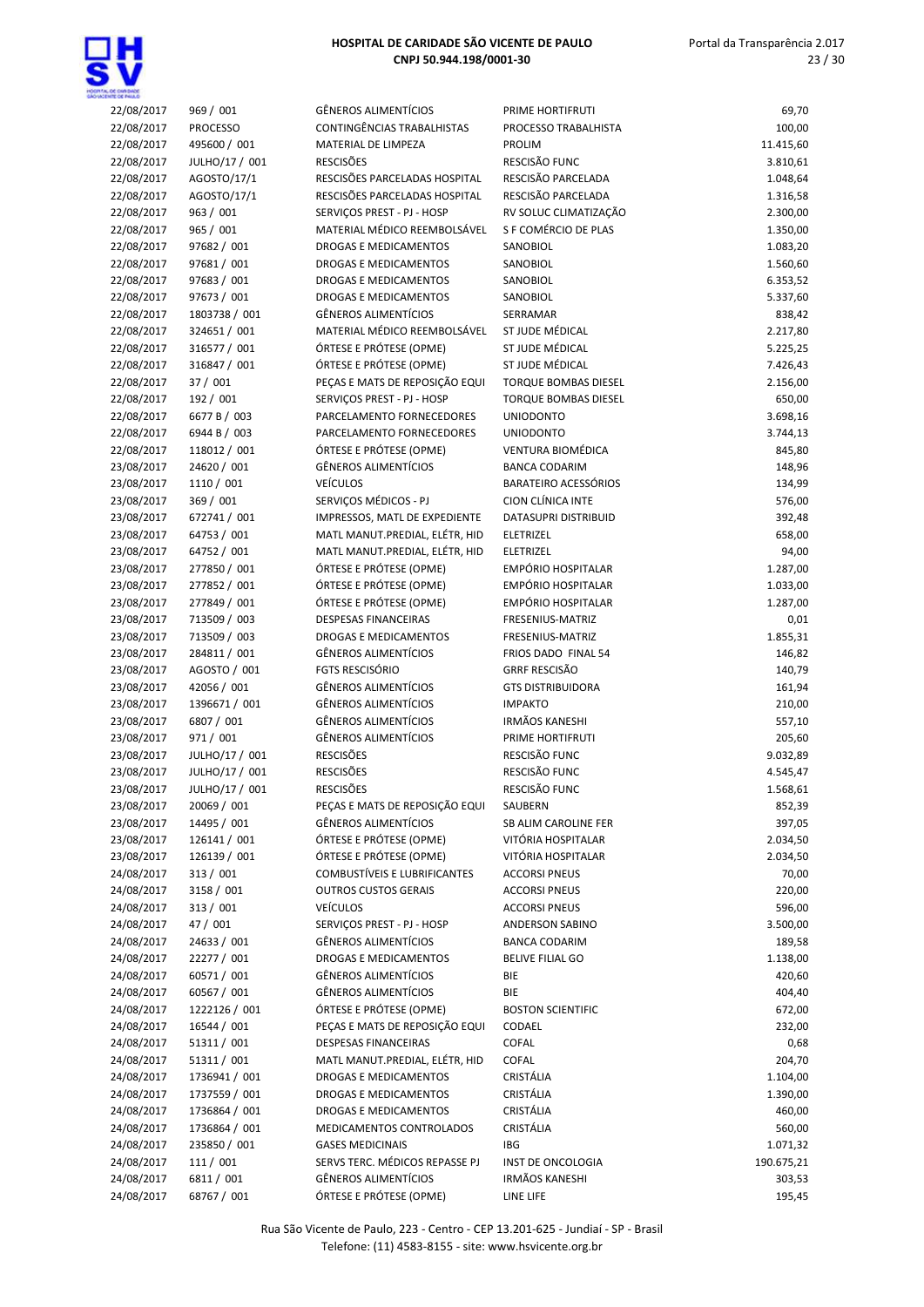

| <b>ENTE CE PAIA O</b><br>22/08/2017 | 969 / 001                        | <b>GÊNEROS ALIMENTÍCIOS</b>                             | PRIME HORTIFRUTI                                           | 69,70                |
|-------------------------------------|----------------------------------|---------------------------------------------------------|------------------------------------------------------------|----------------------|
| 22/08/2017                          | <b>PROCESSO</b>                  | CONTINGÊNCIAS TRABALHISTAS                              | PROCESSO TRABALHISTA                                       | 100,00               |
| 22/08/2017                          | 495600 / 001                     | MATERIAL DE LIMPEZA                                     | <b>PROLIM</b>                                              | 11.415,60            |
| 22/08/2017                          | JULHO/17 / 001                   | <b>RESCISÕES</b>                                        | RESCISÃO FUNC                                              | 3.810,61             |
| 22/08/2017                          | AGOSTO/17/1                      | RESCISÕES PARCELADAS HOSPITAL                           | RESCISÃO PARCELADA                                         | 1.048,64             |
| 22/08/2017                          | AGOSTO/17/1                      | RESCISÕES PARCELADAS HOSPITAL                           | RESCISÃO PARCELADA                                         | 1.316,58             |
| 22/08/2017                          | 963 / 001                        | SERVIÇOS PREST - PJ - HOSP                              | RV SOLUC CLIMATIZAÇÃO                                      | 2.300,00             |
| 22/08/2017                          | 965 / 001                        | MATERIAL MÉDICO REEMBOLSÁVEL                            | S F COMÉRCIO DE PLAS                                       | 1.350,00             |
| 22/08/2017                          | 97682 / 001                      | <b>DROGAS E MEDICAMENTOS</b>                            | SANOBIOL                                                   | 1.083,20             |
| 22/08/2017                          | 97681 / 001                      | DROGAS E MEDICAMENTOS                                   | SANOBIOL                                                   | 1.560,60             |
| 22/08/2017                          | 97683 / 001                      | DROGAS E MEDICAMENTOS                                   | SANOBIOL                                                   | 6.353,52             |
| 22/08/2017                          | 97673 / 001                      | DROGAS E MEDICAMENTOS                                   | SANOBIOL                                                   | 5.337,60             |
| 22/08/2017                          | 1803738 / 001                    | <b>GÊNEROS ALIMENTÍCIOS</b>                             | SERRAMAR                                                   | 838,42               |
| 22/08/2017                          | 324651 / 001                     | MATERIAL MÉDICO REEMBOLSÁVEL                            | ST JUDE MÉDICAL                                            | 2.217,80             |
| 22/08/2017                          | 316577 / 001                     | ÓRTESE E PRÓTESE (OPME)                                 | ST JUDE MÉDICAL                                            | 5.225,25             |
| 22/08/2017                          | 316847 / 001                     | ÓRTESE E PRÓTESE (OPME)                                 | ST JUDE MÉDICAL                                            | 7.426,43             |
| 22/08/2017                          | 37/001                           | PEÇAS E MATS DE REPOSIÇÃO EQUI                          | <b>TORQUE BOMBAS DIESEL</b><br><b>TORQUE BOMBAS DIESEL</b> | 2.156,00<br>650,00   |
| 22/08/2017<br>22/08/2017            | 192 / 001<br>6677 B / 003        | SERVIÇOS PREST - PJ - HOSP<br>PARCELAMENTO FORNECEDORES | <b>UNIODONTO</b>                                           | 3.698,16             |
| 22/08/2017                          | 6944 B / 003                     | PARCELAMENTO FORNECEDORES                               | <b>UNIODONTO</b>                                           | 3.744,13             |
| 22/08/2017                          | 118012 / 001                     | ÓRTESE E PRÓTESE (OPME)                                 | <b>VENTURA BIOMÉDICA</b>                                   | 845,80               |
| 23/08/2017                          | 24620 / 001                      | <b>GÊNEROS ALIMENTÍCIOS</b>                             | <b>BANCA CODARIM</b>                                       | 148,96               |
| 23/08/2017                          | 1110 / 001                       | <b>VEÍCULOS</b>                                         | BARATEIRO ACESSÓRIOS                                       | 134,99               |
| 23/08/2017                          | 369 / 001                        | SERVIÇOS MÉDICOS - PJ                                   | CION CLÍNICA INTE                                          | 576,00               |
| 23/08/2017                          | 672741 / 001                     | IMPRESSOS, MATL DE EXPEDIENTE                           | DATASUPRI DISTRIBUID                                       | 392,48               |
| 23/08/2017                          | 64753 / 001                      | MATL MANUT.PREDIAL, ELÉTR, HID                          | ELETRIZEL                                                  | 658,00               |
| 23/08/2017                          | 64752 / 001                      | MATL MANUT.PREDIAL, ELÉTR, HID                          | ELETRIZEL                                                  | 94,00                |
| 23/08/2017                          | 277850 / 001                     | ÓRTESE E PRÓTESE (OPME)                                 | EMPÓRIO HOSPITALAR                                         | 1.287,00             |
| 23/08/2017                          | 277852 / 001                     | ÓRTESE E PRÓTESE (OPME)                                 | EMPÓRIO HOSPITALAR                                         | 1.033,00             |
| 23/08/2017                          | 277849 / 001                     | ÓRTESE E PRÓTESE (OPME)                                 | EMPÓRIO HOSPITALAR                                         | 1.287,00             |
| 23/08/2017                          | 713509 / 003                     | <b>DESPESAS FINANCEIRAS</b>                             | FRESENIUS-MATRIZ                                           | 0,01                 |
| 23/08/2017                          | 713509 / 003                     | <b>DROGAS E MEDICAMENTOS</b>                            | FRESENIUS-MATRIZ                                           | 1.855,31             |
| 23/08/2017                          | 284811 / 001                     | <b>GÊNEROS ALIMENTÍCIOS</b>                             | FRIOS DADO FINAL 54                                        | 146,82               |
| 23/08/2017                          | AGOSTO / 001                     | <b>FGTS RESCISÓRIO</b>                                  | <b>GRRF RESCISÃO</b>                                       | 140,79               |
| 23/08/2017                          | 42056 / 001                      | GÊNEROS ALIMENTÍCIOS                                    | <b>GTS DISTRIBUIDORA</b>                                   | 161,94               |
| 23/08/2017                          | 1396671 / 001                    | <b>GÊNEROS ALIMENTÍCIOS</b>                             | <b>IMPAKTO</b>                                             | 210,00               |
| 23/08/2017                          | 6807 / 001                       | <b>GÊNEROS ALIMENTÍCIOS</b>                             | <b>IRMÃOS KANESHI</b>                                      | 557,10               |
| 23/08/2017                          | 971 / 001                        | <b>GÊNEROS ALIMENTÍCIOS</b>                             | PRIME HORTIFRUTI                                           | 205,60               |
| 23/08/2017                          | JULHO/17 / 001                   | <b>RESCISÕES</b><br><b>RESCISÕES</b>                    | RESCISÃO FUNC<br>RESCISÃO FUNC                             | 9.032,89             |
| 23/08/2017<br>23/08/2017            | JULHO/17 / 001<br>JULHO/17 / 001 | <b>RESCISÕES</b>                                        | RESCISÃO FUNC                                              | 4.545,47<br>1.568,61 |
| 23/08/2017                          | 20069 / 001                      | PEÇAS E MATS DE REPOSIÇÃO EQUI                          | SAUBERN                                                    | 852,39               |
| 23/08/2017                          | 14495 / 001                      | <b>GÊNEROS ALIMENTÍCIOS</b>                             | SB ALIM CAROLINE FER                                       | 397,05               |
| 23/08/2017                          | 126141 / 001                     | ÓRTESE E PRÓTESE (OPME)                                 | VITÓRIA HOSPITALAR                                         | 2.034,50             |
| 23/08/2017                          | 126139 / 001                     | ÓRTESE E PRÓTESE (OPME)                                 | VITÓRIA HOSPITALAR                                         | 2.034,50             |
| 24/08/2017                          | 313 / 001                        | <b>COMBUSTÍVEIS E LUBRIFICANTES</b>                     | <b>ACCORSI PNEUS</b>                                       | 70,00                |
| 24/08/2017                          | 3158 / 001                       | <b>OUTROS CUSTOS GERAIS</b>                             | <b>ACCORSI PNEUS</b>                                       | 220,00               |
| 24/08/2017                          | 313 / 001                        | <b>VEÍCULOS</b>                                         | <b>ACCORSI PNEUS</b>                                       | 596,00               |
| 24/08/2017                          | 47 / 001                         | SERVIÇOS PREST - PJ - HOSP                              | ANDERSON SABINO                                            | 3.500,00             |
| 24/08/2017                          | 24633 / 001                      | <b>GÊNEROS ALIMENTÍCIOS</b>                             | <b>BANCA CODARIM</b>                                       | 189,58               |
| 24/08/2017                          | 22277 / 001                      | DROGAS E MEDICAMENTOS                                   | <b>BELIVE FILIAL GO</b>                                    | 1.138,00             |
| 24/08/2017                          | 60571 / 001                      | GÊNEROS ALIMENTÍCIOS                                    | BIE                                                        | 420,60               |
| 24/08/2017                          | 60567 / 001                      | GÊNEROS ALIMENTÍCIOS                                    | BIE                                                        | 404,40               |
| 24/08/2017                          | 1222126 / 001                    | ÓRTESE E PRÓTESE (OPME)                                 | <b>BOSTON SCIENTIFIC</b>                                   | 672,00               |
| 24/08/2017                          | 16544 / 001                      | PEÇAS E MATS DE REPOSIÇÃO EQUI                          | CODAEL                                                     | 232,00               |
| 24/08/2017                          | 51311 / 001                      | <b>DESPESAS FINANCEIRAS</b>                             | COFAL                                                      | 0,68                 |
| 24/08/2017                          | 51311 / 001                      | MATL MANUT.PREDIAL, ELÉTR, HID                          | COFAL                                                      | 204,70               |
| 24/08/2017                          | 1736941 / 001                    | DROGAS E MEDICAMENTOS                                   | CRISTÁLIA                                                  | 1.104,00             |
| 24/08/2017                          | 1737559 / 001                    | DROGAS E MEDICAMENTOS                                   | CRISTÁLIA                                                  | 1.390,00             |
| 24/08/2017                          | 1736864 / 001                    | DROGAS E MEDICAMENTOS                                   | CRISTÁLIA                                                  | 460,00               |
| 24/08/2017                          | 1736864 / 001                    | MEDICAMENTOS CONTROLADOS                                | CRISTÁLIA                                                  | 560,00               |
| 24/08/2017                          | 235850 / 001                     | <b>GASES MEDICINAIS</b>                                 | IBG                                                        | 1.071,32             |
| 24/08/2017                          | 111 / 001                        | SERVS TERC. MÉDICOS REPASSE PJ                          | INST DE ONCOLOGIA<br><b>IRMÃOS KANESHI</b>                 | 190.675,21           |
| 24/08/2017                          | 6811 / 001                       | <b>GÊNEROS ALIMENTÍCIOS</b>                             |                                                            | 303,53               |
| 24/08/2017                          | 68767 / 001                      | ÓRTESE E PRÓTESE (OPME)                                 | LINE LIFE                                                  | 195,45               |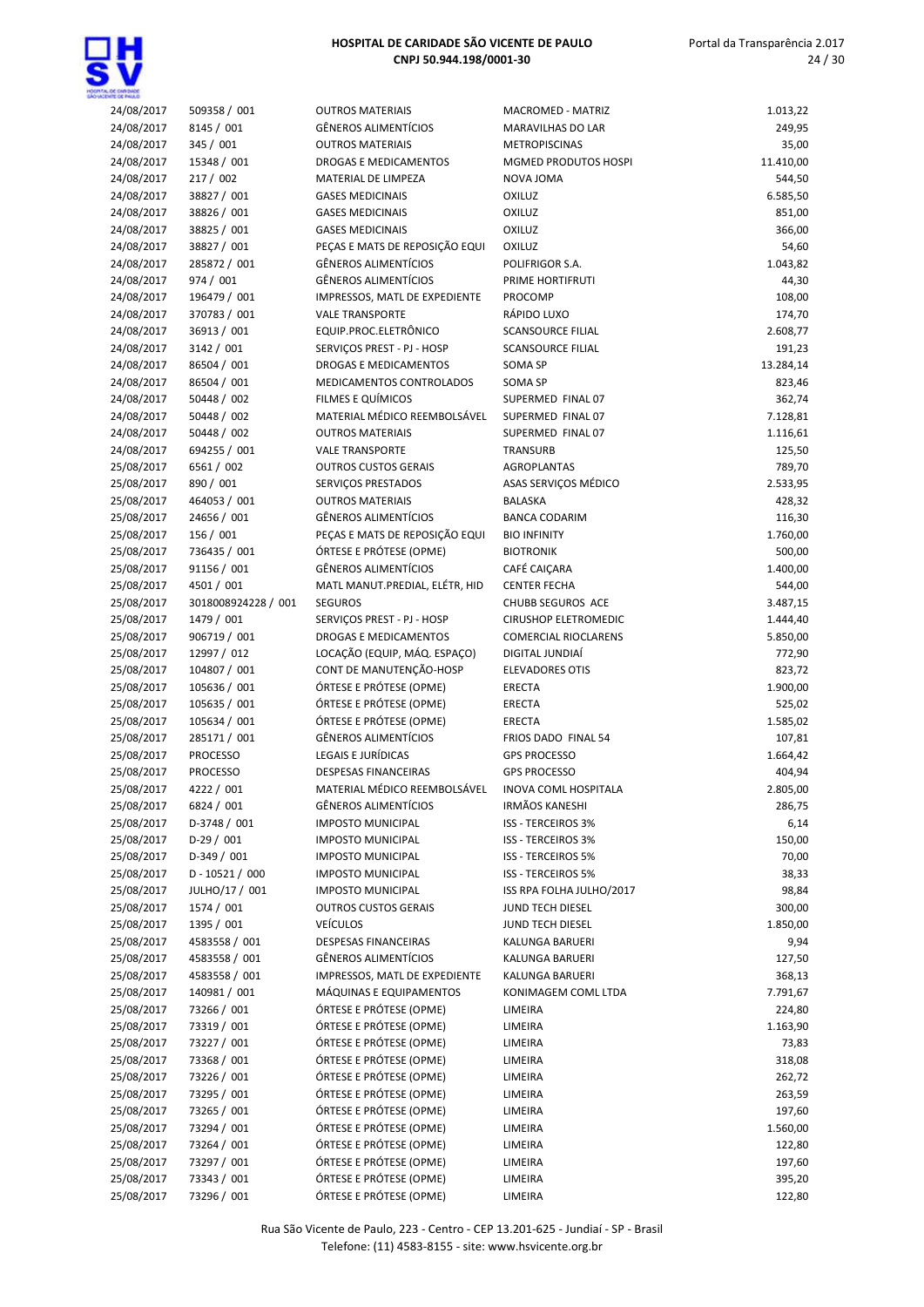

| 24/08/2017               | 509358 / 001                | <b>OUTROS MATERIAIS</b>                                      | <b>MACROMED - MATRIZ</b>                  | 1.013,22           |
|--------------------------|-----------------------------|--------------------------------------------------------------|-------------------------------------------|--------------------|
| 24/08/2017               | 8145 / 001                  | <b>GÊNEROS ALIMENTÍCIOS</b>                                  | MARAVILHAS DO LAR                         | 249,95             |
| 24/08/2017               | 345 / 001                   | <b>OUTROS MATERIAIS</b>                                      | <b>METROPISCINAS</b>                      | 35,00              |
| 24/08/2017               | 15348 / 001                 | <b>DROGAS E MEDICAMENTOS</b>                                 | MGMED PRODUTOS HOSPI                      | 11.410,00          |
| 24/08/2017               | 217 / 002                   | MATERIAL DE LIMPEZA                                          | NOVA JOMA                                 | 544,50             |
| 24/08/2017               | 38827 / 001                 | <b>GASES MEDICINAIS</b>                                      | <b>OXILUZ</b>                             | 6.585,50           |
| 24/08/2017               | 38826 / 001                 | <b>GASES MEDICINAIS</b>                                      | <b>OXILUZ</b>                             | 851,00             |
| 24/08/2017               | 38825 / 001                 | <b>GASES MEDICINAIS</b>                                      | <b>OXILUZ</b>                             | 366,00             |
| 24/08/2017               | 38827 / 001                 | PEÇAS E MATS DE REPOSIÇÃO EQUI                               | OXILUZ                                    | 54,60              |
| 24/08/2017               | 285872 / 001                | <b>GÊNEROS ALIMENTÍCIOS</b>                                  | POLIFRIGOR S.A.                           | 1.043,82           |
| 24/08/2017               | 974 / 001                   | <b>GÊNEROS ALIMENTÍCIOS</b>                                  | PRIME HORTIFRUTI                          | 44,30              |
| 24/08/2017               | 196479 / 001                | IMPRESSOS, MATL DE EXPEDIENTE                                | PROCOMP                                   | 108,00             |
| 24/08/2017               | 370783 / 001                | <b>VALE TRANSPORTE</b>                                       | RÁPIDO LUXO                               | 174,70             |
| 24/08/2017               | 36913 / 001                 | EQUIP.PROC.ELETRÔNICO                                        | <b>SCANSOURCE FILIAL</b>                  | 2.608,77           |
| 24/08/2017               | 3142 / 001                  | SERVIÇOS PREST - PJ - HOSP                                   | <b>SCANSOURCE FILIAL</b>                  | 191,23             |
| 24/08/2017               | 86504 / 001                 | DROGAS E MEDICAMENTOS                                        | SOMA SP                                   | 13.284,14          |
| 24/08/2017               | 86504 / 001                 | MEDICAMENTOS CONTROLADOS                                     | SOMA SP                                   | 823,46             |
| 24/08/2017               | 50448 / 002                 | FILMES E QUÍMICOS                                            | SUPERMED FINAL 07                         | 362,74             |
| 24/08/2017               | 50448 / 002                 | MATERIAL MÉDICO REEMBOLSÁVEL                                 | SUPERMED FINAL 07                         | 7.128,81           |
| 24/08/2017               | 50448 / 002                 | <b>OUTROS MATERIAIS</b>                                      | SUPERMED FINAL 07                         | 1.116,61           |
| 24/08/2017               | 694255 / 001                | <b>VALE TRANSPORTE</b>                                       | TRANSURB                                  | 125,50             |
| 25/08/2017               | 6561 / 002                  | <b>OUTROS CUSTOS GERAIS</b>                                  | AGROPLANTAS                               | 789,70             |
| 25/08/2017               | 890 / 001                   | SERVIÇOS PRESTADOS                                           | ASAS SERVIÇOS MÉDICO                      | 2.533,95           |
| 25/08/2017               | 464053 / 001                | <b>OUTROS MATERIAIS</b>                                      | <b>BALASKA</b>                            | 428,32             |
| 25/08/2017               | 24656 / 001                 | <b>GÊNEROS ALIMENTÍCIOS</b>                                  | <b>BANCA CODARIM</b>                      | 116,30             |
| 25/08/2017               | 156 / 001                   | PECAS E MATS DE REPOSIÇÃO EQUI                               | <b>BIO INFINITY</b>                       | 1.760,00           |
| 25/08/2017               | 736435 / 001                | ÓRTESE E PRÓTESE (OPME)                                      | <b>BIOTRONIK</b>                          | 500,00             |
| 25/08/2017               | 91156 / 001                 | <b>GÊNEROS ALIMENTÍCIOS</b>                                  | CAFÉ CAIÇARA                              | 1.400,00           |
| 25/08/2017               | 4501 / 001                  | MATL MANUT.PREDIAL, ELÉTR, HID                               | <b>CENTER FECHA</b>                       | 544,00             |
| 25/08/2017               | 3018008924228 / 001         | <b>SEGUROS</b>                                               | CHUBB SEGUROS ACE                         | 3.487,15           |
| 25/08/2017               | 1479 / 001                  | SERVIÇOS PREST - PJ - HOSP                                   | <b>CIRUSHOP ELETROMEDIC</b>               | 1.444,40           |
| 25/08/2017               | 906719 / 001<br>12997 / 012 | <b>DROGAS E MEDICAMENTOS</b><br>LOCAÇÃO (EQUIP, MÁQ. ESPAÇO) | <b>COMERCIAL RIOCLARENS</b>               | 5.850,00           |
| 25/08/2017               | 104807 / 001                | CONT DE MANUTENÇÃO-HOSP                                      | DIGITAL JUNDIAÍ<br><b>ELEVADORES OTIS</b> | 772,90             |
| 25/08/2017<br>25/08/2017 | 105636 / 001                | ÓRTESE E PRÓTESE (OPME)                                      | <b>ERECTA</b>                             | 823,72<br>1.900,00 |
| 25/08/2017               | 105635 / 001                | ÓRTESE E PRÓTESE (OPME)                                      | <b>ERECTA</b>                             | 525,02             |
| 25/08/2017               | 105634 / 001                | ÓRTESE E PRÓTESE (OPME)                                      | <b>ERECTA</b>                             | 1.585,02           |
| 25/08/2017               | 285171 / 001                | <b>GÊNEROS ALIMENTÍCIOS</b>                                  | FRIOS DADO FINAL 54                       | 107,81             |
| 25/08/2017               | <b>PROCESSO</b>             | LEGAIS E JURÍDICAS                                           | <b>GPS PROCESSO</b>                       | 1.664,42           |
| 25/08/2017               | <b>PROCESSO</b>             | <b>DESPESAS FINANCEIRAS</b>                                  | <b>GPS PROCESSO</b>                       | 404,94             |
| 25/08/2017               | 4222 / 001                  | MATERIAL MÉDICO REEMBOLSÁVEL                                 | <b>INOVA COML HOSPITALA</b>               | 2.805,00           |
| 25/08/2017               | 6824 / 001                  | <b>GÊNEROS ALIMENTÍCIOS</b>                                  | IRMÃOS KANESHI                            | 286,75             |
| 25/08/2017               | D-3748 / 001                | <b>IMPOSTO MUNICIPAL</b>                                     | <b>ISS - TERCEIROS 3%</b>                 | 6,14               |
| 25/08/2017               | $D-29/001$                  | <b>IMPOSTO MUNICIPAL</b>                                     | ISS - TERCEIROS 3%                        | 150,00             |
| 25/08/2017               | $D-349/001$                 | <b>IMPOSTO MUNICIPAL</b>                                     | <b>ISS - TERCEIROS 5%</b>                 | 70,00              |
| 25/08/2017               | D-10521/000                 | <b>IMPOSTO MUNICIPAL</b>                                     | <b>ISS - TERCEIROS 5%</b>                 | 38,33              |
| 25/08/2017               | JULHO/17 / 001              | <b>IMPOSTO MUNICIPAL</b>                                     | ISS RPA FOLHA JULHO/2017                  | 98,84              |
| 25/08/2017               | 1574 / 001                  | <b>OUTROS CUSTOS GERAIS</b>                                  | JUND TECH DIESEL                          | 300,00             |
| 25/08/2017               | 1395 / 001                  | <b>VEÍCULOS</b>                                              | JUND TECH DIESEL                          | 1.850,00           |
| 25/08/2017               | 4583558 / 001               | DESPESAS FINANCEIRAS                                         | KALUNGA BARUERI                           | 9,94               |
| 25/08/2017               | 4583558 / 001               | <b>GÊNEROS ALIMENTÍCIOS</b>                                  | KALUNGA BARUERI                           | 127,50             |
| 25/08/2017               | 4583558 / 001               | IMPRESSOS, MATL DE EXPEDIENTE                                | KALUNGA BARUERI                           | 368,13             |
| 25/08/2017               | 140981 / 001                | MÁQUINAS E EQUIPAMENTOS                                      | KONIMAGEM COML LTDA                       | 7.791,67           |
| 25/08/2017               | 73266 / 001                 | ÓRTESE E PRÓTESE (OPME)                                      | LIMEIRA                                   | 224,80             |
| 25/08/2017               | 73319 / 001                 | ÓRTESE E PRÓTESE (OPME)                                      | LIMEIRA                                   | 1.163,90           |
| 25/08/2017               | 73227 / 001                 | ÓRTESE E PRÓTESE (OPME)                                      | LIMEIRA                                   | 73,83              |
| 25/08/2017               | 73368 / 001                 | ÓRTESE E PRÓTESE (OPME)                                      | LIMEIRA                                   | 318,08             |
| 25/08/2017               | 73226 / 001                 | ÓRTESE E PRÓTESE (OPME)                                      | LIMEIRA                                   | 262,72             |
| 25/08/2017               | 73295 / 001                 | ÓRTESE E PRÓTESE (OPME)                                      | LIMEIRA                                   | 263,59             |
| 25/08/2017               | 73265 / 001                 | ÓRTESE E PRÓTESE (OPME)                                      | LIMEIRA                                   | 197,60             |
| 25/08/2017               | 73294 / 001                 | ÓRTESE E PRÓTESE (OPME)                                      | LIMEIRA                                   | 1.560,00           |
| 25/08/2017               | 73264 / 001                 | ÓRTESE E PRÓTESE (OPME)                                      | LIMEIRA                                   | 122,80             |
| 25/08/2017               | 73297 / 001                 | ÓRTESE E PRÓTESE (OPME)                                      | LIMEIRA                                   | 197,60             |
| 25/08/2017               | 73343 / 001                 | ÓRTESE E PRÓTESE (OPME)                                      | LIMEIRA                                   | 395,20             |
| 25/08/2017               | 73296 / 001                 | ÓRTESE E PRÓTESE (OPME)                                      | LIMEIRA                                   | 122,80             |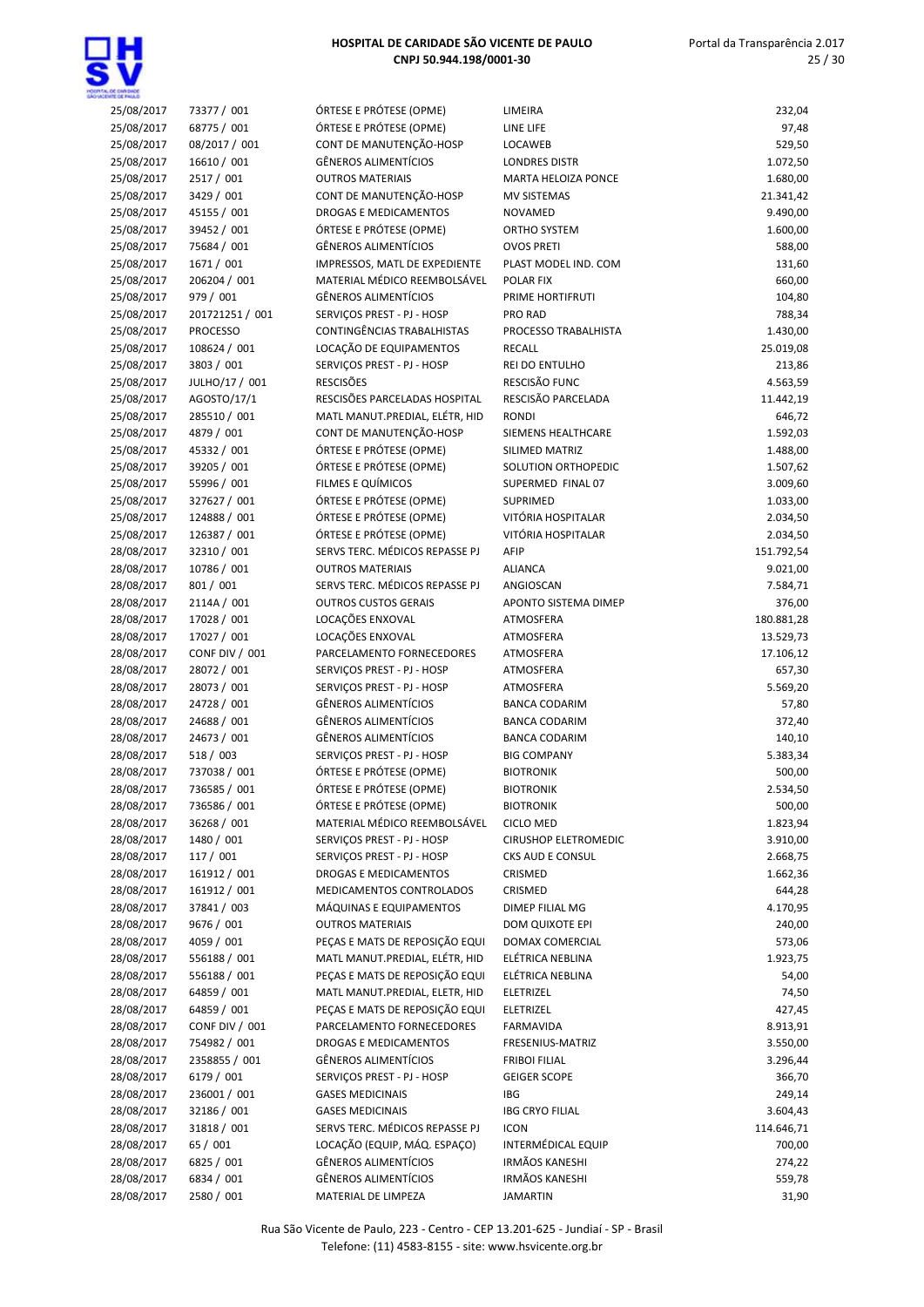

| <b>ENTR OF BELLO</b> |                 |                                |                             |            |
|----------------------|-----------------|--------------------------------|-----------------------------|------------|
| 25/08/2017           | 73377 / 001     | ÓRTESE E PRÓTESE (OPME)        | LIMEIRA                     | 232,04     |
| 25/08/2017           | 68775 / 001     | ÓRTESE E PRÓTESE (OPME)        | LINE LIFE                   | 97,48      |
| 25/08/2017           | 08/2017 / 001   | CONT DE MANUTENÇÃO-HOSP        | LOCAWEB                     | 529,50     |
| 25/08/2017           | 16610 / 001     | <b>GÊNEROS ALIMENTÍCIOS</b>    | <b>LONDRES DISTR</b>        | 1.072,50   |
| 25/08/2017           | 2517 / 001      | <b>OUTROS MATERIAIS</b>        | <b>MARTA HELOIZA PONCE</b>  | 1.680,00   |
| 25/08/2017           | 3429 / 001      | CONT DE MANUTENÇÃO-HOSP        | <b>MV SISTEMAS</b>          | 21.341,42  |
| 25/08/2017           | 45155 / 001     | <b>DROGAS E MEDICAMENTOS</b>   | <b>NOVAMED</b>              | 9.490,00   |
| 25/08/2017           | 39452 / 001     | ÓRTESE E PRÓTESE (OPME)        | <b>ORTHO SYSTEM</b>         | 1.600,00   |
| 25/08/2017           | 75684 / 001     | <b>GÊNEROS ALIMENTÍCIOS</b>    | <b>OVOS PRETI</b>           | 588,00     |
| 25/08/2017           | 1671 / 001      | IMPRESSOS, MATL DE EXPEDIENTE  | PLAST MODEL IND. COM        | 131,60     |
| 25/08/2017           | 206204 / 001    | MATERIAL MÉDICO REEMBOLSÁVEL   | POLAR FIX                   | 660,00     |
|                      |                 |                                |                             |            |
| 25/08/2017           | 979 / 001       | <b>GÊNEROS ALIMENTÍCIOS</b>    | PRIME HORTIFRUTI            | 104,80     |
| 25/08/2017           | 201721251 / 001 | SERVIÇOS PREST - PJ - HOSP     | PRO RAD                     | 788,34     |
| 25/08/2017           | <b>PROCESSO</b> | CONTINGÊNCIAS TRABALHISTAS     | PROCESSO TRABALHISTA        | 1.430,00   |
| 25/08/2017           | 108624 / 001    | LOCAÇÃO DE EQUIPAMENTOS        | <b>RECALL</b>               | 25.019,08  |
| 25/08/2017           | 3803 / 001      | SERVIÇOS PREST - PJ - HOSP     | REI DO ENTULHO              | 213,86     |
| 25/08/2017           | JULHO/17 / 001  | <b>RESCISÕES</b>               | RESCISÃO FUNC               | 4.563,59   |
| 25/08/2017           | AGOSTO/17/1     | RESCISÕES PARCELADAS HOSPITAL  | RESCISÃO PARCELADA          | 11.442,19  |
| 25/08/2017           | 285510 / 001    | MATL MANUT.PREDIAL, ELÉTR, HID | <b>RONDI</b>                | 646,72     |
| 25/08/2017           | 4879 / 001      | CONT DE MANUTENÇÃO-HOSP        | SIEMENS HEALTHCARE          | 1.592,03   |
|                      |                 |                                | SILIMED MATRIZ              |            |
| 25/08/2017           | 45332 / 001     | ÓRTESE E PRÓTESE (OPME)        |                             | 1.488,00   |
| 25/08/2017           | 39205 / 001     | ÓRTESE E PRÓTESE (OPME)        | SOLUTION ORTHOPEDIC         | 1.507,62   |
| 25/08/2017           | 55996 / 001     | FILMES E QUÍMICOS              | SUPERMED FINAL 07           | 3.009,60   |
| 25/08/2017           | 327627 / 001    | ÓRTESE E PRÓTESE (OPME)        | <b>SUPRIMED</b>             | 1.033,00   |
| 25/08/2017           | 124888 / 001    | ÓRTESE E PRÓTESE (OPME)        | VITÓRIA HOSPITALAR          | 2.034,50   |
| 25/08/2017           | 126387 / 001    | ÓRTESE E PRÓTESE (OPME)        | VITÓRIA HOSPITALAR          | 2.034,50   |
| 28/08/2017           | 32310 / 001     | SERVS TERC. MÉDICOS REPASSE PJ | AFIP                        | 151.792,54 |
| 28/08/2017           | 10786 / 001     | <b>OUTROS MATERIAIS</b>        | <b>ALIANCA</b>              | 9.021,00   |
| 28/08/2017           | 801 / 001       | SERVS TERC. MÉDICOS REPASSE PJ | ANGIOSCAN                   | 7.584,71   |
| 28/08/2017           | 2114A / 001     | <b>OUTROS CUSTOS GERAIS</b>    | APONTO SISTEMA DIMEP        | 376,00     |
|                      | 17028 / 001     | LOCAÇÕES ENXOVAL               |                             |            |
| 28/08/2017           |                 |                                | ATMOSFERA                   | 180.881,28 |
| 28/08/2017           | 17027 / 001     | LOCAÇÕES ENXOVAL               | ATMOSFERA                   | 13.529,73  |
| 28/08/2017           | CONF DIV / 001  | PARCELAMENTO FORNECEDORES      | ATMOSFERA                   | 17.106,12  |
| 28/08/2017           | 28072 / 001     | SERVIÇOS PREST - PJ - HOSP     | ATMOSFERA                   | 657,30     |
| 28/08/2017           | 28073 / 001     | SERVIÇOS PREST - PJ - HOSP     | ATMOSFERA                   | 5.569,20   |
| 28/08/2017           | 24728 / 001     | <b>GÊNEROS ALIMENTÍCIOS</b>    | <b>BANCA CODARIM</b>        | 57,80      |
| 28/08/2017           | 24688 / 001     | <b>GÊNEROS ALIMENTÍCIOS</b>    | <b>BANCA CODARIM</b>        | 372,40     |
| 28/08/2017           | 24673 / 001     | <b>GÊNEROS ALIMENTÍCIOS</b>    | <b>BANCA CODARIM</b>        | 140,10     |
| 28/08/2017           | 518 / 003       | SERVIÇOS PREST - PJ - HOSP     | <b>BIG COMPANY</b>          | 5.383,34   |
| 28/08/2017           | 737038 / 001    | ÓRTESE E PRÓTESE (OPME)        | <b>BIOTRONIK</b>            | 500,00     |
|                      | 736585 / 001    | ÓRTESE E PRÓTESE (OPME)        | <b>BIOTRONIK</b>            |            |
| 28/08/2017           |                 |                                |                             | 2.534,50   |
| 28/08/2017           | 736586 / 001    | ÓRTESE E PRÓTESE (OPME)        | <b>BIOTRONIK</b>            | 500,00     |
| 28/08/2017           | 36268 / 001     | MATERIAL MÉDICO REEMBOLSÁVEL   | CICLO MED                   | 1.823,94   |
| 28/08/2017           | 1480 / 001      | SERVIÇOS PREST - PJ - HOSP     | <b>CIRUSHOP ELETROMEDIC</b> | 3.910,00   |
| 28/08/2017           | 117/001         | SERVIÇOS PREST - PJ - HOSP     | CKS AUD E CONSUL            | 2.668,75   |
| 28/08/2017           | 161912 / 001    | DROGAS E MEDICAMENTOS          | CRISMED                     | 1.662,36   |
| 28/08/2017           | 161912 / 001    | MEDICAMENTOS CONTROLADOS       | CRISMED                     | 644,28     |
| 28/08/2017           | 37841 / 003     | MÁQUINAS E EQUIPAMENTOS        | DIMEP FILIAL MG             | 4.170,95   |
| 28/08/2017           | 9676 / 001      | <b>OUTROS MATERIAIS</b>        | DOM QUIXOTE EPI             | 240,00     |
| 28/08/2017           | 4059 / 001      | PEÇAS E MATS DE REPOSIÇÃO EQUI | DOMAX COMERCIAL             | 573,06     |
| 28/08/2017           | 556188 / 001    | MATL MANUT.PREDIAL, ELÉTR, HID | ELÉTRICA NEBLINA            | 1.923,75   |
|                      | 556188 / 001    |                                | ELÉTRICA NEBLINA            |            |
| 28/08/2017           |                 | PEÇAS E MATS DE REPOSIÇÃO EQUI |                             | 54,00      |
| 28/08/2017           | 64859 / 001     | MATL MANUT.PREDIAL, ELETR, HID | ELETRIZEL                   | 74,50      |
| 28/08/2017           | 64859 / 001     | PEÇAS E MATS DE REPOSIÇÃO EQUI | ELETRIZEL                   | 427,45     |
| 28/08/2017           | CONF DIV / 001  | PARCELAMENTO FORNECEDORES      | FARMAVIDA                   | 8.913,91   |
| 28/08/2017           | 754982 / 001    | <b>DROGAS E MEDICAMENTOS</b>   | FRESENIUS-MATRIZ            | 3.550,00   |
| 28/08/2017           | 2358855 / 001   | <b>GÊNEROS ALIMENTÍCIOS</b>    | FRIBOI FILIAL               | 3.296,44   |
| 28/08/2017           | 6179 / 001      | SERVIÇOS PREST - PJ - HOSP     | <b>GEIGER SCOPE</b>         | 366,70     |
| 28/08/2017           | 236001 / 001    | <b>GASES MEDICINAIS</b>        | IBG                         | 249,14     |
| 28/08/2017           | 32186 / 001     | <b>GASES MEDICINAIS</b>        | <b>IBG CRYO FILIAL</b>      | 3.604,43   |
| 28/08/2017           | 31818 / 001     | SERVS TERC. MÉDICOS REPASSE PJ | <b>ICON</b>                 | 114.646,71 |
|                      |                 |                                |                             |            |
| 28/08/2017           | 65 / 001        | LOCAÇÃO (EQUIP, MÁQ. ESPAÇO)   | INTERMÉDICAL EQUIP          | 700,00     |
| 28/08/2017           | 6825 / 001      | <b>GÊNEROS ALIMENTÍCIOS</b>    | IRMÃOS KANESHI              | 274,22     |
| 28/08/2017           | 6834 / 001      | <b>GÊNEROS ALIMENTÍCIOS</b>    | <b>IRMÃOS KANESHI</b>       | 559,78     |
| 28/08/2017           | 2580 / 001      | MATERIAL DE LIMPEZA            | <b>JAMARTIN</b>             | 31,90      |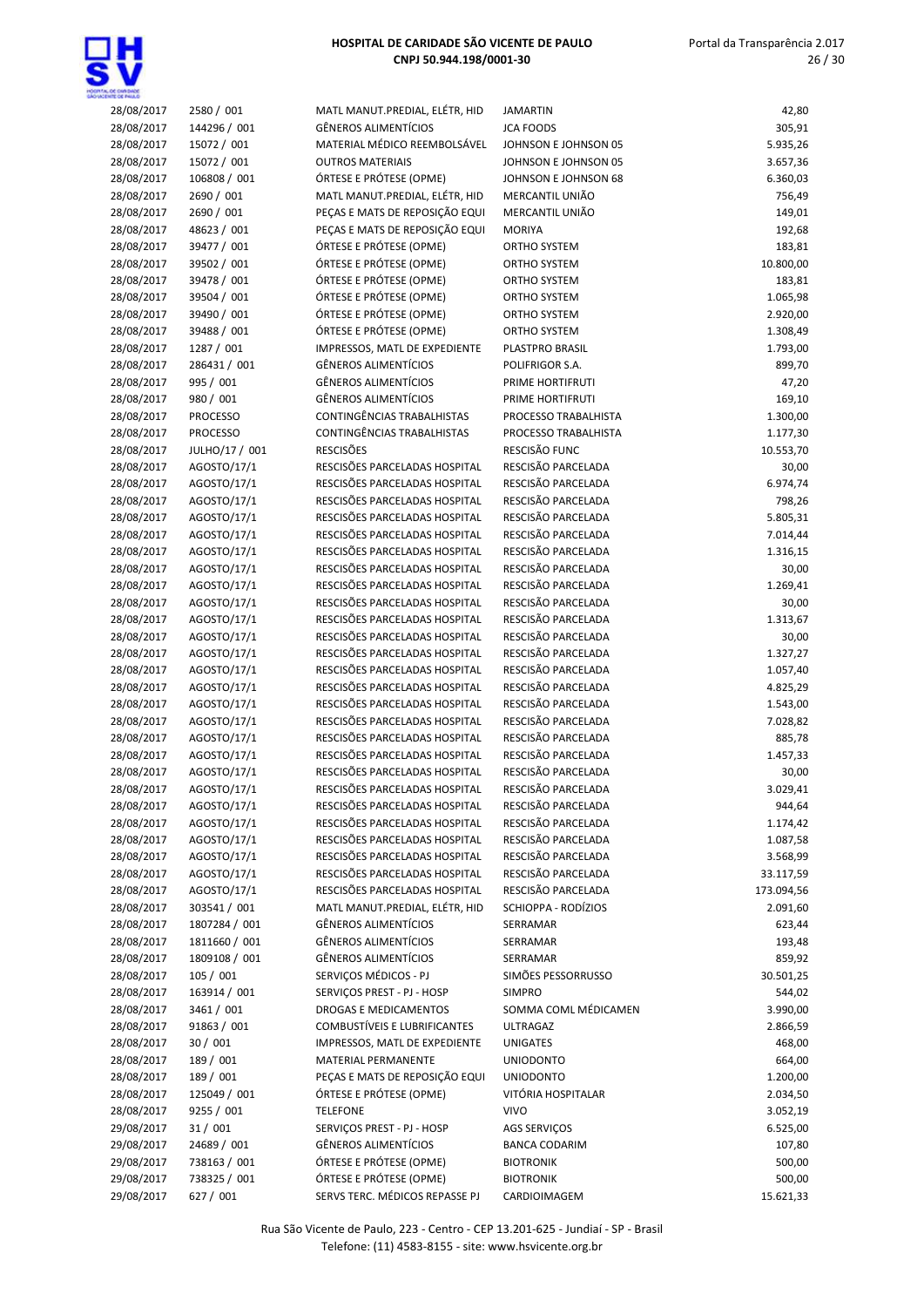

| 28/08/2017 | 2580 / 001      | MATL MANUT.PREDIAL, ELÉTR, HID                                 | <b>JAMARTIN</b>      | 42,80            |
|------------|-----------------|----------------------------------------------------------------|----------------------|------------------|
| 28/08/2017 | 144296 / 001    | <b>GÊNEROS ALIMENTÍCIOS</b>                                    | <b>JCA FOODS</b>     | 305,91           |
| 28/08/2017 | 15072 / 001     | MATERIAL MÉDICO REEMBOLSÁVEL                                   | JOHNSON E JOHNSON 05 | 5.935,26         |
| 28/08/2017 | 15072 / 001     | <b>OUTROS MATERIAIS</b>                                        | JOHNSON E JOHNSON 05 | 3.657,36         |
| 28/08/2017 | 106808 / 001    | ÓRTESE E PRÓTESE (OPME)                                        | JOHNSON E JOHNSON 68 | 6.360,03         |
| 28/08/2017 | 2690 / 001      | MATL MANUT.PREDIAL, ELÉTR, HID                                 | MERCANTIL UNIÃO      | 756,49           |
| 28/08/2017 | 2690 / 001      | PEÇAS E MATS DE REPOSIÇÃO EQUI                                 | MERCANTIL UNIÃO      | 149,01           |
|            | 48623 / 001     | PEÇAS E MATS DE REPOSIÇÃO EQUI                                 |                      |                  |
| 28/08/2017 |                 |                                                                | <b>MORIYA</b>        | 192,68           |
| 28/08/2017 | 39477 / 001     | ÓRTESE E PRÓTESE (OPME)                                        | <b>ORTHO SYSTEM</b>  | 183,81           |
| 28/08/2017 | 39502 / 001     | ÓRTESE E PRÓTESE (OPME)                                        | ORTHO SYSTEM         | 10.800,00        |
| 28/08/2017 | 39478 / 001     | ÓRTESE E PRÓTESE (OPME)                                        | ORTHO SYSTEM         | 183,81           |
| 28/08/2017 | 39504 / 001     | ÓRTESE E PRÓTESE (OPME)                                        | <b>ORTHO SYSTEM</b>  | 1.065,98         |
| 28/08/2017 | 39490 / 001     | ÓRTESE E PRÓTESE (OPME)                                        | ORTHO SYSTEM         | 2.920,00         |
| 28/08/2017 | 39488 / 001     | ÓRTESE E PRÓTESE (OPME)                                        | <b>ORTHO SYSTEM</b>  | 1.308,49         |
| 28/08/2017 | 1287 / 001      | IMPRESSOS, MATL DE EXPEDIENTE                                  | PLASTPRO BRASIL      | 1.793,00         |
| 28/08/2017 | 286431 / 001    | <b>GÊNEROS ALIMENTÍCIOS</b>                                    | POLIFRIGOR S.A.      | 899,70           |
| 28/08/2017 | 995 / 001       | <b>GÊNEROS ALIMENTÍCIOS</b>                                    | PRIME HORTIFRUTI     | 47,20            |
| 28/08/2017 | 980 / 001       | <b>GÊNEROS ALIMENTÍCIOS</b>                                    | PRIME HORTIFRUTI     | 169,10           |
| 28/08/2017 | <b>PROCESSO</b> | CONTINGÊNCIAS TRABALHISTAS                                     | PROCESSO TRABALHISTA | 1.300,00         |
| 28/08/2017 | <b>PROCESSO</b> | CONTINGÊNCIAS TRABALHISTAS                                     | PROCESSO TRABALHISTA | 1.177,30         |
| 28/08/2017 | JULHO/17 / 001  | <b>RESCISÕES</b>                                               | RESCISÃO FUNC        | 10.553,70        |
| 28/08/2017 | AGOSTO/17/1     | RESCISÕES PARCELADAS HOSPITAL                                  | RESCISÃO PARCELADA   | 30,00            |
| 28/08/2017 | AGOSTO/17/1     | RESCISÕES PARCELADAS HOSPITAL                                  | RESCISÃO PARCELADA   | 6.974,74         |
| 28/08/2017 | AGOSTO/17/1     | RESCISÕES PARCELADAS HOSPITAL                                  | RESCISÃO PARCELADA   | 798,26           |
| 28/08/2017 | AGOSTO/17/1     | RESCISÕES PARCELADAS HOSPITAL                                  | RESCISÃO PARCELADA   | 5.805,31         |
| 28/08/2017 | AGOSTO/17/1     | RESCISÕES PARCELADAS HOSPITAL                                  | RESCISÃO PARCELADA   | 7.014,44         |
| 28/08/2017 | AGOSTO/17/1     | RESCISÕES PARCELADAS HOSPITAL                                  | RESCISÃO PARCELADA   | 1.316,15         |
| 28/08/2017 | AGOSTO/17/1     | RESCISÕES PARCELADAS HOSPITAL                                  | RESCISÃO PARCELADA   | 30,00            |
| 28/08/2017 | AGOSTO/17/1     | RESCISÕES PARCELADAS HOSPITAL                                  | RESCISÃO PARCELADA   | 1.269,41         |
| 28/08/2017 | AGOSTO/17/1     | RESCISÕES PARCELADAS HOSPITAL                                  | RESCISÃO PARCELADA   | 30,00            |
| 28/08/2017 | AGOSTO/17/1     | RESCISÕES PARCELADAS HOSPITAL                                  | RESCISÃO PARCELADA   | 1.313,67         |
| 28/08/2017 | AGOSTO/17/1     | RESCISÕES PARCELADAS HOSPITAL                                  | RESCISÃO PARCELADA   | 30,00            |
| 28/08/2017 | AGOSTO/17/1     | RESCISÕES PARCELADAS HOSPITAL                                  | RESCISÃO PARCELADA   | 1.327,27         |
| 28/08/2017 | AGOSTO/17/1     | RESCISÕES PARCELADAS HOSPITAL                                  | RESCISÃO PARCELADA   | 1.057,40         |
| 28/08/2017 | AGOSTO/17/1     | RESCISÕES PARCELADAS HOSPITAL                                  | RESCISÃO PARCELADA   | 4.825,29         |
|            |                 | RESCISÕES PARCELADAS HOSPITAL                                  | RESCISÃO PARCELADA   |                  |
| 28/08/2017 | AGOSTO/17/1     |                                                                | RESCISÃO PARCELADA   | 1.543,00         |
| 28/08/2017 | AGOSTO/17/1     | RESCISÕES PARCELADAS HOSPITAL<br>RESCISÕES PARCELADAS HOSPITAL |                      | 7.028,82         |
| 28/08/2017 | AGOSTO/17/1     |                                                                | RESCISÃO PARCELADA   | 885,78           |
| 28/08/2017 | AGOSTO/17/1     | RESCISÕES PARCELADAS HOSPITAL                                  | RESCISÃO PARCELADA   | 1.457,33         |
| 28/08/2017 | AGOSTO/17/1     | RESCISÕES PARCELADAS HOSPITAL                                  | RESCISÃO PARCELADA   | 30,00            |
| 28/08/2017 | AGOSTO/17/1     | RESCISÕES PARCELADAS HOSPITAL                                  | RESCISÃO PARCELADA   | 3.029,41         |
| 28/08/2017 | AGOSTO/17/1     | RESCISÕES PARCELADAS HOSPITAL                                  | RESCISÃO PARCELADA   | 944,64           |
| 28/08/2017 | AGOSTO/17/1     | RESCISÕES PARCELADAS HOSPITAL                                  | RESCISÃO PARCELADA   | 1.174,42         |
| 28/08/2017 | AGOSTO/17/1     | RESCISÕES PARCELADAS HOSPITAL                                  | RESCISÃO PARCELADA   | 1.087,58         |
| 28/08/2017 | AGOSTO/17/1     | RESCISÕES PARCELADAS HOSPITAL                                  | RESCISÃO PARCELADA   | 3.568,99         |
| 28/08/2017 | AGOSTO/17/1     | RESCISÕES PARCELADAS HOSPITAL                                  | RESCISÃO PARCELADA   | 33.117,59        |
| 28/08/2017 | AGOSTO/17/1     | RESCISÕES PARCELADAS HOSPITAL                                  | RESCISÃO PARCELADA   | 173.094,56       |
| 28/08/2017 | 303541 / 001    | MATL MANUT.PREDIAL, ELÉTR, HID                                 | SCHIOPPA - RODÍZIOS  | 2.091,60         |
| 28/08/2017 | 1807284 / 001   | <b>GÊNEROS ALIMENTÍCIOS</b>                                    | SERRAMAR             | 623,44           |
| 28/08/2017 | 1811660 / 001   | <b>GÊNEROS ALIMENTÍCIOS</b>                                    | SERRAMAR             | 193,48           |
| 28/08/2017 | 1809108 / 001   | <b>GÊNEROS ALIMENTÍCIOS</b>                                    | SERRAMAR             | 859,92           |
| 28/08/2017 | 105 / 001       | SERVIÇOS MÉDICOS - PJ                                          | SIMÕES PESSORRUSSO   | 30.501,25        |
| 28/08/2017 | 163914 / 001    | SERVIÇOS PREST - PJ - HOSP                                     | <b>SIMPRO</b>        | 544,02           |
| 28/08/2017 | 3461 / 001      | DROGAS E MEDICAMENTOS                                          | SOMMA COML MÉDICAMEN | 3.990,00         |
| 28/08/2017 | 91863 / 001     | <b>COMBUSTÍVEIS E LUBRIFICANTES</b>                            | <b>ULTRAGAZ</b>      | 2.866,59         |
| 28/08/2017 | 30/001          | IMPRESSOS, MATL DE EXPEDIENTE                                  | <b>UNIGATES</b>      | 468,00           |
| 28/08/2017 | 189 / 001       | MATERIAL PERMANENTE                                            | <b>UNIODONTO</b>     | 664,00           |
| 28/08/2017 | 189 / 001       | PEÇAS E MATS DE REPOSIÇÃO EQUI                                 | <b>UNIODONTO</b>     | 1.200,00         |
| 28/08/2017 | 125049 / 001    | ÓRTESE E PRÓTESE (OPME)                                        | VITÓRIA HOSPITALAR   | 2.034,50         |
| 28/08/2017 | 9255 / 001      | <b>TELEFONE</b>                                                | <b>VIVO</b>          | 3.052,19         |
| 29/08/2017 | 31/001          | SERVIÇOS PREST - PJ - HOSP                                     | AGS SERVIÇOS         | 6.525,00         |
| 29/08/2017 | 24689 / 001     | <b>GÊNEROS ALIMENTÍCIOS</b>                                    | <b>BANCA CODARIM</b> | 107,80           |
| 29/08/2017 | 738163 / 001    | ÓRTESE E PRÓTESE (OPME)                                        | <b>BIOTRONIK</b>     |                  |
| 29/08/2017 | 738325 / 001    | ÓRTESE E PRÓTESE (OPME)                                        |                      | 500,00<br>500,00 |
|            |                 |                                                                | <b>BIOTRONIK</b>     |                  |
| 29/08/2017 | 627 / 001       | SERVS TERC. MÉDICOS REPASSE PJ                                 | CARDIOIMAGEM         | 15.621,33        |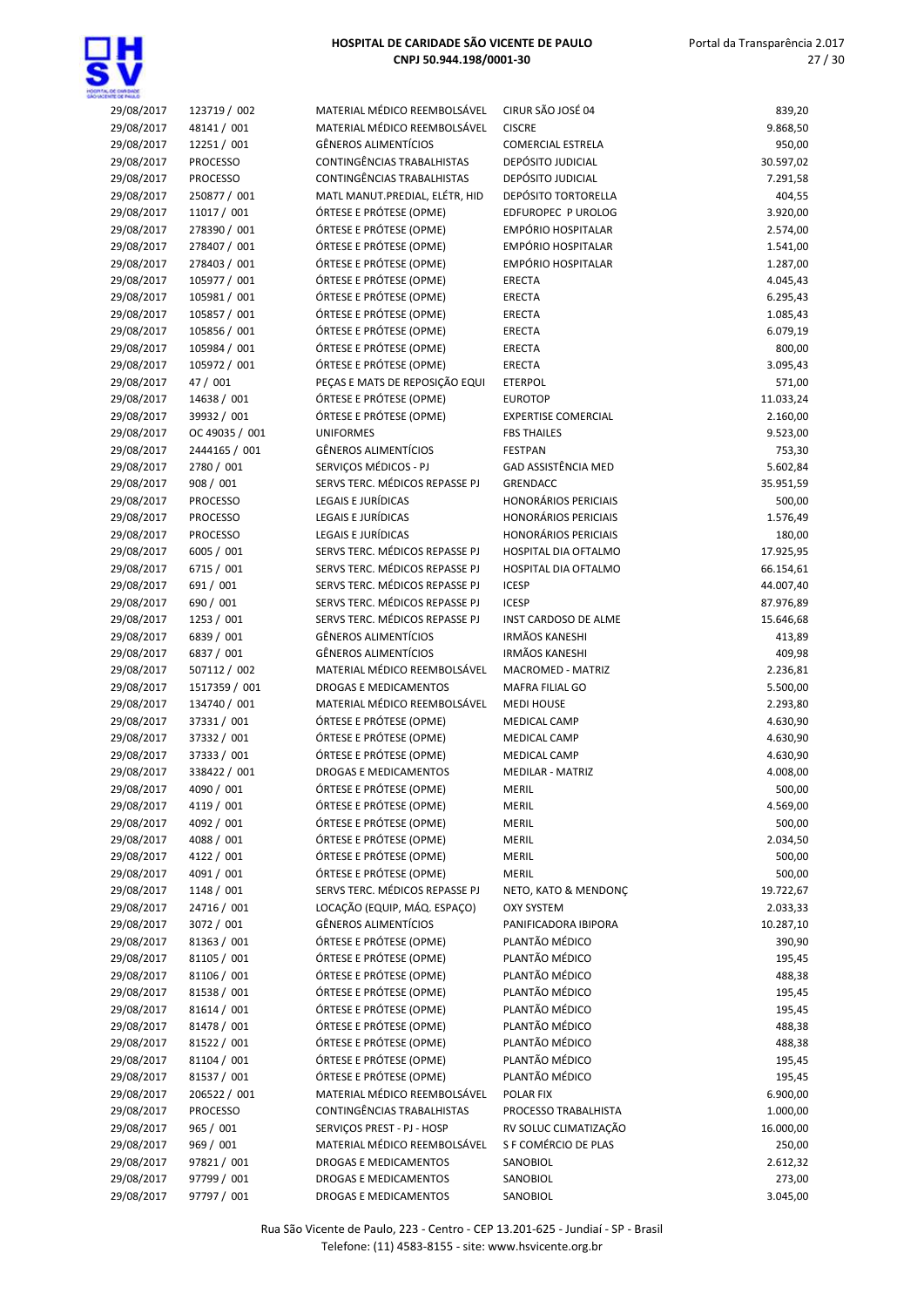|            |                 | MATERIAL MÉDICO REEMBOLSÁVEL   | CIRUR SÃO JOSÉ 04           |           |
|------------|-----------------|--------------------------------|-----------------------------|-----------|
| 29/08/2017 | 123719 / 002    |                                |                             | 839,20    |
| 29/08/2017 | 48141 / 001     | MATERIAL MÉDICO REEMBOLSÁVEL   | <b>CISCRE</b>               | 9.868,50  |
| 29/08/2017 | 12251 / 001     | <b>GÊNEROS ALIMENTÍCIOS</b>    | <b>COMERCIAL ESTRELA</b>    | 950,00    |
| 29/08/2017 | <b>PROCESSO</b> | CONTINGÊNCIAS TRABALHISTAS     | DEPÓSITO JUDICIAL           | 30.597,02 |
| 29/08/2017 | <b>PROCESSO</b> | CONTINGÊNCIAS TRABALHISTAS     | DEPÓSITO JUDICIAL           | 7.291,58  |
| 29/08/2017 | 250877 / 001    | MATL MANUT.PREDIAL, ELÉTR, HID | DEPÓSITO TORTORELLA         | 404,55    |
| 29/08/2017 | 11017 / 001     | ÓRTESE E PRÓTESE (OPME)        | EDFUROPEC P UROLOG          | 3.920,00  |
| 29/08/2017 | 278390 / 001    | ÓRTESE E PRÓTESE (OPME)        | EMPÓRIO HOSPITALAR          | 2.574,00  |
| 29/08/2017 | 278407 / 001    | ÓRTESE E PRÓTESE (OPME)        | EMPÓRIO HOSPITALAR          | 1.541,00  |
| 29/08/2017 | 278403 / 001    | ÓRTESE E PRÓTESE (OPME)        | EMPÓRIO HOSPITALAR          | 1.287,00  |
|            |                 |                                |                             |           |
| 29/08/2017 | 105977 / 001    | ÓRTESE E PRÓTESE (OPME)        | <b>ERECTA</b>               | 4.045,43  |
| 29/08/2017 | 105981 / 001    | ÓRTESE E PRÓTESE (OPME)        | ERECTA                      | 6.295,43  |
| 29/08/2017 | 105857 / 001    | ÓRTESE E PRÓTESE (OPME)        | <b>ERECTA</b>               | 1.085,43  |
| 29/08/2017 | 105856 / 001    | ÓRTESE E PRÓTESE (OPME)        | <b>ERECTA</b>               | 6.079,19  |
| 29/08/2017 | 105984 / 001    | ÓRTESE E PRÓTESE (OPME)        | <b>ERECTA</b>               | 800,00    |
| 29/08/2017 | 105972 / 001    | ÓRTESE E PRÓTESE (OPME)        | <b>ERECTA</b>               | 3.095,43  |
| 29/08/2017 | 47 / 001        | PEÇAS E MATS DE REPOSIÇÃO EQUI | <b>ETERPOL</b>              | 571,00    |
| 29/08/2017 | 14638 / 001     | ÓRTESE E PRÓTESE (OPME)        | <b>EUROTOP</b>              | 11.033,24 |
| 29/08/2017 | 39932 / 001     | ÓRTESE E PRÓTESE (OPME)        | <b>EXPERTISE COMERCIAL</b>  | 2.160,00  |
| 29/08/2017 | OC 49035 / 001  | <b>UNIFORMES</b>               | <b>FBS THAILES</b>          | 9.523,00  |
|            |                 |                                |                             |           |
| 29/08/2017 | 2444165 / 001   | <b>GÊNEROS ALIMENTÍCIOS</b>    | <b>FESTPAN</b>              | 753,30    |
| 29/08/2017 | 2780 / 001      | SERVIÇOS MÉDICOS - PJ          | <b>GAD ASSISTÊNCIA MED</b>  | 5.602,84  |
| 29/08/2017 | 908 / 001       | SERVS TERC. MÉDICOS REPASSE PJ | <b>GRENDACC</b>             | 35.951,59 |
| 29/08/2017 | <b>PROCESSO</b> | <b>LEGAIS E JURÍDICAS</b>      | <b>HONORÁRIOS PERICIAIS</b> | 500,00    |
| 29/08/2017 | <b>PROCESSO</b> | LEGAIS E JURÍDICAS             | <b>HONORÁRIOS PERICIAIS</b> | 1.576,49  |
| 29/08/2017 | <b>PROCESSO</b> | LEGAIS E JURÍDICAS             | <b>HONORÁRIOS PERICIAIS</b> | 180,00    |
| 29/08/2017 | 6005 / 001      | SERVS TERC. MÉDICOS REPASSE PJ | HOSPITAL DIA OFTALMO        | 17.925,95 |
| 29/08/2017 | 6715 / 001      | SERVS TERC. MÉDICOS REPASSE PJ | HOSPITAL DIA OFTALMO        | 66.154,61 |
| 29/08/2017 | 691 / 001       | SERVS TERC. MÉDICOS REPASSE PJ | <b>ICESP</b>                | 44.007,40 |
|            |                 |                                |                             |           |
| 29/08/2017 | 690 / 001       | SERVS TERC. MÉDICOS REPASSE PJ | <b>ICESP</b>                | 87.976,89 |
| 29/08/2017 | 1253 / 001      | SERVS TERC. MÉDICOS REPASSE PJ | INST CARDOSO DE ALME        | 15.646,68 |
| 29/08/2017 | 6839 / 001      | <b>GÊNEROS ALIMENTÍCIOS</b>    | <b>IRMÃOS KANESHI</b>       | 413,89    |
| 29/08/2017 | 6837 / 001      | <b>GÊNEROS ALIMENTÍCIOS</b>    | <b>IRMÃOS KANESHI</b>       | 409,98    |
| 29/08/2017 | 507112 / 002    | MATERIAL MÉDICO REEMBOLSÁVEL   | MACROMED - MATRIZ           | 2.236,81  |
| 29/08/2017 | 1517359 / 001   | <b>DROGAS E MEDICAMENTOS</b>   | MAFRA FILIAL GO             | 5.500,00  |
| 29/08/2017 | 134740 / 001    | MATERIAL MÉDICO REEMBOLSÁVEL   | <b>MEDI HOUSE</b>           | 2.293,80  |
| 29/08/2017 | 37331 / 001     | ÓRTESE E PRÓTESE (OPME)        | <b>MEDICAL CAMP</b>         | 4.630,90  |
| 29/08/2017 | 37332 / 001     | ÓRTESE E PRÓTESE (OPME)        | MEDICAL CAMP                | 4.630,90  |
| 29/08/2017 | 37333 / 001     | ÓRTESE E PRÓTESE (OPME)        | MEDICAL CAMP                | 4.630,90  |
|            |                 | DROGAS E MEDICAMENTOS          |                             | 4.008,00  |
| 29/08/2017 | 338422 / 001    |                                | <b>MEDILAR - MATRIZ</b>     |           |
| 29/08/2017 | 4090 / 001      | ÓRTESE E PRÓTESE (OPME)        | MERIL                       | 500,00    |
| 29/08/2017 | 4119 / 001      | ÓRTESE E PRÓTESE (OPME)        | MERIL                       | 4.569,00  |
| 29/08/2017 | 4092 / 001      | ÓRTESE E PRÓTESE (OPME)        | <b>MERIL</b>                | 500,00    |
| 29/08/2017 | 4088 / 001      | ÓRTESE E PRÓTESE (OPME)        | MERIL                       | 2.034,50  |
| 29/08/2017 | 4122 / 001      | ÓRTESE E PRÓTESE (OPME)        | MERIL                       | 500,00    |
| 29/08/2017 | 4091 / 001      | ÓRTESE E PRÓTESE (OPME)        | MERIL                       | 500,00    |
| 29/08/2017 | 1148 / 001      | SERVS TERC. MÉDICOS REPASSE PJ | NETO, KATO & MENDONÇ        | 19.722,67 |
| 29/08/2017 | 24716 / 001     | LOCAÇÃO (EQUIP, MÁQ. ESPAÇO)   | <b>OXY SYSTEM</b>           | 2.033,33  |
| 29/08/2017 | 3072 / 001      | <b>GÊNEROS ALIMENTÍCIOS</b>    | PANIFICADORA IBIPORA        | 10.287,10 |
|            |                 |                                |                             |           |
| 29/08/2017 | 81363 / 001     | ÓRTESE E PRÓTESE (OPME)        | PLANTÃO MÉDICO              | 390,90    |
| 29/08/2017 | 81105 / 001     | ÓRTESE E PRÓTESE (OPME)        | PLANTÃO MÉDICO              | 195,45    |
| 29/08/2017 | 81106 / 001     | ÓRTESE E PRÓTESE (OPME)        | PLANTÃO MÉDICO              | 488,38    |
| 29/08/2017 | 81538 / 001     | ÓRTESE E PRÓTESE (OPME)        | PLANTÃO MÉDICO              | 195,45    |
| 29/08/2017 | 81614 / 001     | ÓRTESE E PRÓTESE (OPME)        | PLANTÃO MÉDICO              | 195,45    |
| 29/08/2017 | 81478 / 001     | ÓRTESE E PRÓTESE (OPME)        | PLANTÃO MÉDICO              | 488,38    |
| 29/08/2017 | 81522 / 001     | ÓRTESE E PRÓTESE (OPME)        | PLANTÃO MÉDICO              | 488,38    |
| 29/08/2017 | 81104 / 001     | ÓRTESE E PRÓTESE (OPME)        | PLANTÃO MÉDICO              | 195,45    |
| 29/08/2017 | 81537 / 001     | ÓRTESE E PRÓTESE (OPME)        | PLANTÃO MÉDICO              | 195,45    |
| 29/08/2017 | 206522 / 001    | MATERIAL MÉDICO REEMBOLSÁVEL   | POLAR FIX                   | 6.900,00  |
|            |                 |                                |                             |           |
| 29/08/2017 | <b>PROCESSO</b> | CONTINGÊNCIAS TRABALHISTAS     | PROCESSO TRABALHISTA        | 1.000,00  |
| 29/08/2017 | 965 / 001       | SERVIÇOS PREST - PJ - HOSP     | RV SOLUC CLIMATIZAÇÃO       | 16.000,00 |
| 29/08/2017 | 969 / 001       | MATERIAL MÉDICO REEMBOLSÁVEL   | S F COMÉRCIO DE PLAS        | 250,00    |
| 29/08/2017 | 97821 / 001     | DROGAS E MEDICAMENTOS          | SANOBIOL                    | 2.612,32  |
| 29/08/2017 | 97799 / 001     | DROGAS E MEDICAMENTOS          | SANOBIOL                    | 273,00    |
| 29/08/2017 | 97797 / 001     | DROGAS E MEDICAMENTOS          | SANOBIOL                    | 3.045,00  |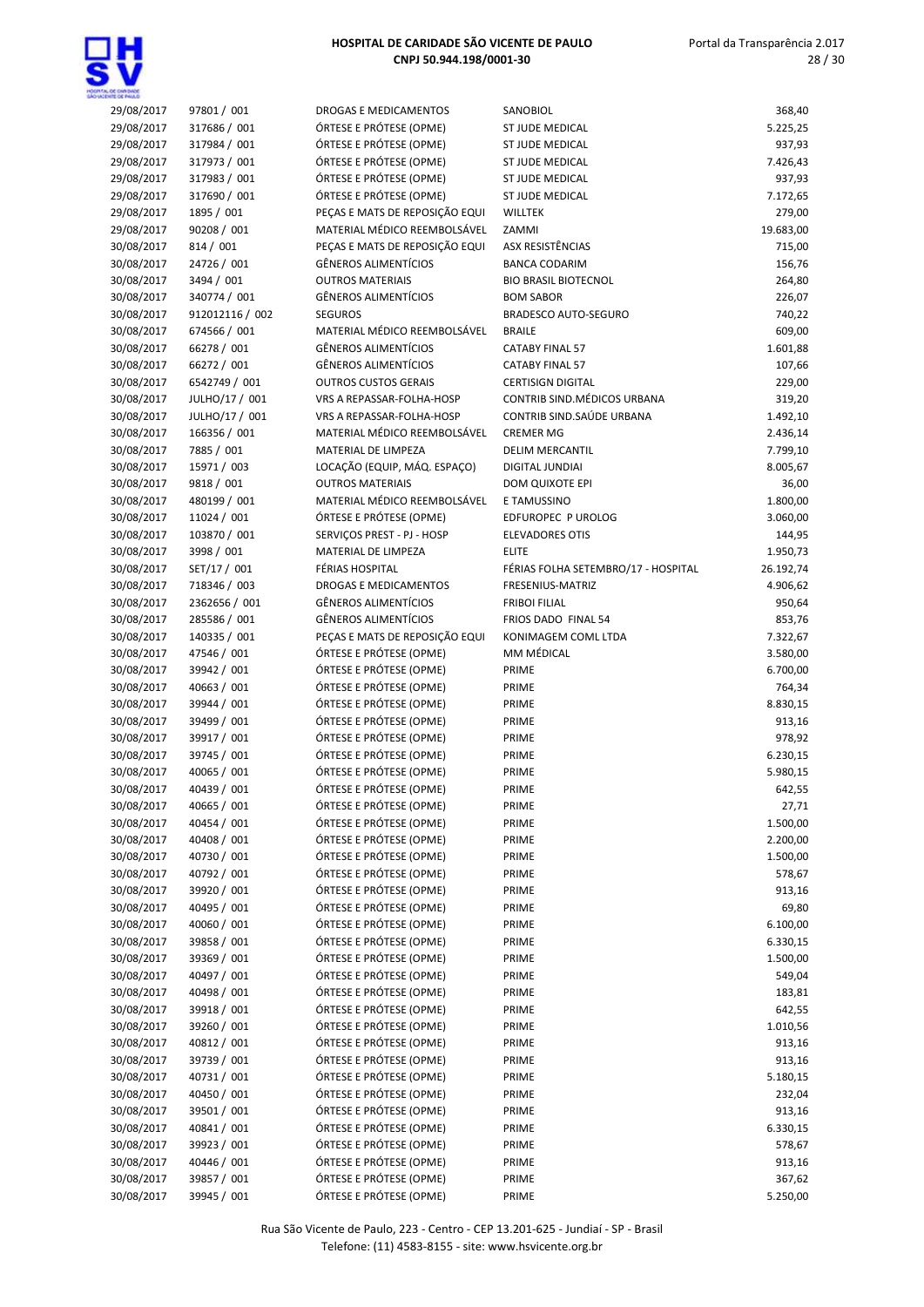

| 29/08/2017 | 97801 / 001     | <b>DROGAS E MEDICAMENTOS</b>   | SANOBIOL                            | 368,40    |
|------------|-----------------|--------------------------------|-------------------------------------|-----------|
| 29/08/2017 | 317686 / 001    | ÓRTESE E PRÓTESE (OPME)        | ST JUDE MEDICAL                     | 5.225,25  |
| 29/08/2017 | 317984 / 001    | ÓRTESE E PRÓTESE (OPME)        | ST JUDE MEDICAL                     | 937,93    |
| 29/08/2017 | 317973 / 001    | ÓRTESE E PRÓTESE (OPME)        | <b>ST JUDE MEDICAL</b>              | 7.426,43  |
| 29/08/2017 | 317983 / 001    | ÓRTESE E PRÓTESE (OPME)        | <b>ST JUDE MEDICAL</b>              | 937,93    |
| 29/08/2017 | 317690 / 001    | ÓRTESE E PRÓTESE (OPME)        | <b>ST JUDE MEDICAL</b>              | 7.172,65  |
| 29/08/2017 | 1895 / 001      | PEÇAS E MATS DE REPOSIÇÃO EQUI | <b>WILLTEK</b>                      | 279,00    |
| 29/08/2017 | 90208 / 001     | MATERIAL MÉDICO REEMBOLSÁVEL   | ZAMMI                               | 19.683,00 |
| 30/08/2017 | 814 / 001       | PEÇAS E MATS DE REPOSIÇÃO EQUI | ASX RESISTÊNCIAS                    | 715,00    |
| 30/08/2017 | 24726 / 001     | <b>GÊNEROS ALIMENTÍCIOS</b>    | <b>BANCA CODARIM</b>                | 156,76    |
| 30/08/2017 | 3494 / 001      | <b>OUTROS MATERIAIS</b>        | <b>BIO BRASIL BIOTECNOL</b>         | 264,80    |
| 30/08/2017 | 340774 / 001    | <b>GÊNEROS ALIMENTÍCIOS</b>    | <b>BOM SABOR</b>                    | 226,07    |
| 30/08/2017 | 912012116 / 002 | <b>SEGUROS</b>                 | <b>BRADESCO AUTO-SEGURO</b>         | 740,22    |
| 30/08/2017 | 674566 / 001    | MATERIAL MÉDICO REEMBOLSÁVEL   | <b>BRAILE</b>                       | 609,00    |
| 30/08/2017 | 66278 / 001     | <b>GÊNEROS ALIMENTÍCIOS</b>    | <b>CATABY FINAL 57</b>              | 1.601,88  |
| 30/08/2017 | 66272 / 001     | <b>GÊNEROS ALIMENTÍCIOS</b>    | <b>CATABY FINAL 57</b>              | 107,66    |
| 30/08/2017 | 6542749 / 001   | <b>OUTROS CUSTOS GERAIS</b>    | <b>CERTISIGN DIGITAL</b>            | 229,00    |
| 30/08/2017 | JULHO/17 / 001  | VRS A REPASSAR-FOLHA-HOSP      | CONTRIB SIND. MÉDICOS URBANA        | 319,20    |
| 30/08/2017 | JULHO/17 / 001  | VRS A REPASSAR-FOLHA-HOSP      | CONTRIB SIND. SAÚDE URBANA          | 1.492,10  |
| 30/08/2017 | 166356 / 001    | MATERIAL MÉDICO REEMBOLSÁVEL   | <b>CREMER MG</b>                    | 2.436,14  |
| 30/08/2017 | 7885 / 001      | MATERIAL DE LIMPEZA            | <b>DELIM MERCANTIL</b>              | 7.799,10  |
| 30/08/2017 | 15971 / 003     | LOCAÇÃO (EQUIP, MÁQ. ESPAÇO)   | DIGITAL JUNDIAI                     | 8.005,67  |
| 30/08/2017 | 9818 / 001      | <b>OUTROS MATERIAIS</b>        | DOM QUIXOTE EPI                     | 36,00     |
| 30/08/2017 | 480199 / 001    | MATERIAL MÉDICO REEMBOLSÁVEL   | E TAMUSSINO                         | 1.800,00  |
| 30/08/2017 | 11024 / 001     | ÓRTESE E PRÓTESE (OPME)        | EDFUROPEC P UROLOG                  | 3.060,00  |
| 30/08/2017 | 103870 / 001    | SERVIÇOS PREST - PJ - HOSP     | <b>ELEVADORES OTIS</b>              | 144,95    |
| 30/08/2017 | 3998 / 001      | MATERIAL DE LIMPEZA            | <b>ELITE</b>                        | 1.950,73  |
| 30/08/2017 | SET/17 / 001    | FÉRIAS HOSPITAL                | FÉRIAS FOLHA SETEMBRO/17 - HOSPITAL | 26.192,74 |
| 30/08/2017 | 718346 / 003    | DROGAS E MEDICAMENTOS          | FRESENIUS-MATRIZ                    | 4.906,62  |
| 30/08/2017 | 2362656 / 001   | <b>GÊNEROS ALIMENTÍCIOS</b>    | <b>FRIBOI FILIAL</b>                | 950,64    |
| 30/08/2017 | 285586 / 001    | <b>GÊNEROS ALIMENTÍCIOS</b>    | FRIOS DADO FINAL 54                 | 853,76    |
| 30/08/2017 | 140335 / 001    | PEÇAS E MATS DE REPOSIÇÃO EQUI | KONIMAGEM COML LTDA                 | 7.322,67  |
| 30/08/2017 | 47546 / 001     | ÓRTESE E PRÓTESE (OPME)        | MM MÉDICAL                          | 3.580,00  |
| 30/08/2017 | 39942 / 001     | ÓRTESE E PRÓTESE (OPME)        | PRIME                               | 6.700,00  |
| 30/08/2017 | 40663 / 001     | ÓRTESE E PRÓTESE (OPME)        | PRIME                               | 764,34    |
| 30/08/2017 | 39944 / 001     | ÓRTESE E PRÓTESE (OPME)        | PRIME                               | 8.830,15  |
| 30/08/2017 | 39499 / 001     | ÓRTESE E PRÓTESE (OPME)        | PRIME                               | 913,16    |
| 30/08/2017 | 39917 / 001     | ÓRTESE E PRÓTESE (OPME)        | PRIME                               | 978,92    |
| 30/08/2017 | 39745 / 001     | ÓRTESE E PRÓTESE (OPME)        | PRIME                               | 6.230,15  |
| 30/08/2017 | 40065 / 001     | ÓRTESE E PRÓTESE (OPME)        | PRIME                               | 5.980,15  |
| 30/08/2017 | 40439 / 001     | ÓRTESE E PRÓTESE (OPME)        | PRIME                               | 642,55    |
| 30/08/2017 | 40665 / 001     | ÓRTESE E PRÓTESE (OPME)        | PRIME                               | 27,71     |
| 30/08/2017 | 40454 / 001     | ÓRTESE E PRÓTESE (OPME)        | PRIME                               | 1.500,00  |
| 30/08/2017 | 40408 / 001     | ÓRTESE E PRÓTESE (OPME)        | PRIME                               | 2.200,00  |
| 30/08/2017 | 40730 / 001     | ÓRTESE E PRÓTESE (OPME)        | PRIME                               | 1.500,00  |
| 30/08/2017 | 40792 / 001     | ÓRTESE E PRÓTESE (OPME)        | PRIME                               | 578,67    |
| 30/08/2017 | 39920 / 001     | ÓRTESE E PRÓTESE (OPME)        | PRIME                               | 913,16    |
| 30/08/2017 | 40495 / 001     | ÓRTESE E PRÓTESE (OPME)        | PRIME                               | 69,80     |
| 30/08/2017 | 40060 / 001     | ÓRTESE E PRÓTESE (OPME)        | PRIME                               | 6.100,00  |
| 30/08/2017 | 39858 / 001     | ÓRTESE E PRÓTESE (OPME)        | PRIME                               | 6.330,15  |
| 30/08/2017 | 39369 / 001     | ÓRTESE E PRÓTESE (OPME)        | PRIME                               | 1.500,00  |
| 30/08/2017 | 40497 / 001     | ÓRTESE E PRÓTESE (OPME)        | PRIME                               | 549,04    |
| 30/08/2017 | 40498 / 001     | ÓRTESE E PRÓTESE (OPME)        | PRIME                               | 183,81    |
| 30/08/2017 | 39918 / 001     | ÓRTESE E PRÓTESE (OPME)        | PRIME                               | 642,55    |
| 30/08/2017 | 39260 / 001     | ÓRTESE E PRÓTESE (OPME)        | PRIME                               | 1.010,56  |
| 30/08/2017 | 40812 / 001     | ÓRTESE E PRÓTESE (OPME)        | PRIME                               | 913,16    |
| 30/08/2017 | 39739 / 001     | ÓRTESE E PRÓTESE (OPME)        | PRIME                               | 913,16    |
| 30/08/2017 | 40731 / 001     | ÓRTESE E PRÓTESE (OPME)        | PRIME                               | 5.180,15  |
| 30/08/2017 | 40450 / 001     | ÓRTESE E PRÓTESE (OPME)        | PRIME                               | 232,04    |
| 30/08/2017 | 39501 / 001     | ÓRTESE E PRÓTESE (OPME)        | PRIME                               | 913,16    |
| 30/08/2017 | 40841 / 001     | ÓRTESE E PRÓTESE (OPME)        | PRIME                               | 6.330,15  |
| 30/08/2017 | 39923 / 001     | ÓRTESE E PRÓTESE (OPME)        | PRIME                               | 578,67    |
| 30/08/2017 | 40446 / 001     | ÓRTESE E PRÓTESE (OPME)        | PRIME                               | 913,16    |
| 30/08/2017 | 39857 / 001     | ÓRTESE E PRÓTESE (OPME)        | PRIME                               | 367,62    |
| 30/08/2017 | 39945 / 001     | ÓRTESE E PRÓTESE (OPME)        | PRIME                               | 5.250,00  |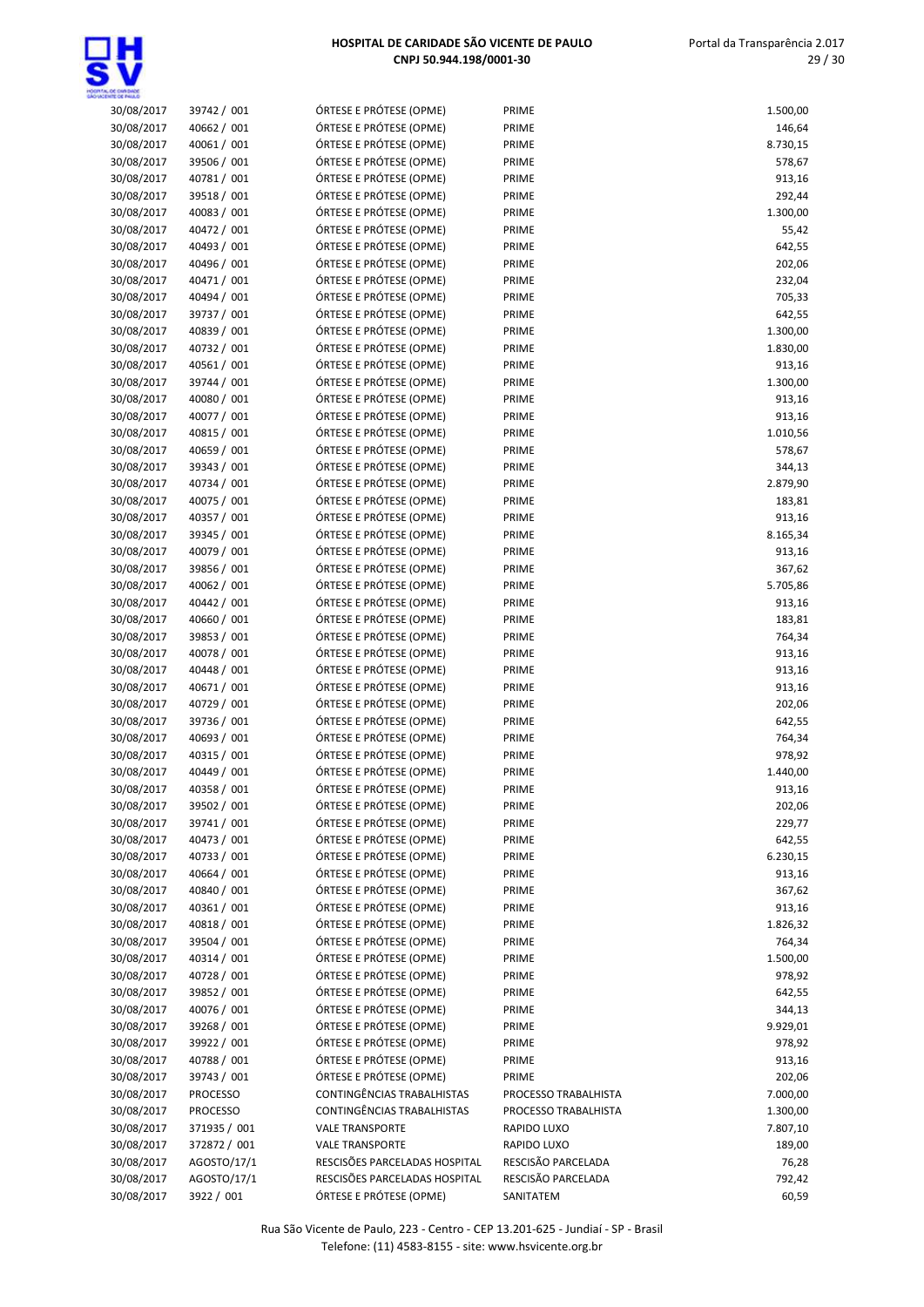

| 30/08/2017               | 39742 / 001                | ÓRTESE E PRÓTESE (OPME)                            | PRIME                | 1.500,00         |
|--------------------------|----------------------------|----------------------------------------------------|----------------------|------------------|
| 30/08/2017               | 40662 / 001                | ÓRTESE E PRÓTESE (OPME)                            | PRIME                | 146,64           |
| 30/08/2017               | 40061 / 001                | ÓRTESE E PRÓTESE (OPME)                            | PRIME                | 8.730,15         |
| 30/08/2017               | 39506 / 001                | ÓRTESE E PRÓTESE (OPME)                            | PRIME                | 578,67           |
| 30/08/2017               | 40781 / 001                | ÓRTESE E PRÓTESE (OPME)                            | PRIME                | 913,16           |
| 30/08/2017               | 39518 / 001                | ÓRTESE E PRÓTESE (OPME)                            | PRIME                | 292,44           |
| 30/08/2017               | 40083 / 001                | ÓRTESE E PRÓTESE (OPME)                            | PRIME                | 1.300,00         |
| 30/08/2017               | 40472 / 001                | ÓRTESE E PRÓTESE (OPME)                            | PRIME                | 55,42            |
| 30/08/2017               | 40493 / 001                | ÓRTESE E PRÓTESE (OPME)                            | PRIME                | 642,55           |
| 30/08/2017               | 40496 / 001                | ÓRTESE E PRÓTESE (OPME)                            | PRIME                | 202,06           |
| 30/08/2017               | 40471 / 001                | ÓRTESE E PRÓTESE (OPME)                            | PRIME                | 232,04           |
| 30/08/2017               | 40494 / 001                | ÓRTESE E PRÓTESE (OPME)                            | PRIME                | 705,33           |
| 30/08/2017               | 39737 / 001                | ÓRTESE E PRÓTESE (OPME)                            | PRIME                | 642,55           |
| 30/08/2017               | 40839 / 001                | ÓRTESE E PRÓTESE (OPME)                            | PRIME                | 1.300,00         |
| 30/08/2017               | 40732 / 001                | ÓRTESE E PRÓTESE (OPME)                            | PRIME                | 1.830,00         |
| 30/08/2017               | 40561 / 001                | ÓRTESE E PRÓTESE (OPME)                            | PRIME                | 913,16           |
| 30/08/2017               | 39744 / 001                | ÓRTESE E PRÓTESE (OPME)                            | PRIME                | 1.300,00         |
| 30/08/2017               | 40080 / 001                | ÓRTESE E PRÓTESE (OPME)                            | PRIME                | 913,16           |
| 30/08/2017               | 40077 / 001                | ÓRTESE E PRÓTESE (OPME)                            | PRIME                | 913,16           |
| 30/08/2017               | 40815 / 001                | ÓRTESE E PRÓTESE (OPME)                            | PRIME                | 1.010,56         |
| 30/08/2017               | 40659 / 001                | ÓRTESE E PRÓTESE (OPME)                            | PRIME                | 578,67           |
| 30/08/2017               | 39343 / 001                | ÓRTESE E PRÓTESE (OPME)                            | PRIME                | 344,13           |
| 30/08/2017               | 40734 / 001                | ÓRTESE E PRÓTESE (OPME)                            | PRIME                | 2.879,90         |
| 30/08/2017               | 40075 / 001                | ÓRTESE E PRÓTESE (OPME)                            | PRIME                | 183,81           |
| 30/08/2017               | 40357 / 001                | ÓRTESE E PRÓTESE (OPME)                            | PRIME                | 913,16           |
| 30/08/2017               | 39345 / 001                | ÓRTESE E PRÓTESE (OPME)                            | PRIME                | 8.165,34         |
| 30/08/2017               | 40079 / 001                | ÓRTESE E PRÓTESE (OPME)                            | PRIME                | 913,16           |
| 30/08/2017               | 39856 / 001                | ÓRTESE E PRÓTESE (OPME)                            | PRIME                | 367,62           |
| 30/08/2017               | 40062 / 001<br>40442 / 001 | ÓRTESE E PRÓTESE (OPME)<br>ÓRTESE E PRÓTESE (OPME) | PRIME<br>PRIME       | 5.705,86         |
| 30/08/2017<br>30/08/2017 | 40660 / 001                | ÓRTESE E PRÓTESE (OPME)                            | PRIME                | 913,16<br>183,81 |
| 30/08/2017               | 39853 / 001                | ÓRTESE E PRÓTESE (OPME)                            | PRIME                | 764,34           |
| 30/08/2017               | 40078 / 001                | ÓRTESE E PRÓTESE (OPME)                            | PRIME                | 913,16           |
| 30/08/2017               | 40448 / 001                | ÓRTESE E PRÓTESE (OPME)                            | PRIME                | 913,16           |
| 30/08/2017               | 40671 / 001                | ÓRTESE E PRÓTESE (OPME)                            | PRIME                | 913,16           |
| 30/08/2017               | 40729 / 001                | ÓRTESE E PRÓTESE (OPME)                            | PRIME                | 202,06           |
| 30/08/2017               | 39736 / 001                | ÓRTESE E PRÓTESE (OPME)                            | PRIME                | 642,55           |
| 30/08/2017               | 40693 / 001                | ÓRTESE E PRÓTESE (OPME)                            | PRIME                | 764,34           |
| 30/08/2017               | 40315 / 001                | ÓRTESE E PRÓTESE (OPME)                            | PRIME                | 978,92           |
| 30/08/2017               | 40449 / 001                | ÓRTESE E PRÓTESE (OPME)                            | PRIME                | 1.440,00         |
| 30/08/2017               | 40358 / 001                | ÓRTESE E PRÓTESE (OPME)                            | PRIME                | 913,16           |
| 30/08/2017               | 39502 / 001                | ÓRTESE E PRÓTESE (OPME)                            | PRIME                | 202,06           |
| 30/08/2017               | 39741 / 001                | ÓRTESE E PRÓTESE (OPME)                            | PRIME                | 229,77           |
| 30/08/2017               | 40473 / 001                | ÓRTESE E PRÓTESE (OPME)                            | PRIME                | 642,55           |
| 30/08/2017               | 40733 / 001                | ÓRTESE E PRÓTESE (OPME)                            | PRIME                | 6.230,15         |
| 30/08/2017               | 40664 / 001                | ÓRTESE E PRÓTESE (OPME)                            | PRIME                | 913,16           |
| 30/08/2017               | 40840 / 001                | ÓRTESE E PRÓTESE (OPME)                            | PRIME                | 367,62           |
| 30/08/2017               | 40361 / 001                | ÓRTESE E PRÓTESE (OPME)                            | PRIME                | 913,16           |
| 30/08/2017               | 40818 / 001                | ÓRTESE E PRÓTESE (OPME)                            | PRIME                | 1.826,32         |
| 30/08/2017               | 39504 / 001                | ÓRTESE E PRÓTESE (OPME)                            | PRIME                | 764,34           |
| 30/08/2017               | 40314 / 001                | ÓRTESE E PRÓTESE (OPME)                            | PRIME                | 1.500,00         |
| 30/08/2017               | 40728 / 001                | ÓRTESE E PRÓTESE (OPME)                            | PRIME                | 978,92           |
| 30/08/2017               | 39852 / 001                | ÓRTESE E PRÓTESE (OPME)                            | PRIME                | 642,55           |
| 30/08/2017               | 40076 / 001                | ÓRTESE E PRÓTESE (OPME)                            | PRIME                | 344,13           |
| 30/08/2017               | 39268 / 001                | ÓRTESE E PRÓTESE (OPME)                            | PRIME                | 9.929,01         |
| 30/08/2017               | 39922 / 001                | ÓRTESE E PRÓTESE (OPME)                            | PRIME                | 978,92           |
| 30/08/2017               | 40788 / 001                | ÓRTESE E PRÓTESE (OPME)                            | PRIME                | 913,16           |
| 30/08/2017               | 39743 / 001                | ÓRTESE E PRÓTESE (OPME)                            | PRIME                | 202,06           |
| 30/08/2017               | PROCESSO                   | CONTINGÊNCIAS TRABALHISTAS                         | PROCESSO TRABALHISTA | 7.000,00         |
| 30/08/2017               | PROCESSO                   | CONTINGÊNCIAS TRABALHISTAS                         | PROCESSO TRABALHISTA | 1.300,00         |
| 30/08/2017               | 371935 / 001               | <b>VALE TRANSPORTE</b>                             | RAPIDO LUXO          | 7.807,10         |
| 30/08/2017               | 372872 / 001               | <b>VALE TRANSPORTE</b>                             | RAPIDO LUXO          | 189,00           |
| 30/08/2017               | AGOSTO/17/1                | RESCISÕES PARCELADAS HOSPITAL                      | RESCISÃO PARCELADA   | 76,28            |
| 30/08/2017               | AGOSTO/17/1                | RESCISÕES PARCELADAS HOSPITAL                      | RESCISÃO PARCELADA   | 792,42           |
| 30/08/2017               | 3922 / 001                 | ÓRTESE E PRÓTESE (OPME)                            | SANITATEM            | 60,59            |